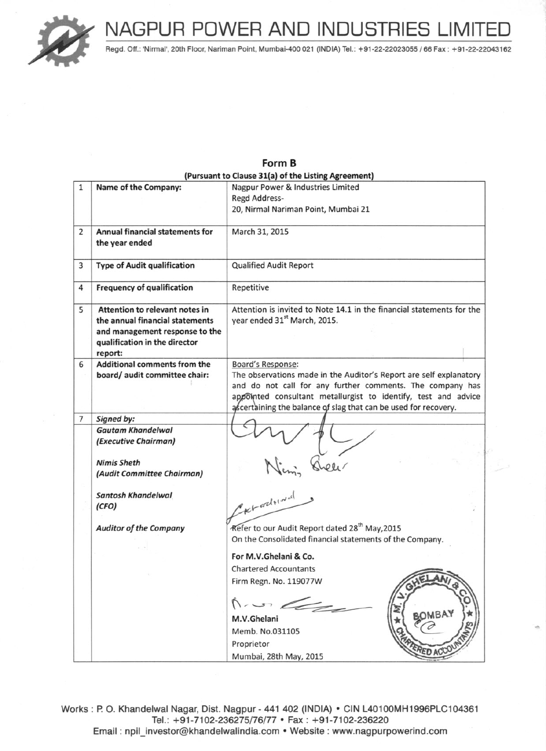

Regd. Off.: 'Nirmal', 20th Floor, Nariman Point, Mumbai-400 021 (INDIA) Tel.: +91-22-22023055 / 66 Fax : +91-22-22043162

|                |                                    | (Pursuant to Clause 31(a) of the Listing Agreement)                   |
|----------------|------------------------------------|-----------------------------------------------------------------------|
|                |                                    |                                                                       |
| $\mathbf{1}$   | Name of the Company:               | Nagpur Power & Industries Limited                                     |
|                |                                    | Regd Address-                                                         |
|                |                                    | 20, Nirmal Nariman Point, Mumbai 21                                   |
| $\overline{2}$ | Annual financial statements for    | March 31, 2015                                                        |
|                | the year ended                     |                                                                       |
| 3              | <b>Type of Audit qualification</b> | <b>Qualified Audit Report</b>                                         |
| 4              | <b>Frequency of qualification</b>  | Repetitive                                                            |
| 5              | Attention to relevant notes in     | Attention is invited to Note 14.1 in the financial statements for the |
|                | the annual financial statements    | year ended 31 <sup>st</sup> March, 2015.                              |
|                | and management response to the     |                                                                       |
|                | qualification in the director      |                                                                       |
|                | report:                            |                                                                       |
| 6              | Additional comments from the       | Board's Response:                                                     |
|                | board/ audit committee chair:      | The observations made in the Auditor's Report are self explanatory    |
|                |                                    | and do not call for any further comments. The company has             |
|                |                                    | appointed consultant metallurgist to identify, test and advice        |
|                |                                    | ascertaining the balance of slag that can be used for recovery.       |
| $\overline{7}$ | Signed by:                         |                                                                       |
|                | <b>Gautam Khandelwal</b>           |                                                                       |
|                | (Executive Chairman)               |                                                                       |
|                |                                    |                                                                       |
|                | <b>Nimis Sheth</b>                 |                                                                       |
|                | (Audit Committee Chairman)         |                                                                       |
|                |                                    |                                                                       |
|                | <b>Santosh Khandelwal</b>          |                                                                       |
|                | (CFO)                              | CKtadowal                                                             |
|                |                                    | Refer to our Audit Report dated 28 <sup>th</sup> May, 2015            |
|                | <b>Auditor of the Company</b>      | On the Consolidated financial statements of the Company.              |
|                |                                    |                                                                       |
|                |                                    | For M.V.Ghelani & Co.                                                 |
|                |                                    | <b>Chartered Accountants</b>                                          |
|                |                                    | Firm Regn. No. 119077W<br>GHELANI                                     |
|                |                                    |                                                                       |
|                |                                    | $\Lambda$ , un do                                                     |
|                |                                    | BOMBAY                                                                |
|                |                                    | M.V.Ghelani                                                           |
|                |                                    | Memb. No.031105                                                       |
|                |                                    | Proprietor<br>ERED ACCO                                               |
|                |                                    | Mumbai, 28th May, 2015                                                |

Form R

Works: P. O. Khandelwal Nagar, Dist. Nagpur - 441 402 (INDIA) . CIN L40100MH1996PLC104361 Tel.: +91-7102-236275/76/77 • Fax: +91-7102-236220 Email: npil\_investor@khandelwalindia.com • Website: www.nagpurpowerind.com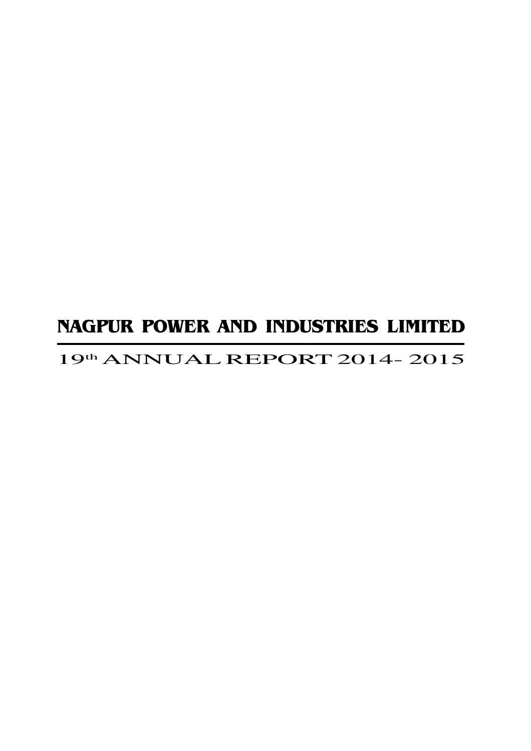# 19th ANNUAL REPORT 2014- 2015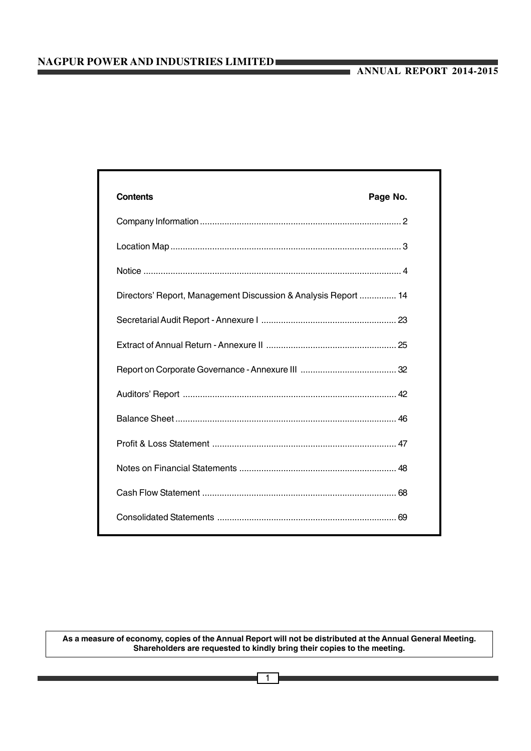| <b>Contents</b>                                                | Page No. |
|----------------------------------------------------------------|----------|
|                                                                |          |
|                                                                |          |
|                                                                |          |
| Directors' Report, Management Discussion & Analysis Report  14 |          |
|                                                                |          |
|                                                                |          |
|                                                                |          |
|                                                                |          |
|                                                                |          |
|                                                                |          |
|                                                                |          |
|                                                                |          |
|                                                                |          |

**As a measure of economy, copies of the Annual Report will not be distributed at the Annual General Meeting. Shareholders are requested to kindly bring their copies to the meeting.**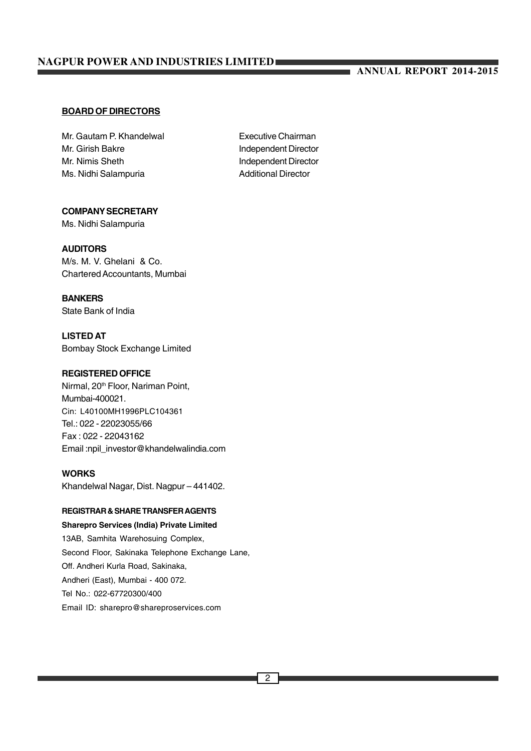# **ANNUAL REPORT 2014-2015**

# **BOARD OF DIRECTORS**

Mr. Gautam P. Khandelwal **Executive Chairman** Mr. Girish Bakre **Independent Director** Mr. Nimis Sheth **Independent Director** Ms. Nidhi Salampuria **Additional Director** 

# **COMPANY SECRETARY**

Ms. Nidhi Salampuria

# **AUDITORS**

M/s. M. V. Ghelani & Co. Chartered Accountants, Mumbai

# **BANKERS**

State Bank of India

**LISTED AT** Bombay Stock Exchange Limited

#### **REGISTERED OFFICE**

Nirmal, 20<sup>th</sup> Floor, Nariman Point, Mumbai-400021. Cin: L40100MH1996PLC104361 Tel.: 022 - 22023055/66 Fax : 022 - 22043162 Email :npil\_investor@khandelwalindia.com

# **WORKS**

Khandelwal Nagar, Dist. Nagpur – 441402.

# **REGISTRAR & SHARE TRANSFER AGENTS**

**Sharepro Services (India) Private Limited** 13AB, Samhita Warehosuing Complex, Second Floor, Sakinaka Telephone Exchange Lane, Off. Andheri Kurla Road, Sakinaka, Andheri (East), Mumbai - 400 072. Tel No.: 022-67720300/400 Email ID: sharepro@shareproservices.com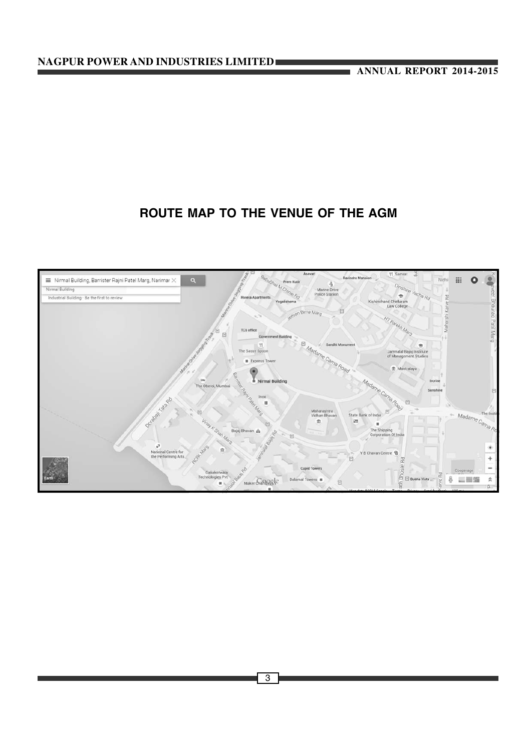# **ROUTE MAP TO THE VENUE OF THE AGM**

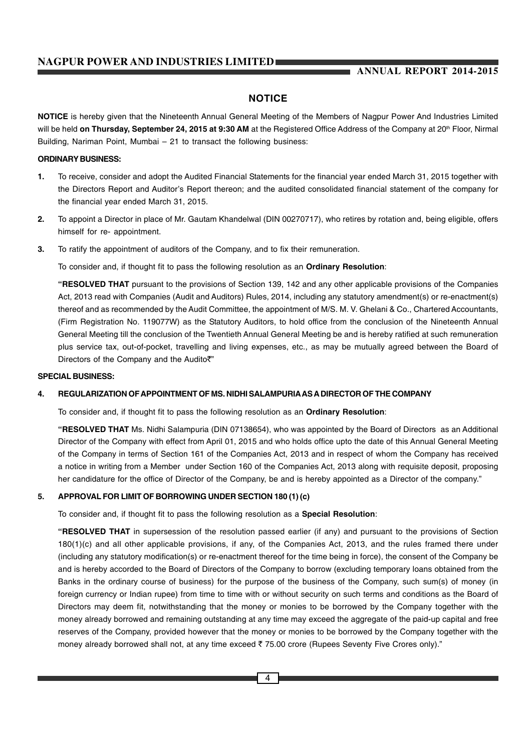# **NOTICE**

**NOTICE** is hereby given that the Nineteenth Annual General Meeting of the Members of Nagpur Power And Industries Limited will be held **on Thursday, September 24, 2015 at 9:30 AM** at the Registered Office Address of the Company at 20<sup>th</sup> Floor, Nirmal Building, Nariman Point, Mumbai – 21 to transact the following business:

# **ORDINARY BUSINESS:**

- **1.** To receive, consider and adopt the Audited Financial Statements for the financial year ended March 31, 2015 together with the Directors Report and Auditor's Report thereon; and the audited consolidated financial statement of the company for the financial year ended March 31, 2015.
- **2.** To appoint a Director in place of Mr. Gautam Khandelwal (DIN 00270717), who retires by rotation and, being eligible, offers himself for re- appointment.
- **3.** To ratify the appointment of auditors of the Company, and to fix their remuneration.

To consider and, if thought fit to pass the following resolution as an **Ordinary Resolution**:

**"RESOLVED THAT** pursuant to the provisions of Section 139, 142 and any other applicable provisions of the Companies Act, 2013 read with Companies (Audit and Auditors) Rules, 2014, including any statutory amendment(s) or re-enactment(s) thereof and as recommended by the Audit Committee, the appointment of M/S. M. V. Ghelani & Co., Chartered Accountants, (Firm Registration No. 119077W) as the Statutory Auditors, to hold office from the conclusion of the Nineteenth Annual General Meeting till the conclusion of the Twentieth Annual General Meeting be and is hereby ratified at such remuneration plus service tax, out-of-pocket, travelling and living expenses, etc., as may be mutually agreed between the Board of Directors of the Company and the Audito₹"

#### **SPECIAL BUSINESS:**

# **4. REGULARIZATION OF APPOINTMENT OF MS. NIDHI SALAMPURIA AS A DIRECTOR OF THE COMPANY**

To consider and, if thought fit to pass the following resolution as an **Ordinary Resolution**:

**"RESOLVED THAT** Ms. Nidhi Salampuria (DIN 07138654), who was appointed by the Board of Directors as an Additional Director of the Company with effect from April 01, 2015 and who holds office upto the date of this Annual General Meeting of the Company in terms of Section 161 of the Companies Act, 2013 and in respect of whom the Company has received a notice in writing from a Member under Section 160 of the Companies Act, 2013 along with requisite deposit, proposing her candidature for the office of Director of the Company, be and is hereby appointed as a Director of the company."

# **5. APPROVAL FOR LIMIT OF BORROWING UNDER SECTION 180 (1) (c)**

To consider and, if thought fit to pass the following resolution as a **Special Resolution**:

**"RESOLVED THAT** in supersession of the resolution passed earlier (if any) and pursuant to the provisions of Section 180(1)(c) and all other applicable provisions, if any, of the Companies Act, 2013, and the rules framed there under (including any statutory modification(s) or re-enactment thereof for the time being in force), the consent of the Company be and is hereby accorded to the Board of Directors of the Company to borrow (excluding temporary loans obtained from the Banks in the ordinary course of business) for the purpose of the business of the Company, such sum(s) of money (in foreign currency or Indian rupee) from time to time with or without security on such terms and conditions as the Board of Directors may deem fit, notwithstanding that the money or monies to be borrowed by the Company together with the money already borrowed and remaining outstanding at any time may exceed the aggregate of the paid-up capital and free reserves of the Company, provided however that the money or monies to be borrowed by the Company together with the money already borrowed shall not, at any time exceed ₹75.00 crore (Rupees Seventy Five Crores only)."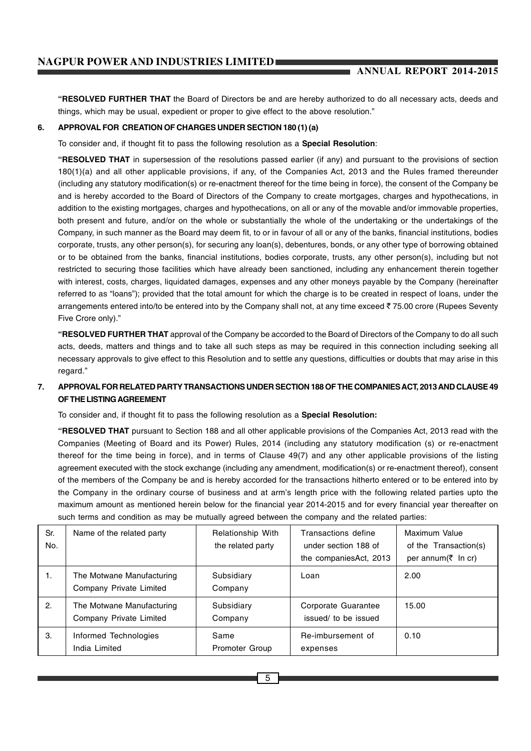**"RESOLVED FURTHER THAT** the Board of Directors be and are hereby authorized to do all necessary acts, deeds and things, which may be usual, expedient or proper to give effect to the above resolution."

# **6. APPROVAL FOR CREATION OF CHARGES UNDER SECTION 180 (1) (a)**

To consider and, if thought fit to pass the following resolution as a **Special Resolution**:

**"RESOLVED THAT** in supersession of the resolutions passed earlier (if any) and pursuant to the provisions of section 180(1)(a) and all other applicable provisions, if any, of the Companies Act, 2013 and the Rules framed thereunder (including any statutory modification(s) or re-enactment thereof for the time being in force), the consent of the Company be and is hereby accorded to the Board of Directors of the Company to create mortgages, charges and hypothecations, in addition to the existing mortgages, charges and hypothecations, on all or any of the movable and/or immovable properties, both present and future, and/or on the whole or substantially the whole of the undertaking or the undertakings of the Company, in such manner as the Board may deem fit, to or in favour of all or any of the banks, financial institutions, bodies corporate, trusts, any other person(s), for securing any loan(s), debentures, bonds, or any other type of borrowing obtained or to be obtained from the banks, financial institutions, bodies corporate, trusts, any other person(s), including but not restricted to securing those facilities which have already been sanctioned, including any enhancement therein together with interest, costs, charges, liquidated damages, expenses and any other moneys payable by the Company (hereinafter referred to as "loans"); provided that the total amount for which the charge is to be created in respect of loans, under the arrangements entered into/to be entered into by the Company shall not, at any time exceed  $\bar{z}$  75.00 crore (Rupees Seventy Five Crore only)."

**"RESOLVED FURTHER THAT** approval of the Company be accorded to the Board of Directors of the Company to do all such acts, deeds, matters and things and to take all such steps as may be required in this connection including seeking all necessary approvals to give effect to this Resolution and to settle any questions, difficulties or doubts that may arise in this regard."

# **7. APPROVAL FOR RELATED PARTY TRANSACTIONS UNDER SECTION 188 OF THE COMPANIES ACT, 2013 AND CLAUSE 49 OF THE LISTING AGREEMENT**

To consider and, if thought fit to pass the following resolution as a **Special Resolution:**

**"RESOLVED THAT** pursuant to Section 188 and all other applicable provisions of the Companies Act, 2013 read with the Companies (Meeting of Board and its Power) Rules, 2014 (including any statutory modification (s) or re-enactment thereof for the time being in force), and in terms of Clause 49(7) and any other applicable provisions of the listing agreement executed with the stock exchange (including any amendment, modification(s) or re-enactment thereof), consent of the members of the Company be and is hereby accorded for the transactions hitherto entered or to be entered into by the Company in the ordinary course of business and at arm's length price with the following related parties upto the maximum amount as mentioned herein below for the financial year 2014-2015 and for every financial year thereafter on such terms and condition as may be mutually agreed between the company and the related parties:

| Sr.<br>No. | Name of the related party                            | Relationship With<br>the related party | Transactions define<br>under section 188 of<br>the companies Act, 2013 | Maximum Value<br>of the Transaction(s)<br>per annum( $\bar{\tau}$ In cr) |
|------------|------------------------------------------------------|----------------------------------------|------------------------------------------------------------------------|--------------------------------------------------------------------------|
| 1.         | The Motwane Manufacturing<br>Company Private Limited | Subsidiary<br>Company                  | Loan                                                                   | 2.00                                                                     |
| 2.         | The Motwane Manufacturing<br>Company Private Limited | Subsidiary<br>Company                  | Corporate Guarantee<br>issued/ to be issued                            | 15.00                                                                    |
| З.         | Informed Technologies<br>India Limited               | Same<br><b>Promoter Group</b>          | Re-imbursement of<br>expenses                                          | 0.10                                                                     |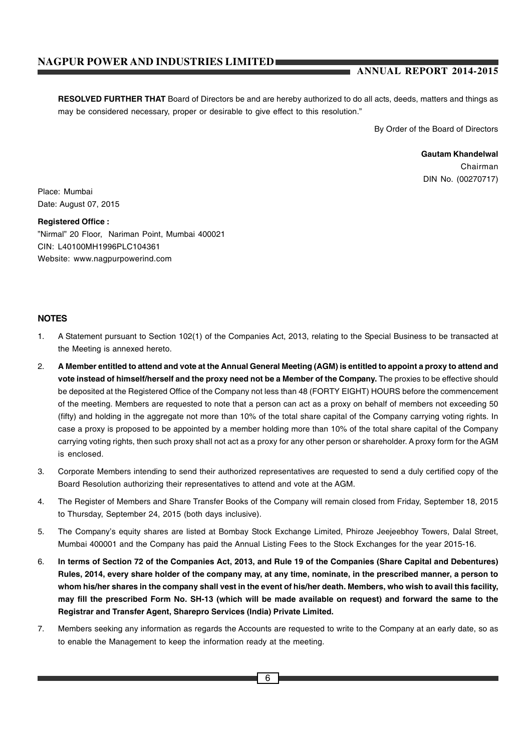# **ANNUAL REPORT 2014-2015**

**RESOLVED FURTHER THAT** Board of Directors be and are hereby authorized to do all acts, deeds, matters and things as may be considered necessary, proper or desirable to give effect to this resolution."

By Order of the Board of Directors

**Gautam Khandelwal** Chairman DIN No. (00270717)

Place: Mumbai Date: August 07, 2015

**Registered Office :** "Nirmal" 20 Floor, Nariman Point, Mumbai 400021 CIN: L40100MH1996PLC104361 Website: www.nagpurpowerind.com

# **NOTES**

- 1. A Statement pursuant to Section 102(1) of the Companies Act, 2013, relating to the Special Business to be transacted at the Meeting is annexed hereto.
- 2. **A Member entitled to attend and vote at the Annual General Meeting (AGM) is entitled to appoint a proxy to attend and vote instead of himself/herself and the proxy need not be a Member of the Company.** The proxies to be effective should be deposited at the Registered Office of the Company not less than 48 (FORTY EIGHT) HOURS before the commencement of the meeting. Members are requested to note that a person can act as a proxy on behalf of members not exceeding 50 (fifty) and holding in the aggregate not more than 10% of the total share capital of the Company carrying voting rights. In case a proxy is proposed to be appointed by a member holding more than 10% of the total share capital of the Company carrying voting rights, then such proxy shall not act as a proxy for any other person or shareholder. A proxy form for the AGM is enclosed.
- 3. Corporate Members intending to send their authorized representatives are requested to send a duly certified copy of the Board Resolution authorizing their representatives to attend and vote at the AGM.
- 4. The Register of Members and Share Transfer Books of the Company will remain closed from Friday, September 18, 2015 to Thursday, September 24, 2015 (both days inclusive).
- 5. The Company's equity shares are listed at Bombay Stock Exchange Limited, Phiroze Jeejeebhoy Towers, Dalal Street, Mumbai 400001 and the Company has paid the Annual Listing Fees to the Stock Exchanges for the year 2015-16.
- 6. **In terms of Section 72 of the Companies Act, 2013, and Rule 19 of the Companies (Share Capital and Debentures) Rules, 2014, every share holder of the company may, at any time, nominate, in the prescribed manner, a person to whom his/her shares in the company shall vest in the event of his/her death. Members, who wish to avail this facility, may fill the prescribed Form No. SH-13 (which will be made available on request) and forward the same to the Registrar and Transfer Agent, Sharepro Services (India) Private Limited.**
- 7. Members seeking any information as regards the Accounts are requested to write to the Company at an early date, so as to enable the Management to keep the information ready at the meeting.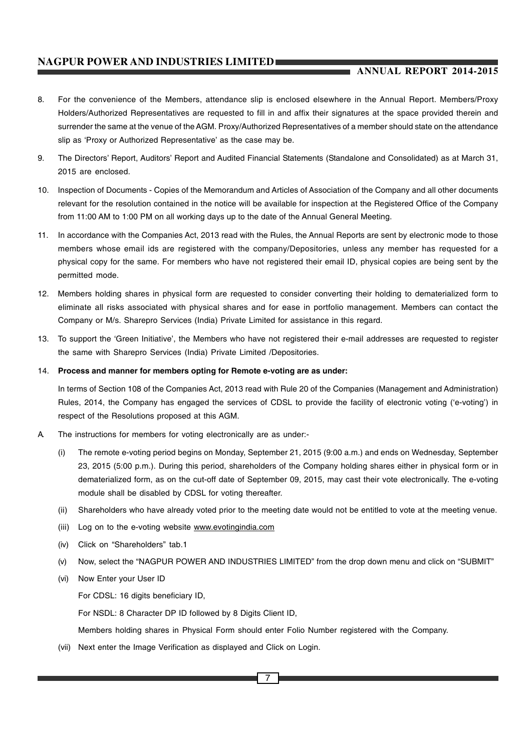# **ANNUAL REPORT 2014-2015**

- 8. For the convenience of the Members, attendance slip is enclosed elsewhere in the Annual Report. Members/Proxy Holders/Authorized Representatives are requested to fill in and affix their signatures at the space provided therein and surrender the same at the venue of the AGM. Proxy/Authorized Representatives of a member should state on the attendance slip as 'Proxy or Authorized Representative' as the case may be.
- 9. The Directors' Report, Auditors' Report and Audited Financial Statements (Standalone and Consolidated) as at March 31, 2015 are enclosed.
- 10. Inspection of Documents Copies of the Memorandum and Articles of Association of the Company and all other documents relevant for the resolution contained in the notice will be available for inspection at the Registered Office of the Company from 11:00 AM to 1:00 PM on all working days up to the date of the Annual General Meeting.
- 11. In accordance with the Companies Act, 2013 read with the Rules, the Annual Reports are sent by electronic mode to those members whose email ids are registered with the company/Depositories, unless any member has requested for a physical copy for the same. For members who have not registered their email ID, physical copies are being sent by the permitted mode.
- 12. Members holding shares in physical form are requested to consider converting their holding to dematerialized form to eliminate all risks associated with physical shares and for ease in portfolio management. Members can contact the Company or M/s. Sharepro Services (India) Private Limited for assistance in this regard.
- 13. To support the 'Green Initiative', the Members who have not registered their e-mail addresses are requested to register the same with Sharepro Services (India) Private Limited /Depositories.
- 14. **Process and manner for members opting for Remote e-voting are as under:**

In terms of Section 108 of the Companies Act, 2013 read with Rule 20 of the Companies (Management and Administration) Rules, 2014, the Company has engaged the services of CDSL to provide the facility of electronic voting ('e-voting') in respect of the Resolutions proposed at this AGM.

- A. The instructions for members for voting electronically are as under:-
	- (i) The remote e-voting period begins on Monday, September 21, 2015 (9:00 a.m.) and ends on Wednesday, September 23, 2015 (5:00 p.m.). During this period, shareholders of the Company holding shares either in physical form or in dematerialized form, as on the cut-off date of September 09, 2015, may cast their vote electronically. The e-voting module shall be disabled by CDSL for voting thereafter.
	- (ii) Shareholders who have already voted prior to the meeting date would not be entitled to vote at the meeting venue.
	- (iii) Log on to the e-voting website www.evotingindia.com
	- (iv) Click on "Shareholders" tab.1
	- (v) Now, select the "NAGPUR POWER AND INDUSTRIES LIMITED" from the drop down menu and click on "SUBMIT"
	- (vi) Now Enter your User ID

For CDSL: 16 digits beneficiary ID,

For NSDL: 8 Character DP ID followed by 8 Digits Client ID,

Members holding shares in Physical Form should enter Folio Number registered with the Company.

(vii) Next enter the Image Verification as displayed and Click on Login.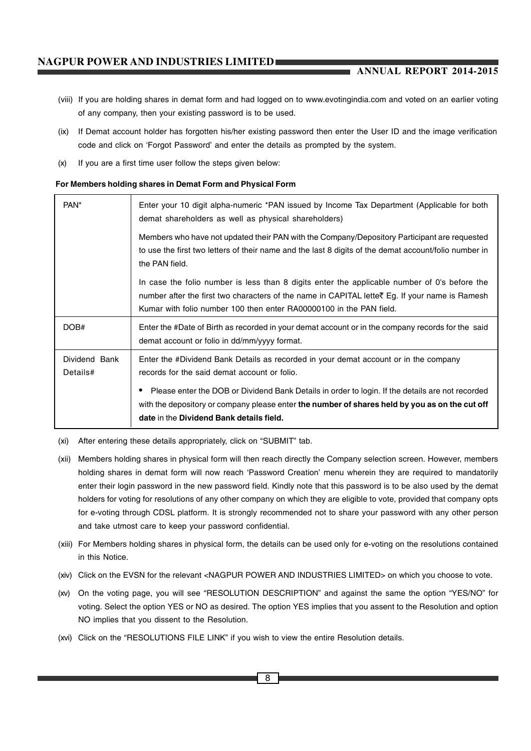# **ANNUAL REPORT 2014-2015**

- (viii) If you are holding shares in demat form and had logged on to www.evotingindia.com and voted on an earlier voting of any company, then your existing password is to be used.
- (ix) If Demat account holder has forgotten his/her existing password then enter the User ID and the image verification code and click on 'Forgot Password' and enter the details as prompted by the system.
- (x) If you are a first time user follow the steps given below:

#### **For Members holding shares in Demat Form and Physical Form**

| PAN <sup>*</sup>                                                                                                                                                                                                        | Enter your 10 digit alpha-numeric *PAN issued by Income Tax Department (Applicable for both<br>demat shareholders as well as physical shareholders)                                                                                                                   |
|-------------------------------------------------------------------------------------------------------------------------------------------------------------------------------------------------------------------------|-----------------------------------------------------------------------------------------------------------------------------------------------------------------------------------------------------------------------------------------------------------------------|
| Members who have not updated their PAN with the Company/Depository Participant are requested<br>to use the first two letters of their name and the last 8 digits of the demat account/folio number in<br>the PAN field. |                                                                                                                                                                                                                                                                       |
|                                                                                                                                                                                                                         | In case the folio number is less than 8 digits enter the applicable number of 0's before the<br>number after the first two characters of the name in CAPITAL lette₹ Eg. If your name is Ramesh<br>Kumar with folio number 100 then enter RA00000100 in the PAN field. |
| DOB#                                                                                                                                                                                                                    | Enter the #Date of Birth as recorded in your demat account or in the company records for the said<br>demat account or folio in dd/mm/yyyy format.                                                                                                                     |
| Dividend Bank<br>Details#                                                                                                                                                                                               | Enter the #Dividend Bank Details as recorded in your demat account or in the company<br>records for the said demat account or folio.                                                                                                                                  |
|                                                                                                                                                                                                                         | Please enter the DOB or Dividend Bank Details in order to login. If the details are not recorded<br>with the depository or company please enter the number of shares held by you as on the cut off<br>date in the Dividend Bank details field.                        |

(xi) After entering these details appropriately, click on "SUBMIT" tab.

- (xii) Members holding shares in physical form will then reach directly the Company selection screen. However, members holding shares in demat form will now reach 'Password Creation' menu wherein they are required to mandatorily enter their login password in the new password field. Kindly note that this password is to be also used by the demat holders for voting for resolutions of any other company on which they are eligible to vote, provided that company opts for e-voting through CDSL platform. It is strongly recommended not to share your password with any other person and take utmost care to keep your password confidential.
- (xiii) For Members holding shares in physical form, the details can be used only for e-voting on the resolutions contained in this Notice.
- (xiv) Click on the EVSN for the relevant <NAGPUR POWER AND INDUSTRIES LIMITED> on which you choose to vote.
- (xv) On the voting page, you will see "RESOLUTION DESCRIPTION" and against the same the option "YES/NO" for voting. Select the option YES or NO as desired. The option YES implies that you assent to the Resolution and option NO implies that you dissent to the Resolution.
- (xvi) Click on the "RESOLUTIONS FILE LINK" if you wish to view the entire Resolution details.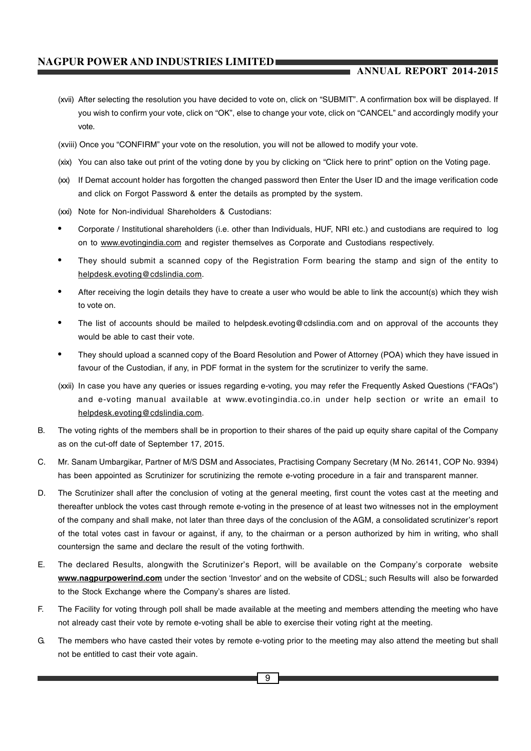# **ANNUAL REPORT 2014-2015**

- (xvii) After selecting the resolution you have decided to vote on, click on "SUBMIT". A confirmation box will be displayed. If you wish to confirm your vote, click on "OK", else to change your vote, click on "CANCEL" and accordingly modify your vote.
- (xviii) Once you "CONFIRM" your vote on the resolution, you will not be allowed to modify your vote.
- (xix) You can also take out print of the voting done by you by clicking on "Click here to print" option on the Voting page.
- (xx) If Demat account holder has forgotten the changed password then Enter the User ID and the image verification code and click on Forgot Password & enter the details as prompted by the system.
- (xxi) Note for Non-individual Shareholders & Custodians:
- Corporate / Institutional shareholders (i.e. other than Individuals, HUF, NRI etc.) and custodians are required to log on to www.evotingindia.com and register themselves as Corporate and Custodians respectively.
- They should submit a scanned copy of the Registration Form bearing the stamp and sign of the entity to helpdesk.evoting@cdslindia.com.
- After receiving the login details they have to create a user who would be able to link the account(s) which they wish to vote on.
- The list of accounts should be mailed to helpdesk.evoting@cdslindia.com and on approval of the accounts they would be able to cast their vote.
- They should upload a scanned copy of the Board Resolution and Power of Attorney (POA) which they have issued in favour of the Custodian, if any, in PDF format in the system for the scrutinizer to verify the same.
- (xxii) In case you have any queries or issues regarding e-voting, you may refer the Frequently Asked Questions ("FAQs") and e-voting manual available at www.evotingindia.co.in under help section or write an email to helpdesk.evoting@cdslindia.com.
- B. The voting rights of the members shall be in proportion to their shares of the paid up equity share capital of the Company as on the cut-off date of September 17, 2015.
- C. Mr. Sanam Umbargikar, Partner of M/S DSM and Associates, Practising Company Secretary (M No. 26141, COP No. 9394) has been appointed as Scrutinizer for scrutinizing the remote e-voting procedure in a fair and transparent manner.
- D. The Scrutinizer shall after the conclusion of voting at the general meeting, first count the votes cast at the meeting and thereafter unblock the votes cast through remote e-voting in the presence of at least two witnesses not in the employment of the company and shall make, not later than three days of the conclusion of the AGM, a consolidated scrutinizer's report of the total votes cast in favour or against, if any, to the chairman or a person authorized by him in writing, who shall countersign the same and declare the result of the voting forthwith.
- E. The declared Results, alongwith the Scrutinizer's Report, will be available on the Company's corporate website **www.nagpurpowerind.com** under the section 'Investor' and on the website of CDSL; such Results will also be forwarded to the Stock Exchange where the Company's shares are listed.
- F. The Facility for voting through poll shall be made available at the meeting and members attending the meeting who have not already cast their vote by remote e-voting shall be able to exercise their voting right at the meeting.
- G. The members who have casted their votes by remote e-voting prior to the meeting may also attend the meeting but shall not be entitled to cast their vote again.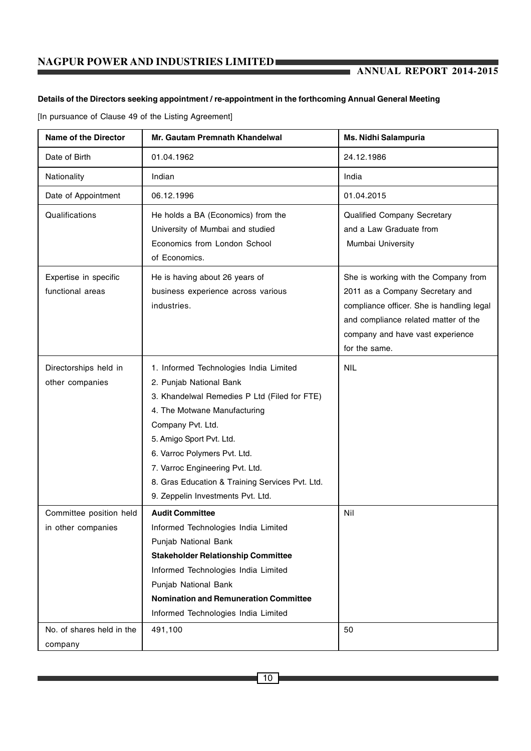# **Details of the Directors seeking appointment / re-appointment in the forthcoming Annual General Meeting**

[In pursuance of Clause 49 of the Listing Agreement]

| <b>Name of the Director</b>                   | Mr. Gautam Premnath Khandelwal                                                                                                                                                                                                                                                                                                                                | <b>Ms. Nidhi Salampuria</b>                                                                                                                                                                                       |
|-----------------------------------------------|---------------------------------------------------------------------------------------------------------------------------------------------------------------------------------------------------------------------------------------------------------------------------------------------------------------------------------------------------------------|-------------------------------------------------------------------------------------------------------------------------------------------------------------------------------------------------------------------|
| Date of Birth                                 | 01.04.1962                                                                                                                                                                                                                                                                                                                                                    | 24.12.1986                                                                                                                                                                                                        |
| Nationality                                   | Indian                                                                                                                                                                                                                                                                                                                                                        | India                                                                                                                                                                                                             |
| Date of Appointment                           | 06.12.1996                                                                                                                                                                                                                                                                                                                                                    | 01.04.2015                                                                                                                                                                                                        |
| Qualifications                                | He holds a BA (Economics) from the<br>University of Mumbai and studied<br>Economics from London School<br>of Economics.                                                                                                                                                                                                                                       | Qualified Company Secretary<br>and a Law Graduate from<br>Mumbai University                                                                                                                                       |
| Expertise in specific<br>functional areas     | He is having about 26 years of<br>business experience across various<br>industries.                                                                                                                                                                                                                                                                           | She is working with the Company from<br>2011 as a Company Secretary and<br>compliance officer. She is handling legal<br>and compliance related matter of the<br>company and have vast experience<br>for the same. |
| Directorships held in<br>other companies      | 1. Informed Technologies India Limited<br>2. Punjab National Bank<br>3. Khandelwal Remedies P Ltd (Filed for FTE)<br>4. The Motwane Manufacturing<br>Company Pvt. Ltd.<br>5. Amigo Sport Pvt. Ltd.<br>6. Varroc Polymers Pvt. Ltd.<br>7. Varroc Engineering Pvt. Ltd.<br>8. Gras Education & Training Services Pvt. Ltd.<br>9. Zeppelin Investments Pvt. Ltd. | <b>NIL</b>                                                                                                                                                                                                        |
| Committee position held<br>in other companies | <b>Audit Committee</b><br>Informed Technologies India Limited<br>Punjab National Bank<br><b>Stakeholder Relationship Committee</b><br>Informed Technologies India Limited<br>Punjab National Bank<br><b>Nomination and Remuneration Committee</b><br>Informed Technologies India Limited                                                                      | Nil                                                                                                                                                                                                               |
| No. of shares held in the<br>company          | 491,100                                                                                                                                                                                                                                                                                                                                                       | 50                                                                                                                                                                                                                |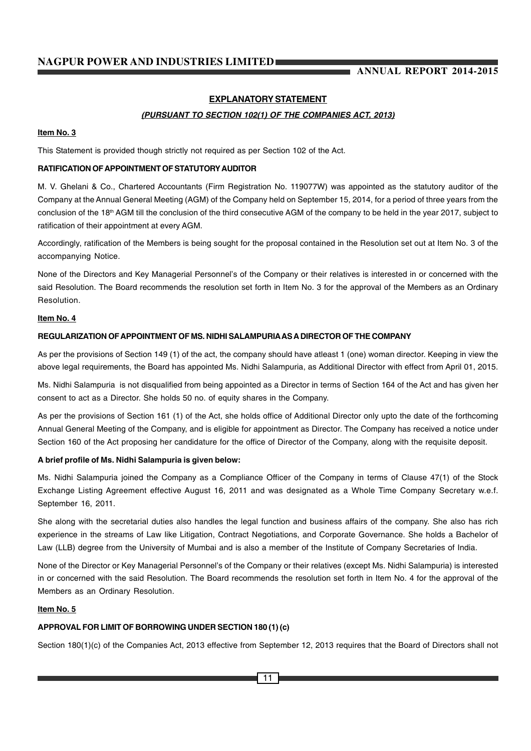# **EXPLANATORY STATEMENT**

# *(PURSUANT TO SECTION 102(1) OF THE COMPANIES ACT, 2013)*

# **Item No. 3**

This Statement is provided though strictly not required as per Section 102 of the Act.

# **RATIFICATION OF APPOINTMENT OF STATUTORY AUDITOR**

M. V. Ghelani & Co., Chartered Accountants (Firm Registration No. 119077W) was appointed as the statutory auditor of the Company at the Annual General Meeting (AGM) of the Company held on September 15, 2014, for a period of three years from the conclusion of the 18th AGM till the conclusion of the third consecutive AGM of the company to be held in the year 2017, subject to ratification of their appointment at every AGM.

Accordingly, ratification of the Members is being sought for the proposal contained in the Resolution set out at Item No. 3 of the accompanying Notice.

None of the Directors and Key Managerial Personnel's of the Company or their relatives is interested in or concerned with the said Resolution. The Board recommends the resolution set forth in Item No. 3 for the approval of the Members as an Ordinary Resolution.

#### **Item No. 4**

### **REGULARIZATION OF APPOINTMENT OF MS. NIDHI SALAMPURIA AS A DIRECTOR OF THE COMPANY**

As per the provisions of Section 149 (1) of the act, the company should have atleast 1 (one) woman director. Keeping in view the above legal requirements, the Board has appointed Ms. Nidhi Salampuria, as Additional Director with effect from April 01, 2015.

Ms. Nidhi Salampuria is not disqualified from being appointed as a Director in terms of Section 164 of the Act and has given her consent to act as a Director. She holds 50 no. of equity shares in the Company.

As per the provisions of Section 161 (1) of the Act, she holds office of Additional Director only upto the date of the forthcoming Annual General Meeting of the Company, and is eligible for appointment as Director. The Company has received a notice under Section 160 of the Act proposing her candidature for the office of Director of the Company, along with the requisite deposit.

# **A brief profile of Ms. Nidhi Salampuria is given below:**

Ms. Nidhi Salampuria joined the Company as a Compliance Officer of the Company in terms of Clause 47(1) of the Stock Exchange Listing Agreement effective August 16, 2011 and was designated as a Whole Time Company Secretary w.e.f. September 16, 2011.

She along with the secretarial duties also handles the legal function and business affairs of the company. She also has rich experience in the streams of Law like Litigation, Contract Negotiations, and Corporate Governance. She holds a Bachelor of Law (LLB) degree from the University of Mumbai and is also a member of the Institute of Company Secretaries of India.

None of the Director or Key Managerial Personnel's of the Company or their relatives (except Ms. Nidhi Salampuria) is interested in or concerned with the said Resolution. The Board recommends the resolution set forth in Item No. 4 for the approval of the Members as an Ordinary Resolution.

# **Item No. 5**

# **APPROVAL FOR LIMIT OF BORROWING UNDER SECTION 180 (1) (c)**

Section 180(1)(c) of the Companies Act, 2013 effective from September 12, 2013 requires that the Board of Directors shall not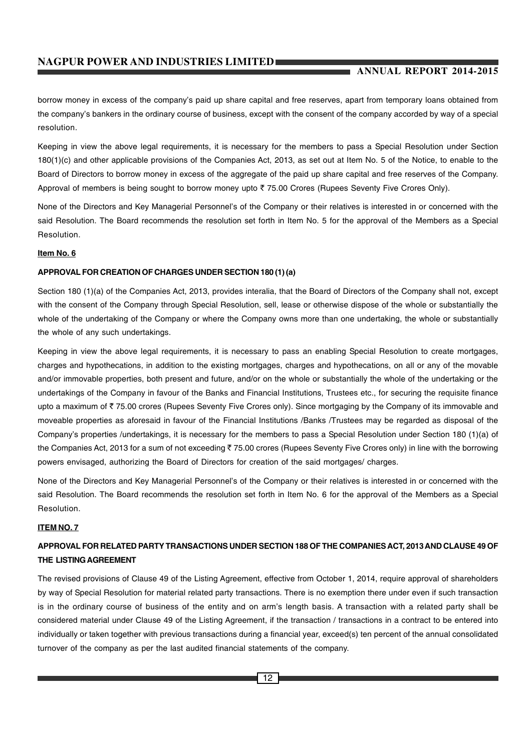# **ANNUAL REPORT 2014-2015**

borrow money in excess of the company's paid up share capital and free reserves, apart from temporary loans obtained from the company's bankers in the ordinary course of business, except with the consent of the company accorded by way of a special resolution.

Keeping in view the above legal requirements, it is necessary for the members to pass a Special Resolution under Section 180(1)(c) and other applicable provisions of the Companies Act, 2013, as set out at Item No. 5 of the Notice, to enable to the Board of Directors to borrow money in excess of the aggregate of the paid up share capital and free reserves of the Company. Approval of members is being sought to borrow money upto  $\bar{\tau}$  75.00 Crores (Rupees Seventy Five Crores Only).

None of the Directors and Key Managerial Personnel's of the Company or their relatives is interested in or concerned with the said Resolution. The Board recommends the resolution set forth in Item No. 5 for the approval of the Members as a Special Resolution.

#### **Item No. 6**

### **APPROVAL FOR CREATION OF CHARGES UNDER SECTION 180 (1) (a)**

Section 180 (1)(a) of the Companies Act, 2013, provides interalia, that the Board of Directors of the Company shall not, except with the consent of the Company through Special Resolution, sell, lease or otherwise dispose of the whole or substantially the whole of the undertaking of the Company or where the Company owns more than one undertaking, the whole or substantially the whole of any such undertakings.

Keeping in view the above legal requirements, it is necessary to pass an enabling Special Resolution to create mortgages, charges and hypothecations, in addition to the existing mortgages, charges and hypothecations, on all or any of the movable and/or immovable properties, both present and future, and/or on the whole or substantially the whole of the undertaking or the undertakings of the Company in favour of the Banks and Financial Institutions, Trustees etc., for securing the requisite finance upto a maximum of  $\bar{\tau}$  75.00 crores (Rupees Seventy Five Crores only). Since mortgaging by the Company of its immovable and moveable properties as aforesaid in favour of the Financial Institutions /Banks /Trustees may be regarded as disposal of the Company's properties /undertakings, it is necessary for the members to pass a Special Resolution under Section 180 (1)(a) of the Companies Act, 2013 for a sum of not exceeding  $\bar{z}$  75.00 crores (Rupees Seventy Five Crores only) in line with the borrowing powers envisaged, authorizing the Board of Directors for creation of the said mortgages/ charges.

None of the Directors and Key Managerial Personnel's of the Company or their relatives is interested in or concerned with the said Resolution. The Board recommends the resolution set forth in Item No. 6 for the approval of the Members as a Special Resolution.

# **ITEM NO. 7**

# **APPROVAL FOR RELATED PARTY TRANSACTIONS UNDER SECTION 188 OF THE COMPANIES ACT, 2013 AND CLAUSE 49 OF THE LISTING AGREEMENT**

The revised provisions of Clause 49 of the Listing Agreement, effective from October 1, 2014, require approval of shareholders by way of Special Resolution for material related party transactions. There is no exemption there under even if such transaction is in the ordinary course of business of the entity and on arm's length basis. A transaction with a related party shall be considered material under Clause 49 of the Listing Agreement, if the transaction / transactions in a contract to be entered into individually or taken together with previous transactions during a financial year, exceed(s) ten percent of the annual consolidated turnover of the company as per the last audited financial statements of the company.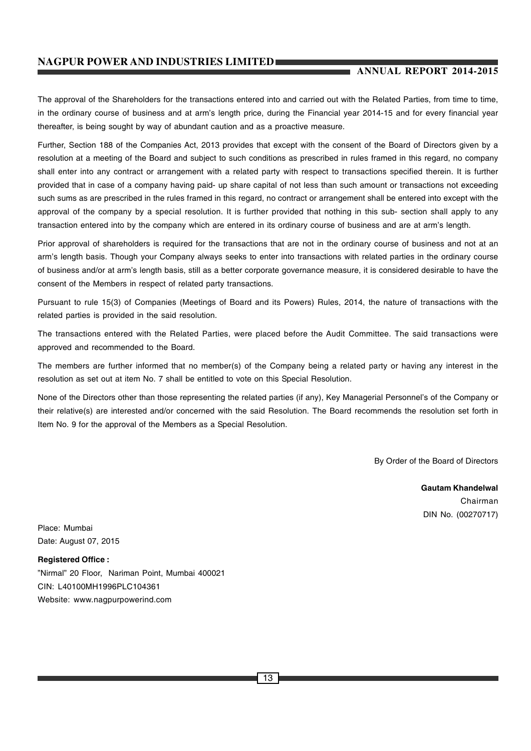# **ANNUAL REPORT 2014-2015**

The approval of the Shareholders for the transactions entered into and carried out with the Related Parties, from time to time, in the ordinary course of business and at arm's length price, during the Financial year 2014-15 and for every financial year thereafter, is being sought by way of abundant caution and as a proactive measure.

Further, Section 188 of the Companies Act, 2013 provides that except with the consent of the Board of Directors given by a resolution at a meeting of the Board and subject to such conditions as prescribed in rules framed in this regard, no company shall enter into any contract or arrangement with a related party with respect to transactions specified therein. It is further provided that in case of a company having paid- up share capital of not less than such amount or transactions not exceeding such sums as are prescribed in the rules framed in this regard, no contract or arrangement shall be entered into except with the approval of the company by a special resolution. It is further provided that nothing in this sub- section shall apply to any transaction entered into by the company which are entered in its ordinary course of business and are at arm's length.

Prior approval of shareholders is required for the transactions that are not in the ordinary course of business and not at an arm's length basis. Though your Company always seeks to enter into transactions with related parties in the ordinary course of business and/or at arm's length basis, still as a better corporate governance measure, it is considered desirable to have the consent of the Members in respect of related party transactions.

Pursuant to rule 15(3) of Companies (Meetings of Board and its Powers) Rules, 2014, the nature of transactions with the related parties is provided in the said resolution.

The transactions entered with the Related Parties, were placed before the Audit Committee. The said transactions were approved and recommended to the Board.

The members are further informed that no member(s) of the Company being a related party or having any interest in the resolution as set out at item No. 7 shall be entitled to vote on this Special Resolution.

None of the Directors other than those representing the related parties (if any), Key Managerial Personnel's of the Company or their relative(s) are interested and/or concerned with the said Resolution. The Board recommends the resolution set forth in Item No. 9 for the approval of the Members as a Special Resolution.

By Order of the Board of Directors

**Gautam Khandelwal** Chairman DIN No. (00270717)

Place: Mumbai Date: August 07, 2015

**Registered Office :** "Nirmal" 20 Floor, Nariman Point, Mumbai 400021 CIN: L40100MH1996PLC104361 Website: www.nagpurpowerind.com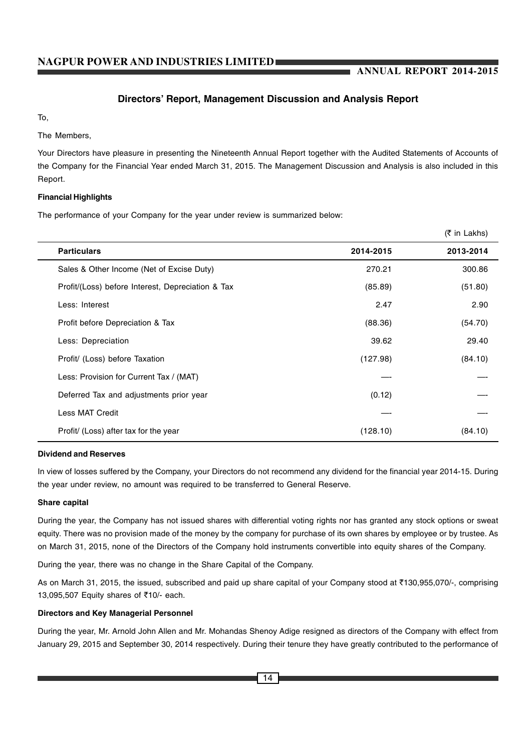# **Directors' Report, Management Discussion and Analysis Report**

To,

The Members,

Your Directors have pleasure in presenting the Nineteenth Annual Report together with the Audited Statements of Accounts of the Company for the Financial Year ended March 31, 2015. The Management Discussion and Analysis is also included in this Report.

# **Financial Highlights**

The performance of your Company for the year under review is summarized below:

|                                                   |           | (₹ in Lakhs) |
|---------------------------------------------------|-----------|--------------|
| <b>Particulars</b>                                | 2014-2015 | 2013-2014    |
| Sales & Other Income (Net of Excise Duty)         | 270.21    | 300.86       |
| Profit/(Loss) before Interest, Depreciation & Tax | (85.89)   | (51.80)      |
| Less: Interest                                    | 2.47      | 2.90         |
| Profit before Depreciation & Tax                  | (88.36)   | (54.70)      |
| Less: Depreciation                                | 39.62     | 29.40        |
| Profit/ (Loss) before Taxation                    | (127.98)  | (84.10)      |
| Less: Provision for Current Tax / (MAT)           |           |              |
| Deferred Tax and adjustments prior year           | (0.12)    |              |
| Less MAT Credit                                   |           |              |
| Profit/ (Loss) after tax for the year             | (128.10)  | (84.10)      |

# **Dividend and Reserves**

In view of losses suffered by the Company, your Directors do not recommend any dividend for the financial year 2014-15. During the year under review, no amount was required to be transferred to General Reserve.

# **Share capital**

During the year, the Company has not issued shares with differential voting rights nor has granted any stock options or sweat equity. There was no provision made of the money by the company for purchase of its own shares by employee or by trustee. As on March 31, 2015, none of the Directors of the Company hold instruments convertible into equity shares of the Company.

During the year, there was no change in the Share Capital of the Company.

As on March 31, 2015, the issued, subscribed and paid up share capital of your Company stood at ₹130,955,070/-, comprising 13,095,507 Equity shares of ₹10/- each.

# **Directors and Key Managerial Personnel**

During the year, Mr. Arnold John Allen and Mr. Mohandas Shenoy Adige resigned as directors of the Company with effect from January 29, 2015 and September 30, 2014 respectively. During their tenure they have greatly contributed to the performance of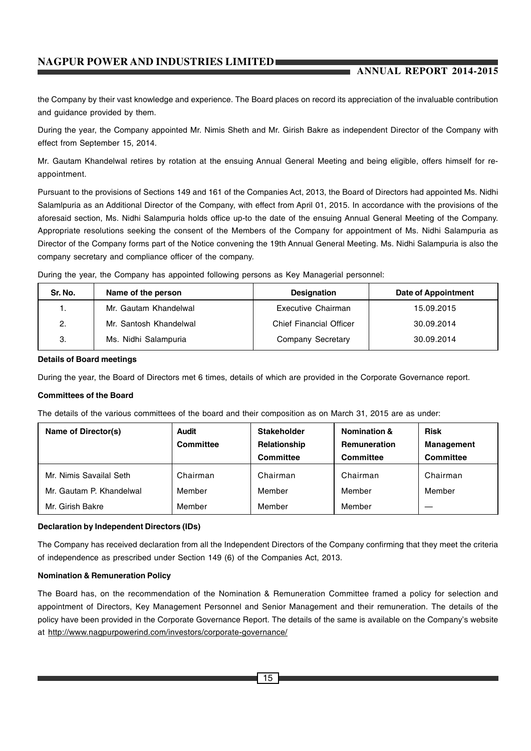# **ANNUAL REPORT 2014-2015**

the Company by their vast knowledge and experience. The Board places on record its appreciation of the invaluable contribution and guidance provided by them.

During the year, the Company appointed Mr. Nimis Sheth and Mr. Girish Bakre as independent Director of the Company with effect from September 15, 2014.

Mr. Gautam Khandelwal retires by rotation at the ensuing Annual General Meeting and being eligible, offers himself for reappointment.

Pursuant to the provisions of Sections 149 and 161 of the Companies Act, 2013, the Board of Directors had appointed Ms. Nidhi Salamlpuria as an Additional Director of the Company, with effect from April 01, 2015. In accordance with the provisions of the aforesaid section, Ms. Nidhi Salampuria holds office up-to the date of the ensuing Annual General Meeting of the Company. Appropriate resolutions seeking the consent of the Members of the Company for appointment of Ms. Nidhi Salampuria as Director of the Company forms part of the Notice convening the 19th Annual General Meeting. Ms. Nidhi Salampuria is also the company secretary and compliance officer of the company.

During the year, the Company has appointed following persons as Key Managerial personnel:

| Sr. No. | Name of the person     | <b>Designation</b>             | <b>Date of Appointment</b> |
|---------|------------------------|--------------------------------|----------------------------|
|         | Mr. Gautam Khandelwal  | Executive Chairman             | 15.09.2015                 |
| 2.      | Mr. Santosh Khandelwal | <b>Chief Financial Officer</b> | 30.09.2014                 |
| 3.      | Ms. Nidhi Salampuria   | Company Secretary              | 30.09.2014                 |

#### **Details of Board meetings**

During the year, the Board of Directors met 6 times, details of which are provided in the Corporate Governance report.

# **Committees of the Board**

The details of the various committees of the board and their composition as on March 31, 2015 are as under:

| Name of Director(s)      | Audit<br><b>Committee</b> | Stakeholder<br>Relationship<br><b>Committee</b> | <b>Nomination &amp;</b><br><b>Remuneration</b><br>Committee | <b>Risk</b><br>Management<br><b>Committee</b> |
|--------------------------|---------------------------|-------------------------------------------------|-------------------------------------------------------------|-----------------------------------------------|
| Mr. Nimis Savailal Seth  | Chairman                  | Chairman                                        | Chairman                                                    | Chairman                                      |
| Mr. Gautam P. Khandelwal | Member                    | Member                                          | Member                                                      | Member                                        |
| Mr. Girish Bakre         | Member                    | Member                                          | Member                                                      |                                               |

# **Declaration by Independent Directors (IDs)**

The Company has received declaration from all the Independent Directors of the Company confirming that they meet the criteria of independence as prescribed under Section 149 (6) of the Companies Act, 2013.

#### **Nomination & Remuneration Policy**

The Board has, on the recommendation of the Nomination & Remuneration Committee framed a policy for selection and appointment of Directors, Key Management Personnel and Senior Management and their remuneration. The details of the policy have been provided in the Corporate Governance Report. The details of the same is available on the Company's website at http://www.nagpurpowerind.com/investors/corporate-governance/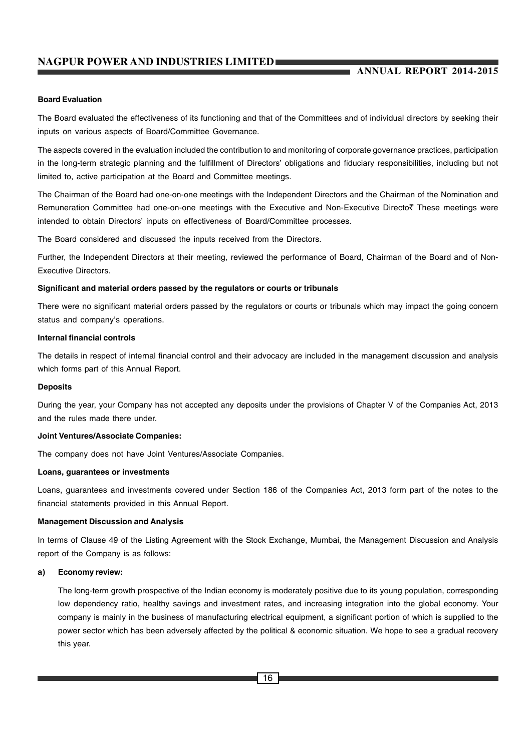# **ANNUAL REPORT 2014-2015**

#### **Board Evaluation**

The Board evaluated the effectiveness of its functioning and that of the Committees and of individual directors by seeking their inputs on various aspects of Board/Committee Governance.

The aspects covered in the evaluation included the contribution to and monitoring of corporate governance practices, participation in the long-term strategic planning and the fulfillment of Directors' obligations and fiduciary responsibilities, including but not limited to, active participation at the Board and Committee meetings.

The Chairman of the Board had one-on-one meetings with the Independent Directors and the Chairman of the Nomination and Remuneration Committee had one-on-one meetings with the Executive and Non-Executive Directo₹ These meetings were intended to obtain Directors' inputs on effectiveness of Board/Committee processes.

The Board considered and discussed the inputs received from the Directors.

Further, the Independent Directors at their meeting, reviewed the performance of Board, Chairman of the Board and of Non-Executive Directors.

#### **Significant and material orders passed by the regulators or courts or tribunals**

There were no significant material orders passed by the regulators or courts or tribunals which may impact the going concern status and company's operations.

#### **Internal financial controls**

The details in respect of internal financial control and their advocacy are included in the management discussion and analysis which forms part of this Annual Report.

#### **Deposits**

During the year, your Company has not accepted any deposits under the provisions of Chapter V of the Companies Act, 2013 and the rules made there under.

#### **Joint Ventures/Associate Companies:**

The company does not have Joint Ventures/Associate Companies.

#### **Loans, guarantees or investments**

Loans, guarantees and investments covered under Section 186 of the Companies Act, 2013 form part of the notes to the financial statements provided in this Annual Report.

# **Management Discussion and Analysis**

In terms of Clause 49 of the Listing Agreement with the Stock Exchange, Mumbai, the Management Discussion and Analysis report of the Company is as follows:

#### **a) Economy review:**

The long-term growth prospective of the Indian economy is moderately positive due to its young population, corresponding low dependency ratio, healthy savings and investment rates, and increasing integration into the global economy. Your company is mainly in the business of manufacturing electrical equipment, a significant portion of which is supplied to the power sector which has been adversely affected by the political & economic situation. We hope to see a gradual recovery this year.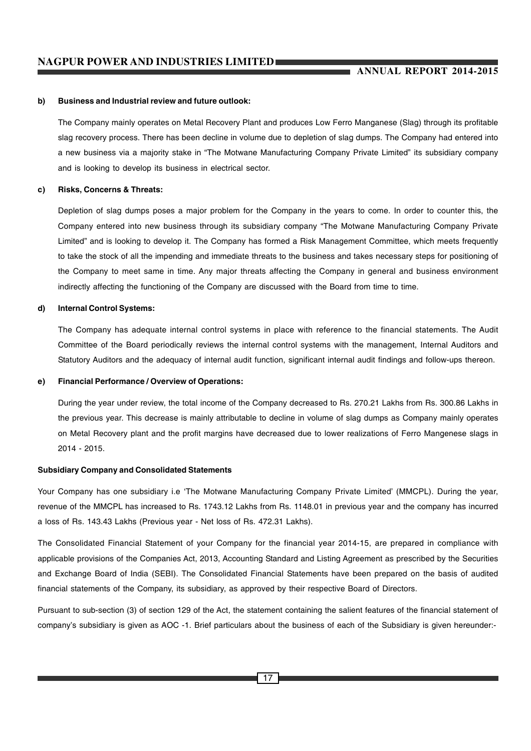#### **b) Business and Industrial review and future outlook:**

The Company mainly operates on Metal Recovery Plant and produces Low Ferro Manganese (Slag) through its profitable slag recovery process. There has been decline in volume due to depletion of slag dumps. The Company had entered into a new business via a majority stake in "The Motwane Manufacturing Company Private Limited" its subsidiary company and is looking to develop its business in electrical sector.

#### **c) Risks, Concerns & Threats:**

Depletion of slag dumps poses a major problem for the Company in the years to come. In order to counter this, the Company entered into new business through its subsidiary company "The Motwane Manufacturing Company Private Limited" and is looking to develop it. The Company has formed a Risk Management Committee, which meets frequently to take the stock of all the impending and immediate threats to the business and takes necessary steps for positioning of the Company to meet same in time. Any major threats affecting the Company in general and business environment indirectly affecting the functioning of the Company are discussed with the Board from time to time.

#### **d) Internal Control Systems:**

The Company has adequate internal control systems in place with reference to the financial statements. The Audit Committee of the Board periodically reviews the internal control systems with the management, Internal Auditors and Statutory Auditors and the adequacy of internal audit function, significant internal audit findings and follow-ups thereon.

#### **e) Financial Performance / Overview of Operations:**

During the year under review, the total income of the Company decreased to Rs. 270.21 Lakhs from Rs. 300.86 Lakhs in the previous year. This decrease is mainly attributable to decline in volume of slag dumps as Company mainly operates on Metal Recovery plant and the profit margins have decreased due to lower realizations of Ferro Mangenese slags in 2014 - 2015.

#### **Subsidiary Company and Consolidated Statements**

Your Company has one subsidiary i.e 'The Motwane Manufacturing Company Private Limited' (MMCPL). During the year, revenue of the MMCPL has increased to Rs. 1743.12 Lakhs from Rs. 1148.01 in previous year and the company has incurred a loss of Rs. 143.43 Lakhs (Previous year - Net loss of Rs. 472.31 Lakhs).

The Consolidated Financial Statement of your Company for the financial year 2014-15, are prepared in compliance with applicable provisions of the Companies Act, 2013, Accounting Standard and Listing Agreement as prescribed by the Securities and Exchange Board of India (SEBI). The Consolidated Financial Statements have been prepared on the basis of audited financial statements of the Company, its subsidiary, as approved by their respective Board of Directors.

Pursuant to sub-section (3) of section 129 of the Act, the statement containing the salient features of the financial statement of company's subsidiary is given as AOC -1. Brief particulars about the business of each of the Subsidiary is given hereunder:-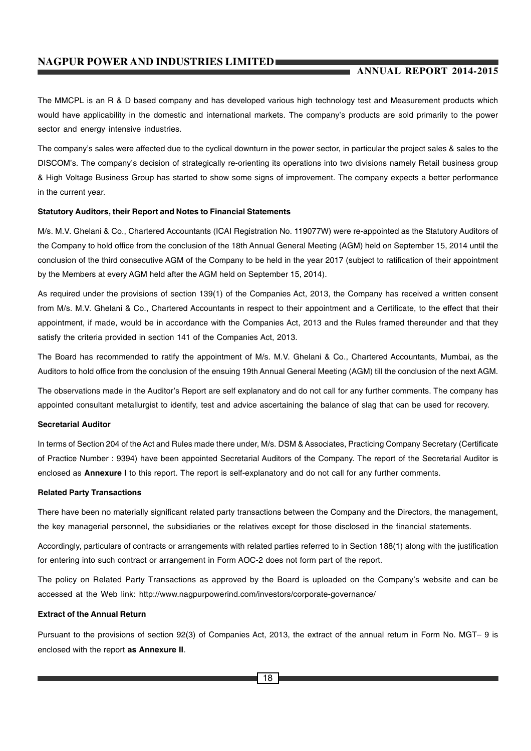# **ANNUAL REPORT 2014-2015**

The MMCPL is an R & D based company and has developed various high technology test and Measurement products which would have applicability in the domestic and international markets. The company's products are sold primarily to the power sector and energy intensive industries.

The company's sales were affected due to the cyclical downturn in the power sector, in particular the project sales & sales to the DISCOM's. The company's decision of strategically re-orienting its operations into two divisions namely Retail business group & High Voltage Business Group has started to show some signs of improvement. The company expects a better performance in the current year.

#### **Statutory Auditors, their Report and Notes to Financial Statements**

M/s. M.V. Ghelani & Co., Chartered Accountants (ICAI Registration No. 119077W) were re-appointed as the Statutory Auditors of the Company to hold office from the conclusion of the 18th Annual General Meeting (AGM) held on September 15, 2014 until the conclusion of the third consecutive AGM of the Company to be held in the year 2017 (subject to ratification of their appointment by the Members at every AGM held after the AGM held on September 15, 2014).

As required under the provisions of section 139(1) of the Companies Act, 2013, the Company has received a written consent from M/s. M.V. Ghelani & Co., Chartered Accountants in respect to their appointment and a Certificate, to the effect that their appointment, if made, would be in accordance with the Companies Act, 2013 and the Rules framed thereunder and that they satisfy the criteria provided in section 141 of the Companies Act, 2013.

The Board has recommended to ratify the appointment of M/s. M.V. Ghelani & Co., Chartered Accountants, Mumbai, as the Auditors to hold office from the conclusion of the ensuing 19th Annual General Meeting (AGM) till the conclusion of the next AGM.

The observations made in the Auditor's Report are self explanatory and do not call for any further comments. The company has appointed consultant metallurgist to identify, test and advice ascertaining the balance of slag that can be used for recovery.

# **Secretarial Auditor**

In terms of Section 204 of the Act and Rules made there under, M/s. DSM & Associates, Practicing Company Secretary (Certificate of Practice Number : 9394) have been appointed Secretarial Auditors of the Company. The report of the Secretarial Auditor is enclosed as **Annexure I** to this report. The report is self-explanatory and do not call for any further comments.

#### **Related Party Transactions**

There have been no materially significant related party transactions between the Company and the Directors, the management, the key managerial personnel, the subsidiaries or the relatives except for those disclosed in the financial statements.

Accordingly, particulars of contracts or arrangements with related parties referred to in Section 188(1) along with the justification for entering into such contract or arrangement in Form AOC-2 does not form part of the report.

The policy on Related Party Transactions as approved by the Board is uploaded on the Company's website and can be accessed at the Web link: http://www.nagpurpowerind.com/investors/corporate-governance/

#### **Extract of the Annual Return**

Pursuant to the provisions of section 92(3) of Companies Act, 2013, the extract of the annual return in Form No. MGT– 9 is enclosed with the report **as Annexure II**.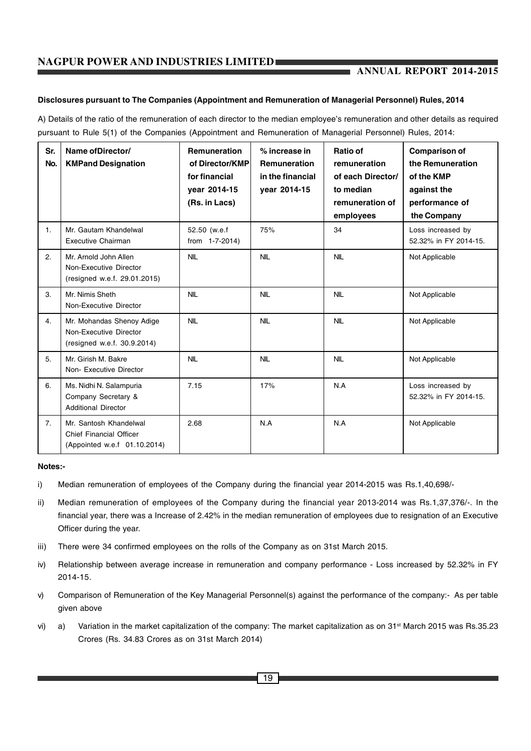# **Disclosures pursuant to The Companies (Appointment and Remuneration of Managerial Personnel) Rules, 2014**

A) Details of the ratio of the remuneration of each director to the median employee's remuneration and other details as required pursuant to Rule 5(1) of the Companies (Appointment and Remuneration of Managerial Personnel) Rules, 2014:

| Sr.<br>No.     | Name of Director/<br><b>KMPand Designation</b>                                           | <b>Remuneration</b><br>of Director/KMP<br>for financial<br>vear 2014-15<br>(Rs. in Lacs) | % increase in<br><b>Remuneration</b><br>in the financial<br>year 2014-15 | Ratio of<br>remuneration<br>of each Director/<br>to median<br>remuneration of<br>employees | <b>Comparison of</b><br>the Remuneration<br>of the KMP<br>against the<br>performance of<br>the Company |
|----------------|------------------------------------------------------------------------------------------|------------------------------------------------------------------------------------------|--------------------------------------------------------------------------|--------------------------------------------------------------------------------------------|--------------------------------------------------------------------------------------------------------|
| $\mathbf{1}$ . | Mr. Gautam Khandelwal<br><b>Executive Chairman</b>                                       | 52.50 (w.e.f<br>from 1-7-2014)                                                           | 75%                                                                      | 34                                                                                         | Loss increased by<br>52.32% in FY 2014-15.                                                             |
| 2.             | Mr. Arnold John Allen<br>Non-Executive Director<br>(resigned w.e.f. 29.01.2015)          | <b>NIL</b>                                                                               | <b>NIL</b>                                                               | <b>NIL</b>                                                                                 | Not Applicable                                                                                         |
| 3.             | Mr. Nimis Sheth<br>Non-Executive Director                                                | <b>NIL</b>                                                                               | <b>NIL</b>                                                               | <b>NIL</b>                                                                                 | Not Applicable                                                                                         |
| 4.             | Mr. Mohandas Shenoy Adige<br>Non-Executive Director<br>(resigned w.e.f. 30.9.2014)       | <b>NIL</b>                                                                               | <b>NIL</b>                                                               | <b>NIL</b>                                                                                 | Not Applicable                                                                                         |
| 5.             | Mr. Girish M. Bakre<br>Non-Executive Director                                            | <b>NIL</b>                                                                               | <b>NIL</b>                                                               | <b>NIL</b>                                                                                 | Not Applicable                                                                                         |
| 6.             | Ms. Nidhi N. Salampuria<br>Company Secretary &<br><b>Additional Director</b>             | 7.15                                                                                     | 17%                                                                      | N.A                                                                                        | Loss increased by<br>52.32% in FY 2014-15.                                                             |
| 7.             | Mr. Santosh Khandelwal<br><b>Chief Financial Officer</b><br>(Appointed w.e.f 01.10.2014) | 2.68                                                                                     | N.A                                                                      | N.A                                                                                        | Not Applicable                                                                                         |

#### **Notes:-**

- i) Median remuneration of employees of the Company during the financial year 2014-2015 was Rs.1,40,698/-
- ii) Median remuneration of employees of the Company during the financial year 2013-2014 was Rs.1,37,376/-. In the financial year, there was a Increase of 2.42% in the median remuneration of employees due to resignation of an Executive Officer during the year.
- iii) There were 34 confirmed employees on the rolls of the Company as on 31st March 2015.
- iv) Relationship between average increase in remuneration and company performance Loss increased by 52.32% in FY 2014-15.
- v) Comparison of Remuneration of the Key Managerial Personnel(s) against the performance of the company:- As per table given above
- vi) a) Variation in the market capitalization of the company: The market capitalization as on  $31<sup>st</sup>$  March 2015 was Rs.35.23 Crores (Rs. 34.83 Crores as on 31st March 2014)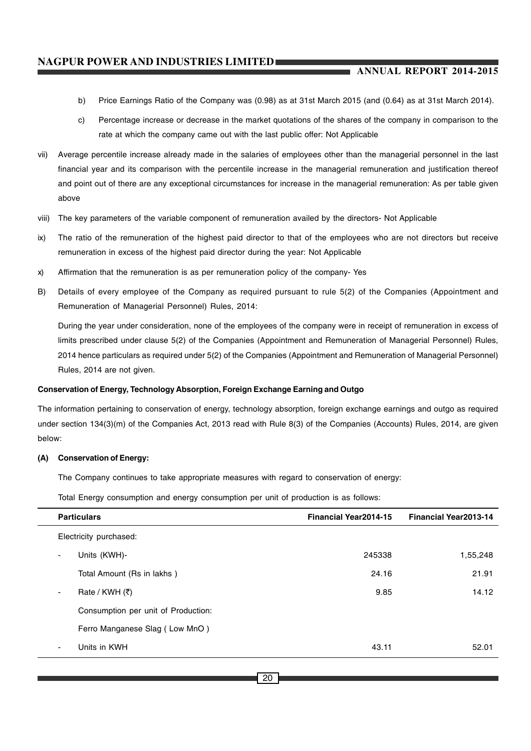- b) Price Earnings Ratio of the Company was (0.98) as at 31st March 2015 (and (0.64) as at 31st March 2014).
- c) Percentage increase or decrease in the market quotations of the shares of the company in comparison to the rate at which the company came out with the last public offer: Not Applicable
- vii) Average percentile increase already made in the salaries of employees other than the managerial personnel in the last financial year and its comparison with the percentile increase in the managerial remuneration and justification thereof and point out of there are any exceptional circumstances for increase in the managerial remuneration: As per table given above
- viii) The key parameters of the variable component of remuneration availed by the directors- Not Applicable
- ix) The ratio of the remuneration of the highest paid director to that of the employees who are not directors but receive remuneration in excess of the highest paid director during the year: Not Applicable
- x) Affirmation that the remuneration is as per remuneration policy of the company- Yes
- B) Details of every employee of the Company as required pursuant to rule 5(2) of the Companies (Appointment and Remuneration of Managerial Personnel) Rules, 2014:

During the year under consideration, none of the employees of the company were in receipt of remuneration in excess of limits prescribed under clause 5(2) of the Companies (Appointment and Remuneration of Managerial Personnel) Rules, 2014 hence particulars as required under 5(2) of the Companies (Appointment and Remuneration of Managerial Personnel) Rules, 2014 are not given.

# **Conservation of Energy, Technology Absorption, Foreign Exchange Earning and Outgo**

The information pertaining to conservation of energy, technology absorption, foreign exchange earnings and outgo as required under section 134(3)(m) of the Companies Act, 2013 read with Rule 8(3) of the Companies (Accounts) Rules, 2014, are given below:

# **(A) Conservation of Energy:**

The Company continues to take appropriate measures with regard to conservation of energy:

Total Energy consumption and energy consumption per unit of production is as follows:

| <b>Particulars</b>                  | <b>Financial Year2014-15</b> | <b>Financial Year2013-14</b> |
|-------------------------------------|------------------------------|------------------------------|
| Electricity purchased:              |                              |                              |
| Units (KWH)-<br>$\sim$              | 245338                       | 1,55,248                     |
| Total Amount (Rs in lakhs)          | 24.16                        | 21.91                        |
| Rate / KWH $(3)$<br>$\sim$          | 9.85                         | 14.12                        |
| Consumption per unit of Production: |                              |                              |
| Ferro Manganese Slag (Low MnO)      |                              |                              |
| Units in KWH<br>$\sim$              | 43.11                        | 52.01                        |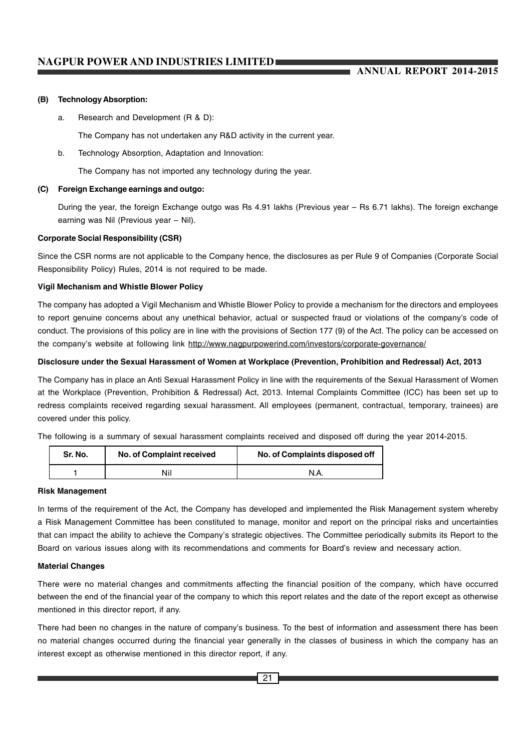#### **(B) Technology Absorption:**

a. Research and Development (R & D):

The Company has not undertaken any R&D activity in the current year.

b. Technology Absorption, Adaptation and Innovation:

The Company has not imported any technology during the year.

#### **(C) Foreign Exchange earnings and outgo:**

During the year, the foreign Exchange outgo was Rs 4.91 lakhs (Previous year – Rs 6.71 lakhs). The foreign exchange earning was Nil (Previous year – Nil).

#### **Corporate Social Responsibility (CSR)**

Since the CSR norms are not applicable to the Company hence, the disclosures as per Rule 9 of Companies (Corporate Social Responsibility Policy) Rules, 2014 is not required to be made.

# **Vigil Mechanism and Whistle Blower Policy**

The company has adopted a Vigil Mechanism and Whistle Blower Policy to provide a mechanism for the directors and employees to report genuine concerns about any unethical behavior, actual or suspected fraud or violations of the company's code of conduct. The provisions of this policy are in line with the provisions of Section 177 (9) of the Act. The policy can be accessed on the company's website at following link http://www.nagpurpowerind.com/investors/corporate-governance/

#### **Disclosure under the Sexual Harassment of Women at Workplace (Prevention, Prohibition and Redressal) Act, 2013**

The Company has in place an Anti Sexual Harassment Policy in line with the requirements of the Sexual Harassment of Women at the Workplace (Prevention, Prohibition & Redressal) Act, 2013. Internal Complaints Committee (ICC) has been set up to redress complaints received regarding sexual harassment. All employees (permanent, contractual, temporary, trainees) are covered under this policy.

The following is a summary of sexual harassment complaints received and disposed off during the year 2014-2015.

| Sr. No. | No. of Complaint received | No. of Complaints disposed off |  |
|---------|---------------------------|--------------------------------|--|
|         | Nil                       |                                |  |

#### **Risk Management**

In terms of the requirement of the Act, the Company has developed and implemented the Risk Management system whereby a Risk Management Committee has been constituted to manage, monitor and report on the principal risks and uncertainties that can impact the ability to achieve the Company's strategic objectives. The Committee periodically submits its Report to the Board on various issues along with its recommendations and comments for Board's review and necessary action.

#### **Material Changes**

There were no material changes and commitments affecting the financial position of the company, which have occurred between the end of the financial year of the company to which this report relates and the date of the report except as otherwise mentioned in this director report, if any.

There had been no changes in the nature of company's business. To the best of information and assessment there has been no material changes occurred during the financial year generally in the classes of business in which the company has an interest except as otherwise mentioned in this director report, if any.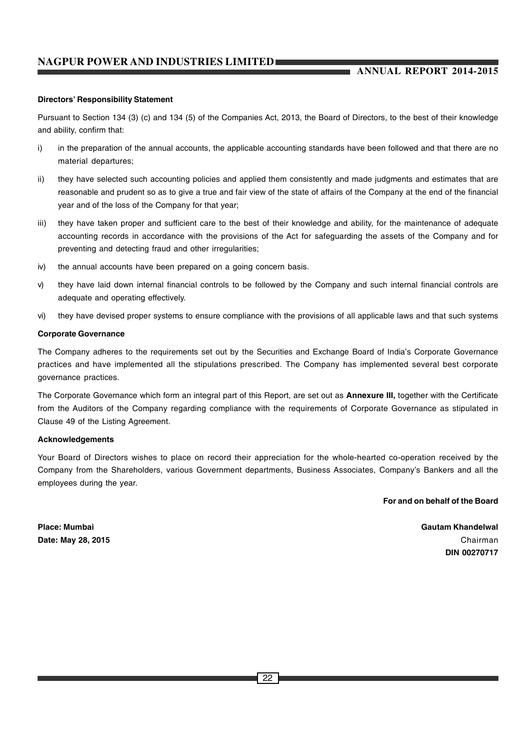# **ANNUAL REPORT 2014-2015**

#### **Directors' Responsibility Statement**

Pursuant to Section 134 (3) (c) and 134 (5) of the Companies Act, 2013, the Board of Directors, to the best of their knowledge and ability, confirm that:

- i) in the preparation of the annual accounts, the applicable accounting standards have been followed and that there are no material departures;
- ii) they have selected such accounting policies and applied them consistently and made judgments and estimates that are reasonable and prudent so as to give a true and fair view of the state of affairs of the Company at the end of the financial year and of the loss of the Company for that year;
- iii) they have taken proper and sufficient care to the best of their knowledge and ability, for the maintenance of adequate accounting records in accordance with the provisions of the Act for safeguarding the assets of the Company and for preventing and detecting fraud and other irregularities;
- iv) the annual accounts have been prepared on a going concern basis.
- v) they have laid down internal financial controls to be followed by the Company and such internal financial controls are adequate and operating effectively.
- vi) they have devised proper systems to ensure compliance with the provisions of all applicable laws and that such systems

#### **Corporate Governance**

The Company adheres to the requirements set out by the Securities and Exchange Board of India's Corporate Governance practices and have implemented all the stipulations prescribed. The Company has implemented several best corporate governance practices.

The Corporate Governance which form an integral part of this Report, are set out as **Annexure III,** together with the Certificate from the Auditors of the Company regarding compliance with the requirements of Corporate Governance as stipulated in Clause 49 of the Listing Agreement.

#### **Acknowledgements**

Your Board of Directors wishes to place on record their appreciation for the whole-hearted co-operation received by the Company from the Shareholders, various Government departments, Business Associates, Company's Bankers and all the employees during the year.

**For and on behalf of the Board**

**Place: Mumbai Gautam Khandelwal Date: May 28, 2015** Chairman **Chairman** Chairman **Chairman** Chairman **Chairman** Chairman **Chairman DIN 00270717**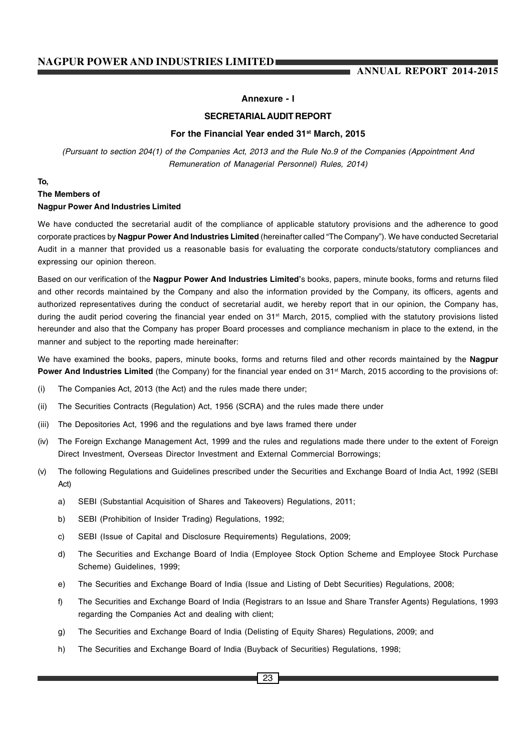# **Annexure - I**

# **SECRETARIAL AUDIT REPORT**

#### **For the Financial Year ended 31st March, 2015**

*(Pursuant to section 204(1) of the Companies Act, 2013 and the Rule No.9 of the Companies (Appointment And Remuneration of Managerial Personnel) Rules, 2014)*

# **To,**

# **The Members of Nagpur Power And Industries Limited**

We have conducted the secretarial audit of the compliance of applicable statutory provisions and the adherence to good corporate practices by **Nagpur Power And Industries Limited** (hereinafter called "The Company"). We have conducted Secretarial Audit in a manner that provided us a reasonable basis for evaluating the corporate conducts/statutory compliances and expressing our opinion thereon.

Based on our verification of the **Nagpur Power And Industries Limited'**s books, papers, minute books, forms and returns filed and other records maintained by the Company and also the information provided by the Company, its officers, agents and authorized representatives during the conduct of secretarial audit, we hereby report that in our opinion, the Company has, during the audit period covering the financial year ended on 31<sup>st</sup> March, 2015, complied with the statutory provisions listed hereunder and also that the Company has proper Board processes and compliance mechanism in place to the extend, in the manner and subject to the reporting made hereinafter:

We have examined the books, papers, minute books, forms and returns filed and other records maintained by the **Nagpur Power And Industries Limited** (the Company) for the financial year ended on 31<sup>st</sup> March, 2015 according to the provisions of:

- (i) The Companies Act, 2013 (the Act) and the rules made there under;
- (ii) The Securities Contracts (Regulation) Act, 1956 (SCRA) and the rules made there under
- (iii) The Depositories Act, 1996 and the regulations and bye laws framed there under
- (iv) The Foreign Exchange Management Act, 1999 and the rules and regulations made there under to the extent of Foreign Direct Investment, Overseas Director Investment and External Commercial Borrowings;
- (v) The following Regulations and Guidelines prescribed under the Securities and Exchange Board of India Act, 1992 (SEBI Act)
	- a) SEBI (Substantial Acquisition of Shares and Takeovers) Regulations, 2011;
	- b) SEBI (Prohibition of Insider Trading) Regulations, 1992;
	- c) SEBI (Issue of Capital and Disclosure Requirements) Regulations, 2009;
	- d) The Securities and Exchange Board of India (Employee Stock Option Scheme and Employee Stock Purchase Scheme) Guidelines, 1999;
	- e) The Securities and Exchange Board of India (Issue and Listing of Debt Securities) Regulations, 2008;
	- f) The Securities and Exchange Board of India (Registrars to an Issue and Share Transfer Agents) Regulations, 1993 regarding the Companies Act and dealing with client;
	- g) The Securities and Exchange Board of India (Delisting of Equity Shares) Regulations, 2009; and
	- h) The Securities and Exchange Board of India (Buyback of Securities) Regulations, 1998;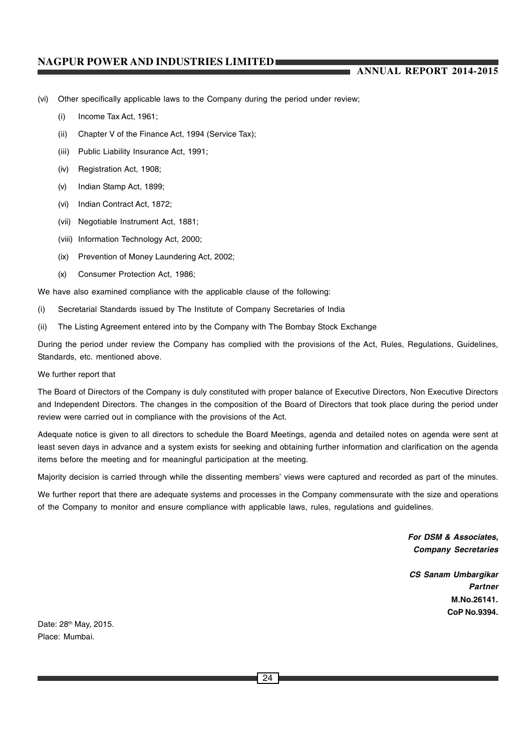# **ANNUAL REPORT 2014-2015**

- (vi) Other specifically applicable laws to the Company during the period under review;
	- (i) Income Tax Act, 1961;
	- (ii) Chapter V of the Finance Act, 1994 (Service Tax);
	- (iii) Public Liability Insurance Act, 1991;
	- (iv) Registration Act, 1908;
	- (v) Indian Stamp Act, 1899;
	- (vi) Indian Contract Act, 1872;
	- (vii) Negotiable Instrument Act, 1881;
	- (viii) Information Technology Act, 2000;
	- (ix) Prevention of Money Laundering Act, 2002;
	- (x) Consumer Protection Act, 1986;

We have also examined compliance with the applicable clause of the following:

- (i) Secretarial Standards issued by The Institute of Company Secretaries of India
- (ii) The Listing Agreement entered into by the Company with The Bombay Stock Exchange

During the period under review the Company has complied with the provisions of the Act, Rules, Regulations, Guidelines, Standards, etc. mentioned above.

#### We further report that

The Board of Directors of the Company is duly constituted with proper balance of Executive Directors, Non Executive Directors and Independent Directors. The changes in the composition of the Board of Directors that took place during the period under review were carried out in compliance with the provisions of the Act.

Adequate notice is given to all directors to schedule the Board Meetings, agenda and detailed notes on agenda were sent at least seven days in advance and a system exists for seeking and obtaining further information and clarification on the agenda items before the meeting and for meaningful participation at the meeting.

Majority decision is carried through while the dissenting members' views were captured and recorded as part of the minutes.

We further report that there are adequate systems and processes in the Company commensurate with the size and operations of the Company to monitor and ensure compliance with applicable laws, rules, regulations and guidelines.

> *For DSM & Associates, Company Secretaries*

*CS Sanam Umbargikar Partner* **M.No.26141. CoP No.9394.**

Date: 28<sup>th</sup> May, 2015. Place: Mumbai.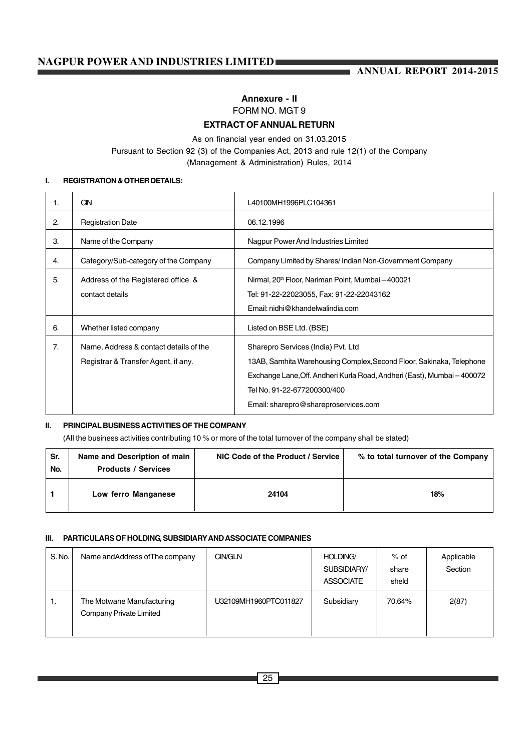# **Annexure - II** FORM NO. MGT 9

# **EXTRACT OF ANNUAL RETURN**

# As on financial year ended on 31.03.2015 Pursuant to Section 92 (3) of the Companies Act, 2013 and rule 12(1) of the Company (Management & Administration) Rules, 2014

# **I. REGISTRATION & OTHER DETAILS:**

| 1. | <b>CIN</b>                             | L40100MH1996PLC104361                                                   |
|----|----------------------------------------|-------------------------------------------------------------------------|
| 2. | <b>Registration Date</b>               | 06.12.1996                                                              |
| 3. | Name of the Company                    | Nagpur Power And Industries Limited                                     |
| 4. | Category/Sub-category of the Company   | Company Limited by Shares/ Indian Non-Government Company                |
| 5. | Address of the Registered office &     | Nirmal, 20 <sup>th</sup> Floor, Nariman Point, Mumbai - 400021          |
|    | contact details                        | Tel: 91-22-22023055, Fax: 91-22-22043162                                |
|    |                                        | Email: nidhi@khandelwalindia.com                                        |
| 6. | Whether listed company                 | Listed on BSE Ltd. (BSE)                                                |
| 7. | Name, Address & contact details of the | Sharepro Services (India) Pvt. Ltd                                      |
|    | Registrar & Transfer Agent, if any.    | 13AB, Samhita Warehousing Complex, Second Floor, Sakinaka, Telephone    |
|    |                                        | Exchange Lane, Off. Andheri Kurla Road, Andheri (East), Mumbai - 400072 |
|    |                                        | Tel No. 91-22-677200300/400                                             |
|    |                                        | Email: sharepro@shareproservices.com                                    |

#### **II. PRINCIPAL BUSINESS ACTIVITIES OF THE COMPANY**

(All the business activities contributing 10 % or more of the total turnover of the company shall be stated)

| Sr.<br>No. | Name and Description of main<br><b>Products / Services</b> | NIC Code of the Product / Service | % to total turnover of the Company |
|------------|------------------------------------------------------------|-----------------------------------|------------------------------------|
|            | Low ferro Manganese                                        | 24104                             | 18%                                |

#### **III. PARTICULARS OF HOLDING, SUBSIDIARY AND ASSOCIATE COMPANIES**

| S. No. | Name and Address of The company                      | CIN/GLN               | HOLDING/<br>SUBSIDIARY/<br><b>ASSOCIATE</b> | % of<br>share<br>sheld | Applicable<br>Section |
|--------|------------------------------------------------------|-----------------------|---------------------------------------------|------------------------|-----------------------|
| ι.     | The Motwane Manufacturing<br>Company Private Limited | U32109MH1960PTC011827 | Subsidiary                                  | 70.64%                 | 2(87)                 |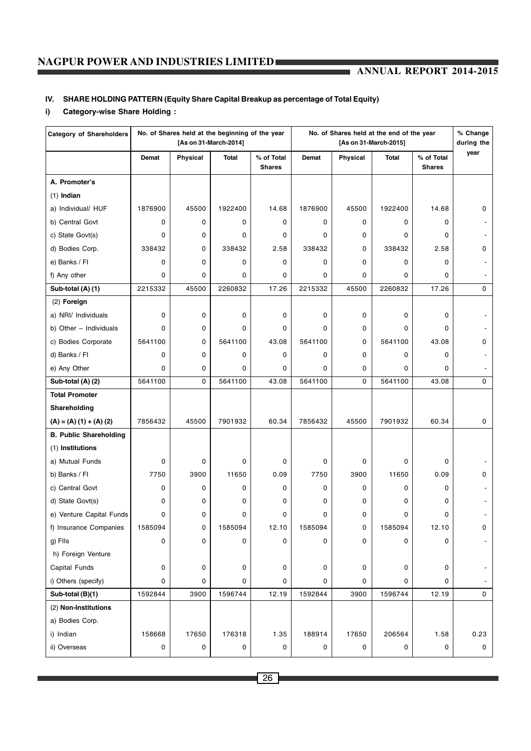# **ANNUAL REPORT 2014-2015**

# **IV. SHARE HOLDING PATTERN (Equity Share Capital Breakup as percentage of Total Equity)**

# **i) Category-wise Share Holding :**

| <b>Category of Shareholders</b> |             | No. of Shares held at the beginning of the year | [As on 31-March-2014] |                             | No. of Shares held at the end of the year<br>[As on 31-March-2015] |          |              |                             | % Change<br>during the |
|---------------------------------|-------------|-------------------------------------------------|-----------------------|-----------------------------|--------------------------------------------------------------------|----------|--------------|-----------------------------|------------------------|
|                                 | Demat       | Physical                                        | <b>Total</b>          | % of Total<br><b>Shares</b> | Demat                                                              | Physical | <b>Total</b> | % of Total<br><b>Shares</b> | year                   |
| A. Promoter's                   |             |                                                 |                       |                             |                                                                    |          |              |                             |                        |
| $(1)$ Indian                    |             |                                                 |                       |                             |                                                                    |          |              |                             |                        |
| a) Individual/ HUF              | 1876900     | 45500                                           | 1922400               | 14.68                       | 1876900                                                            | 45500    | 1922400      | 14.68                       | 0                      |
| b) Central Govt                 | 0           | 0                                               | 0                     | 0                           | 0                                                                  | 0        | 0            | 0                           |                        |
| c) State Govt(s)                | 0           | 0                                               | 0                     | 0                           | 0                                                                  | 0        | 0            | 0                           |                        |
| d) Bodies Corp.                 | 338432      | 0                                               | 338432                | 2.58                        | 338432                                                             | 0        | 338432       | 2.58                        | 0                      |
| e) Banks / Fl                   | 0           | 0                                               | $\mathbf 0$           | 0                           | 0                                                                  | 0        | 0            | 0                           |                        |
| f) Any other                    | 0           | 0                                               | $\mathbf 0$           | 0                           | 0                                                                  | 0        | 0            | 0                           |                        |
| Sub-total (A) (1)               | 2215332     | 45500                                           | 2260832               | 17.26                       | 2215332                                                            | 45500    | 2260832      | 17.26                       | 0                      |
| $(2)$ Foreign                   |             |                                                 |                       |                             |                                                                    |          |              |                             |                        |
| a) NRI/ Individuals             | $\mathbf 0$ | 0                                               | 0                     | 0                           | 0                                                                  | 0        | 0            | 0                           |                        |
| b) Other - Individuals          | 0           | 0                                               | 0                     | 0                           | 0                                                                  | 0        | 0            | 0                           |                        |
| c) Bodies Corporate             | 5641100     | 0                                               | 5641100               | 43.08                       | 5641100                                                            | 0        | 5641100      | 43.08                       | 0                      |
| d) Banks / Fl                   | 0           | 0                                               | 0                     | 0                           | 0                                                                  | 0        | 0            | 0                           |                        |
| e) Any Other                    | 0           | 0                                               | 0                     | 0                           | 0                                                                  | 0        | 0            | 0                           |                        |
| Sub-total (A) (2)               | 5641100     | 0                                               | 5641100               | 43.08                       | 5641100                                                            | 0        | 5641100      | 43.08                       | 0                      |
| <b>Total Promoter</b>           |             |                                                 |                       |                             |                                                                    |          |              |                             |                        |
| Shareholding                    |             |                                                 |                       |                             |                                                                    |          |              |                             |                        |
| $(A) = (A) (1) + (A) (2)$       | 7856432     | 45500                                           | 7901932               | 60.34                       | 7856432                                                            | 45500    | 7901932      | 60.34                       | 0                      |
| <b>B. Public Shareholding</b>   |             |                                                 |                       |                             |                                                                    |          |              |                             |                        |
| (1) Institutions                |             |                                                 |                       |                             |                                                                    |          |              |                             |                        |
| a) Mutual Funds                 | 0           | 0                                               | 0                     | 0                           | 0                                                                  | 0        | 0            | 0                           |                        |
| b) Banks / FI                   | 7750        | 3900                                            | 11650                 | 0.09                        | 7750                                                               | 3900     | 11650        | 0.09                        | 0                      |
| c) Central Govt                 | 0           | 0                                               | $\mathbf 0$           | 0                           | 0                                                                  | 0        | 0            | 0                           |                        |
| d) State Govt(s)                | 0           | 0                                               | 0                     | 0                           | 0                                                                  | 0        | 0            | 0                           |                        |
| e) Venture Capital Funds        | 0           | 0                                               | 0                     | 0                           | 0                                                                  | 0        | 0            | 0                           |                        |
| f) Insurance Companies          | 1585094     | 0                                               | 1585094               | 12.10                       | 1585094                                                            | 0        | 1585094      | 12.10                       | 0                      |
| g) Fils                         | 0           | 0                                               | $\mathbf 0$           | 0                           | 0                                                                  | 0        | 0            | 0                           |                        |
| h) Foreign Venture              |             |                                                 |                       |                             |                                                                    |          |              |                             |                        |
| Capital Funds                   | 0           | 0                                               | 0                     | 0                           | 0                                                                  | 0        | 0            | 0                           |                        |
| i) Others (specify)             | 0           | 0                                               | 0                     | 0                           | 0                                                                  | 0        | 0            | 0                           |                        |
| Sub-total (B)(1)                | 1592844     | 3900                                            | 1596744               | 12.19                       | 1592844                                                            | 3900     | 1596744      | 12.19                       | 0                      |
| (2) Non-Institutions            |             |                                                 |                       |                             |                                                                    |          |              |                             |                        |
| a) Bodies Corp.                 |             |                                                 |                       |                             |                                                                    |          |              |                             |                        |
| i) Indian                       | 158668      | 17650                                           | 176318                | 1.35                        | 188914                                                             | 17650    | 206564       | 1.58                        | 0.23                   |
| ii) Overseas                    | 0           | 0                                               | 0                     | 0                           | 0                                                                  | 0        | 0            | 0                           | 0                      |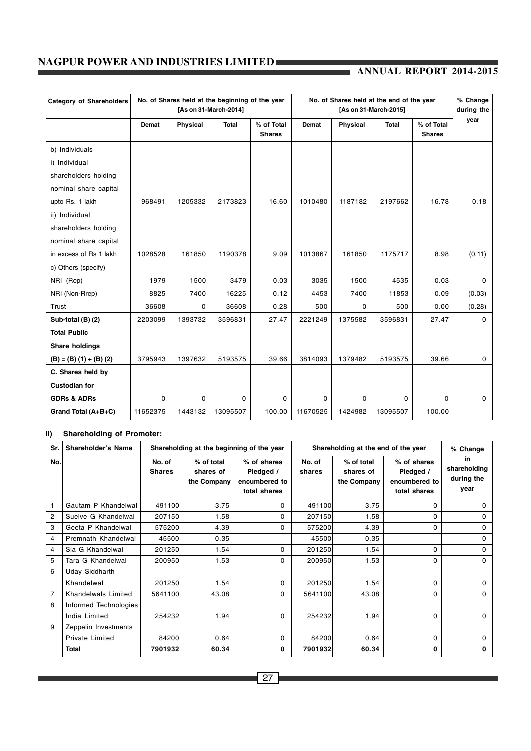# **ANNUAL REPORT 2014-2015**

| <b>Category of Shareholders</b> |              | No. of Shares held at the beginning of the year<br>[As on 31-March-2014] |              |                             |          | No. of Shares held at the end of the year<br>[As on 31-March-2015] |              |                             |             |
|---------------------------------|--------------|--------------------------------------------------------------------------|--------------|-----------------------------|----------|--------------------------------------------------------------------|--------------|-----------------------------|-------------|
|                                 | <b>Demat</b> | Physical                                                                 | <b>Total</b> | % of Total<br><b>Shares</b> | Demat    | <b>Physical</b>                                                    | <b>Total</b> | % of Total<br><b>Shares</b> | year        |
| b) Individuals                  |              |                                                                          |              |                             |          |                                                                    |              |                             |             |
| i) Individual                   |              |                                                                          |              |                             |          |                                                                    |              |                             |             |
| shareholders holding            |              |                                                                          |              |                             |          |                                                                    |              |                             |             |
| nominal share capital           |              |                                                                          |              |                             |          |                                                                    |              |                             |             |
| upto Rs. 1 lakh                 | 968491       | 1205332                                                                  | 2173823      | 16.60                       | 1010480  | 1187182                                                            | 2197662      | 16.78                       | 0.18        |
| ii) Individual                  |              |                                                                          |              |                             |          |                                                                    |              |                             |             |
| shareholders holding            |              |                                                                          |              |                             |          |                                                                    |              |                             |             |
| nominal share capital           |              |                                                                          |              |                             |          |                                                                    |              |                             |             |
| in excess of Rs 1 lakh          | 1028528      | 161850                                                                   | 1190378      | 9.09                        | 1013867  | 161850                                                             | 1175717      | 8.98                        | (0.11)      |
| c) Others (specify)             |              |                                                                          |              |                             |          |                                                                    |              |                             |             |
| NRI (Rep)                       | 1979         | 1500                                                                     | 3479         | 0.03                        | 3035     | 1500                                                               | 4535         | 0.03                        | $\Omega$    |
| NRI (Non-Rrep)                  | 8825         | 7400                                                                     | 16225        | 0.12                        | 4453     | 7400                                                               | 11853        | 0.09                        | (0.03)      |
| Trust                           | 36608        | 0                                                                        | 36608        | 0.28                        | 500      | 0                                                                  | 500          | 0.00                        | (0.28)      |
| Sub-total (B) (2)               | 2203099      | 1393732                                                                  | 3596831      | 27.47                       | 2221249  | 1375582                                                            | 3596831      | 27.47                       | $\mathbf 0$ |
| <b>Total Public</b>             |              |                                                                          |              |                             |          |                                                                    |              |                             |             |
| Share holdings                  |              |                                                                          |              |                             |          |                                                                    |              |                             |             |
| $(B) = (B) (1) + (B) (2)$       | 3795943      | 1397632                                                                  | 5193575      | 39.66                       | 3814093  | 1379482                                                            | 5193575      | 39.66                       | $\mathbf 0$ |
| C. Shares held by               |              |                                                                          |              |                             |          |                                                                    |              |                             |             |
| <b>Custodian for</b>            |              |                                                                          |              |                             |          |                                                                    |              |                             |             |
| <b>GDRs &amp; ADRs</b>          | 0            | 0                                                                        | 0            | $\mathbf{0}$                | $\Omega$ | 0                                                                  | 0            | 0                           | 0           |
| Grand Total (A+B+C)             | 11652375     | 1443132                                                                  | 13095507     | 100.00                      | 11670525 | 1424982                                                            | 13095507     | 100.00                      |             |

# **ii) Shareholding of Promoter:**

| Sr.            | Shareholder's Name    |                         |                                        | Shareholding at the beginning of the year                 |                  | Shareholding at the end of the year    | % Change                                                  |                                          |
|----------------|-----------------------|-------------------------|----------------------------------------|-----------------------------------------------------------|------------------|----------------------------------------|-----------------------------------------------------------|------------------------------------------|
| No.            |                       | No. of<br><b>Shares</b> | % of total<br>shares of<br>the Company | % of shares<br>Pledged /<br>encumbered to<br>total shares | No. of<br>shares | % of total<br>shares of<br>the Company | % of shares<br>Pledged /<br>encumbered to<br>total shares | in<br>shareholding<br>during the<br>vear |
| $\mathbf{1}$   | Gautam P Khandelwal   | 491100                  | 3.75                                   | $\Omega$                                                  | 491100           | 3.75                                   | 0                                                         | 0                                        |
| 2              | Suelve G Khandelwal   | 207150                  | 1.58                                   | 0                                                         | 207150           | 1.58                                   | 0                                                         | 0                                        |
| 3              | Geeta P Khandelwal    | 575200                  | 4.39                                   | 0                                                         | 575200           | 4.39                                   | 0                                                         | 0                                        |
| 4              | Premnath Khandelwal   | 45500                   | 0.35                                   |                                                           | 45500            | 0.35                                   |                                                           | 0                                        |
| 4              | Sia G Khandelwal      | 201250                  | 1.54                                   | 0                                                         | 201250           | 1.54                                   | 0                                                         | 0                                        |
| 5              | Tara G Khandelwal     | 200950                  | 1.53                                   | 0                                                         | 200950           | 1.53                                   | 0                                                         | 0                                        |
| 6              | <b>Uday Siddharth</b> |                         |                                        |                                                           |                  |                                        |                                                           |                                          |
|                | Khandelwal            | 201250                  | 1.54                                   | 0                                                         | 201250           | 1.54                                   | 0                                                         | 0                                        |
| $\overline{7}$ | Khandelwals Limited   | 5641100                 | 43.08                                  | 0                                                         | 5641100          | 43.08                                  | 0                                                         | 0                                        |
| 8              | Informed Technologies |                         |                                        |                                                           |                  |                                        |                                                           |                                          |
|                | India Limited         | 254232                  | 1.94                                   | $\Omega$                                                  | 254232           | 1.94                                   | 0                                                         | 0                                        |
| 9              | Zeppelin Investments  |                         |                                        |                                                           |                  |                                        |                                                           |                                          |
|                | Private Limited       | 84200                   | 0.64                                   | 0                                                         | 84200            | 0.64                                   | 0                                                         | 0                                        |
|                | <b>Total</b>          | 7901932                 | 60.34                                  | $\bf{0}$                                                  | 7901932          | 60.34                                  | 0                                                         | 0                                        |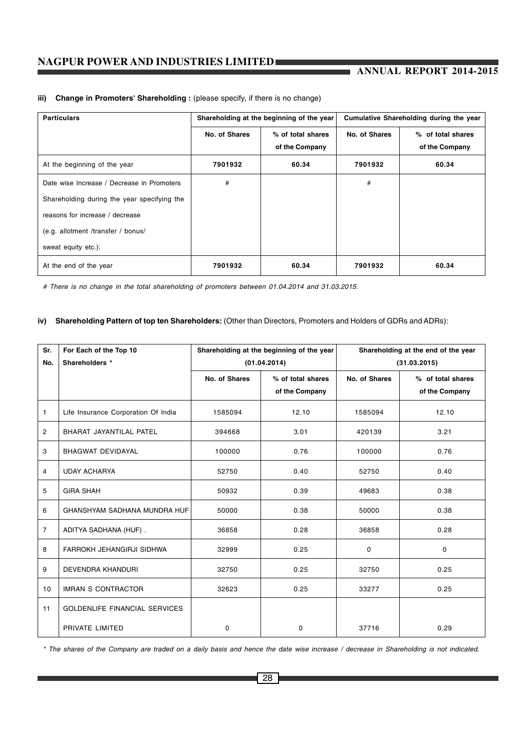| <b>Particulars</b>                          | Shareholding at the beginning of the year |                                     |               | Cumulative Shareholding during the year |
|---------------------------------------------|-------------------------------------------|-------------------------------------|---------------|-----------------------------------------|
|                                             | No. of Shares                             | % of total shares<br>of the Company | No. of Shares | % of total shares<br>of the Company     |
| At the beginning of the year                | 7901932                                   | 60.34                               | 7901932       | 60.34                                   |
| Date wise Increase / Decrease in Promoters  | #                                         |                                     | #             |                                         |
| Shareholding during the year specifying the |                                           |                                     |               |                                         |
| reasons for increase / decrease             |                                           |                                     |               |                                         |
| (e.g. allotment /transfer / bonus/          |                                           |                                     |               |                                         |
| sweat equity etc.):                         |                                           |                                     |               |                                         |
| At the end of the year                      | 7901932                                   | 60.34                               | 7901932       | 60.34                                   |

### **iii) Change in Promoters' Shareholding :** (please specify, if there is no change)

*# There is no change in the total shareholding of promoters between 01.04.2014 and 31.03.2015.*

### **iv) Shareholding Pattern of top ten Shareholders:** (Other than Directors, Promoters and Holders of GDRs and ADRs):

| Sr.            | For Each of the Top 10               |               | Shareholding at the beginning of the year |               | Shareholding at the end of the year |
|----------------|--------------------------------------|---------------|-------------------------------------------|---------------|-------------------------------------|
| No.            | Shareholders *                       |               | (01.04.2014)                              |               | (31.03.2015)                        |
|                |                                      | No. of Shares | % of total shares                         | No. of Shares | % of total shares                   |
|                |                                      |               | of the Company                            |               | of the Company                      |
| 1              | Life Insurance Corporation Of India  | 1585094       | 12.10                                     | 1585094       | 12.10                               |
| 2              | BHARAT JAYANTILAL PATEL              | 394668        | 3.01                                      | 420139        | 3.21                                |
| 3              | BHAGWAT DEVIDAYAL                    | 100000        | 0.76                                      | 100000        | 0.76                                |
| 4              | <b>UDAY ACHARYA</b>                  | 52750         | 0.40                                      | 52750         | 0.40                                |
| 5              | <b>GIRA SHAH</b>                     | 50932         | 0.39                                      | 49683         | 0.38                                |
| 6              | GHANSHYAM SADHANA MUNDRA HUF         | 50000         | 0.38                                      | 50000         | 0.38                                |
| $\overline{7}$ | ADITYA SADHANA (HUF).                | 36858         | 0.28                                      | 36858         | 0.28                                |
| 8              | FARROKH JEHANGIRJI SIDHWA            | 32999         | 0.25                                      | 0             | 0                                   |
| 9              | <b>DEVENDRA KHANDURI</b>             | 32750         | 0.25                                      | 32750         | 0.25                                |
| 10             | <b>IMRAN S CONTRACTOR</b>            | 32623         | 0.25                                      | 33277         | 0.25                                |
| 11             | <b>GOLDENLIFE FINANCIAL SERVICES</b> |               |                                           |               |                                     |
|                | PRIVATE LIMITED                      | 0             | 0                                         | 37716         | 0.29                                |

*\* The shares of the Company are traded on a daily basis and hence the date wise increase / decrease in Shareholding is not indicated.*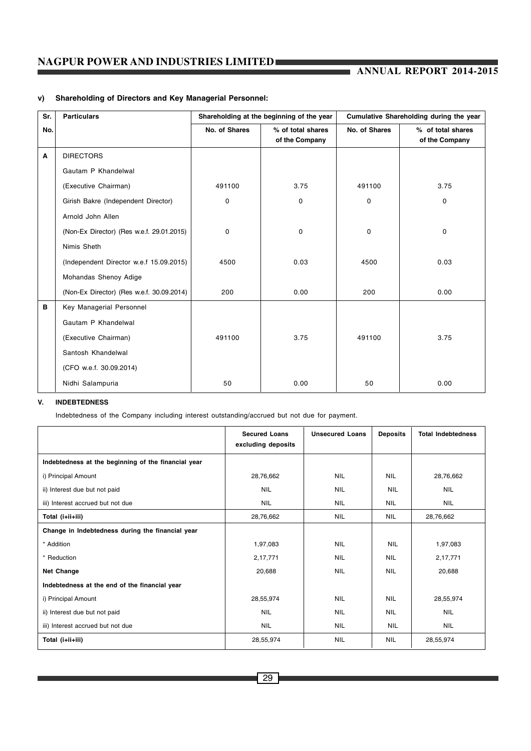# **ANNUAL REPORT 2014-2015**

| Sr. | <b>Particulars</b>                        | Shareholding at the beginning of the year |                                     | Cumulative Shareholding during the year |                                     |  |
|-----|-------------------------------------------|-------------------------------------------|-------------------------------------|-----------------------------------------|-------------------------------------|--|
| No. |                                           | No. of Shares                             | % of total shares<br>of the Company | No. of Shares                           | % of total shares<br>of the Company |  |
| А   | <b>DIRECTORS</b>                          |                                           |                                     |                                         |                                     |  |
|     | Gautam P Khandelwal                       |                                           |                                     |                                         |                                     |  |
|     | (Executive Chairman)                      | 491100                                    | 3.75                                | 491100                                  | 3.75                                |  |
|     | Girish Bakre (Independent Director)       | 0                                         | $\mathbf 0$                         | 0                                       | $\mathbf 0$                         |  |
|     | Arnold John Allen                         |                                           |                                     |                                         |                                     |  |
|     | (Non-Ex Director) (Res w.e.f. 29.01.2015) | $\mathbf 0$                               | $\mathbf 0$                         | 0                                       | 0                                   |  |
|     | Nimis Sheth                               |                                           |                                     |                                         |                                     |  |
|     | (Independent Director w.e.f 15.09.2015)   | 4500                                      | 0.03                                | 4500                                    | 0.03                                |  |
|     | Mohandas Shenoy Adige                     |                                           |                                     |                                         |                                     |  |
|     | (Non-Ex Director) (Res w.e.f. 30.09.2014) | 200                                       | 0.00                                | 200                                     | 0.00                                |  |
| в   | Key Managerial Personnel                  |                                           |                                     |                                         |                                     |  |
|     | Gautam P Khandelwal                       |                                           |                                     |                                         |                                     |  |
|     | (Executive Chairman)                      | 491100                                    | 3.75                                | 491100                                  | 3.75                                |  |
|     | Santosh Khandelwal                        |                                           |                                     |                                         |                                     |  |
|     | (CFO w.e.f. 30.09.2014)                   |                                           |                                     |                                         |                                     |  |
|     | Nidhi Salampuria                          | 50                                        | 0.00                                | 50                                      | 0.00                                |  |

# **v) Shareholding of Directors and Key Managerial Personnel:**

### **V. INDEBTEDNESS**

Indebtedness of the Company including interest outstanding/accrued but not due for payment.

|                                                     | <b>Secured Loans</b><br>excluding deposits | <b>Unsecured Loans</b> | <b>Deposits</b> | <b>Total Indebtedness</b> |
|-----------------------------------------------------|--------------------------------------------|------------------------|-----------------|---------------------------|
| Indebtedness at the beginning of the financial year |                                            |                        |                 |                           |
| i) Principal Amount                                 | 28,76,662                                  | <b>NIL</b>             | <b>NIL</b>      | 28,76,662                 |
| ii) Interest due but not paid                       | <b>NIL</b>                                 | <b>NIL</b>             | <b>NIL</b>      | <b>NIL</b>                |
| iii) Interest accrued but not due                   | <b>NIL</b>                                 | <b>NIL</b>             | <b>NIL</b>      | <b>NIL</b>                |
| Total (i+ii+iii)                                    | 28,76,662                                  | <b>NIL</b>             | <b>NIL</b>      | 28,76,662                 |
| Change in Indebtedness during the financial year    |                                            |                        |                 |                           |
| * Addition                                          | 1,97,083                                   | <b>NIL</b>             | <b>NIL</b>      | 1,97,083                  |
| * Reduction                                         | 2,17,771                                   | <b>NIL</b>             | <b>NIL</b>      | 2,17,771                  |
| Net Change                                          | 20,688                                     | <b>NIL</b>             | <b>NIL</b>      | 20,688                    |
| Indebtedness at the end of the financial year       |                                            |                        |                 |                           |
| i) Principal Amount                                 | 28,55,974                                  | <b>NIL</b>             | <b>NIL</b>      | 28,55,974                 |
| ii) Interest due but not paid                       | <b>NIL</b>                                 | <b>NIL</b>             | <b>NIL</b>      | <b>NIL</b>                |
| iii) Interest accrued but not due                   | <b>NIL</b>                                 | <b>NIL</b>             | <b>NIL</b>      | <b>NIL</b>                |
| Total (i+ii+iii)                                    | 28,55,974                                  | <b>NIL</b>             | <b>NIL</b>      | 28,55,974                 |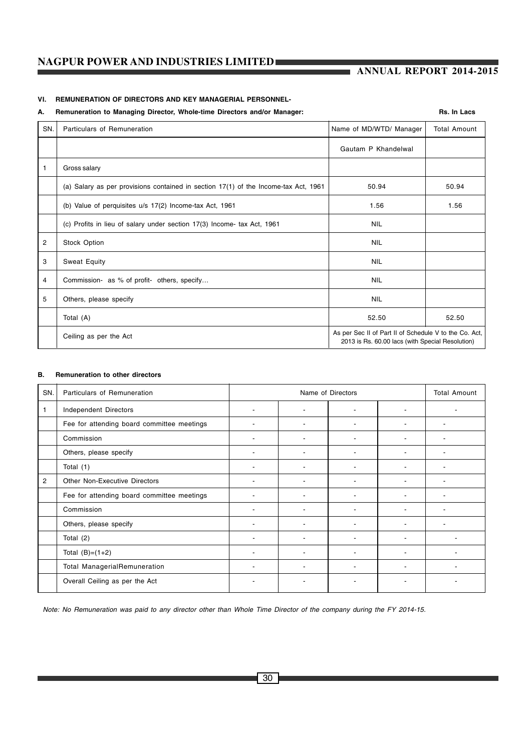# **VI. REMUNERATION OF DIRECTORS AND KEY MANAGERIAL PERSONNEL-**

# A. Remuneration to Managing Director, Whole-time Directors and/or Manager: **Remuneration of A. In Lacs**

| SN. | Particulars of Remuneration                                                         | Name of MD/WTD/ Manager                                                                                    | <b>Total Amount</b> |
|-----|-------------------------------------------------------------------------------------|------------------------------------------------------------------------------------------------------------|---------------------|
|     |                                                                                     | Gautam P Khandelwal                                                                                        |                     |
| 1   | Gross salary                                                                        |                                                                                                            |                     |
|     | (a) Salary as per provisions contained in section 17(1) of the Income-tax Act, 1961 | 50.94                                                                                                      | 50.94               |
|     | (b) Value of perquisites u/s 17(2) Income-tax Act, 1961                             | 1.56                                                                                                       | 1.56                |
|     | (c) Profits in lieu of salary under section 17(3) Income- tax Act, 1961             | <b>NIL</b>                                                                                                 |                     |
| 2   | Stock Option                                                                        | <b>NIL</b>                                                                                                 |                     |
| 3   | Sweat Equity                                                                        | <b>NIL</b>                                                                                                 |                     |
| 4   | Commission- as % of profit- others, specify                                         | <b>NIL</b>                                                                                                 |                     |
| 5   | Others, please specify                                                              | <b>NIL</b>                                                                                                 |                     |
|     | Total (A)                                                                           | 52.50                                                                                                      | 52.50               |
|     | Ceiling as per the Act                                                              | As per Sec II of Part II of Schedule V to the Co. Act,<br>2013 is Rs. 60.00 lacs (with Special Resolution) |                     |

#### **B. Remuneration to other directors**

| SN.            | Particulars of Remuneration                |                | Name of Directors        |                          |                          |   |
|----------------|--------------------------------------------|----------------|--------------------------|--------------------------|--------------------------|---|
|                | Independent Directors                      |                |                          | ۰                        | -                        |   |
|                | Fee for attending board committee meetings |                | $\blacksquare$           | ٠                        | $\blacksquare$           | ٠ |
|                | Commission                                 |                |                          |                          |                          |   |
|                | Others, please specify                     |                |                          |                          |                          |   |
|                | Total (1)                                  |                |                          |                          |                          |   |
| $\overline{2}$ | Other Non-Executive Directors              |                |                          | ٠                        |                          |   |
|                | Fee for attending board committee meetings |                | $\blacksquare$           | $\overline{\phantom{a}}$ |                          |   |
|                | Commission                                 |                |                          | ٠                        |                          |   |
|                | Others, please specify                     | $\blacksquare$ | $\blacksquare$           | $\blacksquare$           | ٠                        |   |
|                | Total (2)                                  |                |                          |                          |                          |   |
|                | Total $(B)=(1+2)$                          |                | $\blacksquare$           | ٠                        | $\blacksquare$           |   |
|                | <b>Total ManagerialRemuneration</b>        |                |                          | ٠                        | ٠                        |   |
|                | Overall Ceiling as per the Act             |                | $\overline{\phantom{a}}$ | ٠                        | $\overline{\phantom{a}}$ |   |

*Note: No Remuneration was paid to any director other than Whole Time Director of the company during the FY 2014-15.*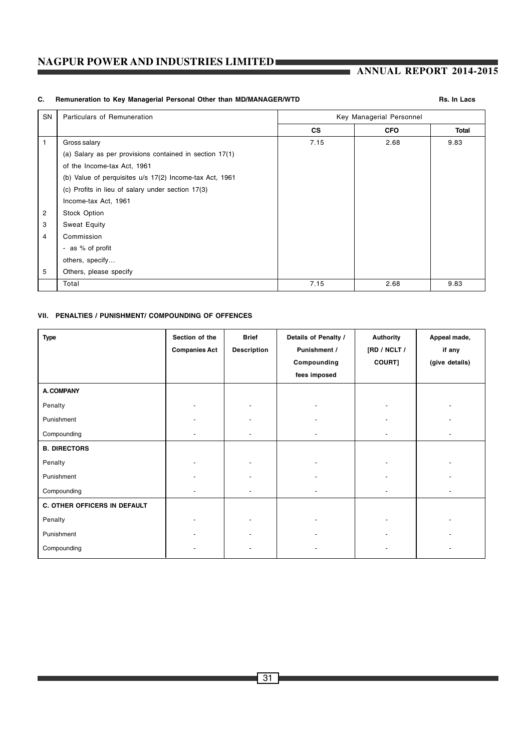# **ANNUAL REPORT 2014-2015**

# C. Remuneration to Key Managerial Personal Other than MD/MANAGER/WTD **Remuneration of State Assaure Rs.** In Lacs

| SN | Particulars of Remuneration                             |           | Key Managerial Personnel |       |
|----|---------------------------------------------------------|-----------|--------------------------|-------|
|    |                                                         | <b>CS</b> | <b>CFO</b>               | Total |
| 1  | Gross salary                                            | 7.15      | 2.68                     | 9.83  |
|    | (a) Salary as per provisions contained in section 17(1) |           |                          |       |
|    | of the Income-tax Act, 1961                             |           |                          |       |
|    | (b) Value of perquisites u/s 17(2) Income-tax Act, 1961 |           |                          |       |
|    | (c) Profits in lieu of salary under section 17(3)       |           |                          |       |
|    | Income-tax Act, 1961                                    |           |                          |       |
| 2  | Stock Option                                            |           |                          |       |
| 3  | Sweat Equity                                            |           |                          |       |
| 4  | Commission                                              |           |                          |       |
|    | - as % of profit                                        |           |                          |       |
|    | others, specify                                         |           |                          |       |
| 5  | Others, please specify                                  |           |                          |       |
|    | Total                                                   | 7.15      | 2.68                     | 9.83  |

# **VII. PENALTIES / PUNISHMENT/ COMPOUNDING OF OFFENCES**

| <b>Type</b>                  | Section of the<br><b>Companies Act</b> | <b>Brief</b><br><b>Description</b> | Details of Penalty /<br>Punishment /<br>Compounding<br>fees imposed | <b>Authority</b><br>[RD / NCLT /<br>COURT] | Appeal made,<br>if any<br>(give details) |
|------------------------------|----------------------------------------|------------------------------------|---------------------------------------------------------------------|--------------------------------------------|------------------------------------------|
| <b>A. COMPANY</b>            |                                        |                                    |                                                                     |                                            |                                          |
| Penalty                      |                                        |                                    |                                                                     |                                            |                                          |
| Punishment                   |                                        |                                    |                                                                     |                                            |                                          |
| Compounding                  |                                        |                                    | -                                                                   |                                            |                                          |
| <b>B. DIRECTORS</b>          |                                        |                                    |                                                                     |                                            |                                          |
| Penalty                      |                                        |                                    |                                                                     |                                            |                                          |
| Punishment                   |                                        |                                    |                                                                     |                                            |                                          |
| Compounding                  |                                        |                                    |                                                                     |                                            |                                          |
| C. OTHER OFFICERS IN DEFAULT |                                        |                                    |                                                                     |                                            |                                          |
| Penalty                      |                                        |                                    |                                                                     |                                            |                                          |
| Punishment                   |                                        |                                    |                                                                     |                                            |                                          |
| Compounding                  |                                        | ۰                                  |                                                                     |                                            |                                          |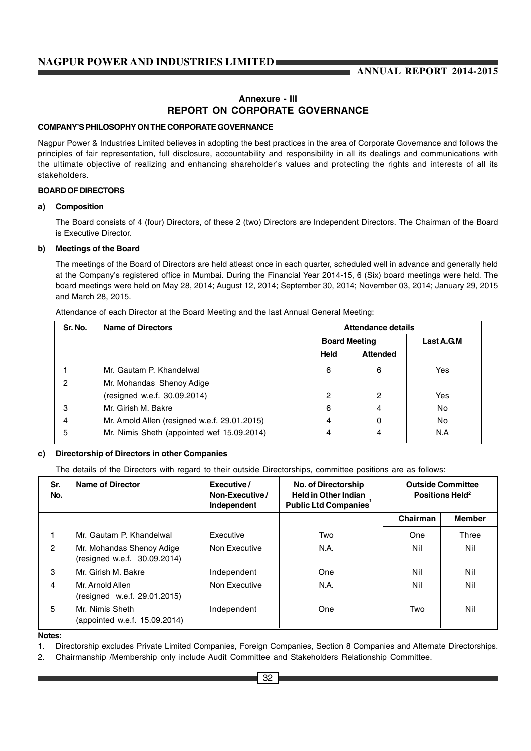# **Annexure - III REPORT ON CORPORATE GOVERNANCE**

# **COMPANY'S PHILOSOPHY ON THE CORPORATE GOVERNANCE**

Nagpur Power & Industries Limited believes in adopting the best practices in the area of Corporate Governance and follows the principles of fair representation, full disclosure, accountability and responsibility in all its dealings and communications with the ultimate objective of realizing and enhancing shareholder's values and protecting the rights and interests of all its stakeholders.

# **BOARD OF DIRECTORS**

#### **a) Composition**

The Board consists of 4 (four) Directors, of these 2 (two) Directors are Independent Directors. The Chairman of the Board is Executive Director.

#### **b) Meetings of the Board**

The meetings of the Board of Directors are held atleast once in each quarter, scheduled well in advance and generally held at the Company's registered office in Mumbai. During the Financial Year 2014-15, 6 (Six) board meetings were held. The board meetings were held on May 28, 2014; August 12, 2014; September 30, 2014; November 03, 2014; January 29, 2015 and March 28, 2015.

| Sr. No. | <b>Name of Directors</b>                      | Attendance details   |                 |            |
|---------|-----------------------------------------------|----------------------|-----------------|------------|
|         |                                               | <b>Board Meeting</b> |                 | Last A.G.M |
|         |                                               | Held                 | <b>Attended</b> |            |
|         | Mr. Gautam P. Khandelwal                      | 6                    | 6               | Yes        |
| 2       | Mr. Mohandas Shenoy Adige                     |                      |                 |            |
|         | (resigned w.e.f. 30.09.2014)                  | 2                    | 2               | Yes        |
| 3       | Mr. Girish M. Bakre                           | 6                    | 4               | No         |
| 4       | Mr. Arnold Allen (resigned w.e.f. 29.01.2015) | 4                    | 0               | No         |
| 5       | Mr. Nimis Sheth (appointed wef 15.09.2014)    | 4                    | 4               | N.A        |

#### **c) Directorship of Directors in other Companies**

The details of the Directors with regard to their outside Directorships, committee positions are as follows:

| Sr.<br>No.     | <b>Name of Director</b>                                   | Executive/<br>Non-Executive/<br>Independent | <b>No. of Directorship</b><br><b>Held in Other Indian</b><br><b>Public Ltd Companies</b> | <b>Outside Committee</b><br>Positions Held <sup>2</sup> |               |
|----------------|-----------------------------------------------------------|---------------------------------------------|------------------------------------------------------------------------------------------|---------------------------------------------------------|---------------|
|                |                                                           |                                             |                                                                                          | Chairman                                                | <b>Member</b> |
|                | Mr. Gautam P. Khandelwal                                  | Executive                                   | Two                                                                                      | One                                                     | Three         |
| $\overline{c}$ | Mr. Mohandas Shenoy Adige<br>(resigned w.e.f. 30.09.2014) | Non Executive                               | N.A.                                                                                     | Nil                                                     | Nil           |
| 3              | Mr. Girish M. Bakre                                       | Independent                                 | One                                                                                      | Nil                                                     | Nil           |
| 4              | Mr. Arnold Allen<br>(resigned w.e.f. 29.01.2015)          | Non Executive                               | N.A.                                                                                     | Nil                                                     | Nil           |
| 5              | Mr. Nimis Sheth<br>(appointed w.e.f. 15.09.2014)          | Independent                                 | One                                                                                      | Two                                                     | Nil           |

#### **Notes:**

1. Directorship excludes Private Limited Companies, Foreign Companies, Section 8 Companies and Alternate Directorships.

2. Chairmanship /Membership only include Audit Committee and Stakeholders Relationship Committee.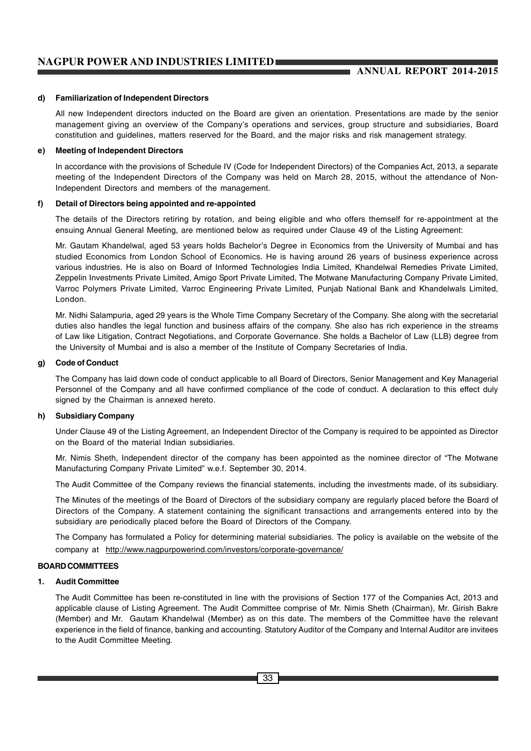#### **d) Familiarization of Independent Directors**

All new Independent directors inducted on the Board are given an orientation. Presentations are made by the senior management giving an overview of the Company's operations and services, group structure and subsidiaries, Board constitution and guidelines, matters reserved for the Board, and the major risks and risk management strategy.

#### **e) Meeting of Independent Directors**

In accordance with the provisions of Schedule IV (Code for Independent Directors) of the Companies Act, 2013, a separate meeting of the Independent Directors of the Company was held on March 28, 2015, without the attendance of Non-Independent Directors and members of the management.

#### **f) Detail of Directors being appointed and re-appointed**

The details of the Directors retiring by rotation, and being eligible and who offers themself for re-appointment at the ensuing Annual General Meeting, are mentioned below as required under Clause 49 of the Listing Agreement:

Mr. Gautam Khandelwal, aged 53 years holds Bachelor's Degree in Economics from the University of Mumbai and has studied Economics from London School of Economics. He is having around 26 years of business experience across various industries. He is also on Board of Informed Technologies India Limited, Khandelwal Remedies Private Limited, Zeppelin Investments Private Limited, Amigo Sport Private Limited, The Motwane Manufacturing Company Private Limited, Varroc Polymers Private Limited, Varroc Engineering Private Limited, Punjab National Bank and Khandelwals Limited, London.

Mr. Nidhi Salampuria, aged 29 years is the Whole Time Company Secretary of the Company. She along with the secretarial duties also handles the legal function and business affairs of the company. She also has rich experience in the streams of Law like Litigation, Contract Negotiations, and Corporate Governance. She holds a Bachelor of Law (LLB) degree from the University of Mumbai and is also a member of the Institute of Company Secretaries of India.

#### **g) Code of Conduct**

The Company has laid down code of conduct applicable to all Board of Directors, Senior Management and Key Managerial Personnel of the Company and all have confirmed compliance of the code of conduct. A declaration to this effect duly signed by the Chairman is annexed hereto.

#### **h) Subsidiary Company**

Under Clause 49 of the Listing Agreement, an Independent Director of the Company is required to be appointed as Director on the Board of the material Indian subsidiaries.

Mr. Nimis Sheth, Independent director of the company has been appointed as the nominee director of "The Motwane Manufacturing Company Private Limited" w.e.f. September 30, 2014.

The Audit Committee of the Company reviews the financial statements, including the investments made, of its subsidiary.

The Minutes of the meetings of the Board of Directors of the subsidiary company are regularly placed before the Board of Directors of the Company. A statement containing the significant transactions and arrangements entered into by the subsidiary are periodically placed before the Board of Directors of the Company.

The Company has formulated a Policy for determining material subsidiaries. The policy is available on the website of the company at http://www.nagpurpowerind.com/investors/corporate-governance/

#### **BOARD COMMITTEES**

# **1. Audit Committee**

The Audit Committee has been re-constituted in line with the provisions of Section 177 of the Companies Act, 2013 and applicable clause of Listing Agreement. The Audit Committee comprise of Mr. Nimis Sheth (Chairman), Mr. Girish Bakre (Member) and Mr. Gautam Khandelwal (Member) as on this date. The members of the Committee have the relevant experience in the field of finance, banking and accounting. Statutory Auditor of the Company and Internal Auditor are invitees to the Audit Committee Meeting.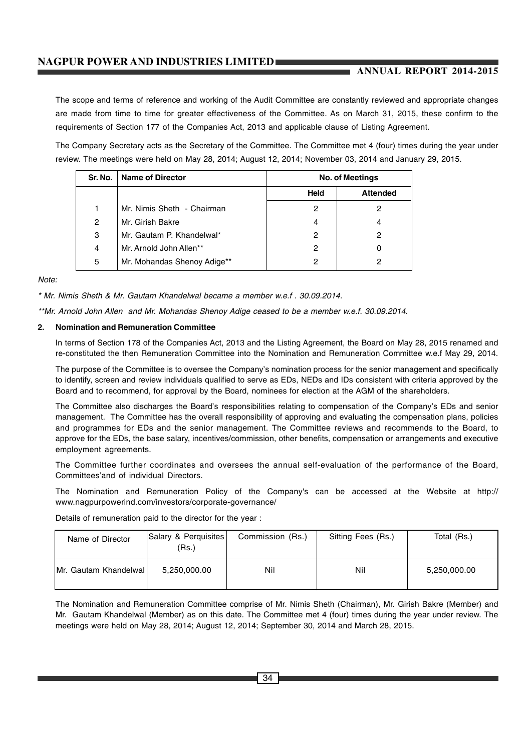# **ANNUAL REPORT 2014-2015**

The scope and terms of reference and working of the Audit Committee are constantly reviewed and appropriate changes are made from time to time for greater effectiveness of the Committee. As on March 31, 2015, these confirm to the requirements of Section 177 of the Companies Act, 2013 and applicable clause of Listing Agreement.

The Company Secretary acts as the Secretary of the Committee. The Committee met 4 (four) times during the year under review. The meetings were held on May 28, 2014; August 12, 2014; November 03, 2014 and January 29, 2015.

| Sr. No. | <b>Name of Director</b>     | No. of Meetings |                 |
|---------|-----------------------------|-----------------|-----------------|
|         |                             | <b>Held</b>     | <b>Attended</b> |
|         | Mr. Nimis Sheth - Chairman  | 2               | 2               |
| 2       | Mr. Girish Bakre            | 4               | 4               |
| 3       | Mr. Gautam P. Khandelwal*   | 2               | 2               |
| 4       | Mr. Arnold John Allen**     | 2               |                 |
| 5       | Mr. Mohandas Shenoy Adige** | 2               |                 |

*Note:*

*\* Mr. Nimis Sheth & Mr. Gautam Khandelwal became a member w.e.f . 30.09.2014.*

*\*\*Mr. Arnold John Allen and Mr. Mohandas Shenoy Adige ceased to be a member w.e.f. 30.09.2014.*

#### **2. Nomination and Remuneration Committee**

In terms of Section 178 of the Companies Act, 2013 and the Listing Agreement, the Board on May 28, 2015 renamed and re-constituted the then Remuneration Committee into the Nomination and Remuneration Committee w.e.f May 29, 2014.

The purpose of the Committee is to oversee the Company's nomination process for the senior management and specifically to identify, screen and review individuals qualified to serve as EDs, NEDs and IDs consistent with criteria approved by the Board and to recommend, for approval by the Board, nominees for election at the AGM of the shareholders.

The Committee also discharges the Board's responsibilities relating to compensation of the Company's EDs and senior management. The Committee has the overall responsibility of approving and evaluating the compensation plans, policies and programmes for EDs and the senior management. The Committee reviews and recommends to the Board, to approve for the EDs, the base salary, incentives/commission, other benefits, compensation or arrangements and executive employment agreements.

The Committee further coordinates and oversees the annual self-evaluation of the performance of the Board, Committees'and of individual Directors.

The Nomination and Remuneration Policy of the Company's can be accessed at the Website at http:// www.nagpurpowerind.com/investors/corporate-governance/

Details of remuneration paid to the director for the year :

| Name of Director      | Salary & Perquisites<br>(Rs.) | Commission (Rs.) | Sitting Fees (Rs.) | Total (Rs.)  |
|-----------------------|-------------------------------|------------------|--------------------|--------------|
| Mr. Gautam Khandelwal | 5,250,000.00                  | Nil              | Nil                | 5,250,000.00 |

The Nomination and Remuneration Committee comprise of Mr. Nimis Sheth (Chairman), Mr. Girish Bakre (Member) and Mr. Gautam Khandelwal (Member) as on this date. The Committee met 4 (four) times during the year under review. The meetings were held on May 28, 2014; August 12, 2014; September 30, 2014 and March 28, 2015.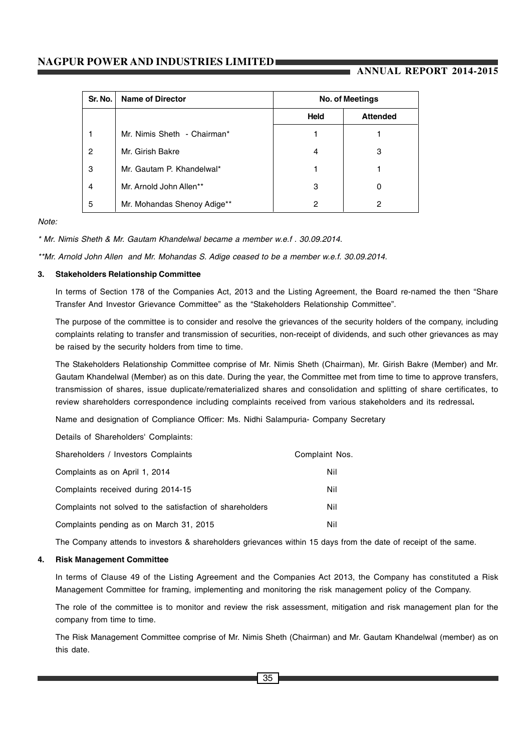# **ANNUAL REPORT 2014-2015**

| Sr. No. | <b>Name of Director</b>     | <b>No. of Meetings</b> |                 |  |
|---------|-----------------------------|------------------------|-----------------|--|
|         |                             | <b>Held</b>            | <b>Attended</b> |  |
|         | Mr. Nimis Sheth - Chairman* |                        |                 |  |
| 2       | Mr. Girish Bakre            | 4                      | 3               |  |
| 3       | Mr. Gautam P. Khandelwal*   |                        |                 |  |
| 4       | Mr. Arnold John Allen**     | 3                      | 0               |  |
| 5       | Mr. Mohandas Shenoy Adige** | 2                      | 2               |  |

*Note:*

*\* Mr. Nimis Sheth & Mr. Gautam Khandelwal became a member w.e.f . 30.09.2014.*

*\*\*Mr. Arnold John Allen and Mr. Mohandas S. Adige ceased to be a member w.e.f. 30.09.2014.*

#### **3. Stakeholders Relationship Committee**

In terms of Section 178 of the Companies Act, 2013 and the Listing Agreement, the Board re-named the then "Share Transfer And Investor Grievance Committee" as the "Stakeholders Relationship Committee".

The purpose of the committee is to consider and resolve the grievances of the security holders of the company, including complaints relating to transfer and transmission of securities, non-receipt of dividends, and such other grievances as may be raised by the security holders from time to time.

The Stakeholders Relationship Committee comprise of Mr. Nimis Sheth (Chairman), Mr. Girish Bakre (Member) and Mr. Gautam Khandelwal (Member) as on this date. During the year, the Committee met from time to time to approve transfers, transmission of shares, issue duplicate/rematerialized shares and consolidation and splitting of share certificates, to review shareholders correspondence including complaints received from various stakeholders and its redressal**.**

Name and designation of Compliance Officer: Ms. Nidhi Salampuria- Company Secretary

Details of Shareholders' Complaints:

| Shareholders / Investors Complaints                       | Complaint Nos. |
|-----------------------------------------------------------|----------------|
| Complaints as on April 1, 2014                            | Nil            |
| Complaints received during 2014-15                        | Nil            |
| Complaints not solved to the satisfaction of shareholders | Nil            |
| Complaints pending as on March 31, 2015                   | Nil            |

The Company attends to investors & shareholders grievances within 15 days from the date of receipt of the same.

#### **4. Risk Management Committee**

In terms of Clause 49 of the Listing Agreement and the Companies Act 2013, the Company has constituted a Risk Management Committee for framing, implementing and monitoring the risk management policy of the Company.

The role of the committee is to monitor and review the risk assessment, mitigation and risk management plan for the company from time to time.

The Risk Management Committee comprise of Mr. Nimis Sheth (Chairman) and Mr. Gautam Khandelwal (member) as on this date.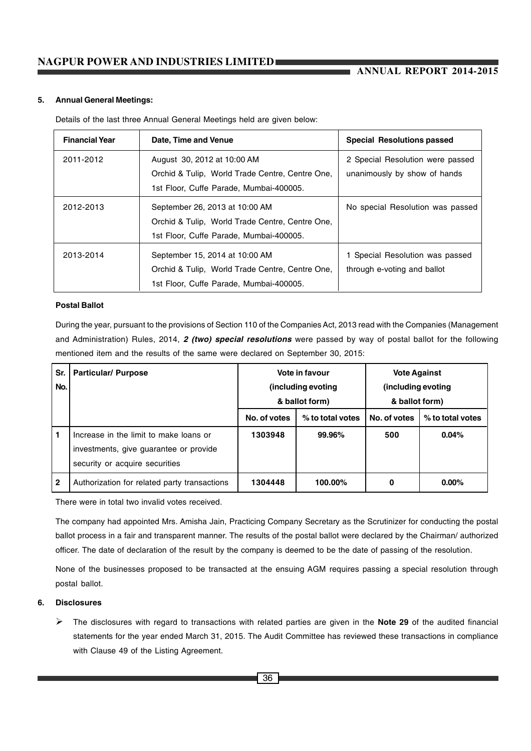**ANNUAL REPORT 2014-2015**

#### **5. Annual General Meetings:**

Details of the last three Annual General Meetings held are given below:

| <b>Financial Year</b> | Date, Time and Venue                            | <b>Special Resolutions passed</b> |
|-----------------------|-------------------------------------------------|-----------------------------------|
| 2011-2012             | August 30, 2012 at 10:00 AM                     | 2 Special Resolution were passed  |
|                       | Orchid & Tulip, World Trade Centre, Centre One, | unanimously by show of hands      |
|                       | 1st Floor, Cuffe Parade, Mumbai-400005.         |                                   |
| 2012-2013             | September 26, 2013 at 10:00 AM                  | No special Resolution was passed  |
|                       | Orchid & Tulip, World Trade Centre, Centre One, |                                   |
|                       | 1st Floor, Cuffe Parade, Mumbai-400005.         |                                   |
| 2013-2014             | September 15, 2014 at 10:00 AM                  | 1 Special Resolution was passed   |
|                       | Orchid & Tulip, World Trade Centre, Centre One, | through e-voting and ballot       |
|                       | 1st Floor, Cuffe Parade, Mumbai-400005.         |                                   |

#### **Postal Ballot**

During the year, pursuant to the provisions of Section 110 of the Companies Act, 2013 read with the Companies (Management and Administration) Rules, 2014, *2 (two) special resolutions* were passed by way of postal ballot for the following mentioned item and the results of the same were declared on September 30, 2015:

| Sr.<br>No.   | <b>Particular/ Purpose</b>                                                                                         | Vote in favour<br>(including evoting<br>& ballot form) |                  | <b>Vote Against</b><br>(including evoting<br>& ballot form) |                  |
|--------------|--------------------------------------------------------------------------------------------------------------------|--------------------------------------------------------|------------------|-------------------------------------------------------------|------------------|
|              |                                                                                                                    | No. of votes                                           | % to total votes | No. of votes                                                | % to total votes |
| $\mathbf{1}$ | Increase in the limit to make loans or<br>investments, give guarantee or provide<br>security or acquire securities | 1303948                                                | 99.96%           | 500                                                         | 0.04%            |
| $\mathbf{2}$ | Authorization for related party transactions                                                                       | 1304448                                                | 100.00%          | 0                                                           | $0.00\%$         |

There were in total two invalid votes received.

The company had appointed Mrs. Amisha Jain, Practicing Company Secretary as the Scrutinizer for conducting the postal ballot process in a fair and transparent manner. The results of the postal ballot were declared by the Chairman/ authorized officer. The date of declaration of the result by the company is deemed to be the date of passing of the resolution.

None of the businesses proposed to be transacted at the ensuing AGM requires passing a special resolution through postal ballot.

#### **6. Disclosures**

- The disclosures with regard to transactions with related parties are given in the **Note 29** of the audited financial statements for the year ended March 31, 2015. The Audit Committee has reviewed these transactions in compliance with Clause 49 of the Listing Agreement.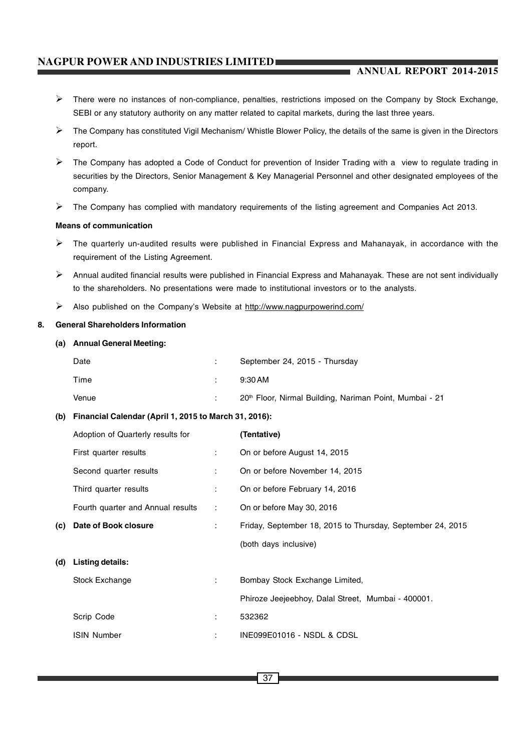## **ANNUAL REPORT 2014-2015**

- > There were no instances of non-compliance, penalties, restrictions imposed on the Company by Stock Exchange, SEBI or any statutory authority on any matter related to capital markets, during the last three years.
- The Company has constituted Vigil Mechanism/ Whistle Blower Policy, the details of the same is given in the Directors report.
- > The Company has adopted a Code of Conduct for prevention of Insider Trading with a view to regulate trading in securities by the Directors, Senior Management & Key Managerial Personnel and other designated employees of the company.
- > The Company has complied with mandatory requirements of the listing agreement and Companies Act 2013.

#### **Means of communication**

- The quarterly un-audited results were published in Financial Express and Mahanayak, in accordance with the requirement of the Listing Agreement.
- Annual audited financial results were published in Financial Express and Mahanayak. These are not sent individually to the shareholders. No presentations were made to institutional investors or to the analysts.
- > Also published on the Company's Website at http://www.nagpurpowerind.com/

#### **8. General Shareholders Information**

#### **(a) Annual General Meeting:**

| Date  | September 24, 2015 - Thursday                                       |
|-------|---------------------------------------------------------------------|
| Time  | $9:30$ AM                                                           |
| Venue | 20 <sup>th</sup> Floor, Nirmal Building, Nariman Point, Mumbai - 21 |

#### **(b) Financial Calendar (April 1, 2015 to March 31, 2016):**

|     | Adoption of Quarterly results for |                          | (Tentative)                                                |
|-----|-----------------------------------|--------------------------|------------------------------------------------------------|
|     | First quarter results             | $\mathcal{L}$            | On or before August 14, 2015                               |
|     | Second quarter results            | ÷.                       | On or before November 14, 2015                             |
|     | Third quarter results             | ÷                        | On or before February 14, 2016                             |
|     | Fourth quarter and Annual results | $\mathcal{L}_{\rm{max}}$ | On or before May 30, 2016                                  |
| (c) | Date of Book closure              | ÷.                       | Friday, September 18, 2015 to Thursday, September 24, 2015 |
|     |                                   |                          | (both days inclusive)                                      |
| (d) | Listing details:                  |                          |                                                            |
|     | Stock Exchange                    | $\mathbb{R}^{n}$         | Bombay Stock Exchange Limited,                             |
|     |                                   |                          | Phiroze Jeejeebhoy, Dalal Street, Mumbai - 400001.         |
|     | Scrip Code                        | ÷                        | 532362                                                     |
|     | <b>ISIN Number</b>                | ÷                        | INE099E01016 - NSDL & CDSL                                 |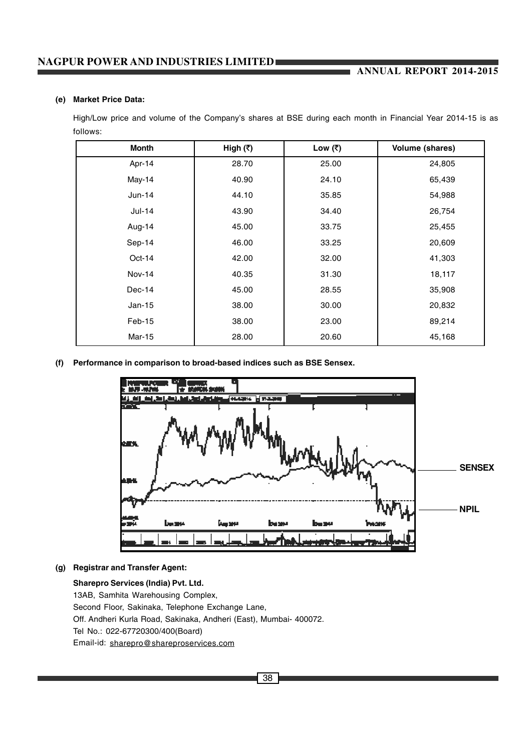# **ANNUAL REPORT 2014-2015**

#### **(e) Market Price Data:**

High/Low price and volume of the Company's shares at BSE during each month in Financial Year 2014-15 is as follows:

| <b>Month</b> | High (₹) | Low $(₹)$ | Volume (shares) |
|--------------|----------|-----------|-----------------|
| Apr-14       | 28.70    | 25.00     | 24,805          |
| May-14       | 40.90    | 24.10     | 65,439          |
| $Jun-14$     | 44.10    | 35.85     | 54,988          |
| $Jul-14$     | 43.90    | 34.40     | 26,754          |
| Aug-14       | 45.00    | 33.75     | 25,455          |
| Sep-14       | 46.00    | 33.25     | 20,609          |
| $Oct-14$     | 42.00    | 32.00     | 41,303          |
| Nov-14       | 40.35    | 31.30     | 18,117          |
| $Dec-14$     | 45.00    | 28.55     | 35,908          |
| $Jan-15$     | 38.00    | 30.00     | 20,832          |
| Feb-15       | 38.00    | 23.00     | 89,214          |
| Mar-15       | 28.00    | 20.60     | 45,168          |

**(f) Performance in comparison to broad-based indices such as BSE Sensex.**



**(g) Registrar and Transfer Agent:**

**Sharepro Services (India) Pvt. Ltd.** 13AB, Samhita Warehousing Complex, Second Floor, Sakinaka, Telephone Exchange Lane, Off. Andheri Kurla Road, Sakinaka, Andheri (East), Mumbai- 400072. Tel No.: 022-67720300/400(Board) Email-id: sharepro@shareproservices.com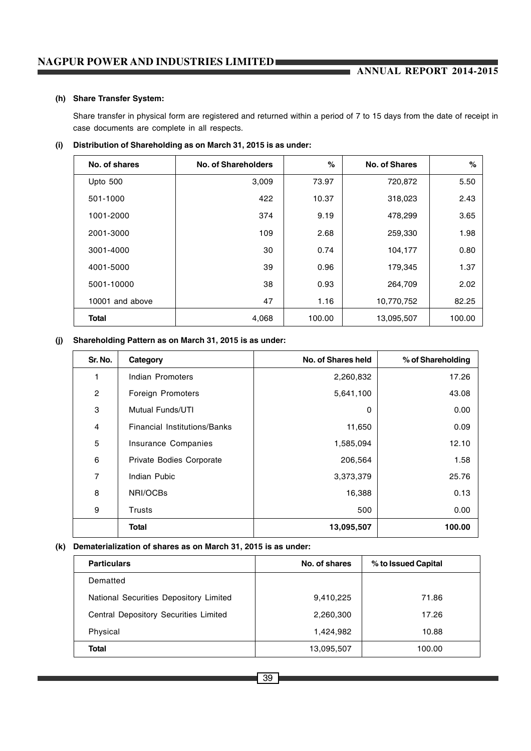# **ANNUAL REPORT 2014-2015**

#### **(h) Share Transfer System:**

Share transfer in physical form are registered and returned within a period of 7 to 15 days from the date of receipt in case documents are complete in all respects.

#### **(i) Distribution of Shareholding as on March 31, 2015 is as under:**

| No. of shares   | No. of Shareholders | $\%$   | No. of Shares | %      |
|-----------------|---------------------|--------|---------------|--------|
| Upto 500        | 3,009               | 73.97  | 720,872       | 5.50   |
| 501-1000        | 422                 | 10.37  | 318,023       | 2.43   |
| 1001-2000       | 374                 | 9.19   | 478,299       | 3.65   |
| 2001-3000       | 109                 | 2.68   | 259,330       | 1.98   |
| 3001-4000       | 30                  | 0.74   | 104,177       | 0.80   |
| 4001-5000       | 39                  | 0.96   | 179,345       | 1.37   |
| 5001-10000      | 38                  | 0.93   | 264,709       | 2.02   |
| 10001 and above | 47                  | 1.16   | 10,770,752    | 82.25  |
| <b>Total</b>    | 4,068               | 100.00 | 13,095,507    | 100.00 |

#### **(j) Shareholding Pattern as on March 31, 2015 is as under:**

| Sr. No.        | Category                     | No. of Shares held | % of Shareholding |
|----------------|------------------------------|--------------------|-------------------|
| 1              | Indian Promoters             | 2,260,832          | 17.26             |
| $\overline{c}$ | Foreign Promoters            | 5,641,100          | 43.08             |
| 3              | Mutual Funds/UTI             | 0                  | 0.00              |
| 4              | Financial Institutions/Banks | 11,650             | 0.09              |
| 5              | Insurance Companies          | 1,585,094          | 12.10             |
| 6              | Private Bodies Corporate     | 206,564            | 1.58              |
| 7              | Indian Pubic                 | 3,373,379          | 25.76             |
| 8              | NRI/OCBs                     | 16,388             | 0.13              |
| 9              | <b>Trusts</b>                | 500                | 0.00              |
|                | <b>Total</b>                 | 13,095,507         | 100.00            |

#### **(k) Dematerialization of shares as on March 31, 2015 is as under:**

| <b>Particulars</b>                     | No. of shares | % to Issued Capital |
|----------------------------------------|---------------|---------------------|
| Dematted                               |               |                     |
| National Securities Depository Limited | 9,410,225     | 71.86               |
| Central Depository Securities Limited  | 2,260,300     | 17.26               |
| Physical                               | 1,424,982     | 10.88               |
| Total                                  | 13,095,507    | 100.00              |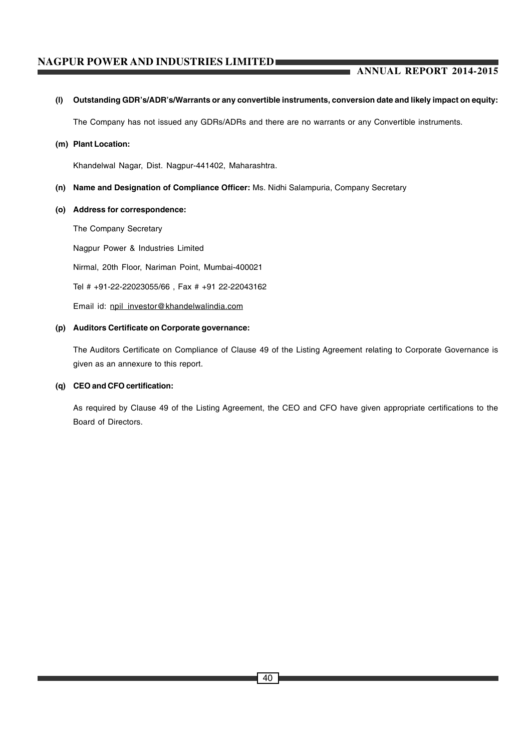# **ANNUAL REPORT 2014-2015**

#### **(l) Outstanding GDR's/ADR's/Warrants or any convertible instruments, conversion date and likely impact on equity:**

The Company has not issued any GDRs/ADRs and there are no warrants or any Convertible instruments.

#### **(m) Plant Location:**

Khandelwal Nagar, Dist. Nagpur-441402, Maharashtra.

- **(n) Name and Designation of Compliance Officer:** Ms. Nidhi Salampuria, Company Secretary
- **(o) Address for correspondence:**

The Company Secretary Nagpur Power & Industries Limited Nirmal, 20th Floor, Nariman Point, Mumbai-400021 Tel # +91-22-22023055/66 , Fax # +91 22-22043162 Email id: npil\_investor@khandelwalindia.com

## **(p) Auditors Certificate on Corporate governance:**

The Auditors Certificate on Compliance of Clause 49 of the Listing Agreement relating to Corporate Governance is given as an annexure to this report.

#### **(q) CEO and CFO certification:**

As required by Clause 49 of the Listing Agreement, the CEO and CFO have given appropriate certifications to the Board of Directors.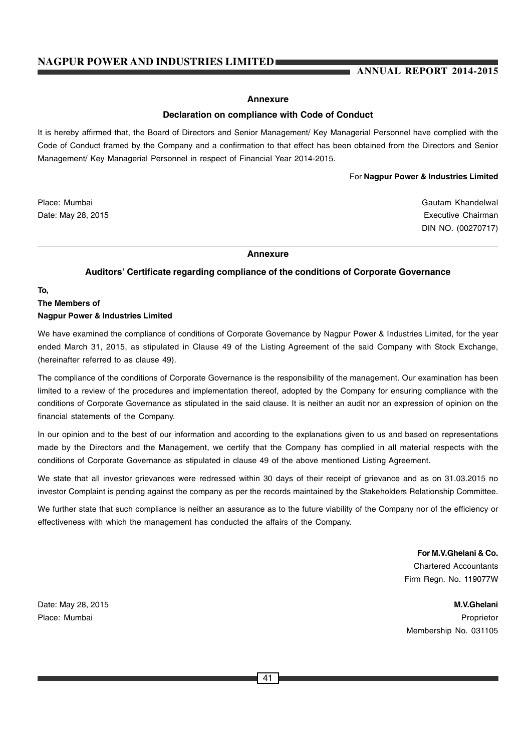## **ANNUAL REPORT 2014-2015**

#### **Annexure**

#### **Declaration on compliance with Code of Conduct**

It is hereby affirmed that, the Board of Directors and Senior Management/ Key Managerial Personnel have complied with the Code of Conduct framed by the Company and a confirmation to that effect has been obtained from the Directors and Senior Management/ Key Managerial Personnel in respect of Financial Year 2014-2015.

For **Nagpur Power & Industries Limited**

Place: Mumbai Gautam Khandelwal Gautam Khandelwal Gautam Khandelwal Gautam Khandelwal Gautam Khandelwal Gautam Khandelwal Gautam Gautam Gautam Gautam Gautam Gautam Gautam Gautam Gautam Gautam Gautam Gautam Gautam Gautam Ga Date: May 28, 2015 **Date:** May 28, 2015 DIN NO. (00270717)

#### **Annexure**

#### **Auditors' Certificate regarding compliance of the conditions of Corporate Governance**

**To,**

# **The Members of Nagpur Power & Industries Limited**

We have examined the compliance of conditions of Corporate Governance by Nagpur Power & Industries Limited, for the year ended March 31, 2015, as stipulated in Clause 49 of the Listing Agreement of the said Company with Stock Exchange, (hereinafter referred to as clause 49).

The compliance of the conditions of Corporate Governance is the responsibility of the management. Our examination has been limited to a review of the procedures and implementation thereof, adopted by the Company for ensuring compliance with the conditions of Corporate Governance as stipulated in the said clause. It is neither an audit nor an expression of opinion on the financial statements of the Company.

In our opinion and to the best of our information and according to the explanations given to us and based on representations made by the Directors and the Management, we certify that the Company has complied in all material respects with the conditions of Corporate Governance as stipulated in clause 49 of the above mentioned Listing Agreement.

We state that all investor grievances were redressed within 30 days of their receipt of grievance and as on 31.03.2015 no investor Complaint is pending against the company as per the records maintained by the Stakeholders Relationship Committee.

We further state that such compliance is neither an assurance as to the future viability of the Company nor of the efficiency or effectiveness with which the management has conducted the affairs of the Company.

> **For M.V.Ghelani & Co.** Chartered Accountants Firm Regn. No. 119077W

Date: May 28, 2015 **M.V.Ghelani** Place: Mumbai Proprietor Membership No. 031105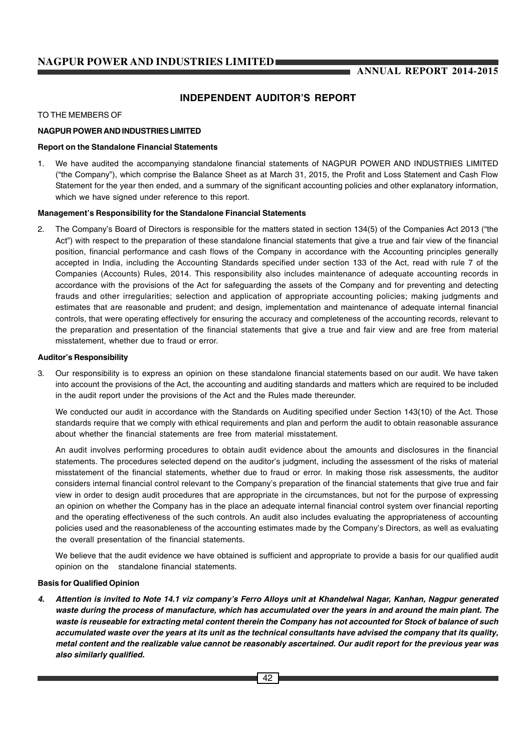# **INDEPENDENT AUDITOR'S REPORT**

#### TO THE MEMBERS OF

#### **NAGPUR POWER AND INDUSTRIES LIMITED**

#### **Report on the Standalone Financial Statements**

1. We have audited the accompanying standalone financial statements of NAGPUR POWER AND INDUSTRIES LIMITED ("the Company"), which comprise the Balance Sheet as at March 31, 2015, the Profit and Loss Statement and Cash Flow Statement for the year then ended, and a summary of the significant accounting policies and other explanatory information, which we have signed under reference to this report.

#### **Management's Responsibility for the Standalone Financial Statements**

2. The Company's Board of Directors is responsible for the matters stated in section 134(5) of the Companies Act 2013 ("the Act") with respect to the preparation of these standalone financial statements that give a true and fair view of the financial position, financial performance and cash flows of the Company in accordance with the Accounting principles generally accepted in India, including the Accounting Standards specified under section 133 of the Act, read with rule 7 of the Companies (Accounts) Rules, 2014. This responsibility also includes maintenance of adequate accounting records in accordance with the provisions of the Act for safeguarding the assets of the Company and for preventing and detecting frauds and other irregularities; selection and application of appropriate accounting policies; making judgments and estimates that are reasonable and prudent; and design, implementation and maintenance of adequate internal financial controls, that were operating effectively for ensuring the accuracy and completeness of the accounting records, relevant to the preparation and presentation of the financial statements that give a true and fair view and are free from material misstatement, whether due to fraud or error.

#### **Auditor's Responsibility**

3. Our responsibility is to express an opinion on these standalone financial statements based on our audit. We have taken into account the provisions of the Act, the accounting and auditing standards and matters which are required to be included in the audit report under the provisions of the Act and the Rules made thereunder.

We conducted our audit in accordance with the Standards on Auditing specified under Section 143(10) of the Act. Those standards require that we comply with ethical requirements and plan and perform the audit to obtain reasonable assurance about whether the financial statements are free from material misstatement.

An audit involves performing procedures to obtain audit evidence about the amounts and disclosures in the financial statements. The procedures selected depend on the auditor's judgment, including the assessment of the risks of material misstatement of the financial statements, whether due to fraud or error. In making those risk assessments, the auditor considers internal financial control relevant to the Company's preparation of the financial statements that give true and fair view in order to design audit procedures that are appropriate in the circumstances, but not for the purpose of expressing an opinion on whether the Company has in the place an adequate internal financial control system over financial reporting and the operating effectiveness of the such controls. An audit also includes evaluating the appropriateness of accounting policies used and the reasonableness of the accounting estimates made by the Company's Directors, as well as evaluating the overall presentation of the financial statements.

We believe that the audit evidence we have obtained is sufficient and appropriate to provide a basis for our qualified audit opinion on the standalone financial statements.

#### **Basis for Qualified Opinion**

*4. Attention is invited to Note 14.1 viz company's Ferro Alloys unit at Khandelwal Nagar, Kanhan, Nagpur generated waste during the process of manufacture, which has accumulated over the years in and around the main plant. The waste is reuseable for extracting metal content therein the Company has not accounted for Stock of balance of such accumulated waste over the years at its unit as the technical consultants have advised the company that its quality, metal content and the realizable value cannot be reasonably ascertained. Our audit report for the previous year was also similarly qualified.*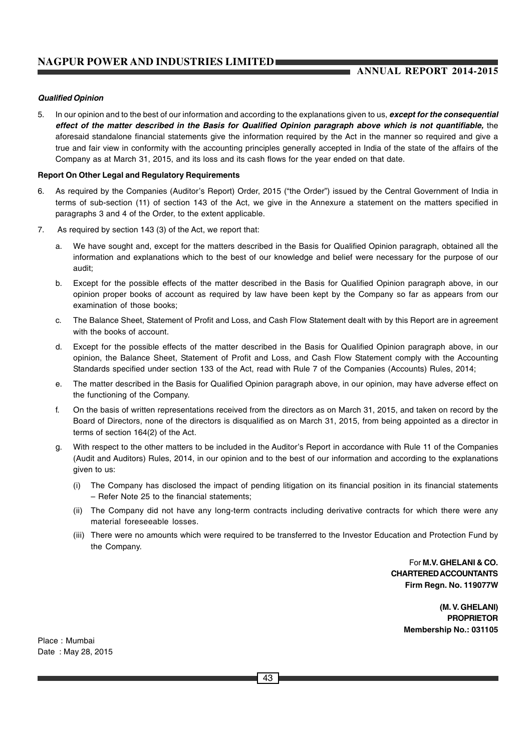# **ANNUAL REPORT 2014-2015**

#### *Qualified Opinion*

5. In our opinion and to the best of our information and according to the explanations given to us, *except for the consequential* effect of the matter described in the Basis for Qualified Opinion paragraph above which is not quantifiable, the aforesaid standalone financial statements give the information required by the Act in the manner so required and give a true and fair view in conformity with the accounting principles generally accepted in India of the state of the affairs of the Company as at March 31, 2015, and its loss and its cash flows for the year ended on that date.

#### **Report On Other Legal and Regulatory Requirements**

- 6. As required by the Companies (Auditor's Report) Order, 2015 ("the Order") issued by the Central Government of India in terms of sub-section (11) of section 143 of the Act, we give in the Annexure a statement on the matters specified in paragraphs 3 and 4 of the Order, to the extent applicable.
- 7. As required by section 143 (3) of the Act, we report that:
	- a. We have sought and, except for the matters described in the Basis for Qualified Opinion paragraph, obtained all the information and explanations which to the best of our knowledge and belief were necessary for the purpose of our audit;
	- b. Except for the possible effects of the matter described in the Basis for Qualified Opinion paragraph above, in our opinion proper books of account as required by law have been kept by the Company so far as appears from our examination of those books;
	- c. The Balance Sheet, Statement of Profit and Loss, and Cash Flow Statement dealt with by this Report are in agreement with the books of account.
	- d. Except for the possible effects of the matter described in the Basis for Qualified Opinion paragraph above, in our opinion, the Balance Sheet, Statement of Profit and Loss, and Cash Flow Statement comply with the Accounting Standards specified under section 133 of the Act, read with Rule 7 of the Companies (Accounts) Rules, 2014;
	- e. The matter described in the Basis for Qualified Opinion paragraph above, in our opinion, may have adverse effect on the functioning of the Company.
	- f. On the basis of written representations received from the directors as on March 31, 2015, and taken on record by the Board of Directors, none of the directors is disqualified as on March 31, 2015, from being appointed as a director in terms of section 164(2) of the Act.
	- With respect to the other matters to be included in the Auditor's Report in accordance with Rule 11 of the Companies (Audit and Auditors) Rules, 2014, in our opinion and to the best of our information and according to the explanations given to us:
		- (i) The Company has disclosed the impact of pending litigation on its financial position in its financial statements – Refer Note 25 to the financial statements;
		- (ii) The Company did not have any long-term contracts including derivative contracts for which there were any material foreseeable losses.
		- (iii) There were no amounts which were required to be transferred to the Investor Education and Protection Fund by the Company.

For **M.V. GHELANI & CO. CHARTERED ACCOUNTANTS Firm Regn. No. 119077W**

> **(M. V. GHELANI) PROPRIETOR Membership No.: 031105**

Place : Mumbai Date : May 28, 2015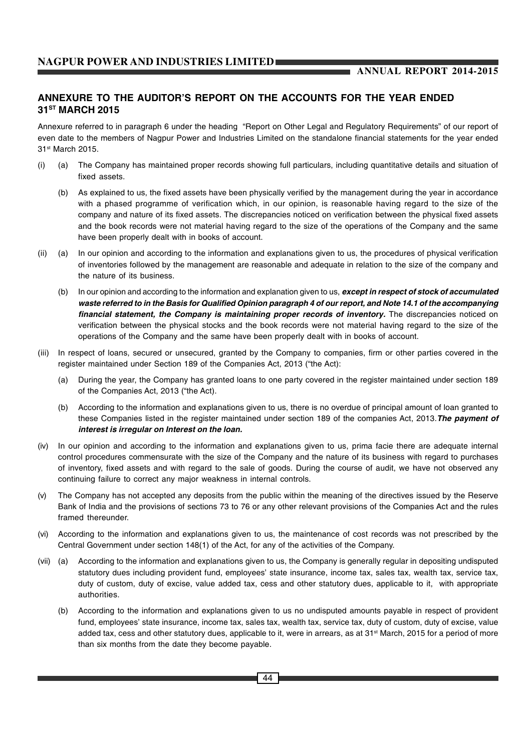# **ANNEXURE TO THE AUDITOR'S REPORT ON THE ACCOUNTS FOR THE YEAR ENDED 31ST MARCH 2015**

Annexure referred to in paragraph 6 under the heading "Report on Other Legal and Regulatory Requirements" of our report of even date to the members of Nagpur Power and Industries Limited on the standalone financial statements for the year ended 31st March 2015.

- (i) (a) The Company has maintained proper records showing full particulars, including quantitative details and situation of fixed assets.
	- (b) As explained to us, the fixed assets have been physically verified by the management during the year in accordance with a phased programme of verification which, in our opinion, is reasonable having regard to the size of the company and nature of its fixed assets. The discrepancies noticed on verification between the physical fixed assets and the book records were not material having regard to the size of the operations of the Company and the same have been properly dealt with in books of account.
- (ii) (a) In our opinion and according to the information and explanations given to us, the procedures of physical verification of inventories followed by the management are reasonable and adequate in relation to the size of the company and the nature of its business.
	- (b) In our opinion and according to the information and explanation given to us, *except in respect of stock of accumulated waste referred to in the Basis for Qualified Opinion paragraph 4 of our report, and Note 14.1 of the accompanying financial statement, the Company is maintaining proper records of inventory.* The discrepancies noticed on verification between the physical stocks and the book records were not material having regard to the size of the operations of the Company and the same have been properly dealt with in books of account.
- (iii) In respect of loans, secured or unsecured, granted by the Company to companies, firm or other parties covered in the register maintained under Section 189 of the Companies Act, 2013 ("the Act):
	- (a) During the year, the Company has granted loans to one party covered in the register maintained under section 189 of the Companies Act, 2013 ("the Act).
	- (b) According to the information and explanations given to us, there is no overdue of principal amount of loan granted to these Companies listed in the register maintained under section 189 of the companies Act, 2013.*The payment of interest is irregular on Interest on the loan.*
- (iv) In our opinion and according to the information and explanations given to us, prima facie there are adequate internal control procedures commensurate with the size of the Company and the nature of its business with regard to purchases of inventory, fixed assets and with regard to the sale of goods. During the course of audit, we have not observed any continuing failure to correct any major weakness in internal controls.
- (v) The Company has not accepted any deposits from the public within the meaning of the directives issued by the Reserve Bank of India and the provisions of sections 73 to 76 or any other relevant provisions of the Companies Act and the rules framed thereunder.
- (vi) According to the information and explanations given to us, the maintenance of cost records was not prescribed by the Central Government under section 148(1) of the Act, for any of the activities of the Company.
- (vii) (a) According to the information and explanations given to us, the Company is generally regular in depositing undisputed statutory dues including provident fund, employees' state insurance, income tax, sales tax, wealth tax, service tax, duty of custom, duty of excise, value added tax, cess and other statutory dues, applicable to it, with appropriate authorities.
	- (b) According to the information and explanations given to us no undisputed amounts payable in respect of provident fund, employees' state insurance, income tax, sales tax, wealth tax, service tax, duty of custom, duty of excise, value added tax, cess and other statutory dues, applicable to it, were in arrears, as at 31<sup>st</sup> March, 2015 for a period of more than six months from the date they become payable.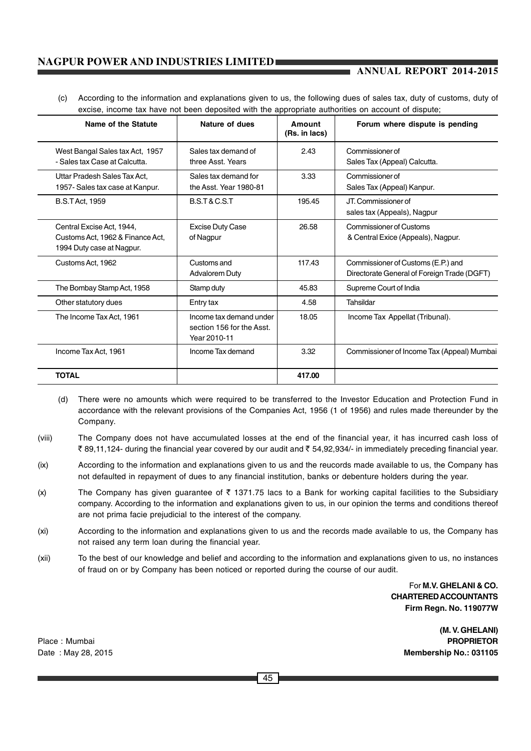## **ANNUAL REPORT 2014-2015**

(c) According to the information and explanations given to us, the following dues of sales tax, duty of customs, duty of excise, income tax have not been deposited with the appropriate authorities on account of dispute;

| Name of the Statute                                                                        | Nature of dues                                                       | Amount<br>(Rs. in lacs) | Forum where dispute is pending                                                    |
|--------------------------------------------------------------------------------------------|----------------------------------------------------------------------|-------------------------|-----------------------------------------------------------------------------------|
| West Bangal Sales tax Act, 1957<br>- Sales tax Case at Calcutta.                           | Sales tax demand of<br>three Asst. Years                             | 2.43                    | Commissioner of<br>Sales Tax (Appeal) Calcutta.                                   |
| Uttar Pradesh Sales Tax Act.<br>1957- Sales tax case at Kanpur.                            | Sales tax demand for<br>the Asst. Year 1980-81                       | 3.33                    | Commissioner of<br>Sales Tax (Appeal) Kanpur.                                     |
| <b>B.S.T Act. 1959</b>                                                                     | <b>B.S.T &amp; C.S.T</b>                                             | 195.45                  | JT. Commissioner of<br>sales tax (Appeals), Nagpur                                |
| Central Excise Act, 1944,<br>Customs Act, 1962 & Finance Act,<br>1994 Duty case at Nagpur. | <b>Excise Duty Case</b><br>of Nagpur                                 | 26.58                   | Commissioner of Customs<br>& Central Exice (Appeals), Nagpur.                     |
| Customs Act, 1962                                                                          | Customs and<br><b>Advalorem Duty</b>                                 | 117.43                  | Commissioner of Customs (E.P.) and<br>Directorate General of Foreign Trade (DGFT) |
| The Bombay Stamp Act, 1958                                                                 | Stamp duty                                                           | 45.83                   | Supreme Court of India                                                            |
| Other statutory dues                                                                       | Entry tax                                                            | 4.58                    | Tahsildar                                                                         |
| The Income Tax Act, 1961                                                                   | Income tax demand under<br>section 156 for the Asst.<br>Year 2010-11 | 18.05                   | Income Tax Appellat (Tribunal).                                                   |
| Income Tax Act, 1961                                                                       | Income Tax demand                                                    | 3.32                    | Commissioner of Income Tax (Appeal) Mumbai                                        |
| <b>TOTAL</b>                                                                               |                                                                      | 417.00                  |                                                                                   |

- (d) There were no amounts which were required to be transferred to the Investor Education and Protection Fund in accordance with the relevant provisions of the Companies Act, 1956 (1 of 1956) and rules made thereunder by the Company.
- (viii) The Company does not have accumulated losses at the end of the financial year, it has incurred cash loss of ₹ 89,11,124- during the financial year covered by our audit and ₹ 54,92,934/- in immediately preceding financial year.
- (ix) According to the information and explanations given to us and the reucords made available to us, the Company has not defaulted in repayment of dues to any financial institution, banks or debenture holders during the year.
- (x) The Company has given guarantee of  $\bar{\tau}$  1371.75 lacs to a Bank for working capital facilities to the Subsidiary company. According to the information and explanations given to us, in our opinion the terms and conditions thereof are not prima facie prejudicial to the interest of the company.
- (xi) According to the information and explanations given to us and the records made available to us, the Company has not raised any term loan during the financial year.
- (xii) To the best of our knowledge and belief and according to the information and explanations given to us, no instances of fraud on or by Company has been noticed or reported during the course of our audit.

For **M.V. GHELANI & CO. CHARTERED ACCOUNTANTS Firm Regn. No. 119077W**

**(M. V. GHELANI)** Place : Mumbai **PROPRIETOR** Date : May 28, 2015 **Membership No.: 031105**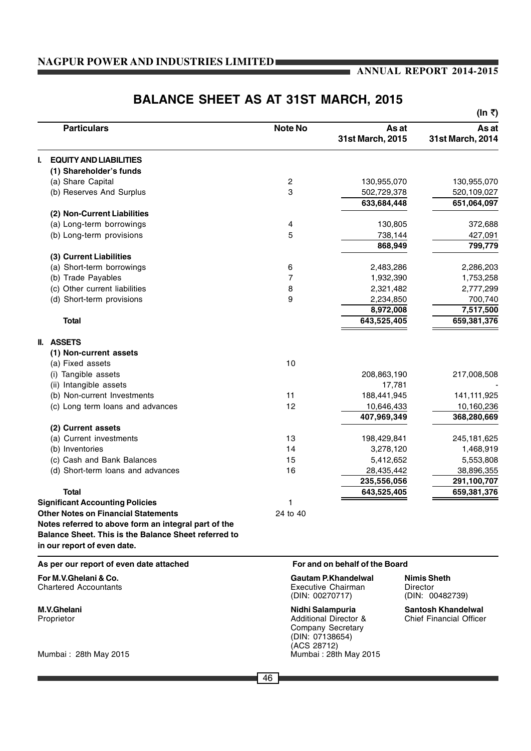#### **ANNUAL REPORT 2014-2015**

# **(In** `**)** Particulars **Alternative Constructs As at As at** As at As at As at As at As at As at As at As at As at As at As at **31st March, 2015 31st March, 2014 I. EQUITY AND LIABILITIES (1) Shareholder's funds** (a) Share Capital 2 130,955,070 130,955,070 (b) Reserves And Surplus 3 502,729,378 520,109,027  **633,684,448 651,064,097 (2) Non-Current Liabilities** (a) Long-term borrowings 4 130,805 372,688 (b) Long-term provisions 5 738,144 427,091  **868,949 799,779 (3) Current Liabilities** (a) Short-term borrowings 6 2,483,286 2,286,203 (b) Trade Payables 7 1,932,390 1,753,258 (c) Other current liabilities 8 2,321,482 2,777,299 (d) Short-term provisions 9 2,234,850 700,740  **8,972,008 7,517,500 Total 643,525,405 659,381,376 II. ASSETS (1) Non-current assets** (a) Fixed assets 10 (i) Tangible assets 208,863,190 217,008,508 (ii) Intangible assets 17,781 (b) Non-current Investments 11 188,441,945 141,111,925 (c) Long term loans and advances 12 10,646,433 10,160,236 **407,969,349 368,280,669 (2) Current assets** (a) Current investments 13 198,429,841 245,181,625 (b) Inventories 14 3,278,120 1,468,919 (c) Cash and Bank Balances (c) Cash and Bank Balances (c) S.412,652 5,553,808 (d) Short-term loans and advances 16 28,435,442 38,896,355 **235,556,056 291,100,707 Total 643,525,405 659,381,376 Significant Accounting Policies** 1 **Other Notes on Financial Statements** 24 to 40 **Notes referred to above form an integral part of the Balance Sheet. This is the Balance Sheet referred to in our report of even date. As per our report of even date attached For and on behalf of the Board For M.V.Ghelani & Co. Gautam P.Khandelwal Nimis Sheth**<br>
Chartered Accountants **Gautam Executive Chairman** Director Executive Chairman Director<br>
(DIN: 00270717) (DIN: 00 (DIN: 00482739) **M.V.Ghelani Nidhi Salampuria Santosh Khandelwal** Proprietor **Additional Director & Chief Financial Officer** Additional Director &

# **BALANCE SHEET AS AT 31ST MARCH, 2015**

Mumbai : 28th May 2015 Mumbai : 28th May 2015

Company Secretary (DIN: 07138654) (ACS 28712)

#### 46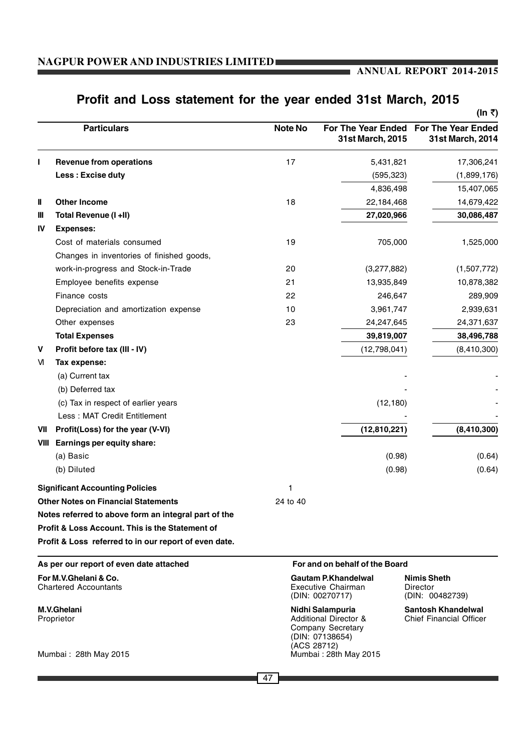# **ANNUAL REPORT 2014-2015**

# **Profit and Loss statement for the year ended 31st March, 2015**

| <b>Particulars</b><br><b>Revenue from operations</b>       | <b>Note No</b> |                  | For The Year Ended For The Year Ended                                                                                                                                                                                              |
|------------------------------------------------------------|----------------|------------------|------------------------------------------------------------------------------------------------------------------------------------------------------------------------------------------------------------------------------------|
|                                                            |                | 31st March, 2015 | 31st March, 2014                                                                                                                                                                                                                   |
|                                                            | 17             | 5,431,821        | 17,306,241                                                                                                                                                                                                                         |
| Less: Excise duty                                          |                | (595, 323)       | (1,899,176)                                                                                                                                                                                                                        |
|                                                            |                | 4,836,498        | 15,407,065                                                                                                                                                                                                                         |
| <b>Other Income</b>                                        | 18             | 22,184,468       | 14,679,422                                                                                                                                                                                                                         |
| Total Revenue (I +II)                                      |                | 27,020,966       | 30,086,487                                                                                                                                                                                                                         |
| <b>Expenses:</b>                                           |                |                  |                                                                                                                                                                                                                                    |
| Cost of materials consumed                                 | 19             | 705,000          | 1,525,000                                                                                                                                                                                                                          |
| Changes in inventories of finished goods,                  |                |                  |                                                                                                                                                                                                                                    |
| work-in-progress and Stock-in-Trade                        | 20             | (3,277,882)      | (1,507,772)                                                                                                                                                                                                                        |
| Employee benefits expense                                  | 21             | 13,935,849       | 10,878,382                                                                                                                                                                                                                         |
| Finance costs                                              | 22             | 246,647          | 289,909                                                                                                                                                                                                                            |
| Depreciation and amortization expense                      | 10             | 3,961,747        | 2,939,631                                                                                                                                                                                                                          |
| Other expenses                                             | 23             | 24,247,645       | 24,371,637                                                                                                                                                                                                                         |
| <b>Total Expenses</b>                                      |                | 39,819,007       | 38,496,788                                                                                                                                                                                                                         |
| Profit before tax (III - IV)                               |                | (12,798,041)     | (8,410,300)                                                                                                                                                                                                                        |
| Tax expense:                                               |                |                  |                                                                                                                                                                                                                                    |
| (a) Current tax                                            |                |                  |                                                                                                                                                                                                                                    |
| (b) Deferred tax                                           |                |                  |                                                                                                                                                                                                                                    |
| (c) Tax in respect of earlier years                        |                | (12, 180)        |                                                                                                                                                                                                                                    |
| Less: MAT Credit Entitlement                               |                |                  |                                                                                                                                                                                                                                    |
| Profit(Loss) for the year (V-VI)                           |                | (12, 810, 221)   | (8,410,300)                                                                                                                                                                                                                        |
| Earnings per equity share:                                 |                |                  |                                                                                                                                                                                                                                    |
| (a) Basic                                                  |                | (0.98)           | (0.64)                                                                                                                                                                                                                             |
| (b) Diluted                                                |                | (0.98)           | (0.64)                                                                                                                                                                                                                             |
| <b>Significant Accounting Policies</b>                     |                |                  |                                                                                                                                                                                                                                    |
| <b>Other Notes on Financial Statements</b>                 | 24 to 40       |                  |                                                                                                                                                                                                                                    |
| Notes referred to above form an integral part of the       |                |                  |                                                                                                                                                                                                                                    |
| <b>Profit &amp; Loss Account. This is the Statement of</b> |                |                  |                                                                                                                                                                                                                                    |
| Profit & Loss referred to in our report of even date.      |                |                  |                                                                                                                                                                                                                                    |
| As per our report of even date attached                    |                |                  |                                                                                                                                                                                                                                    |
| For M.V.Ghelani & Co.<br><b>Chartered Accountants</b>      |                |                  | <b>Nimis Sheth</b><br>Director<br>(DIN: 00482739)                                                                                                                                                                                  |
| <b>M.V.Ghelani</b><br>Proprietor<br>Mumbai: 28th May 2015  |                |                  | <b>Santosh Khandelwal</b><br>Chief Financial Officer                                                                                                                                                                               |
|                                                            |                |                  | For and on behalf of the Board<br>Gautam P.Khandelwal<br><b>Executive Chairman</b><br>(DIN: 00270717)<br>Nidhi Salampuria<br>Additional Director &<br>Company Secretary<br>(DIN: 07138654)<br>(ACS 28712)<br>Mumbai: 28th May 2015 |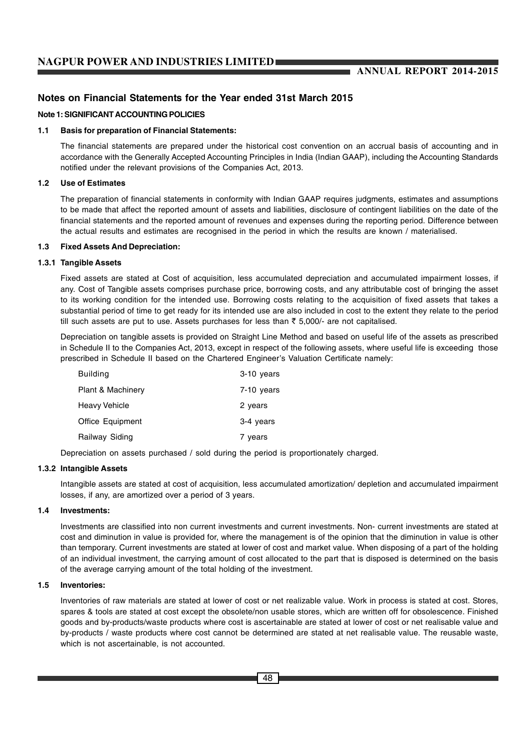# **ANNUAL REPORT 2014-2015**

# **Notes on Financial Statements for the Year ended 31st March 2015**

#### **Note 1: SIGNIFICANT ACCOUNTING POLICIES**

#### **1.1 Basis for preparation of Financial Statements:**

The financial statements are prepared under the historical cost convention on an accrual basis of accounting and in accordance with the Generally Accepted Accounting Principles in India (Indian GAAP), including the Accounting Standards notified under the relevant provisions of the Companies Act, 2013.

#### **1.2 Use of Estimates**

The preparation of financial statements in conformity with Indian GAAP requires judgments, estimates and assumptions to be made that affect the reported amount of assets and liabilities, disclosure of contingent liabilities on the date of the financial statements and the reported amount of revenues and expenses during the reporting period. Difference between the actual results and estimates are recognised in the period in which the results are known / materialised.

#### **1.3 Fixed Assets And Depreciation:**

#### **1.3.1 Tangible Assets**

Fixed assets are stated at Cost of acquisition, less accumulated depreciation and accumulated impairment losses, if any. Cost of Tangible assets comprises purchase price, borrowing costs, and any attributable cost of bringing the asset to its working condition for the intended use. Borrowing costs relating to the acquisition of fixed assets that takes a substantial period of time to get ready for its intended use are also included in cost to the extent they relate to the period till such assets are put to use. Assets purchases for less than  $\bar{\tau}$  5,000/- are not capitalised.

Depreciation on tangible assets is provided on Straight Line Method and based on useful life of the assets as prescribed in Schedule II to the Companies Act, 2013, except in respect of the following assets, where useful life is exceeding those prescribed in Schedule II based on the Chartered Engineer's Valuation Certificate namely:

| <b>Building</b>              | 3-10 years |
|------------------------------|------------|
| <b>Plant &amp; Machinery</b> | 7-10 years |
| <b>Heavy Vehicle</b>         | 2 years    |
| <b>Office Equipment</b>      | 3-4 years  |
| Railway Siding               | 7 years    |

Depreciation on assets purchased / sold during the period is proportionately charged.

#### **1.3.2 Intangible Assets**

Intangible assets are stated at cost of acquisition, less accumulated amortization/ depletion and accumulated impairment losses, if any, are amortized over a period of 3 years.

#### **1.4 Investments:**

Investments are classified into non current investments and current investments. Non- current investments are stated at cost and diminution in value is provided for, where the management is of the opinion that the diminution in value is other than temporary. Current investments are stated at lower of cost and market value. When disposing of a part of the holding of an individual investment, the carrying amount of cost allocated to the part that is disposed is determined on the basis of the average carrying amount of the total holding of the investment.

#### **1.5 Inventories:**

Inventories of raw materials are stated at lower of cost or net realizable value. Work in process is stated at cost. Stores, spares & tools are stated at cost except the obsolete/non usable stores, which are written off for obsolescence. Finished goods and by-products/waste products where cost is ascertainable are stated at lower of cost or net realisable value and by-products / waste products where cost cannot be determined are stated at net realisable value. The reusable waste, which is not ascertainable, is not accounted.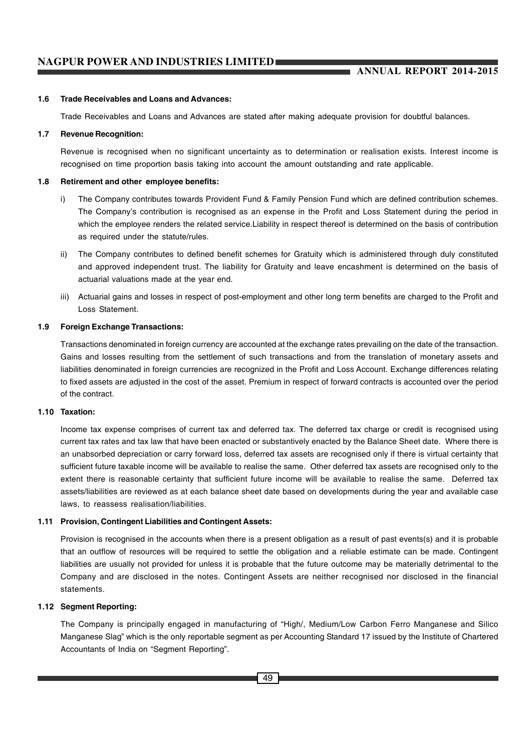#### **1.6 Trade Receivables and Loans and Advances:**

Trade Receivables and Loans and Advances are stated after making adequate provision for doubtful balances.

#### **1.7 Revenue Recognition:**

Revenue is recognised when no significant uncertainty as to determination or realisation exists. Interest income is recognised on time proportion basis taking into account the amount outstanding and rate applicable.

#### **1.8 Retirement and other employee benefits:**

- i) The Company contributes towards Provident Fund & Family Pension Fund which are defined contribution schemes. The Company's contribution is recognised as an expense in the Profit and Loss Statement during the period in which the employee renders the related service.Liability in respect thereof is determined on the basis of contribution as required under the statute/rules.
- ii) The Company contributes to defined benefit schemes for Gratuity which is administered through duly constituted and approved independent trust. The liability for Gratuity and leave encashment is determined on the basis of actuarial valuations made at the year end.
- iii) Actuarial gains and losses in respect of post-employment and other long term benefits are charged to the Profit and Loss Statement.

#### **1.9 Foreign Exchange Transactions:**

Transactions denominated in foreign currency are accounted at the exchange rates prevailing on the date of the transaction. Gains and losses resulting from the settlement of such transactions and from the translation of monetary assets and liabilities denominated in foreign currencies are recognized in the Profit and Loss Account. Exchange differences relating to fixed assets are adjusted in the cost of the asset. Premium in respect of forward contracts is accounted over the period of the contract.

#### **1.10 Taxation:**

Income tax expense comprises of current tax and deferred tax. The deferred tax charge or credit is recognised using current tax rates and tax law that have been enacted or substantively enacted by the Balance Sheet date. Where there is an unabsorbed depreciation or carry forward loss, deferred tax assets are recognised only if there is virtual certainty that sufficient future taxable income will be available to realise the same. Other deferred tax assets are recognised only to the extent there is reasonable certainty that sufficient future income will be available to realise the same. Deferred tax assets/liabilities are reviewed as at each balance sheet date based on developments during the year and available case laws, to reassess realisation/liabilities.

#### **1.11 Provision, Contingent Liabilities and Contingent Assets:**

Provision is recognised in the accounts when there is a present obligation as a result of past events(s) and it is probable that an outflow of resources will be required to settle the obligation and a reliable estimate can be made. Contingent liabilities are usually not provided for unless it is probable that the future outcome may be materially detrimental to the Company and are disclosed in the notes. Contingent Assets are neither recognised nor disclosed in the financial statements.

#### **1.12 Segment Reporting:**

The Company is principally engaged in manufacturing of "High/, Medium/Low Carbon Ferro Manganese and Silico Manganese Slag" which is the only reportable segment as per Accounting Standard 17 issued by the Institute of Chartered Accountants of India on "Segment Reporting".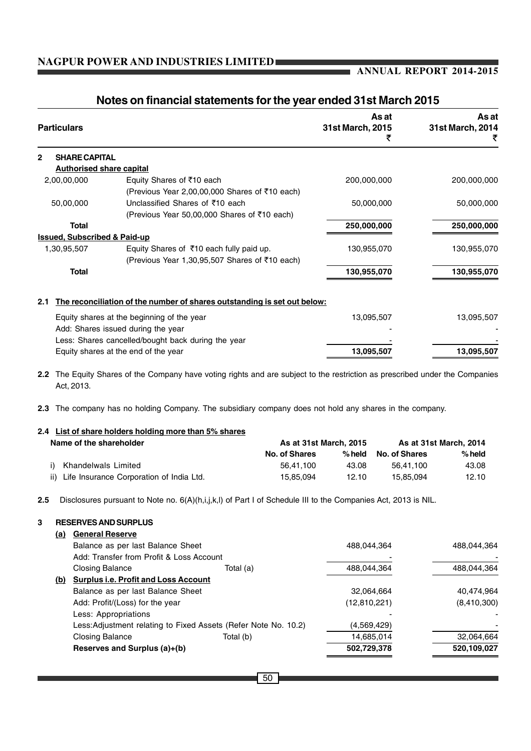# **ANNUAL REPORT 2014-2015**

٠

| <b>Particulars</b>                      |                                                                                                                          | As at<br>31st March, 2015<br>₹ | As at<br>31st March, 2014 |
|-----------------------------------------|--------------------------------------------------------------------------------------------------------------------------|--------------------------------|---------------------------|
| <b>SHARE CAPITAL</b><br>2               |                                                                                                                          |                                |                           |
| <b>Authorised share capital</b>         |                                                                                                                          |                                |                           |
| 2,00,00,000                             | Equity Shares of ₹10 each                                                                                                | 200,000,000                    | 200,000,000               |
|                                         | (Previous Year 2,00,00,000 Shares of ₹10 each)                                                                           |                                |                           |
| 50,00,000                               | Unclassified Shares of ₹10 each                                                                                          | 50,000,000                     | 50,000,000                |
|                                         | (Previous Year 50,00,000 Shares of ₹10 each)                                                                             |                                |                           |
| <b>Total</b>                            |                                                                                                                          | 250,000,000                    | 250,000,000               |
| <b>Issued, Subscribed &amp; Paid-up</b> |                                                                                                                          |                                |                           |
| 1,30,95,507                             | Equity Shares of ₹10 each fully paid up.                                                                                 | 130,955,070                    | 130,955,070               |
|                                         | (Previous Year 1,30,95,507 Shares of ₹10 each)                                                                           |                                |                           |
| <b>Total</b>                            |                                                                                                                          | 130,955,070                    | 130,955,070               |
| 2.1                                     | The reconciliation of the number of shares outstanding is set out below:                                                 |                                |                           |
|                                         | Equity shares at the beginning of the year                                                                               | 13,095,507                     | 13,095,507                |
|                                         | Add: Shares issued during the year                                                                                       |                                |                           |
|                                         | Less: Shares cancelled/bought back during the year                                                                       |                                |                           |
|                                         | Equity shares at the end of the year                                                                                     | 13,095,507                     | 13,095,507                |
| 2.2<br>Act, 2013.                       | The Equity Shares of the Company have voting rights and are subject to the restriction as prescribed under the Companies |                                |                           |

# **Notes on financial statements for the year ended 31st March 2015**

**2.3** The company has no holding Company. The subsidiary company does not hold any shares in the company.

# **2.4 List of share holders holding more than 5% shares** Name of the shareholder **As at 31st March, 2015** As at 31st March, 2014 **No. of Shares % held No. of Shares % held**

i) Khandelwals Limited 56,41,100 43.08 56,41,100 43.08 ii) Life Insurance Corporation of India Ltd. 15,85,094 12.10 15,85,094 12.10

**2.5** Disclosures pursuant to Note no. 6(A)(h,i,j,k,l) of Part I of Schedule III to the Companies Act, 2013 is NIL.

#### **3 RESERVES AND SURPLUS**

| <u>(a)</u> | <b>General Reserve</b>                      |                                                                 |              |             |
|------------|---------------------------------------------|-----------------------------------------------------------------|--------------|-------------|
|            | Balance as per last Balance Sheet           |                                                                 | 488.044.364  | 488.044.364 |
|            | Add: Transfer from Profit & Loss Account    |                                                                 |              |             |
|            | <b>Closing Balance</b>                      | Total (a)                                                       | 488,044,364  | 488,044,364 |
| (b)        | <b>Surplus i.e. Profit and Loss Account</b> |                                                                 |              |             |
|            | Balance as per last Balance Sheet           |                                                                 | 32,064,664   | 40,474,964  |
|            | Add: Profit/(Loss) for the year             |                                                                 | (12,810,221) | (8,410,300) |
|            | Less: Appropriations                        |                                                                 |              |             |
|            |                                             | Less: Adjustment relating to Fixed Assets (Refer Note No. 10.2) | (4,569,429)  |             |
|            | <b>Closing Balance</b>                      | Total (b)                                                       | 14,685,014   | 32,064,664  |
|            | Reserves and Surplus (a)+(b)                |                                                                 | 502,729,378  | 520,109,027 |
|            |                                             |                                                                 |              |             |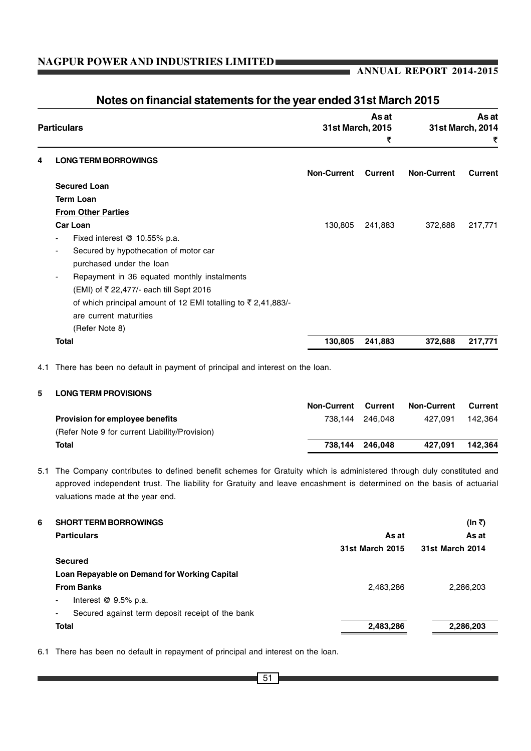## **ANNUAL REPORT 2014-2015**

|   | <b>Particulars</b>                                                         | 31st March, 2015   | As at<br>₹ |                    | As at<br>31st March, 2014<br>₹ |
|---|----------------------------------------------------------------------------|--------------------|------------|--------------------|--------------------------------|
| 4 | <b>LONG TERM BORROWINGS</b>                                                |                    |            |                    |                                |
|   |                                                                            | <b>Non-Current</b> | Current    | <b>Non-Current</b> | Current                        |
|   | <b>Secured Loan</b>                                                        |                    |            |                    |                                |
|   | <b>Term Loan</b>                                                           |                    |            |                    |                                |
|   | <b>From Other Parties</b>                                                  |                    |            |                    |                                |
|   | <b>Car Loan</b>                                                            | 130,805            | 241,883    | 372,688            | 217,771                        |
|   | Fixed interest $@$ 10.55% p.a.<br>$\blacksquare$                           |                    |            |                    |                                |
|   | Secured by hypothecation of motor car<br>۰.                                |                    |            |                    |                                |
|   | purchased under the loan                                                   |                    |            |                    |                                |
|   | Repayment in 36 equated monthly instalments<br>٠                           |                    |            |                    |                                |
|   | (EMI) of ₹ 22,477/- each till Sept 2016                                    |                    |            |                    |                                |
|   | of which principal amount of 12 EMI totalling to $\overline{z}$ 2,41,883/- |                    |            |                    |                                |
|   | are current maturities                                                     |                    |            |                    |                                |
|   | (Refer Note 8)                                                             |                    |            |                    |                                |
|   | Total                                                                      | 130,805            | 241,883    | 372,688            | 217,771                        |

# **Notes on financial statements for the year ended 31st March 2015**

4.1 There has been no default in payment of principal and interest on the loan.

#### **5 LONG TERM PROVISIONS**

|                                                | <b>Non-Current</b> | Current         | <b>Non-Current</b> | Current |
|------------------------------------------------|--------------------|-----------------|--------------------|---------|
| <b>Provision for employee benefits</b>         |                    | 738.144 246.048 | 427.091            | 142.364 |
| (Refer Note 9 for current Liability/Provision) |                    |                 |                    |         |
| Total                                          |                    | 738.144 246.048 | 427.091            | 142.364 |

5.1 The Company contributes to defined benefit schemes for Gratuity which is administered through duly constituted and approved independent trust. The liability for Gratuity and leave encashment is determined on the basis of actuarial valuations made at the year end.

| 6 | <b>SHORT TERM BORROWINGS</b>                           |                 | (In ₹)          |
|---|--------------------------------------------------------|-----------------|-----------------|
|   | <b>Particulars</b>                                     | As at           | As at           |
|   |                                                        | 31st March 2015 | 31st March 2014 |
|   | <b>Secured</b>                                         |                 |                 |
|   | Loan Repayable on Demand for Working Capital           |                 |                 |
|   | <b>From Banks</b>                                      | 2,483,286       | 2,286,203       |
|   | Interest $@9.5\%$ p.a.<br>۰.                           |                 |                 |
|   | Secured against term deposit receipt of the bank<br>۰. |                 |                 |
|   | <b>Total</b>                                           | 2,483,286       | 2,286,203       |
|   |                                                        |                 |                 |

6.1 There has been no default in repayment of principal and interest on the loan.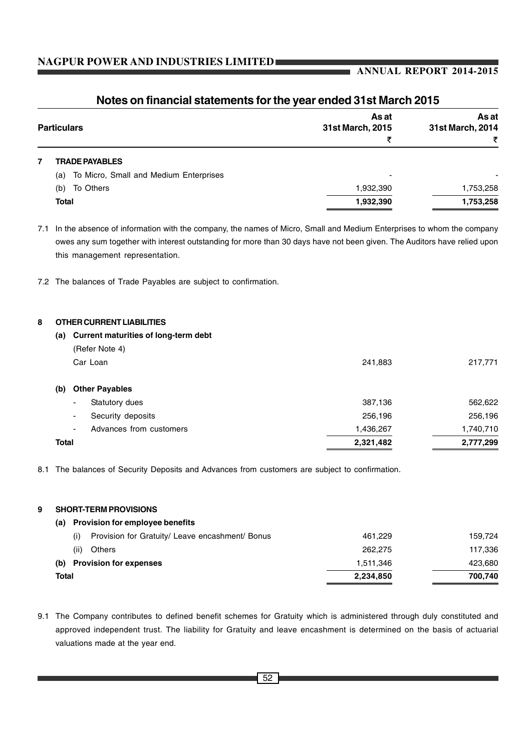# **ANNUAL REPORT 2014-2015**

| <b>Particulars</b>                            | As at<br>31st March, 2015<br>₹ | As at<br>31st March, 2014<br>₹ |
|-----------------------------------------------|--------------------------------|--------------------------------|
| <b>TRADE PAYABLES</b>                         |                                |                                |
| To Micro, Small and Medium Enterprises<br>(a) | -                              |                                |
| To Others<br>(b)                              | 1,932,390                      | 1,753,258                      |
| <b>Total</b>                                  | 1,932,390                      | 1,753,258                      |

# **Notes on financial statements for the year ended 31st March 2015**

7.1 In the absence of information with the company, the names of Micro, Small and Medium Enterprises to whom the company owes any sum together with interest outstanding for more than 30 days have not been given. The Auditors have relied upon this management representation.

7.2 The balances of Trade Payables are subject to confirmation.

#### **8 OTHER CURRENT LIABILITIES**

| (a)          | Current maturities of long-term debt          |           |           |
|--------------|-----------------------------------------------|-----------|-----------|
|              | (Refer Note 4)                                |           |           |
|              | Car Loan                                      | 241,883   | 217,771   |
| (b)          | <b>Other Payables</b>                         |           |           |
|              | Statutory dues<br>۰                           | 387,136   | 562,622   |
|              | Security deposits<br>$\overline{\phantom{a}}$ | 256,196   | 256,196   |
|              | Advances from customers<br>$\blacksquare$     | 1,436,267 | 1,740,710 |
| <b>Total</b> |                                               | 2,321,482 | 2,777,299 |

8.1 The balances of Security Deposits and Advances from customers are subject to confirmation.

#### **9 SHORT-TERM PROVISIONS**

| (a)   | <b>Provision for employee benefits</b>                 |           |         |
|-------|--------------------------------------------------------|-----------|---------|
|       | Provision for Gratuity/ Leave encashment/ Bonus<br>(i) | 461.229   | 159.724 |
|       | (ii)<br>Others                                         | 262,275   | 117.336 |
| (b)   | <b>Provision for expenses</b>                          | 1.511.346 | 423.680 |
| Total |                                                        | 2,234,850 | 700.740 |

9.1 The Company contributes to defined benefit schemes for Gratuity which is administered through duly constituted and approved independent trust. The liability for Gratuity and leave encashment is determined on the basis of actuarial valuations made at the year end.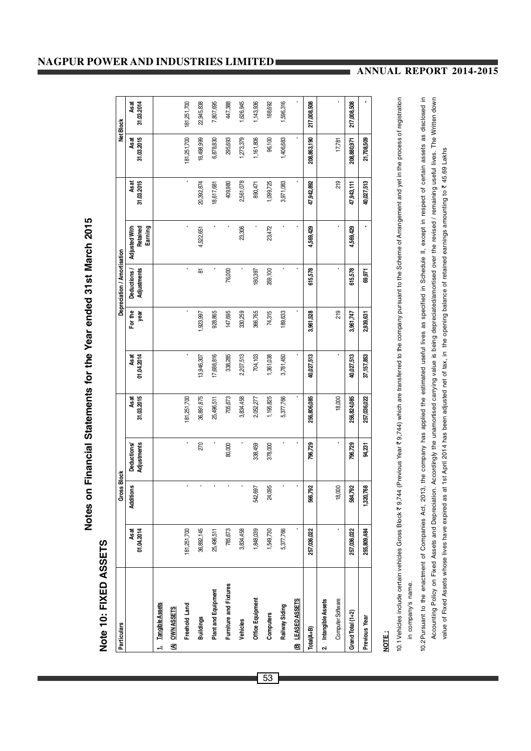Notes on Financial Statements for the Year ended 31st March 2015 **Notes on Financial Statements for the Year ended 31st March 2015**

# Note 10: FIXED ASSETS **Note 10: FIXED ASSETS**

| Particulars             |             | <b>Gross Block</b> |                    |             |            |           | Depreciation / Amortisation |                      |            |             | Net Block   |
|-------------------------|-------------|--------------------|--------------------|-------------|------------|-----------|-----------------------------|----------------------|------------|-------------|-------------|
|                         | As at       | Additions          | <b>Deductions/</b> | Asat        | Asat       | For the   | Deductions                  | <b>Adjusted With</b> | As at      | As at       | Asat        |
|                         | 01.04.2014  |                    | Adjustments        | 31.03.2015  | 01.04.2014 | year      | Adjustments                 | Retained<br>Earning  | 31.03.2015 | 31.03.2015  | 31.03.2014  |
| 1. Tangible Assets      |             |                    |                    |             |            |           |                             |                      |            |             |             |
| (A) OWN ASSETS          |             |                    |                    |             |            |           |                             |                      |            |             |             |
| Freehold Land           | 181,251,700 |                    | ï                  | 181,251,700 |            |           | ı                           |                      |            | 181,251,700 | 181,251,700 |
| <b>Buildings</b>        | 36,892,145  |                    | 270                | 36,891,875  | 13,946,307 | 1,923,997 | ळ                           | 4,522,651            | 20,392,874 | 16,498,999  | 22,945,838  |
| Plant and Equipment     | 25,496,511  |                    |                    | 25,496,511  | 17,688,816 | 928,865   |                             |                      | 18,617,681 | 6,878,830   | 7,807,695   |
| Furniture and Fixtures  | 785,673     |                    | 80,000             | 705,673     | 338,285    | 147,695   | 76,000                      |                      | 409,980    | 295,693     | 447,388     |
| Vehicles                | 3,834,458   |                    |                    | 3,834,458   | 2,207,513  | 330,259   |                             | 23,306               | 2,561,078  | 1,273,379   | 1,626,945   |
| Office Equipment        | 1,848,039   | 542,697            | 338,459            | 2,052,277   | 704,103    | 366,765   | 180,397                     |                      | 890,471    | 1,161,806   | 1,143,936   |
| Computers               | 1,549,730   | 24,095             | 378,000            | 1,195,825   | 1,361,038  | 74,315    | 359,100                     | 23,472               | 1,099,725  | 96,100      | 188,692     |
| Railway Siding          | 5,377,766   |                    |                    | 5,377,766   | 3,781,450  | 189,633   |                             |                      | 3,971,083  | 1,406,683   | 1,596,316   |
| <b>B) LEASED ASSETS</b> |             | ,                  |                    |             |            |           |                             |                      |            |             |             |
| Total(A+B)              | 257,036,022 | 566,792            | 796,729            | 256,806,085 | 40,027,513 | 3,961,528 | 615,578                     | 4,569,429            | 47,942,892 | 208,863,190 | 217,008,508 |
| 2. Intangible Assets    |             |                    |                    |             |            |           |                             |                      |            |             |             |
| Computer Software       | ,           | 18,000             | ï                  | 18,000      | ,          | 219       |                             |                      | 219        | 17,781      |             |
| Grand Total (1+2)       | 257,036,022 | 584,792            | 796,729            | 256,824,085 | 40,027,513 | 3,961,747 | 615,578                     | 4,569,429            | 47,943,111 | 208,880,971 | 217,008,508 |
| Previous Year           | 255,809,484 | 1,320,768          | 94,231             | 257,036,022 | 37,157,853 | 2,939,631 | 69,971                      | ï                    | 40,027,513 | 21,708,509  |             |
|                         |             |                    |                    |             |            |           |                             |                      |            |             |             |

# **NOTE :**

0.1 Vehicles include certain vehicles Gross Block ₹ 9,744 (Previous Year ₹ 9,744) which are transferred to the company pursuant to the Scheme of Arrangement and yet in the process of registration 10.1Vehicles include certain vehicles Gross Block ` 9,744 (Previous Year ` 9,744) which are transferred to the company pursuant to the Scheme of Arrangement and yet in the process of registration in company's name. in company's name. 10.2Pursuant to the enactment of Companies Act, 2013, the company has applied the estimated useful lives as specified in Schedule II, except in respect of certain assets as disclosed in Accounting Policy on Fixed Assets and Depreciation. Accordingly the unamortised carrying value is being depreciated/amortised over the revised / remaining useful lives. The Written down 10.2Pursuant to the enactment of Companies Act, 2013, the company has applied the estimated useful lives as specified in Schedule II, except in respect of certain assets as disclosed in Accounting Policy on Fixed Assets and Depreciation. Accordingly the unamortised carrying value is being depreciated/amortised over the revised / remaining useful lives. The Written down value of Fixed Assets whose lives have expired as at 1st April 2014 has been adjusted net of tax, in the opening balance of retained earnings amounting to ₹45.69 Lakhs value of Fixed Assets whose lives have expired as at 1st April 2014 has been adjusted net of tax, in the opening balance of retained earnings amounting to ₹ 45.69 Lakhs

# **NAGPUR POWER AND INDUSTRIES LIMITED**

# **ANNUAL REPORT 2014-2015**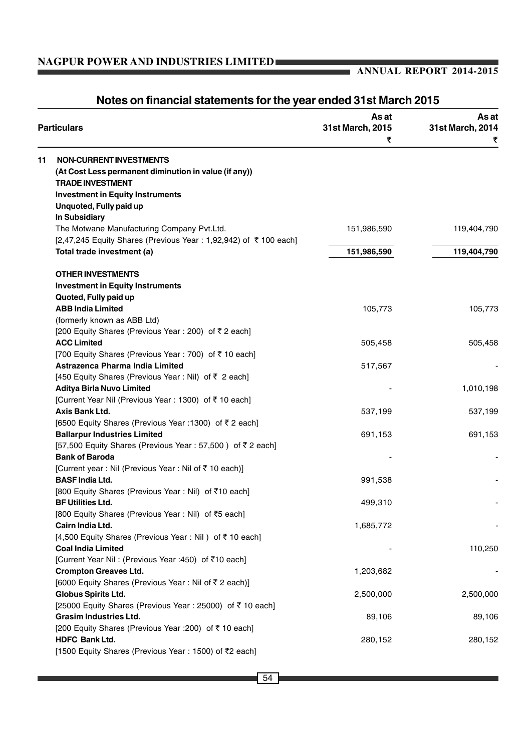## **ANNUAL REPORT 2014-2015**

# As at **As at As at Particulars 31st March, 2015 31st March, 2014**  $\bar{\tau}$  , and the contract of  $\bar{\tau}$ **11 NON-CURRENT INVESTMENTS (At Cost Less permanent diminution in value (if any)) TRADE INVESTMENT Investment in Equity Instruments Unquoted, Fully paid up In Subsidiary** The Motwane Manufacturing Company Pvt.Ltd. 151,986,590 119,404,790 [2,47,245 Equity Shares (Previous Year : 1,92,942) of ₹ 100 each] **Total trade investment (a) 151,986,590 119,404,790 OTHER INVESTMENTS Investment in Equity Instruments Quoted, Fully paid up ABB India Limited** 105,773 105,773 105,773 (formerly known as ABB Ltd) [200 Equity Shares (Previous Year : 200) of  $\bar{z}$  2 each] **ACC Limited** 505,458 505,458 [700 Equity Shares (Previous Year : 700) of  $\bar{z}$  10 each] **Astrazenca Pharma India Limited 517.567 - 517.567** [450 Equity Shares (Previous Year : Nil) of  $\bar{\tau}$  2 each] **Aditya Birla Nuvo Limited** - 1,010,198 [Current Year Nil (Previous Year : 1300) of ₹10 each] **Axis Bank Ltd.** 537,199 537,199 537,199 537,199 537,199 537,199 537,199 537,199 537,199 537,199 537,199 537,199 [6500 Equity Shares (Previous Year : 1300) of  $\bar{z}$  2 each] **Ballarpur Industries Limited** 691,153 691,153 691,153  $[57,500$  Equity Shares (Previous Year : 57,500) of  $\bar{z}$  2 each] **Bank of Baroda** [Current year : Nil (Previous Year : Nil of  $\bar{z}$  10 each)] **BASF India Ltd.** 991,538 [800 Equity Shares (Previous Year : Nil) of ₹10 each] **BF Utilities Ltd.** 499,310 [800 Equity Shares (Previous Year : Nil) of ₹5 each] **Cairn India Ltd.** 1,685,772 [4,500 Equity Shares (Previous Year : Nil) of ₹10 each] **Coal India Limited** - 110,250 [Current Year Nil : (Previous Year : 450) of ₹10 each] **Crompton Greaves Ltd.** 1,203,682 [6000 Equity Shares (Previous Year: Nil of  $\bar{z}$  2 each)] **Globus Spirits Ltd.** 2,500,000 2,500,000 [25000 Equity Shares (Previous Year : 25000) of  $\bar{z}$  10 each] **Grasim Industries Ltd.** 89,106 89,106 89,106 89,106 89,106 89,106 89,106 89,106 89,106 89,106 89,106 89,106 89,106 [200 Equity Shares (Previous Year :200) of ` 10 each] **HDFC Bank Ltd.** 280,152 280,152 280,152 280,152 280,152 280,152 280,152 280,152 280,152 280,152 280,152 280,152 280,152 280,152 280,152 280,152 280,152 280,152 280,152 280,152 280,152 280,152 280,152 280,152 280,152 280,1 [1500 Equity Shares (Previous Year: 1500) of ₹2 each]

# **Notes on financial statements for the year ended 31st March 2015**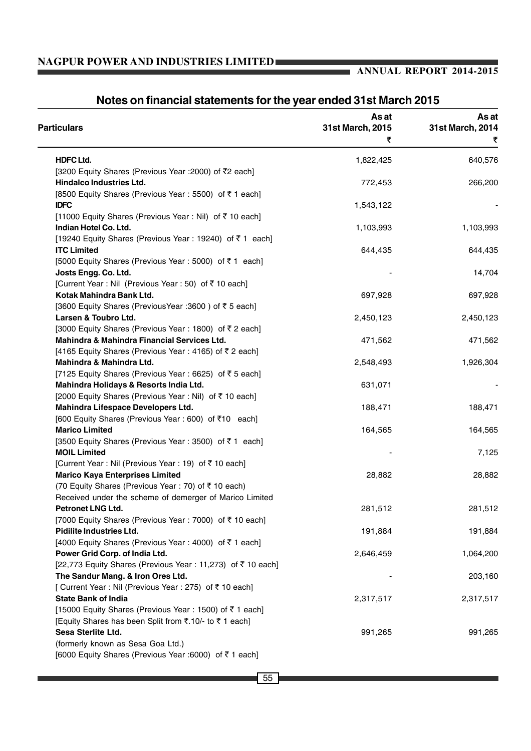# **ANNUAL REPORT 2014-2015**

٠

| <b>Particulars</b>                                          | As at<br>31st March, 2015 | As at<br>31st March, 2014 |
|-------------------------------------------------------------|---------------------------|---------------------------|
|                                                             | ₹                         | ₹                         |
| <b>HDFC Ltd.</b>                                            | 1,822,425                 | 640,576                   |
| [3200 Equity Shares (Previous Year : 2000) of ₹2 each]      |                           |                           |
| Hindalco Industries Ltd.                                    | 772,453                   | 266,200                   |
| [8500 Equity Shares (Previous Year : 5500) of ₹ 1 each]     |                           |                           |
| <b>IDFC</b>                                                 | 1,543,122                 |                           |
| [11000 Equity Shares (Previous Year: Nil) of ₹10 each]      |                           |                           |
| Indian Hotel Co. Ltd.                                       | 1,103,993                 | 1,103,993                 |
| [19240 Equity Shares (Previous Year: 19240) of ₹1 each]     |                           |                           |
| <b>ITC Limited</b>                                          | 644,435                   | 644,435                   |
| [5000 Equity Shares (Previous Year : 5000) of ₹1 each]      |                           |                           |
| Josts Engg. Co. Ltd.                                        |                           | 14,704                    |
| [Current Year : Nil (Previous Year : 50) of ₹10 each]       |                           |                           |
| Kotak Mahindra Bank Ltd.                                    | 697,928                   | 697,928                   |
| [3600 Equity Shares (Previous Year : 3600) of ₹ 5 each]     |                           |                           |
| Larsen & Toubro Ltd.                                        | 2,450,123                 | 2,450,123                 |
| [3000 Equity Shares (Previous Year: 1800) of ₹2 each]       |                           |                           |
| Mahindra & Mahindra Financial Services Ltd.                 | 471,562                   | 471,562                   |
| [4165 Equity Shares (Previous Year: 4165) of ₹2 each]       |                           |                           |
| Mahindra & Mahindra Ltd.                                    | 2,548,493                 | 1,926,304                 |
| [7125 Equity Shares (Previous Year : 6625) of ₹5 each]      |                           |                           |
| Mahindra Holidays & Resorts India Ltd.                      | 631,071                   |                           |
| [2000 Equity Shares (Previous Year : Nil) of ₹10 each]      |                           |                           |
| Mahindra Lifespace Developers Ltd.                          | 188,471                   | 188,471                   |
| [600 Equity Shares (Previous Year : 600) of ₹10 each]       |                           |                           |
| <b>Marico Limited</b>                                       | 164,565                   | 164,565                   |
| [3500 Equity Shares (Previous Year: 3500) of ₹1 each]       |                           |                           |
| <b>MOIL Limited</b>                                         |                           | 7,125                     |
| [Current Year : Nil (Previous Year : 19) of ₹10 each]       |                           |                           |
| <b>Marico Kaya Enterprises Limited</b>                      | 28,882                    | 28,882                    |
| (70 Equity Shares (Previous Year: 70) of ₹10 each)          |                           |                           |
| Received under the scheme of demerger of Marico Limited     |                           |                           |
| Petronet LNG Ltd.                                           | 281,512                   | 281,512                   |
| [7000 Equity Shares (Previous Year: 7000) of ₹10 each]      |                           |                           |
| Pidilite Industries Ltd.                                    | 191,884                   | 191,884                   |
| [4000 Equity Shares (Previous Year : 4000) of ₹ 1 each]     |                           |                           |
| Power Grid Corp. of India Ltd.                              | 2,646,459                 | 1,064,200                 |
| [22,773 Equity Shares (Previous Year : 11,273) of ₹10 each] |                           |                           |
| The Sandur Mang. & Iron Ores Ltd.                           |                           | 203,160                   |
| [ Current Year : Nil (Previous Year : 275) of ₹ 10 each]    |                           |                           |
| <b>State Bank of India</b>                                  | 2,317,517                 | 2,317,517                 |
| [15000 Equity Shares (Previous Year: 1500) of ₹1 each]      |                           |                           |
| [Equity Shares has been Split from ₹.10/- to ₹1 each]       |                           |                           |
| Sesa Sterlite Ltd.                                          | 991,265                   | 991,265                   |
| (formerly known as Sesa Goa Ltd.)                           |                           |                           |
| [6000 Equity Shares (Previous Year :6000) of ₹1 each]       |                           |                           |

# **Notes on financial statements for the year ended 31st March 2015**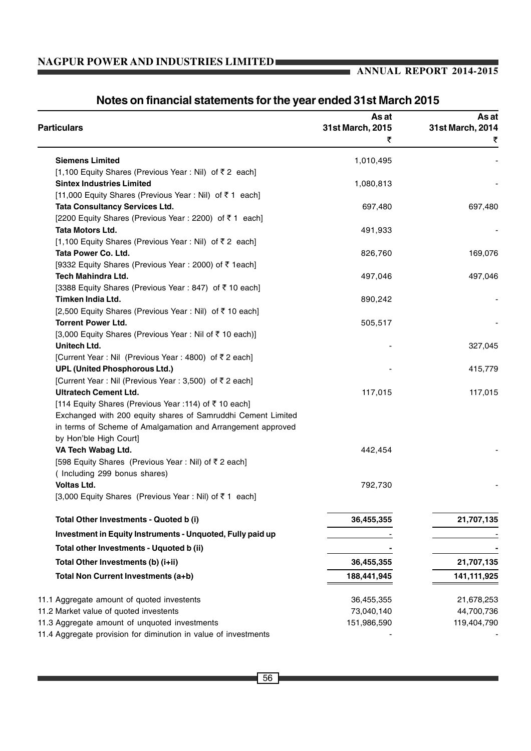# **ANNUAL REPORT 2014-2015**

| <b>Particulars</b>                                           | As at<br>31st March, 2015 | As at<br>31st March, 2014 |
|--------------------------------------------------------------|---------------------------|---------------------------|
|                                                              | ₹                         | ₹                         |
| <b>Siemens Limited</b>                                       | 1,010,495                 |                           |
| [1,100 Equity Shares (Previous Year : Nil) of ₹2 each]       |                           |                           |
| <b>Sintex Industries Limited</b>                             | 1,080,813                 |                           |
| [11,000 Equity Shares (Previous Year : Nil) of ₹1 each]      |                           |                           |
| <b>Tata Consultancy Services Ltd.</b>                        | 697,480                   | 697,480                   |
| [2200 Equity Shares (Previous Year : 2200) of ₹1 each]       |                           |                           |
| Tata Motors Ltd.                                             | 491,933                   |                           |
| [1,100 Equity Shares (Previous Year : Nil) of ₹2 each]       |                           |                           |
| Tata Power Co. Ltd.                                          | 826,760                   | 169,076                   |
| [9332 Equity Shares (Previous Year : 2000) of ₹ 1each]       |                           |                           |
| Tech Mahindra Ltd.                                           | 497,046                   | 497,046                   |
| [3388 Equity Shares (Previous Year : 847) of ₹10 each]       |                           |                           |
| Timken India Ltd.                                            | 890,242                   |                           |
| [2,500 Equity Shares (Previous Year : Nil) of ₹10 each]      |                           |                           |
| <b>Torrent Power Ltd.</b>                                    | 505,517                   |                           |
| [3,000 Equity Shares (Previous Year: Nil of ₹ 10 each)]      |                           |                           |
| Unitech Ltd.                                                 |                           | 327,045                   |
| [Current Year : Nil (Previous Year : 4800) of ₹2 each]       |                           |                           |
| <b>UPL (United Phosphorous Ltd.)</b>                         |                           | 415,779                   |
| [Current Year : Nil (Previous Year : 3,500) of ₹ 2 each]     |                           |                           |
| <b>Ultratech Cement Ltd.</b>                                 | 117,015                   | 117,015                   |
| [114 Equity Shares (Previous Year : 114) of ₹ 10 each]       |                           |                           |
| Exchanged with 200 equity shares of Samruddhi Cement Limited |                           |                           |
| in terms of Scheme of Amalgamation and Arrangement approved  |                           |                           |
| by Hon'ble High Court]                                       |                           |                           |
| VA Tech Wabag Ltd.                                           | 442,454                   |                           |
| [598 Equity Shares (Previous Year: Nil) of ₹2 each]          |                           |                           |
| (Including 299 bonus shares)                                 |                           |                           |
| <b>Voltas Ltd.</b>                                           | 792,730                   |                           |
| [3,000 Equity Shares (Previous Year : Nil) of ₹1 each]       |                           |                           |
| Total Other Investments - Quoted b (i)                       | 36,455,355                | 21,707,135                |
| Investment in Equity Instruments - Unquoted, Fully paid up   |                           |                           |
| Total other Investments - Uquoted b (ii)                     |                           |                           |
| Total Other Investments (b) (i+ii)                           | 36,455,355                | 21,707,135                |
| Total Non Current Investments (a+b)                          | 188,441,945               | 141,111,925               |
| 11.1 Aggregate amount of quoted investents                   | 36,455,355                | 21,678,253                |
| 11.2 Market value of quoted investents                       | 73,040,140                | 44,700,736                |
| 11.3 Aggregate amount of unquoted investments                | 151,986,590               | 119,404,790               |
|                                                              |                           |                           |

# **Notes on financial statements for the year ended 31st March 2015**

11.4 Aggregate provision for diminution in value of investments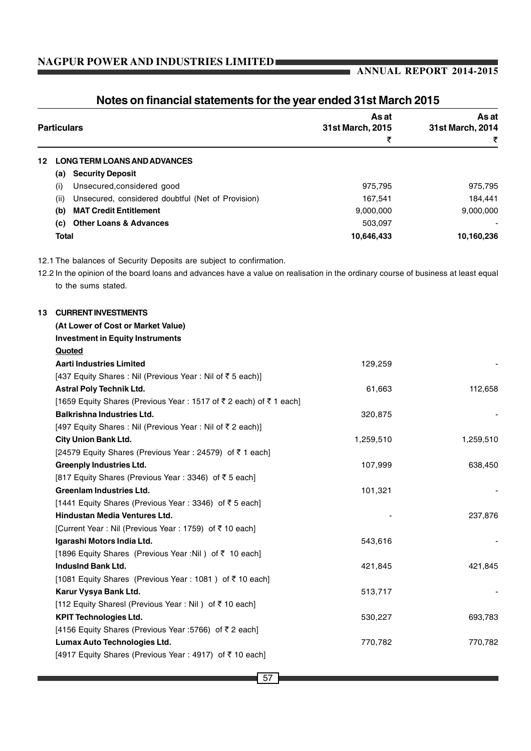# **ANNUAL REPORT 2014-2015**

| <b>Particulars</b>                                                                                                                | As at<br>31st March, 2015 | As at<br>31st March, 2014 |
|-----------------------------------------------------------------------------------------------------------------------------------|---------------------------|---------------------------|
|                                                                                                                                   | ₹                         | ₹                         |
| <b>LONG TERM LOANS AND ADVANCES</b><br>12                                                                                         |                           |                           |
| (a) Security Deposit                                                                                                              |                           |                           |
| Unsecured, considered good<br>(i)                                                                                                 | 975,795                   | 975,795                   |
| Unsecured, considered doubtful (Net of Provision)<br>(ii)                                                                         | 167,541                   | 184,441                   |
| <b>MAT Credit Entitlement</b><br>(b)                                                                                              | 9,000,000                 | 9,000,000                 |
| <b>Other Loans &amp; Advances</b><br>(c)                                                                                          | 503,097                   |                           |
| <b>Total</b>                                                                                                                      | 10,646,433                | 10,160,236                |
| 12.1 The balances of Security Deposits are subject to confirmation.                                                               |                           |                           |
| 12.2 In the opinion of the board loans and advances have a value on realisation in the ordinary course of business at least equal |                           |                           |
| to the sums stated.                                                                                                               |                           |                           |
| <b>CURRENT INVESTMENTS</b><br>13                                                                                                  |                           |                           |
| (At Lower of Cost or Market Value)                                                                                                |                           |                           |
| <b>Investment in Equity Instruments</b>                                                                                           |                           |                           |
| Quoted                                                                                                                            |                           |                           |
| <b>Aarti Industries Limited</b>                                                                                                   | 129,259                   |                           |
| [437 Equity Shares : Nil (Previous Year : Nil of ₹ 5 each)]                                                                       |                           |                           |
| <b>Astral Poly Technik Ltd.</b>                                                                                                   | 61,663                    | 112,658                   |
| [1659 Equity Shares (Previous Year: 1517 of ₹2 each) of ₹1 each]                                                                  |                           |                           |
| <b>Balkrishna Industries Ltd.</b>                                                                                                 | 320,875                   |                           |
| [497 Equity Shares : Nil (Previous Year : Nil of ₹ 2 each)]                                                                       |                           |                           |
| <b>City Union Bank Ltd.</b>                                                                                                       | 1,259,510                 | 1,259,510                 |
| [24579 Equity Shares (Previous Year : 24579) of ₹1 each]                                                                          |                           |                           |
| <b>Greenply Industries Ltd.</b>                                                                                                   | 107,999                   | 638,450                   |
| [817 Equity Shares (Previous Year: 3346) of ₹5 each]                                                                              |                           |                           |
| <b>Greenlam Industries Ltd.</b>                                                                                                   | 101,321                   |                           |
| [1441 Equity Shares (Previous Year : 3346) of ₹ 5 each]                                                                           |                           |                           |
| Hindustan Media Ventures Ltd.                                                                                                     |                           | 237,876                   |
| [Current Year : Nil (Previous Year : 1759) of ₹ 10 each]                                                                          |                           |                           |
| Igarashi Motors India Ltd.                                                                                                        | 543,616                   |                           |
| [1896 Equity Shares (Previous Year :Nil) of ₹ 10 each]                                                                            |                           |                           |
| <b>IndusInd Bank Ltd.</b>                                                                                                         | 421,845                   | 421,845                   |
| [1081 Equity Shares (Previous Year : 1081) of ₹10 each]                                                                           |                           |                           |
| Karur Vysya Bank Ltd.                                                                                                             | 513,717                   |                           |
| [112 Equity Sharesl (Previous Year: Nil) of ₹10 each]                                                                             |                           |                           |
| <b>KPIT Technologies Ltd.</b>                                                                                                     | 530,227                   | 693,783                   |
| [4156 Equity Shares (Previous Year :5766) of ₹2 each]                                                                             |                           |                           |
| Lumax Auto Technologies Ltd.                                                                                                      | 770,782                   | 770,782                   |

# **Notes on financial statements for the year ended 31st March 2015**

[4917 Equity Shares (Previous Year : 4917) of ₹10 each]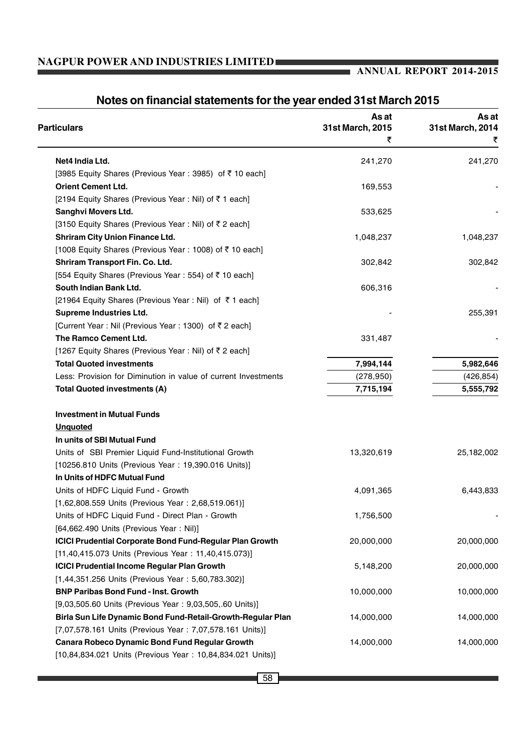# **ANNUAL REPORT 2014-2015**

| <b>Particulars</b>                                              | As at<br>31st March, 2015 | As at<br>31st March, 2014 |
|-----------------------------------------------------------------|---------------------------|---------------------------|
|                                                                 | ₹                         |                           |
| Net4 India Ltd.                                                 | 241,270                   | 241,270                   |
| [3985 Equity Shares (Previous Year: 3985) of ₹10 each]          |                           |                           |
| <b>Orient Cement Ltd.</b>                                       | 169,553                   |                           |
| [2194 Equity Shares (Previous Year: Nil) of ₹1 each]            |                           |                           |
| Sanghvi Movers Ltd.                                             | 533,625                   |                           |
| [3150 Equity Shares (Previous Year: Nil) of ₹2 each]            |                           |                           |
| <b>Shriram City Union Finance Ltd.</b>                          | 1,048,237                 | 1,048,237                 |
| [1008 Equity Shares (Previous Year: 1008) of ₹10 each]          |                           |                           |
| Shriram Transport Fin. Co. Ltd.                                 | 302,842                   | 302,842                   |
| [554 Equity Shares (Previous Year : 554) of ₹10 each]           |                           |                           |
| South Indian Bank Ltd.                                          | 606,316                   |                           |
| [21964 Equity Shares (Previous Year : Nil) of ₹1 each]          |                           |                           |
| <b>Supreme Industries Ltd.</b>                                  |                           | 255,391                   |
| [Current Year : Nil (Previous Year : 1300) of ₹2 each]          |                           |                           |
| The Ramco Cement Ltd.                                           | 331,487                   |                           |
| [1267 Equity Shares (Previous Year: Nil) of ₹2 each]            |                           |                           |
| <b>Total Quoted investments</b>                                 | 7,994,144                 | 5,982,646                 |
| Less: Provision for Diminution in value of current Investments  | (278, 950)                | (426, 854)                |
| <b>Total Quoted investments (A)</b>                             | 7,715,194                 | 5,555,792                 |
| <b>Investment in Mutual Funds</b>                               |                           |                           |
| <b>Unquoted</b>                                                 |                           |                           |
| In units of SBI Mutual Fund                                     |                           |                           |
| Units of SBI Premier Liquid Fund-Institutional Growth           | 13,320,619                | 25,182,002                |
| [10256.810 Units (Previous Year: 19,390.016 Units)]             |                           |                           |
| In Units of HDFC Mutual Fund                                    |                           |                           |
| Units of HDFC Liquid Fund - Growth                              | 4,091,365                 | 6,443,833                 |
| [1,62,808.559 Units (Previous Year: 2,68,519.061)]              |                           |                           |
| Units of HDFC Liquid Fund - Direct Plan - Growth                | 1,756,500                 |                           |
| [64,662.490 Units (Previous Year: Nil)]                         |                           |                           |
| <b>ICICI Prudential Corporate Bond Fund-Regular Plan Growth</b> | 20,000,000                | 20,000,000                |
| [11,40,415.073 Units (Previous Year: 11,40,415.073)]            |                           |                           |
| <b>ICICI Prudential Income Regular Plan Growth</b>              | 5,148,200                 | 20,000,000                |
| [1,44,351.256 Units (Previous Year: 5,60,783.302)]              |                           |                           |
| <b>BNP Paribas Bond Fund - Inst. Growth</b>                     | 10,000,000                | 10,000,000                |
| [9,03,505.60 Units (Previous Year: 9,03,505,.60 Units)]         |                           |                           |
| Birla Sun Life Dynamic Bond Fund-Retail-Growth-Regular Plan     | 14,000,000                | 14,000,000                |
| [7,07,578.161 Units (Previous Year: 7,07,578.161 Units)]        |                           |                           |
| Canara Robeco Dynamic Bond Fund Regular Growth                  | 14,000,000                | 14,000,000                |
| [10,84,834.021 Units (Previous Year: 10,84,834.021 Units)]      |                           |                           |

# **Notes on financial statements for the year ended 31st March 2015**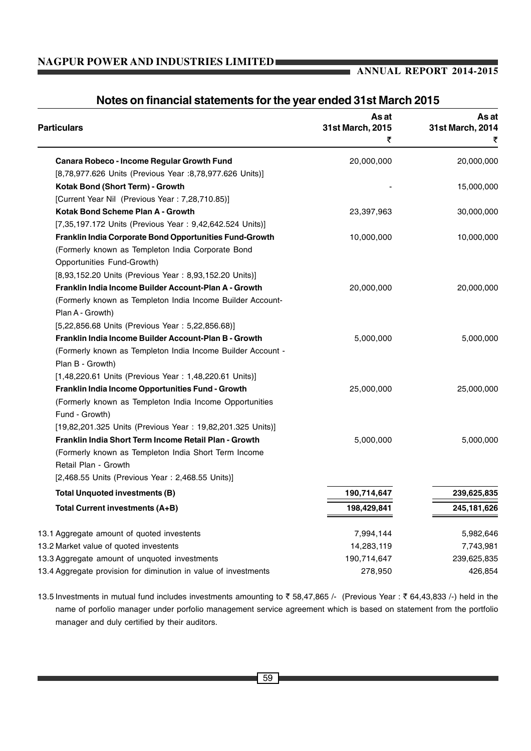# **ANNUAL REPORT 2014-2015**

| <b>Particulars</b>                                              | As at<br>31st March, 2015<br>₹ | As at<br>31st March, 2014<br>₹ |
|-----------------------------------------------------------------|--------------------------------|--------------------------------|
| Canara Robeco - Income Regular Growth Fund                      | 20,000,000                     | 20,000,000                     |
| [8,78,977.626 Units (Previous Year :8,78,977.626 Units)]        |                                |                                |
| Kotak Bond (Short Term) - Growth                                |                                | 15,000,000                     |
| [Current Year Nil (Previous Year: 7,28,710.85)]                 |                                |                                |
| Kotak Bond Scheme Plan A - Growth                               | 23,397,963                     | 30,000,000                     |
| [7,35,197.172 Units (Previous Year: 9,42,642.524 Units)]        |                                |                                |
| Franklin India Corporate Bond Opportunities Fund-Growth         | 10,000,000                     | 10,000,000                     |
| (Formerly known as Templeton India Corporate Bond               |                                |                                |
| Opportunities Fund-Growth)                                      |                                |                                |
| [8,93,152.20 Units (Previous Year: 8,93,152.20 Units)]          |                                |                                |
| Franklin India Income Builder Account-Plan A - Growth           | 20,000,000                     | 20,000,000                     |
| (Formerly known as Templeton India Income Builder Account-      |                                |                                |
| Plan A - Growth)                                                |                                |                                |
| [5,22,856.68 Units (Previous Year: 5,22,856.68)]                |                                |                                |
| Franklin India Income Builder Account-Plan B - Growth           | 5,000,000                      | 5,000,000                      |
| (Formerly known as Templeton India Income Builder Account -     |                                |                                |
| Plan B - Growth)                                                |                                |                                |
| [1,48,220.61 Units (Previous Year: 1,48,220.61 Units)]          |                                |                                |
| Franklin India Income Opportunities Fund - Growth               | 25,000,000                     | 25,000,000                     |
| (Formerly known as Templeton India Income Opportunities         |                                |                                |
| Fund - Growth)                                                  |                                |                                |
| [19,82,201.325 Units (Previous Year: 19,82,201.325 Units)]      |                                |                                |
| Franklin India Short Term Income Retail Plan - Growth           | 5,000,000                      | 5,000,000                      |
| (Formerly known as Templeton India Short Term Income            |                                |                                |
| Retail Plan - Growth                                            |                                |                                |
| [2,468.55 Units (Previous Year: 2,468.55 Units)]                |                                |                                |
| Total Unquoted investments (B)                                  | 190,714,647                    | 239,625,835                    |
| Total Current investments (A+B)                                 | 198,429,841                    | 245, 181, 626                  |
| 13.1 Aggregate amount of quoted investents                      | 7,994,144                      | 5,982,646                      |
| 13.2 Market value of quoted investents                          | 14,283,119                     | 7,743,981                      |
| 13.3 Aggregate amount of unquoted investments                   | 190,714,647                    | 239,625,835                    |
| 13.4 Aggregate provision for diminution in value of investments | 278,950                        | 426,854                        |

# **Notes on financial statements for the year ended 31st March 2015**

13.5 Investments in mutual fund includes investments amounting to ₹58,47,865 /- (Previous Year : ₹64,43,833 /-) held in the name of porfolio manager under porfolio management service agreement which is based on statement from the portfolio manager and duly certified by their auditors.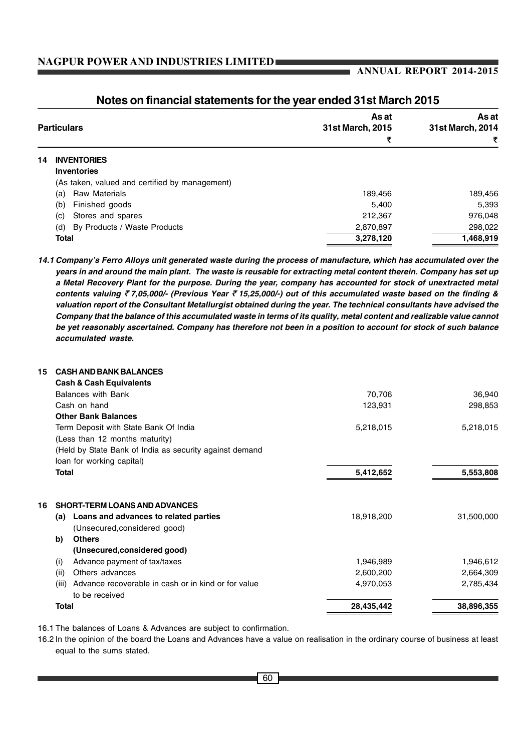# **ANNUAL REPORT 2014-2015**

| <b>Particulars</b> |                                                | As at<br>31st March, 2015 | As at<br>31st March, 2014 |  |  |
|--------------------|------------------------------------------------|---------------------------|---------------------------|--|--|
|                    |                                                | ₹                         | ₹                         |  |  |
| 14.                | <b>INVENTORIES</b>                             |                           |                           |  |  |
|                    | <b>Inventories</b>                             |                           |                           |  |  |
|                    | (As taken, valued and certified by management) |                           |                           |  |  |
|                    | <b>Raw Materials</b><br>(a)                    | 189,456                   | 189,456                   |  |  |
|                    | Finished goods<br>(b)                          | 5.400                     | 5,393                     |  |  |
|                    | Stores and spares<br>(c)                       | 212,367                   | 976,048                   |  |  |
|                    | By Products / Waste Products<br>(d)            | 2,870,897                 | 298,022                   |  |  |
|                    | <b>Total</b>                                   | 3,278,120                 | 1,468,919                 |  |  |

# **Notes on financial statements for the year ended 31st March 2015**

*14.1 Company's Ferro Alloys unit generated waste during the process of manufacture, which has accumulated over the years in and around the main plant. The waste is reusable for extracting metal content therein. Company has set up a Metal Recovery Plant for the purpose. During the year, company has accounted for stock of unextracted metal contents valuing* ` *7,05,000/- (Previous Year* ` *15,25,000/-) out of this accumulated waste based on the finding & valuation report of the Consultant Metallurgist obtained during the year. The technical consultants have advised the Company that the balance of this accumulated waste in terms of its quality, metal content and realizable value cannot be yet reasonably ascertained. Company has therefore not been in a position to account for stock of such balance accumulated waste.*

| 15 | <b>CASH AND BANK BALANCES</b>                                |            |            |
|----|--------------------------------------------------------------|------------|------------|
|    | <b>Cash &amp; Cash Equivalents</b>                           |            |            |
|    | <b>Balances with Bank</b>                                    | 70,706     | 36,940     |
|    | Cash on hand                                                 | 123,931    | 298,853    |
|    | <b>Other Bank Balances</b>                                   |            |            |
|    | Term Deposit with State Bank Of India                        | 5,218,015  | 5,218,015  |
|    | (Less than 12 months maturity)                               |            |            |
|    | (Held by State Bank of India as security against demand      |            |            |
|    | loan for working capital)                                    |            |            |
|    | Total                                                        | 5,412,652  | 5,553,808  |
| 16 | <b>SHORT-TERM LOANS AND ADVANCES</b>                         |            |            |
|    | Loans and advances to related parties<br>(a)                 | 18,918,200 | 31,500,000 |
|    | (Unsecured, considered good)                                 |            |            |
|    | <b>Others</b><br>b)                                          |            |            |
|    | (Unsecured, considered good)                                 |            |            |
|    | Advance payment of tax/taxes<br>(i)                          | 1,946,989  | 1,946,612  |
|    | Others advances<br>(ii)                                      | 2,600,200  | 2,664,309  |
|    | Advance recoverable in cash or in kind or for value<br>(iii) | 4,970,053  | 2,785,434  |
|    | to be received                                               |            |            |
|    | <b>Total</b>                                                 | 28,435,442 | 38,896,355 |
|    |                                                              |            |            |

16.1 The balances of Loans & Advances are subject to confirmation.

16.2 In the opinion of the board the Loans and Advances have a value on realisation in the ordinary course of business at least equal to the sums stated.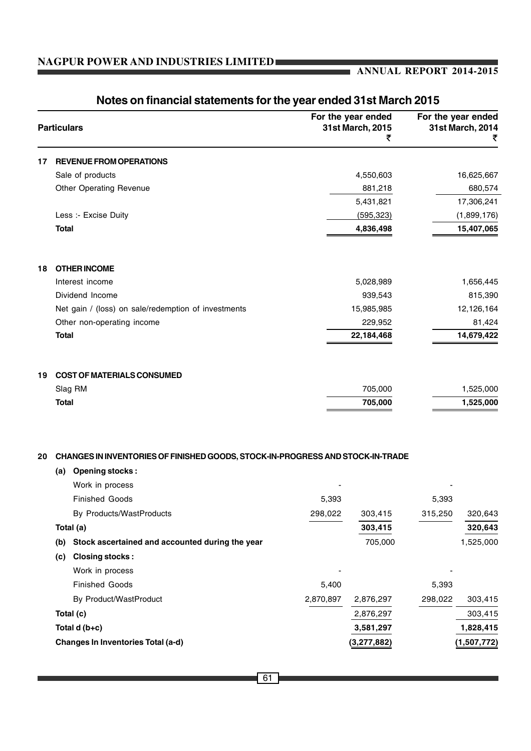# **ANNUAL REPORT 2014-2015**

|    | <b>Particulars</b> |                                                                                                          |           | For the year ended<br>31st March, 2015<br>₹ |         | For the year ended<br>31st March, 2014<br>₹ |
|----|--------------------|----------------------------------------------------------------------------------------------------------|-----------|---------------------------------------------|---------|---------------------------------------------|
| 17 |                    | <b>REVENUE FROM OPERATIONS</b>                                                                           |           |                                             |         |                                             |
|    |                    | Sale of products                                                                                         |           | 4,550,603                                   |         | 16,625,667                                  |
|    |                    | <b>Other Operating Revenue</b>                                                                           |           | 881,218                                     |         | 680,574                                     |
|    |                    |                                                                                                          |           | 5,431,821                                   |         | 17,306,241                                  |
|    |                    | Less :- Excise Duity                                                                                     |           | (595, 323)                                  |         | (1,899,176)                                 |
|    | <b>Total</b>       |                                                                                                          |           | 4,836,498                                   |         | 15,407,065                                  |
| 18 |                    | <b>OTHER INCOME</b>                                                                                      |           |                                             |         |                                             |
|    |                    | Interest income                                                                                          |           | 5,028,989                                   |         | 1,656,445                                   |
|    |                    | Dividend Income                                                                                          |           | 939,543                                     |         | 815,390                                     |
|    |                    | Net gain / (loss) on sale/redemption of investments                                                      |           | 15,985,985                                  |         | 12,126,164                                  |
|    |                    | Other non-operating income                                                                               |           | 229,952                                     |         | 81,424                                      |
|    | <b>Total</b>       |                                                                                                          |           | 22,184,468                                  |         | 14,679,422                                  |
| 19 |                    | <b>COST OF MATERIALS CONSUMED</b>                                                                        |           |                                             |         |                                             |
|    |                    | Slag RM                                                                                                  |           | 705,000                                     |         | 1,525,000                                   |
|    | <b>Total</b>       |                                                                                                          |           | 705,000                                     |         | 1,525,000                                   |
| 20 | (a)                | CHANGES IN INVENTORIES OF FINISHED GOODS, STOCK-IN-PROGRESS AND STOCK-IN-TRADE<br><b>Opening stocks:</b> |           |                                             |         |                                             |
|    |                    | Work in process                                                                                          |           |                                             |         |                                             |
|    |                    | <b>Finished Goods</b>                                                                                    | 5,393     |                                             | 5,393   |                                             |
|    |                    | By Products/WastProducts                                                                                 | 298,022   | 303,415                                     | 315,250 | 320,643                                     |
|    |                    | Total (a)                                                                                                |           | 303,415                                     |         | 320,643                                     |
|    | (b)                | Stock ascertained and accounted during the year                                                          |           | 705,000                                     |         | 1,525,000                                   |
|    | (c)                | <b>Closing stocks:</b>                                                                                   |           |                                             |         |                                             |
|    |                    | Work in process                                                                                          |           |                                             |         |                                             |
|    |                    | <b>Finished Goods</b>                                                                                    | 5,400     |                                             | 5,393   |                                             |
|    |                    | By Product/WastProduct                                                                                   | 2,870,897 | 2,876,297                                   | 298,022 | 303,415                                     |
|    |                    | Total (c)                                                                                                |           | 2,876,297                                   |         | 303,415                                     |
|    |                    | Total $d(b+c)$                                                                                           |           | 3,581,297                                   |         | 1,828,415                                   |
|    |                    | Changes In Inventories Total (a-d)                                                                       |           | (3, 277, 882)                               |         | (1,507,772)                                 |

# **Notes on financial statements for the year ended 31st March 2015**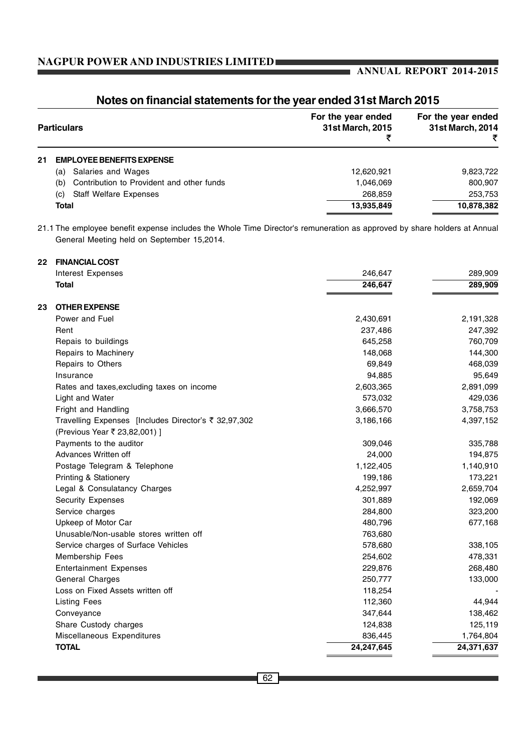# **ANNUAL REPORT 2014-2015**

| <b>Particulars</b> |                                                  | For the year ended<br>31st March, 2015 | For the year ended<br>31st March, 2014 |
|--------------------|--------------------------------------------------|----------------------------------------|----------------------------------------|
| 21                 | <b>EMPLOYEE BENEFITS EXPENSE</b>                 |                                        |                                        |
|                    | Salaries and Wages<br>(a)                        | 12,620,921                             | 9,823,722                              |
|                    | Contribution to Provident and other funds<br>(b) | 1,046,069                              | 800,907                                |
|                    | <b>Staff Welfare Expenses</b><br>(c)             | 268.859                                | 253,753                                |
|                    | <b>Total</b>                                     | 13,935,849                             | 10,878,382                             |

# **Notes on financial statements for the year ended 31st March 2015**

21.1 The employee benefit expense includes the Whole Time Director's remuneration as approved by share holders at Annual General Meeting held on September 15,2014.

| 22 | <b>FINANCIAL COST</b>                                |            |            |
|----|------------------------------------------------------|------------|------------|
|    | Interest Expenses                                    | 246,647    | 289,909    |
|    | Total                                                | 246,647    | 289,909    |
| 23 | <b>OTHER EXPENSE</b>                                 |            |            |
|    | Power and Fuel                                       | 2,430,691  | 2,191,328  |
|    | Rent                                                 | 237,486    | 247,392    |
|    | Repais to buildings                                  | 645,258    | 760,709    |
|    | Repairs to Machinery                                 | 148,068    | 144,300    |
|    | Repairs to Others                                    | 69,849     | 468,039    |
|    | Insurance                                            | 94,885     | 95,649     |
|    | Rates and taxes, excluding taxes on income           | 2,603,365  | 2,891,099  |
|    | Light and Water                                      | 573,032    | 429,036    |
|    | Fright and Handling                                  | 3,666,570  | 3,758,753  |
|    | Travelling Expenses [Includes Director's ₹ 32,97,302 | 3,186,166  | 4,397,152  |
|    | (Previous Year ₹ 23,82,001) ]                        |            |            |
|    | Payments to the auditor                              | 309,046    | 335,788    |
|    | Advances Written off                                 | 24,000     | 194,875    |
|    | Postage Telegram & Telephone                         | 1,122,405  | 1,140,910  |
|    | <b>Printing &amp; Stationery</b>                     | 199,186    | 173,221    |
|    | Legal & Consulatancy Charges                         | 4,252,997  | 2,659,704  |
|    | <b>Security Expenses</b>                             | 301,889    | 192,069    |
|    | Service charges                                      | 284,800    | 323,200    |
|    | Upkeep of Motor Car                                  | 480,796    | 677,168    |
|    | Unusable/Non-usable stores written off               | 763,680    |            |
|    | Service charges of Surface Vehicles                  | 578,680    | 338,105    |
|    | Membership Fees                                      | 254,602    | 478,331    |
|    | <b>Entertainment Expenses</b>                        | 229,876    | 268,480    |
|    | General Charges                                      | 250,777    | 133,000    |
|    | Loss on Fixed Assets written off                     | 118,254    |            |
|    | <b>Listing Fees</b>                                  | 112,360    | 44,944     |
|    | Conveyance                                           | 347,644    | 138,462    |
|    | Share Custody charges                                | 124,838    | 125,119    |
|    | Miscellaneous Expenditures                           | 836,445    | 1,764,804  |
|    | <b>TOTAL</b>                                         | 24,247,645 | 24,371,637 |
|    |                                                      |            |            |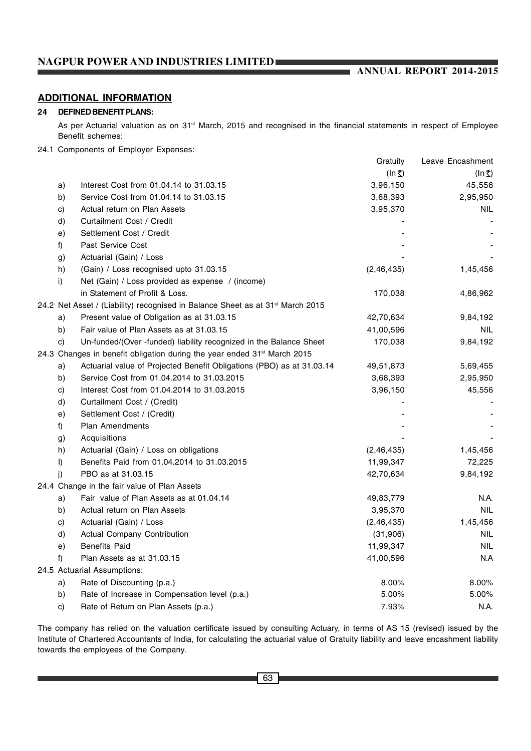# **ANNUAL REPORT 2014-2015**

# **ADDITIONAL INFORMATION**

#### **24 DEFINED BENEFIT PLANS:**

As per Actuarial valuation as on 31<sup>st</sup> March, 2015 and recognised in the financial statements in respect of Employee Benefit schemes:

#### 24.1 Components of Employer Expenses:

|  |                                                                                      |                                                                                            | Gratuity              | Leave Encashment |  |  |
|--|--------------------------------------------------------------------------------------|--------------------------------------------------------------------------------------------|-----------------------|------------------|--|--|
|  |                                                                                      |                                                                                            | $(ln \overline{\xi})$ | $(ln \xi)$       |  |  |
|  | a)                                                                                   | Interest Cost from 01.04.14 to 31.03.15                                                    | 3,96,150              | 45,556           |  |  |
|  | b)                                                                                   | Service Cost from 01.04.14 to 31.03.15                                                     | 3,68,393              | 2,95,950         |  |  |
|  | $\mathbf{c}$                                                                         | Actual return on Plan Assets                                                               | 3,95,370              | <b>NIL</b>       |  |  |
|  | d)                                                                                   | Curtailment Cost / Credit                                                                  |                       |                  |  |  |
|  | e)                                                                                   | Settlement Cost / Credit                                                                   |                       |                  |  |  |
|  | f)                                                                                   | Past Service Cost                                                                          |                       |                  |  |  |
|  | g)                                                                                   | Actuarial (Gain) / Loss                                                                    |                       |                  |  |  |
|  | h)                                                                                   | (Gain) / Loss recognised upto 31.03.15                                                     | (2,46,435)            | 1,45,456         |  |  |
|  | i)                                                                                   | Net (Gain) / Loss provided as expense / (income)                                           |                       |                  |  |  |
|  |                                                                                      | in Statement of Profit & Loss.                                                             | 170,038               | 4,86,962         |  |  |
|  |                                                                                      | 24.2 Net Asset / (Liability) recognised in Balance Sheet as at 31 <sup>st</sup> March 2015 |                       |                  |  |  |
|  | a)                                                                                   | Present value of Obligation as at 31.03.15                                                 | 42,70,634             | 9,84,192         |  |  |
|  | b)                                                                                   | Fair value of Plan Assets as at 31,03.15                                                   | 41,00,596             | <b>NIL</b>       |  |  |
|  | C)                                                                                   | Un-funded/(Over -funded) liability recognized in the Balance Sheet                         | 170,038               | 9,84,192         |  |  |
|  | 24.3 Changes in benefit obligation during the year ended 31 <sup>st</sup> March 2015 |                                                                                            |                       |                  |  |  |
|  | a)                                                                                   | Actuarial value of Projected Benefit Obligations (PBO) as at 31.03.14                      | 49,51,873             | 5,69,455         |  |  |
|  | b)                                                                                   | Service Cost from 01.04.2014 to 31.03.2015                                                 | 3,68,393              | 2,95,950         |  |  |
|  | c)                                                                                   | Interest Cost from 01.04.2014 to 31.03.2015                                                | 3,96,150              | 45,556           |  |  |
|  | d)                                                                                   | Curtailment Cost / (Credit)                                                                |                       |                  |  |  |
|  | e)                                                                                   | Settlement Cost / (Credit)                                                                 |                       |                  |  |  |
|  | f)                                                                                   | <b>Plan Amendments</b>                                                                     |                       |                  |  |  |
|  | g)                                                                                   | Acquisitions                                                                               |                       |                  |  |  |
|  | h)                                                                                   | Actuarial (Gain) / Loss on obligations                                                     | (2, 46, 435)          | 1,45,456         |  |  |
|  | I)                                                                                   | Benefits Paid from 01.04.2014 to 31.03.2015                                                | 11,99,347             | 72,225           |  |  |
|  | i)                                                                                   | PBO as at 31.03.15                                                                         | 42,70,634             | 9,84,192         |  |  |
|  |                                                                                      | 24.4 Change in the fair value of Plan Assets                                               |                       |                  |  |  |
|  | a)                                                                                   | Fair value of Plan Assets as at 01.04.14                                                   | 49,83,779             | N.A.             |  |  |
|  | b)                                                                                   | Actual return on Plan Assets                                                               | 3,95,370              | <b>NIL</b>       |  |  |
|  | C)                                                                                   | Actuarial (Gain) / Loss                                                                    | (2, 46, 435)          | 1,45,456         |  |  |
|  | d)                                                                                   | Actual Company Contribution                                                                | (31,906)              | <b>NIL</b>       |  |  |
|  | e)                                                                                   | <b>Benefits Paid</b>                                                                       | 11,99,347             | NIL              |  |  |
|  | f)                                                                                   | Plan Assets as at 31.03.15                                                                 | 41,00,596             | N.A              |  |  |
|  |                                                                                      | 24.5 Actuarial Assumptions:                                                                |                       |                  |  |  |
|  | a)                                                                                   | Rate of Discounting (p.a.)                                                                 | 8.00%                 | 8.00%            |  |  |
|  | b)                                                                                   | Rate of Increase in Compensation level (p.a.)                                              | 5.00%                 | 5.00%            |  |  |
|  | C)                                                                                   | Rate of Return on Plan Assets (p.a.)                                                       | 7.93%                 | N.A.             |  |  |

The company has relied on the valuation certificate issued by consulting Actuary, in terms of AS 15 (revised) issued by the Institute of Chartered Accountants of India, for calculating the actuarial value of Gratuity liability and leave encashment liability towards the employees of the Company.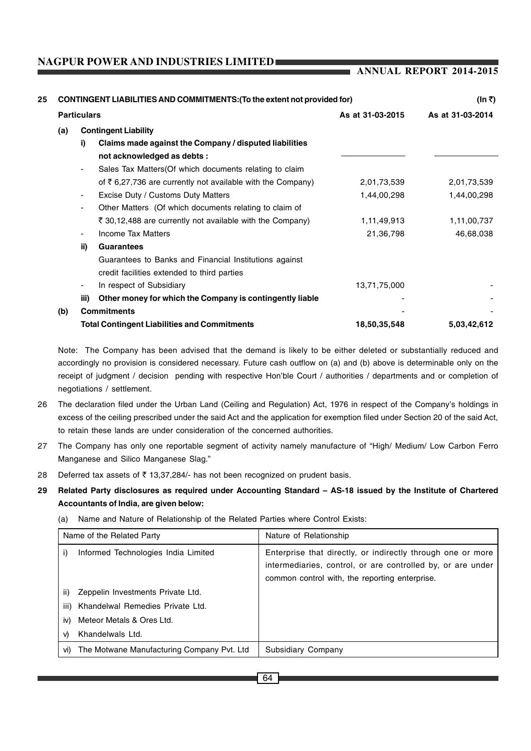**ANNUAL REPORT 2014-2015**

| 25 |     | CONTINGENT LIABILITIES AND COMMITMENTS: (To the extent not provided for) |                                                                        |                  | (In ₹)      |  |
|----|-----|--------------------------------------------------------------------------|------------------------------------------------------------------------|------------------|-------------|--|
|    |     | <b>Particulars</b><br>As at 31-03-2015                                   |                                                                        | As at 31-03-2014 |             |  |
|    | (a) |                                                                          | <b>Contingent Liability</b>                                            |                  |             |  |
|    |     | i)                                                                       | Claims made against the Company / disputed liabilities                 |                  |             |  |
|    |     |                                                                          | not acknowledged as debts :                                            |                  |             |  |
|    |     |                                                                          | Sales Tax Matters (Of which documents relating to claim                |                  |             |  |
|    |     |                                                                          | of $\bar{\tau}$ 6,27,736 are currently not available with the Company) | 2,01,73,539      | 2,01,73,539 |  |
|    |     | ۰.                                                                       | Excise Duty / Customs Duty Matters                                     | 1,44,00,298      | 1,44,00,298 |  |
|    |     | -                                                                        | Other Matters (Of which documents relating to claim of                 |                  |             |  |
|    |     |                                                                          | ₹ 30,12,488 are currently not available with the Company)              | 1,11,49,913      | 1,11,00,737 |  |
|    |     | ۰.                                                                       | <b>Income Tax Matters</b>                                              | 21,36,798        | 46,68,038   |  |
|    |     | ii)                                                                      | <b>Guarantees</b>                                                      |                  |             |  |
|    |     |                                                                          | Guarantees to Banks and Financial Institutions against                 |                  |             |  |
|    |     |                                                                          | credit facilities extended to third parties                            |                  |             |  |
|    |     | ۰.                                                                       | In respect of Subsidiary                                               | 13,71,75,000     |             |  |
|    |     | iii)                                                                     | Other money for which the Company is contingently liable               |                  |             |  |
|    | (b) |                                                                          | <b>Commitments</b>                                                     |                  |             |  |
|    |     |                                                                          | <b>Total Contingent Liabilities and Commitments</b>                    | 18,50,35,548     | 5,03,42,612 |  |
|    |     |                                                                          |                                                                        |                  |             |  |

Note: The Company has been advised that the demand is likely to be either deleted or substantially reduced and accordingly no provision is considered necessary. Future cash outflow on (a) and (b) above is determinable only on the receipt of judgment / decision pending with respective Hon'ble Court / authorities / departments and or completion of negotiations / settlement.

- 26 The declaration filed under the Urban Land (Ceiling and Regulation) Act, 1976 in respect of the Company's holdings in excess of the ceiling prescribed under the said Act and the application for exemption filed under Section 20 of the said Act, to retain these lands are under consideration of the concerned authorities.
- 27 The Company has only one reportable segment of activity namely manufacture of "High/ Medium/ Low Carbon Ferro Manganese and Silico Manganese Slag."
- 28 Deferred tax assets of  $\bar{\tau}$  13,37,284/- has not been recognized on prudent basis.
- **29 Related Party disclosures as required under Accounting Standard AS-18 issued by the Institute of Chartered Accountants of India, are given below:**
	- (a) Name and Nature of Relationship of the Related Parties where Control Exists:

| Name of the Related Party |                                                | Nature of Relationship                                                                                                                                                       |
|---------------------------|------------------------------------------------|------------------------------------------------------------------------------------------------------------------------------------------------------------------------------|
| i)                        | Informed Technologies India Limited            | Enterprise that directly, or indirectly through one or more<br>intermediaries, control, or are controlled by, or are under<br>common control with, the reporting enterprise. |
| ii)                       | Zeppelin Investments Private Ltd.              |                                                                                                                                                                              |
| iii)                      | Khandelwal Remedies Private Ltd.               |                                                                                                                                                                              |
| iv)                       | Meteor Metals & Ores Ltd.                      |                                                                                                                                                                              |
| V)                        | Khandelwals Ltd.                               |                                                                                                                                                                              |
|                           | vi) The Motwane Manufacturing Company Pvt. Ltd | Subsidiary Company                                                                                                                                                           |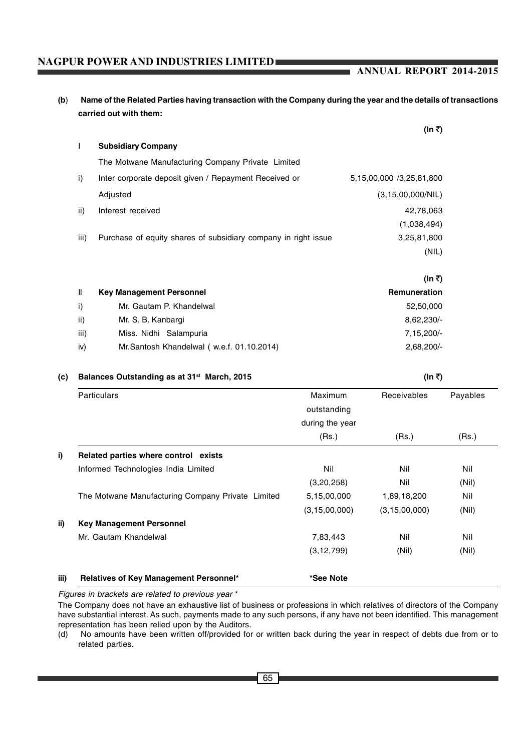65 |

# **NAGPUR POWER AND INDUSTRIES LIMITED**

**(b**) **Name of the Related Parties having transaction with the Company during the year and the details of transactions carried out with them:**

|      |                                                                | $(\ln \tau)$             |
|------|----------------------------------------------------------------|--------------------------|
| L    | <b>Subsidiary Company</b>                                      |                          |
|      | The Motwane Manufacturing Company Private Limited              |                          |
| i)   | Inter corporate deposit given / Repayment Received or          | 5,15,00,000 /3,25,81,800 |
|      | Adjusted                                                       | (3, 15, 00, 000/NIL)     |
| ii)  | Interest received                                              | 42,78,063                |
|      |                                                                | (1,038,494)              |
| iii) | Purchase of equity shares of subsidiary company in right issue | 3,25,81,800              |
|      |                                                                | (NIL)                    |
|      |                                                                |                          |

|              |                                           | (In ₹)        |
|--------------|-------------------------------------------|---------------|
| $\mathbf{I}$ | <b>Key Management Personnel</b>           | Remuneration  |
| i)           | Mr. Gautam P. Khandelwal                  | 52,50,000     |
| ii)          | Mr. S. B. Kanbargi                        | $8,62,230/$ - |
| iii)         | Miss. Nidhi Salampuria                    | $7,15,200/-$  |
| iv)          | Mr.Santosh Khandelwal (w.e.f. 01.10.2014) | $2,68,200/-$  |

# **(c)** Balances Outstanding as at 31<sup>st</sup> March, 2015 (In  $\bar{x}$ ) (In  $\bar{x}$ )

| <b>Particulars</b>                                | Maximum<br>outstanding | Receivables      | Payables |
|---------------------------------------------------|------------------------|------------------|----------|
|                                                   | during the year        |                  |          |
|                                                   | (Rs.)                  | (Rs.)            | (Rs.)    |
| Related parties where control exists              |                        |                  |          |
| Informed Technologies India Limited               | Nil                    | Nil              | Nil      |
|                                                   | (3,20,258)             | Nil              | (Nil)    |
| The Motwane Manufacturing Company Private Limited | 5,15,00,000            | 1,89,18,200      | Nil      |
|                                                   | (3, 15, 00, 000)       | (3, 15, 00, 000) | (Nil)    |
| <b>Key Management Personnel</b>                   |                        |                  |          |
| Mr. Gautam Khandelwal                             | 7,83,443               | Nil              | Nil      |
|                                                   | (3, 12, 799)           | (Nil)            | (Nil)    |
|                                                   |                        |                  |          |
| Relatives of Key Management Personnel*            | *See Note              |                  |          |

*Figures in brackets are related to previous year* \*

The Company does not have an exhaustive list of business or professions in which relatives of directors of the Company have substantial interest. As such, payments made to any such persons, if any have not been identified. This management representation has been relied upon by the Auditors.

(d) No amounts have been written off/provided for or written back during the year in respect of debts due from or to related parties.

## **ANNUAL REPORT 2014-2015**

**(In** `**)**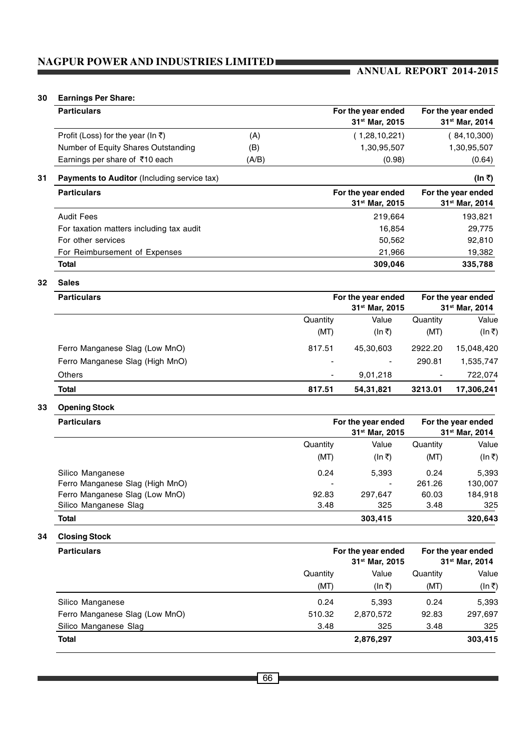# **ANNUAL REPORT 2014-2015**

# **30 Earnings Per Share:**

| <b>Particulars</b>                  |       | For the year ended<br>31 <sup>st</sup> Mar. 2015 | For the year ended<br>31 <sup>st</sup> Mar, 2014 |
|-------------------------------------|-------|--------------------------------------------------|--------------------------------------------------|
| Profit (Loss) for the year (In ₹)   | (A)   | (1,28,10,221)                                    | 84,10,300                                        |
| Number of Equity Shares Outstanding | (B)   | 1,30,95,507                                      | 1,30,95,507                                      |
| Earnings per share of ₹10 each      | (A/B) | (0.98)                                           | (0.64)                                           |

**31 Payments to Auditor** (Including service tax) **(In ₹) (In ₹) (In ₹) (In ₹)** 

| <b>Particulars</b>                       | For the year ended         | For the year ended         |
|------------------------------------------|----------------------------|----------------------------|
|                                          | 31 <sup>st</sup> Mar, 2015 | 31 <sup>st</sup> Mar, 2014 |
| <b>Audit Fees</b>                        | 219.664                    | 193,821                    |
| For taxation matters including tax audit | 16.854                     | 29,775                     |
| For other services                       | 50,562                     | 92,810                     |
| For Reimbursement of Expenses            | 21,966                     | 19,382                     |
| <b>Total</b>                             | 309,046                    | 335,788                    |

**32 Sales**

| <b>Particulars</b>              |                          | For the year ended         |                            |            |
|---------------------------------|--------------------------|----------------------------|----------------------------|------------|
|                                 |                          | 31 <sup>st</sup> Mar, 2015 | 31 <sup>st</sup> Mar, 2014 |            |
|                                 | Quantity                 | Value                      | Quantity                   | Value      |
|                                 | (MT)                     | (In ₹)                     | (MT)                       | (ln ₹)     |
| Ferro Manganese Slag (Low MnO)  | 817.51                   | 45.30.603                  | 2922.20                    | 15.048.420 |
| Ferro Manganese Slag (High MnO) | $\overline{\phantom{0}}$ | ۰.                         | 290.81                     | 1,535,747  |
| <b>Others</b>                   |                          | 9,01,218                   | $\blacksquare$             | 722,074    |
| <b>Total</b>                    | 817.51                   | 54,31,821                  | 3213.01                    | 17,306,241 |

# **33 Opening Stock**

| <b>Particulars</b>              |                | For the year ended<br>31 <sup>st</sup> Mar, 2015 |          | For the year ended<br>31 <sup>st</sup> Mar, 2014 |
|---------------------------------|----------------|--------------------------------------------------|----------|--------------------------------------------------|
|                                 | Quantity       | Value                                            | Quantity | Value                                            |
|                                 | (MT)           | (In ₹)                                           | (MT)     | (In ₹)                                           |
| Silico Manganese                | 0.24           | 5,393                                            | 0.24     | 5,393                                            |
| Ferro Manganese Slag (High MnO) | $\blacksquare$ | $\overline{\phantom{a}}$                         | 261.26   | 130,007                                          |
| Ferro Manganese Slag (Low MnO)  | 92.83          | 297.647                                          | 60.03    | 184,918                                          |
| Silico Manganese Slag           | 3.48           | 325                                              | 3.48     | 325                                              |
| <b>Total</b>                    |                | 303,415                                          |          | 320,643                                          |

## **34 Closing Stock**

| <b>Particulars</b>             |                  | For the year ended<br>31 <sup>st</sup> Mar, 2015 | For the year ended<br>31 <sup>st</sup> Mar, 2014 |                 |
|--------------------------------|------------------|--------------------------------------------------|--------------------------------------------------|-----------------|
|                                | Quantity<br>(MT) | Value<br>(In ₹)                                  | Quantity<br>(MT)                                 | Value<br>(In ₹) |
|                                |                  |                                                  |                                                  |                 |
| Ferro Manganese Slag (Low MnO) | 510.32           | 2,870,572                                        | 92.83                                            | 297,697         |
| Silico Manganese Slag          | 3.48             | 325                                              | 3.48                                             | 325             |
| <b>Total</b>                   |                  | 2,876,297                                        |                                                  | 303,415         |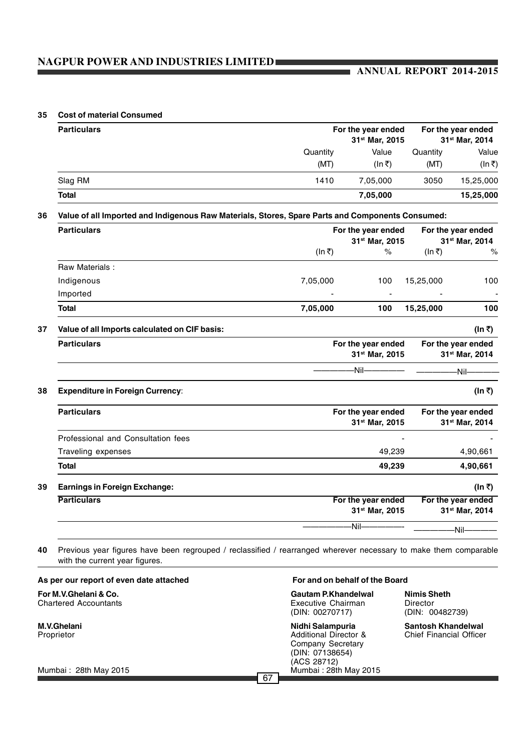# **ANNUAL REPORT 2014-2015**

#### **35 Cost of material Consumed**

| <b>Particulars</b> |                  | For the year ended<br>31 <sup>st</sup> Mar, 2015 | For the year ended<br>31 <sup>st</sup> Mar, 2014 |                 |
|--------------------|------------------|--------------------------------------------------|--------------------------------------------------|-----------------|
|                    | Quantity<br>(MT) | Value<br>(In ₹)                                  | Quantity<br>(MT)                                 | Value<br>(In ₹) |
| Slag RM            | 1410             | 7.05.000                                         | 3050                                             | 15.25.000       |
| <b>Total</b>       |                  | 7,05,000                                         |                                                  | 15,25,000       |

| <b>Particulars</b>                            |          | For the year ended<br>31 <sup>st</sup> Mar, 2015 | For the year ended | 31st Mar, 2014                                   |
|-----------------------------------------------|----------|--------------------------------------------------|--------------------|--------------------------------------------------|
|                                               | (In ₹)   | $\%$                                             | (In ₹)             | $\%$                                             |
| Raw Materials:                                |          |                                                  |                    |                                                  |
| Indigenous                                    | 7,05,000 | 100                                              | 15,25,000          | 100                                              |
| Imported                                      |          | $\overline{\phantom{a}}$                         |                    |                                                  |
| <b>Total</b>                                  | 7,05,000 | 100                                              | 15,25,000          | 100                                              |
| Value of all Imports calculated on CIF basis: |          |                                                  |                    | (In ₹)                                           |
| <b>Particulars</b>                            |          | For the year ended<br>31st Mar, 2015             | For the year ended | 31st Mar, 2014                                   |
|                                               |          | -Nil——                                           |                    | -Nil-                                            |
| <b>Expenditure in Foreign Currency:</b>       |          |                                                  |                    | (In ₹)                                           |
| <b>Particulars</b>                            |          | For the year ended<br>31st Mar, 2015             | For the year ended | 31 <sup>st</sup> Mar, 2014                       |
| Professional and Consultation fees            |          |                                                  |                    |                                                  |
| Traveling expenses                            |          | 49,239                                           |                    | 4,90,661                                         |
| <b>Total</b>                                  |          | 49,239                                           |                    | 4,90,661                                         |
| <b>Earnings in Foreign Exchange:</b>          |          |                                                  |                    | (In ₹)                                           |
| <b>Particulars</b>                            |          | For the year ended<br>31st Mar, 2015             |                    | For the year ended<br>31 <sup>st</sup> Mar, 2014 |
|                                               |          | -Nil-                                            |                    | -Nil-                                            |

**40** Previous year figures have been regrouped / reclassified / rearranged wherever necessary to make them comparable with the current year figures.

| As per our report of even date attached               | For and on behalf of the Board                                                                              |                                                             |  |
|-------------------------------------------------------|-------------------------------------------------------------------------------------------------------------|-------------------------------------------------------------|--|
| For M.V.Ghelani & Co.<br><b>Chartered Accountants</b> | Gautam P.Khandelwal<br>Executive Chairman<br>(DIN: 00270717)                                                | Nimis Sheth<br>Director<br>(DIN: 00482739)                  |  |
| M.V.Ghelani<br>Proprietor                             | Nidhi Salampuria<br><b>Additional Director &amp;</b><br>Company Secretary<br>(DIN: 07138654)<br>(ACS 28712) | <b>Santosh Khandelwal</b><br><b>Chief Financial Officer</b> |  |
| Mumbai: 28th May 2015                                 | Mumbai: 28th May 2015<br>$\sim$                                                                             |                                                             |  |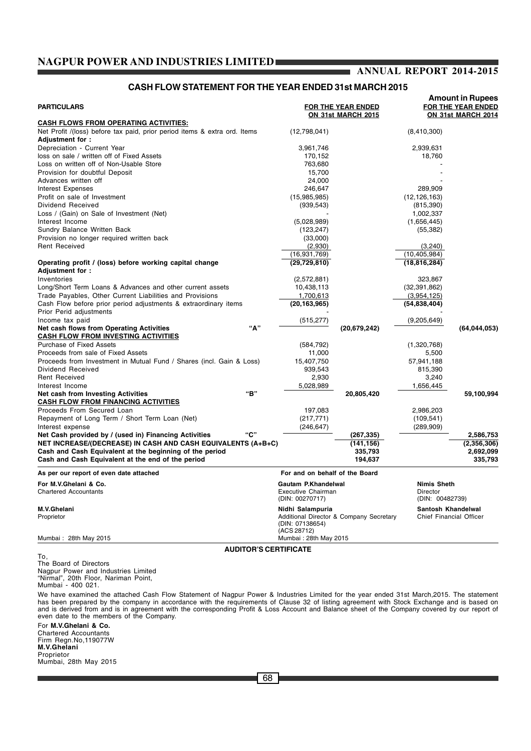# **ANNUAL REPORT 2014-2015**

### **CASH FLOW STATEMENT FOR THE YEAR ENDED 31st MARCH 2015**

| <b>PARTICULARS</b>                                                                                                                                                                                                                                                                           |                                                              | FOR THE YEAR ENDED<br>ON 31st MARCH 2015 |                                                   | <b>Amount in Rupees</b><br>FOR THE YEAR ENDED<br>ON 31st MARCH 2014 |  |
|----------------------------------------------------------------------------------------------------------------------------------------------------------------------------------------------------------------------------------------------------------------------------------------------|--------------------------------------------------------------|------------------------------------------|---------------------------------------------------|---------------------------------------------------------------------|--|
| <b>CASH FLOWS FROM OPERATING ACTIVITIES:</b>                                                                                                                                                                                                                                                 |                                                              |                                          |                                                   |                                                                     |  |
| Net Profit /(loss) before tax paid, prior period items & extra ord. Items                                                                                                                                                                                                                    | (12,798,041)                                                 |                                          | (8,410,300)                                       |                                                                     |  |
| Adjustment for:                                                                                                                                                                                                                                                                              |                                                              |                                          |                                                   |                                                                     |  |
| Depreciation - Current Year                                                                                                                                                                                                                                                                  | 3,961,746                                                    |                                          | 2,939,631                                         |                                                                     |  |
| loss on sale / written off of Fixed Assets                                                                                                                                                                                                                                                   | 170,152                                                      |                                          | 18,760                                            |                                                                     |  |
| Loss on written off of Non-Usable Store<br>Provision for doubtful Deposit                                                                                                                                                                                                                    | 763,680                                                      |                                          |                                                   |                                                                     |  |
| Advances written off                                                                                                                                                                                                                                                                         | 15,700<br>24,000                                             |                                          |                                                   |                                                                     |  |
| Interest Expenses                                                                                                                                                                                                                                                                            | 246,647                                                      |                                          | 289,909                                           |                                                                     |  |
| Profit on sale of Investment                                                                                                                                                                                                                                                                 | (15,985,985)                                                 |                                          | (12, 126, 163)                                    |                                                                     |  |
| Dividend Received                                                                                                                                                                                                                                                                            | (939, 543)                                                   |                                          | (815, 390)                                        |                                                                     |  |
| Loss / (Gain) on Sale of Investment (Net)                                                                                                                                                                                                                                                    |                                                              |                                          | 1,002,337                                         |                                                                     |  |
| Interest Income                                                                                                                                                                                                                                                                              | (5,028,989)                                                  |                                          | (1,656,445)                                       |                                                                     |  |
| Sundry Balance Written Back                                                                                                                                                                                                                                                                  | (123, 247)                                                   |                                          | (55, 382)                                         |                                                                     |  |
| Provision no longer required written back                                                                                                                                                                                                                                                    | (33,000)                                                     |                                          |                                                   |                                                                     |  |
| <b>Rent Received</b>                                                                                                                                                                                                                                                                         | (2,930)                                                      |                                          | (3,240)                                           |                                                                     |  |
|                                                                                                                                                                                                                                                                                              | (16,931,769)                                                 |                                          | (10, 405, 984)                                    |                                                                     |  |
| Operating profit / (loss) before working capital change                                                                                                                                                                                                                                      | (29, 729, 810)                                               |                                          | (18, 816, 284)                                    |                                                                     |  |
| Adjustment for :                                                                                                                                                                                                                                                                             |                                                              |                                          |                                                   |                                                                     |  |
| Inventories                                                                                                                                                                                                                                                                                  | (2,572,881)                                                  |                                          | 323,867                                           |                                                                     |  |
| Long/Short Term Loans & Advances and other current assets                                                                                                                                                                                                                                    | 10,438,113                                                   |                                          | (32, 391, 862)                                    |                                                                     |  |
| Trade Payables, Other Current Liabilities and Provisions                                                                                                                                                                                                                                     | 1,700,613                                                    |                                          | (3,954,125)                                       |                                                                     |  |
| Cash Flow before prior period adjustments & extraordinary items<br>Prior Perid adjustments                                                                                                                                                                                                   | (20, 163, 965)                                               |                                          | (54, 838, 404)                                    |                                                                     |  |
| Income tax paid                                                                                                                                                                                                                                                                              | (515, 277)                                                   |                                          | (9,205,649)                                       |                                                                     |  |
| "А"<br>Net cash flows from Operating Activities                                                                                                                                                                                                                                              |                                                              | (20, 679, 242)                           |                                                   | (64, 044, 053)                                                      |  |
| <b>CASH FLOW FROM INVESTING ACTIVITIES</b>                                                                                                                                                                                                                                                   |                                                              |                                          |                                                   |                                                                     |  |
| <b>Purchase of Fixed Assets</b>                                                                                                                                                                                                                                                              | (584, 792)                                                   |                                          | (1,320,768)                                       |                                                                     |  |
| Proceeds from sale of Fixed Assets                                                                                                                                                                                                                                                           | 11,000                                                       |                                          | 5,500                                             |                                                                     |  |
| Proceeds from Investment in Mutual Fund / Shares (incl. Gain & Loss)                                                                                                                                                                                                                         | 15,407,750                                                   |                                          | 57,941,188                                        |                                                                     |  |
| Dividend Received                                                                                                                                                                                                                                                                            | 939,543                                                      |                                          | 815,390                                           |                                                                     |  |
| <b>Rent Received</b>                                                                                                                                                                                                                                                                         | 2,930                                                        |                                          | 3,240                                             |                                                                     |  |
| Interest Income<br>"B"                                                                                                                                                                                                                                                                       | 5,028,989                                                    |                                          | 1,656,445                                         |                                                                     |  |
| Net cash from Investing Activities<br><b>CASH FLOW FROM FINANCING ACTIVITIES</b>                                                                                                                                                                                                             |                                                              | 20,805,420                               |                                                   | 59,100,994                                                          |  |
| Proceeds From Secured Loan                                                                                                                                                                                                                                                                   | 197,083                                                      |                                          | 2,986,203                                         |                                                                     |  |
| Repayment of Long Term / Short Term Loan (Net)                                                                                                                                                                                                                                               |                                                              |                                          | (109, 541)                                        |                                                                     |  |
| Interest expense                                                                                                                                                                                                                                                                             | (217, 771)<br>(246, 647)                                     |                                          | (289, 909)                                        |                                                                     |  |
| "C"<br>Net Cash provided by / (used in) Financing Activities                                                                                                                                                                                                                                 |                                                              | (267, 335)                               |                                                   | 2,586,753                                                           |  |
| NET INCREASE/(DECREASE) IN CASH AND CASH EQUIVALENTS (A+B+C)<br>Cash and Cash Equivalent at the beginning of the period<br>Cash and Cash Equivalent at the end of the period                                                                                                                 |                                                              | (141, 156)<br>335,793<br>194,637         |                                                   | (2,356,306)<br>2,692,099<br>335,793                                 |  |
| As per our report of even date attached                                                                                                                                                                                                                                                      | For and on behalf of the Board                               |                                          |                                                   |                                                                     |  |
| For M.V.Ghelani & Co.<br><b>Chartered Accountants</b>                                                                                                                                                                                                                                        | Gautam P.Khandelwal<br>Executive Chairman<br>(DIN: 00270717) |                                          | <b>Nimis Sheth</b><br>Director<br>(DIN: 00482739) |                                                                     |  |
| M.V.Ghelani                                                                                                                                                                                                                                                                                  | Nidhi Salampuria                                             |                                          | Santosh Khandelwal                                |                                                                     |  |
| Proprietor                                                                                                                                                                                                                                                                                   | (DIN: 07138654)<br>(ACS 28712)                               | Additional Director & Company Secretary  |                                                   | Chief Financial Officer                                             |  |
| Mumbai: 28th May 2015                                                                                                                                                                                                                                                                        | Mumbai: 28th May 2015                                        |                                          |                                                   |                                                                     |  |
| <b>AUDITOR'S CERTIFICATE</b>                                                                                                                                                                                                                                                                 |                                                              |                                          |                                                   |                                                                     |  |
| To.<br>The Board of Directors<br>Nagpur Power and Industries Limited<br>"Nirmal", 20th Floor, Nariman Point,<br>Mumbai - 400 021.<br>We have examined the attached Cash Flow Statement of Nagpur Power & Industries Limited for the year ended 31st March,2015. The statement                |                                                              |                                          |                                                   |                                                                     |  |
| has been prepared by the company in accordance with the requirements of Clause 32 of listing agreement with Stock Exchange and is based on<br>and is derived from and is in agreement with the corresponding Profit & Loss Account and Balance sheet of the Company covered by our report of |                                                              |                                          |                                                   |                                                                     |  |

For **M.V.Ghelani & Co.** Chartered Accountants Firm Regn.No,119077W **M.V.Ghelani** Proprietor Mumbai, 28th May 2015

even date to the members of the Company.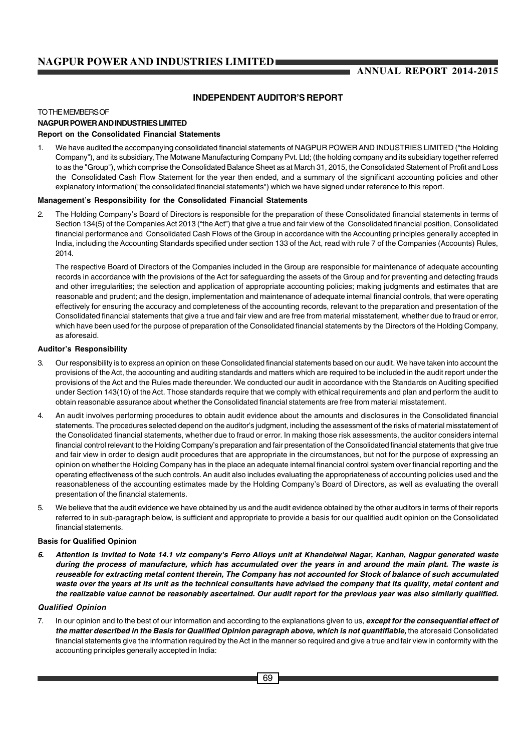# **ANNUAL REPORT 2014-2015**

#### **INDEPENDENT AUDITOR'S REPORT**

#### TO THE MEMBERS OF

## **NAGPUR POWER AND INDUSTRIES LIMITED**

#### **Report on the Consolidated Financial Statements**

1. We have audited the accompanying consolidated financial statements of NAGPUR POWER AND INDUSTRIES LIMITED ("the Holding Company"), and its subsidiary, The Motwane Manufacturing Company Pvt. Ltd; (the holding company and its subsidiary together referred to as the "Group"), which comprise the Consolidated Balance Sheet as at March 31, 2015, the Consolidated Statement of Profit and Loss the Consolidated Cash Flow Statement for the year then ended, and a summary of the significant accounting policies and other explanatory information("the consolidated financial statements") which we have signed under reference to this report.

#### **Management's Responsibility for the Consolidated Financial Statements**

2. The Holding Company's Board of Directors is responsible for the preparation of these Consolidated financial statements in terms of Section 134(5) of the Companies Act 2013 ("the Act") that give a true and fair view of the Consolidated financial position, Consolidated financial performance and Consolidated Cash Flows of the Group in accordance with the Accounting principles generally accepted in India, including the Accounting Standards specified under section 133 of the Act, read with rule 7 of the Companies (Accounts) Rules, 2014.

The respective Board of Directors of the Companies included in the Group are responsible for maintenance of adequate accounting records in accordance with the provisions of the Act for safeguarding the assets of the Group and for preventing and detecting frauds and other irregularities; the selection and application of appropriate accounting policies; making judgments and estimates that are reasonable and prudent; and the design, implementation and maintenance of adequate internal financial controls, that were operating effectively for ensuring the accuracy and completeness of the accounting records, relevant to the preparation and presentation of the Consolidated financial statements that give a true and fair view and are free from material misstatement, whether due to fraud or error, which have been used for the purpose of preparation of the Consolidated financial statements by the Directors of the Holding Company, as aforesaid.

#### **Auditor's Responsibility**

- 3. Our responsibility is to express an opinion on these Consolidated financial statements based on our audit. We have taken into account the provisions of the Act, the accounting and auditing standards and matters which are required to be included in the audit report under the provisions of the Act and the Rules made thereunder. We conducted our audit in accordance with the Standards on Auditing specified under Section 143(10) of the Act. Those standards require that we comply with ethical requirements and plan and perform the audit to obtain reasonable assurance about whether the Consolidated financial statements are free from material misstatement.
- 4. An audit involves performing procedures to obtain audit evidence about the amounts and disclosures in the Consolidated financial statements. The procedures selected depend on the auditor's judgment, including the assessment of the risks of material misstatement of the Consolidated financial statements, whether due to fraud or error. In making those risk assessments, the auditor considers internal financial control relevant to the Holding Company's preparation and fair presentation of the Consolidated financial statements that give true and fair view in order to design audit procedures that are appropriate in the circumstances, but not for the purpose of expressing an opinion on whether the Holding Company has in the place an adequate internal financial control system over financial reporting and the operating effectiveness of the such controls. An audit also includes evaluating the appropriateness of accounting policies used and the reasonableness of the accounting estimates made by the Holding Company's Board of Directors, as well as evaluating the overall presentation of the financial statements.
- 5. We believe that the audit evidence we have obtained by us and the audit evidence obtained by the other auditors in terms of their reports referred to in sub-paragraph below, is sufficient and appropriate to provide a basis for our qualified audit opinion on the Consolidated financial statements.

#### **Basis for Qualified Opinion**

*6. Attention is invited to Note 14.1 viz company's Ferro Alloys unit at Khandelwal Nagar, Kanhan, Nagpur generated waste during the process of manufacture, which has accumulated over the years in and around the main plant. The waste is reuseable for extracting metal content therein, The Company has not accounted for Stock of balance of such accumulated waste over the years at its unit as the technical consultants have advised the company that its quality, metal content and the realizable value cannot be reasonably ascertained. Our audit report for the previous year was also similarly qualified.*

#### *Qualified Opinion*

7. In our opinion and to the best of our information and according to the explanations given to us, *except for the consequential effect of the matter described in the Basis for Qualified Opinion paragraph above, which is not quantifiable,* the aforesaid Consolidated financial statements give the information required by the Act in the manner so required and give a true and fair view in conformity with the accounting principles generally accepted in India: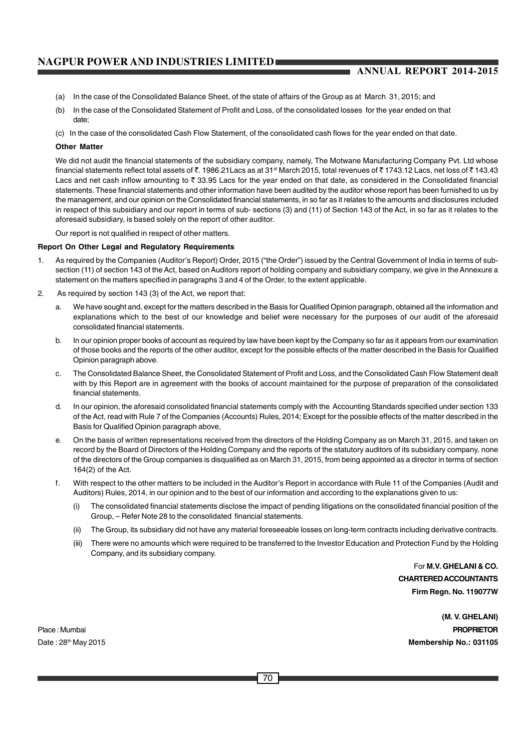### **ANNUAL REPORT 2014-2015**

- (a) In the case of the Consolidated Balance Sheet, of the state of affairs of the Group as at March 31, 2015; and
- (b) In the case of the Consolidated Statement of Profit and Loss, of the consolidated losses for the year ended on that date;
- (c) In the case of the consolidated Cash Flow Statement, of the consolidated cash flows for the year ended on that date.

#### **Other Matter**

We did not audit the financial statements of the subsidiary company, namely, The Motwane Manufacturing Company Pvt. Ltd whose financial statements reflect total assets of ₹. 1986.21Lacs as at 31<sup>st</sup> March 2015, total revenues of ₹ 1743.12 Lacs, net loss of ₹ 143.43 Lacs and net cash inflow amounting to  $\bar{\tau}$  33.95 Lacs for the year ended on that date, as considered in the Consolidated financial statements. These financial statements and other information have been audited by the auditor whose report has been furnished to us by the management, and our opinion on the Consolidated financial statements, in so far as it relates to the amounts and disclosures included in respect of this subsidiary and our report in terms of sub- sections (3) and (11) of Section 143 of the Act, in so far as it relates to the aforesaid subsidiary, is based solely on the report of other auditor.

Our report is not qualified in respect of other matters.

#### **Report On Other Legal and Regulatory Requirements**

- 1. As required by the Companies (Auditor's Report) Order, 2015 ("the Order") issued by the Central Government of India in terms of subsection (11) of section 143 of the Act, based on Auditors report of holding company and subsidiary company, we give in the Annexure a statement on the matters specified in paragraphs 3 and 4 of the Order, to the extent applicable.
- 2. As required by section 143 (3) of the Act, we report that:
	- a. We have sought and, except for the matters described in the Basis for Qualified Opinion paragraph, obtained all the information and explanations which to the best of our knowledge and belief were necessary for the purposes of our audit of the aforesaid consolidated financial statements.
	- b. In our opinion proper books of account as required by law have been kept by the Company so far as it appears from our examination of those books and the reports of the other auditor, except for the possible effects of the matter described in the Basis for Qualified Opinion paragraph above.
	- c. The Consolidated Balance Sheet, the Consolidated Statement of Profit and Loss, and the Consolidated Cash Flow Statement dealt with by this Report are in agreement with the books of account maintained for the purpose of preparation of the consolidated financial statements.
	- d. In our opinion, the aforesaid consolidated financial statements comply with the Accounting Standards specified under section 133 of the Act, read with Rule 7 of the Companies (Accounts) Rules, 2014; Except for the possible effects of the matter described in the Basis for Qualified Opinion paragraph above,
	- e. On the basis of written representations received from the directors of the Holding Company as on March 31, 2015, and taken on record by the Board of Directors of the Holding Company and the reports of the statutory auditors of its subsidiary company, none of the directors of the Group companies is disqualified as on March 31, 2015, from being appointed as a director in terms of section 164(2) of the Act.
	- f. With respect to the other matters to be included in the Auditor's Report in accordance with Rule 11 of the Companies (Audit and Auditors) Rules, 2014, in our opinion and to the best of our information and according to the explanations given to us:
		- (i) The consolidated financial statements disclose the impact of pending litigations on the consolidated financial position of the Group, – Refer Note 28 to the consolidated financial statements.
		- (ii) The Group, its subsidiary did not have any material foreseeable losses on long-term contracts including derivative contracts.
		- (iii) There were no amounts which were required to be transferred to the Investor Education and Protection Fund by the Holding Company, and its subsidiary company.

For **M.V. GHELANI & CO. CHARTERED ACCOUNTANTS Firm Regn. No. 119077W**

**(M. V. GHELANI)** Place : Mumbai **PROPRIETOR** Date : 28th May 2015 **Membership No.: 031105**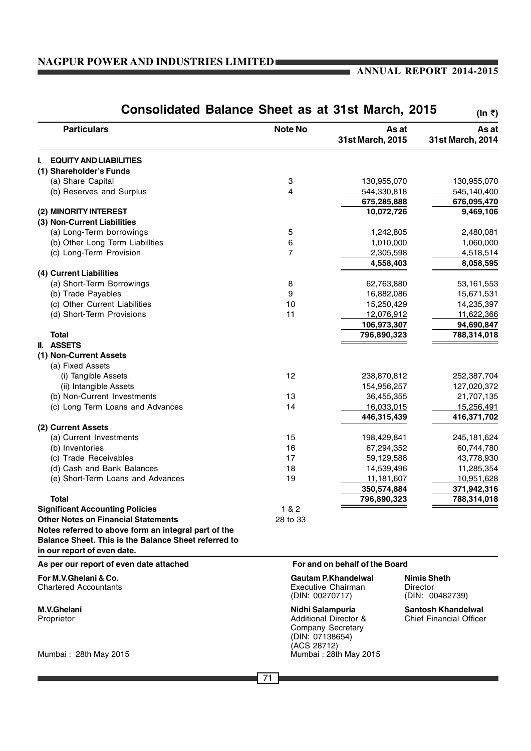## **ANNUAL REPORT 2014-2015**

| Consolidated Balance Sheet as at 31st March, 2015                                                                                           |                |                                                                                                                       | (In ₹)                                                      |
|---------------------------------------------------------------------------------------------------------------------------------------------|----------------|-----------------------------------------------------------------------------------------------------------------------|-------------------------------------------------------------|
| <b>Particulars</b>                                                                                                                          | <b>Note No</b> | As at<br>31st March, 2015                                                                                             | As at<br>31st March, 2014                                   |
| <b>EQUITY AND LIABILITIES</b><br>I.,                                                                                                        |                |                                                                                                                       |                                                             |
| (1) Shareholder's Funds                                                                                                                     |                |                                                                                                                       |                                                             |
| (a) Share Capital                                                                                                                           | 3              | 130,955,070                                                                                                           | 130,955,070                                                 |
| (b) Reserves and Surplus                                                                                                                    | 4              | 544,330,818                                                                                                           | 545,140,400                                                 |
|                                                                                                                                             |                | 675,285,888                                                                                                           | 676,095,470                                                 |
| (2) MINORITY INTEREST                                                                                                                       |                | 10,072,726                                                                                                            | 9,469,106                                                   |
| (3) Non-Current Liabilities                                                                                                                 |                |                                                                                                                       |                                                             |
| (a) Long-Term borrowings                                                                                                                    | 5              | 1,242,805                                                                                                             | 2,480,081                                                   |
| (b) Other Long Term Liabillties                                                                                                             | 6              | 1,010,000                                                                                                             | 1,060,000                                                   |
| (c) Long-Term Provision                                                                                                                     | 7              | 2,305,598                                                                                                             | 4,518,514                                                   |
|                                                                                                                                             |                | 4,558,403                                                                                                             | 8,058,595                                                   |
| (4) Current Liabilities                                                                                                                     |                |                                                                                                                       |                                                             |
| (a) Short-Term Borrowings                                                                                                                   | 8              | 62,763,880                                                                                                            | 53, 161, 553                                                |
| (b) Trade Payables                                                                                                                          | 9              | 16,882,086                                                                                                            | 15,671,531                                                  |
| (c) Other Current Liabilities                                                                                                               | 10             | 15,250,429                                                                                                            | 14,235,397                                                  |
| (d) Short-Term Provisions                                                                                                                   | 11             | 12,076,912                                                                                                            | 11,622,366                                                  |
|                                                                                                                                             |                | 106,973,307                                                                                                           | 94,690,847                                                  |
| <b>Total</b>                                                                                                                                |                | 796,890,323                                                                                                           | 788,314,018                                                 |
| II. ASSETS                                                                                                                                  |                |                                                                                                                       |                                                             |
| (1) Non-Current Assets                                                                                                                      |                |                                                                                                                       |                                                             |
| (a) Fixed Assets<br>(i) Tangible Assets                                                                                                     | 12             |                                                                                                                       |                                                             |
| (ii) Intangible Assets                                                                                                                      |                | 238,870,812                                                                                                           | 252,387,704                                                 |
| (b) Non-Current Investments                                                                                                                 | 13             | 154,956,257<br>36,455,355                                                                                             | 127,020,372<br>21,707,135                                   |
| (c) Long Term Loans and Advances                                                                                                            | 14             | 16,033,015                                                                                                            | 15,256,491                                                  |
|                                                                                                                                             |                | 446,315,439                                                                                                           | 416,371,702                                                 |
| (2) Current Assets                                                                                                                          |                |                                                                                                                       |                                                             |
| (a) Current Investments                                                                                                                     | 15             | 198,429,841                                                                                                           | 245, 181, 624                                               |
| (b) Inventories                                                                                                                             | 16             | 67,294,352                                                                                                            | 60,744,780                                                  |
| (c) Trade Receivables                                                                                                                       | 17             | 59,129,588                                                                                                            | 43,778,930                                                  |
| (d) Cash and Bank Balances                                                                                                                  | 18             | 14,539,496                                                                                                            | 11,285,354                                                  |
| (e) Short-Term Loans and Advances                                                                                                           | 19             | 11,181,607                                                                                                            | 10,951,628                                                  |
|                                                                                                                                             |                | 350,574,884                                                                                                           | 371,942,316                                                 |
| <b>Total</b>                                                                                                                                |                | 796,890,323                                                                                                           | 788,314,018                                                 |
| <b>Significant Accounting Policies</b>                                                                                                      | 1 & 2          |                                                                                                                       |                                                             |
| <b>Other Notes on Financial Statements</b>                                                                                                  | 28 to 33       |                                                                                                                       |                                                             |
| Notes referred to above form an integral part of the<br>Balance Sheet. This is the Balance Sheet referred to<br>in our report of even date. |                |                                                                                                                       |                                                             |
| As per our report of even date attached                                                                                                     |                | For and on behalf of the Board                                                                                        |                                                             |
| For M.V.Ghelani & Co.<br><b>Chartered Accountants</b>                                                                                       |                | <b>Gautam P.Khandelwal</b><br>Executive Chairman<br>(DIN: 00270717)                                                   | <b>Nimis Sheth</b><br>Director<br>(DIN: 00482739)           |
| M.V.Ghelani<br>Proprietor<br>Mumbai: 28th May 2015                                                                                          | (ACS 28712)    | Nidhi Salampuria<br><b>Additional Director &amp;</b><br>Company Secretary<br>(DIN: 07138654)<br>Mumbai: 28th May 2015 | <b>Santosh Khandelwal</b><br><b>Chief Financial Officer</b> |
|                                                                                                                                             |                |                                                                                                                       |                                                             |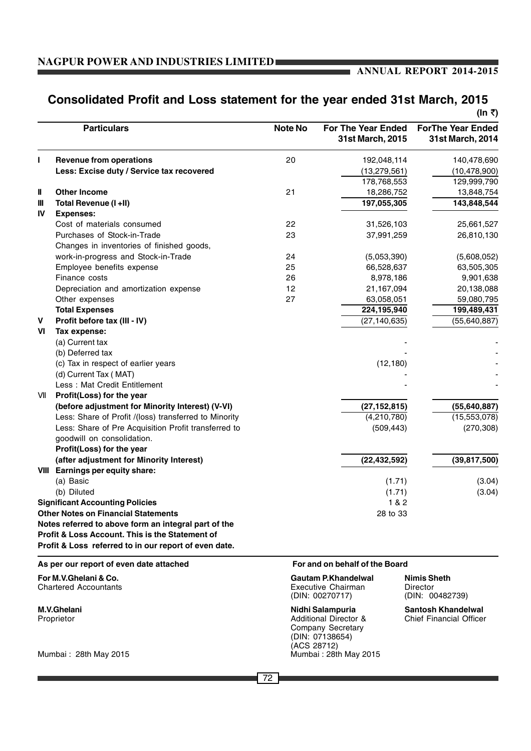Ť.

## **Consolidated Profit and Loss statement for the year ended 31st March, 2015**

|     |                                                       |                |                                        | (In ₹)                                       |
|-----|-------------------------------------------------------|----------------|----------------------------------------|----------------------------------------------|
|     | <b>Particulars</b>                                    | <b>Note No</b> | For The Year Ended<br>31st March, 2015 | <b>ForThe Year Ended</b><br>31st March, 2014 |
| П   | <b>Revenue from operations</b>                        | 20             | 192,048,114                            | 140,478,690                                  |
|     | Less: Excise duty / Service tax recovered             |                | (13, 279, 561)                         | (10, 478, 900)                               |
|     |                                                       |                | 178,768,553                            | 129,999,790                                  |
| Ш   | <b>Other Income</b>                                   | 21             | 18,286,752                             | 13,848,754                                   |
| Ш   | Total Revenue (I +II)                                 |                | 197,055,305                            | 143,848,544                                  |
| IV  | <b>Expenses:</b>                                      |                |                                        |                                              |
|     | Cost of materials consumed                            | 22             | 31,526,103                             | 25,661,527                                   |
|     | Purchases of Stock-in-Trade                           | 23             | 37,991,259                             | 26,810,130                                   |
|     | Changes in inventories of finished goods,             |                |                                        |                                              |
|     | work-in-progress and Stock-in-Trade                   | 24             | (5,053,390)                            | (5,608,052)                                  |
|     | Employee benefits expense                             | 25             | 66,528,637                             | 63,505,305                                   |
|     | Finance costs                                         | 26             | 8,978,186                              | 9,901,638                                    |
|     | Depreciation and amortization expense                 | 12             | 21,167,094                             | 20,138,088                                   |
|     | Other expenses                                        | 27             | 63,058,051                             | 59,080,795                                   |
|     | <b>Total Expenses</b>                                 |                | 224,195,940                            | 199,489,431                                  |
| v   | Profit before tax (III - IV)                          |                | (27, 140, 635)                         | (55, 640, 887)                               |
| VI  | Tax expense:                                          |                |                                        |                                              |
|     | (a) Current tax                                       |                |                                        |                                              |
|     | (b) Deferred tax                                      |                |                                        |                                              |
|     | (c) Tax in respect of earlier years                   |                | (12, 180)                              |                                              |
|     | (d) Current Tax (MAT)                                 |                |                                        |                                              |
|     | Less: Mat Credit Entitlement                          |                |                                        |                                              |
| VII | Profit(Loss) for the year                             |                |                                        |                                              |
|     | (before adjustment for Minority Interest) (V-VI)      |                | (27, 152, 815)                         | (55, 640, 887)                               |
|     | Less: Share of Profit /(loss) transferred to Minority |                | (4,210,780)                            | (15, 553, 078)                               |
|     | Less: Share of Pre Acquisition Profit transferred to  |                | (509, 443)                             | (270, 308)                                   |
|     | goodwill on consolidation.                            |                |                                        |                                              |
|     | Profit(Loss) for the year                             |                |                                        |                                              |
|     | (after adjustment for Minority Interest)              |                | (22, 432, 592)                         | (39, 817, 500)                               |
|     | VIII Earnings per equity share:                       |                |                                        |                                              |
|     | (a) Basic                                             |                | (1.71)                                 | (3.04)                                       |
|     | (b) Diluted                                           |                | (1.71)                                 | (3.04)                                       |
|     | <b>Significant Accounting Policies</b>                |                | 1 & 2                                  |                                              |
|     | <b>Other Notes on Financial Statements</b>            |                | 28 to 33                               |                                              |
|     | Notes referred to above form an integral part of the  |                |                                        |                                              |
|     | Profit & Loss Account. This is the Statement of       |                |                                        |                                              |
|     | Profit & Loss referred to in our report of even date. |                |                                        |                                              |
|     | As per our report of even date attached               |                | For and on behalf of the Board         |                                              |
|     | For M.V.Ghelani & Co.                                 |                | Gautam P.Khandelwal                    | <b>Nimis Sheth</b>                           |

Mumbai: 28th May 2015

Chartered Accountants **Executive Chairman** Director **Chartered Accountants Executive Chairman** Director (DIN: 00270717) (DIN: 00 **M.V.Ghelani Nidhi Salampuria Santosh Khandelwal**<br> **Proprietor Nidhi Salampuria** Santosh Khandelwal<br>
Additional Director & Chief Financial Officer Additional Director & Company Secretary

(ACS 28712)<br>Mumbai : 28th May 2015

(DIN: 07138654)

(DIN: 00482739)

 $\sqrt{72}$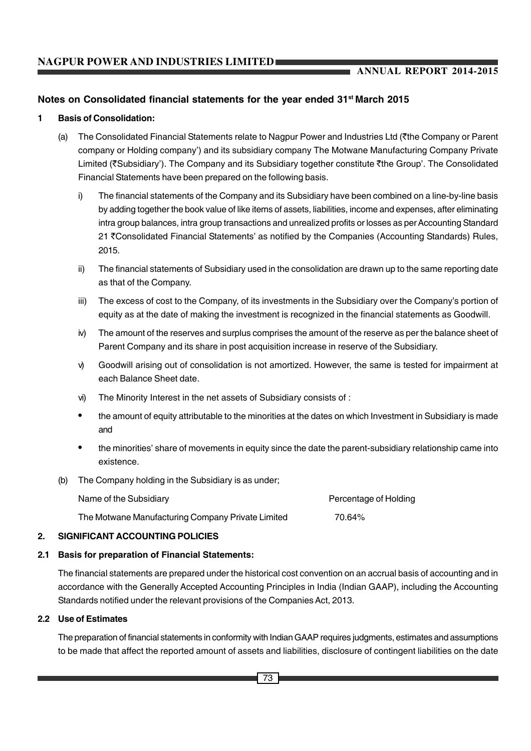#### **Notes on Consolidated financial statements for the year ended 31st March 2015**

#### **1 Basis of Consolidation:**

- (a) The Consolidated Financial Statements relate to Nagpur Power and Industries Ltd (`the Company or Parent company or Holding company') and its subsidiary company The Motwane Manufacturing Company Private Limited ( $\overline{\xi}$ Subsidiary'). The Company and its Subsidiary together constitute  $\overline{\xi}$ the Group'. The Consolidated Financial Statements have been prepared on the following basis.
	- i) The financial statements of the Company and its Subsidiary have been combined on a line-by-line basis by adding together the book value of like items of assets, liabilities, income and expenses, after eliminating intra group balances, intra group transactions and unrealized profits or losses as per Accounting Standard 21 ₹Consolidated Financial Statements' as notified by the Companies (Accounting Standards) Rules, 2015.
	- ii) The financial statements of Subsidiary used in the consolidation are drawn up to the same reporting date as that of the Company.
	- iii) The excess of cost to the Company, of its investments in the Subsidiary over the Company's portion of equity as at the date of making the investment is recognized in the financial statements as Goodwill.
	- iv) The amount of the reserves and surplus comprises the amount of the reserve as per the balance sheet of Parent Company and its share in post acquisition increase in reserve of the Subsidiary.
	- v) Goodwill arising out of consolidation is not amortized. However, the same is tested for impairment at each Balance Sheet date.
	- vi) The Minority Interest in the net assets of Subsidiary consists of :
	- the amount of equity attributable to the minorities at the dates on which Investment in Subsidiary is made and
	- the minorities' share of movements in equity since the date the parent-subsidiary relationship came into existence.
- (b) The Company holding in the Subsidiary is as under;

| Name of the Subsidiary                            | Percentage of Holding |
|---------------------------------------------------|-----------------------|
| The Motwane Manufacturing Company Private Limited | 70.64%                |

#### **2. SIGNIFICANT ACCOUNTING POLICIES**

#### **2.1 Basis for preparation of Financial Statements:**

The financial statements are prepared under the historical cost convention on an accrual basis of accounting and in accordance with the Generally Accepted Accounting Principles in India (Indian GAAP), including the Accounting Standards notified under the relevant provisions of the Companies Act, 2013.

#### **2.2 Use of Estimates**

The preparation of financial statements in conformity with Indian GAAP requires judgments, estimates and assumptions to be made that affect the reported amount of assets and liabilities, disclosure of contingent liabilities on the date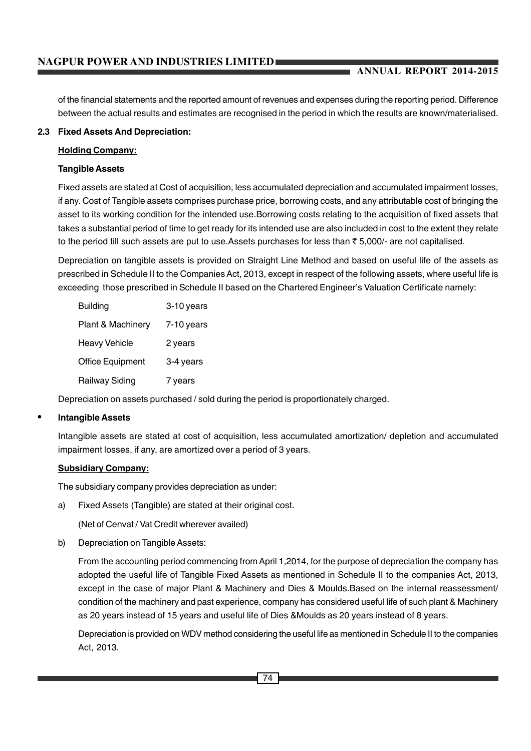of the financial statements and the reported amount of revenues and expenses during the reporting period. Difference between the actual results and estimates are recognised in the period in which the results are known/materialised.

#### **2.3 Fixed Assets And Depreciation:**

#### **Holding Company:**

#### **Tangible Assets**

Fixed assets are stated at Cost of acquisition, less accumulated depreciation and accumulated impairment losses, if any. Cost of Tangible assets comprises purchase price, borrowing costs, and any attributable cost of bringing the asset to its working condition for the intended use.Borrowing costs relating to the acquisition of fixed assets that takes a substantial period of time to get ready for its intended use are also included in cost to the extent they relate to the period till such assets are put to use. Assets purchases for less than  $\bar{\tau}$  5,000/- are not capitalised.

Depreciation on tangible assets is provided on Straight Line Method and based on useful life of the assets as prescribed in Schedule II to the Companies Act, 2013, except in respect of the following assets, where useful life is exceeding those prescribed in Schedule II based on the Chartered Engineer's Valuation Certificate namely:

| <b>Building</b>         | 3-10 years   |
|-------------------------|--------------|
| Plant & Machinery       | $7-10$ years |
| <b>Heavy Vehicle</b>    | 2 years      |
| <b>Office Equipment</b> | 3-4 years    |
| <b>Railway Siding</b>   | 7 years      |

Depreciation on assets purchased / sold during the period is proportionately charged.

#### • **Intangible Assets**

Intangible assets are stated at cost of acquisition, less accumulated amortization/ depletion and accumulated impairment losses, if any, are amortized over a period of 3 years.

#### **Subsidiary Company:**

The subsidiary company provides depreciation as under:

a) Fixed Assets (Tangible) are stated at their original cost.

(Net of Cenvat / Vat Credit wherever availed)

b) Depreciation on Tangible Assets:

From the accounting period commencing from April 1,2014, for the purpose of depreciation the company has adopted the useful life of Tangible Fixed Assets as mentioned in Schedule II to the companies Act, 2013, except in the case of major Plant & Machinery and Dies & Moulds.Based on the internal reassessment/ condition of the machinery and past experience, company has considered useful life of such plant & Machinery as 20 years instead of 15 years and useful life of Dies &Moulds as 20 years instead of 8 years.

Depreciation is provided on WDV method considering the useful life as mentioned in Schedule II to the companies Act, 2013.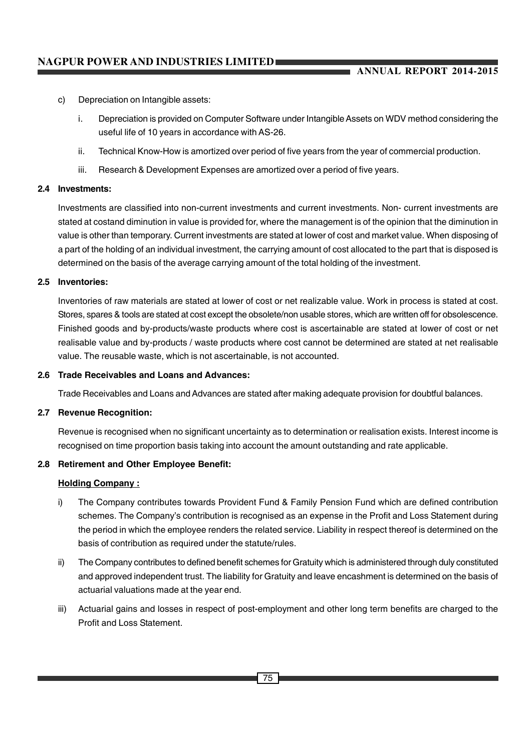- c) Depreciation on Intangible assets:
	- i. Depreciation is provided on Computer Software under Intangible Assets on WDV method considering the useful life of 10 years in accordance with AS-26.
	- ii. Technical Know-How is amortized over period of five years from the year of commercial production.
	- iii. Research & Development Expenses are amortized over a period of five years.

#### **2.4 Investments:**

Investments are classified into non-current investments and current investments. Non- current investments are stated at costand diminution in value is provided for, where the management is of the opinion that the diminution in value is other than temporary. Current investments are stated at lower of cost and market value. When disposing of a part of the holding of an individual investment, the carrying amount of cost allocated to the part that is disposed is determined on the basis of the average carrying amount of the total holding of the investment.

#### **2.5 Inventories:**

Inventories of raw materials are stated at lower of cost or net realizable value. Work in process is stated at cost. Stores, spares & tools are stated at cost except the obsolete/non usable stores, which are written off for obsolescence. Finished goods and by-products/waste products where cost is ascertainable are stated at lower of cost or net realisable value and by-products / waste products where cost cannot be determined are stated at net realisable value. The reusable waste, which is not ascertainable, is not accounted.

#### **2.6 Trade Receivables and Loans and Advances:**

Trade Receivables and Loans and Advances are stated after making adequate provision for doubtful balances.

#### **2.7 Revenue Recognition:**

Revenue is recognised when no significant uncertainty as to determination or realisation exists. Interest income is recognised on time proportion basis taking into account the amount outstanding and rate applicable.

#### **2.8 Retirement and Other Employee Benefit:**

#### **Holding Company :**

- i) The Company contributes towards Provident Fund & Family Pension Fund which are defined contribution schemes. The Company's contribution is recognised as an expense in the Profit and Loss Statement during the period in which the employee renders the related service. Liability in respect thereof is determined on the basis of contribution as required under the statute/rules.
- ii) The Company contributes to defined benefit schemes for Gratuity which is administered through duly constituted and approved independent trust. The liability for Gratuity and leave encashment is determined on the basis of actuarial valuations made at the year end.
- iii) Actuarial gains and losses in respect of post-employment and other long term benefits are charged to the Profit and Loss Statement.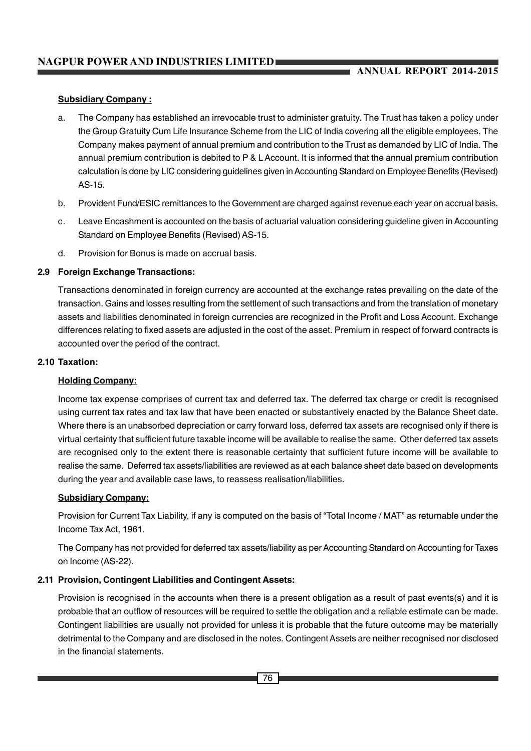#### **Subsidiary Company :**

- a. The Company has established an irrevocable trust to administer gratuity. The Trust has taken a policy under the Group Gratuity Cum Life Insurance Scheme from the LIC of India covering all the eligible employees. The Company makes payment of annual premium and contribution to the Trust as demanded by LIC of India. The annual premium contribution is debited to P & L Account. It is informed that the annual premium contribution calculation is done by LIC considering guidelines given in Accounting Standard on Employee Benefits (Revised) AS-15.
- b. Provident Fund/ESIC remittances to the Government are charged against revenue each year on accrual basis.
- c. Leave Encashment is accounted on the basis of actuarial valuation considering guideline given in Accounting Standard on Employee Benefits (Revised) AS-15.
- d. Provision for Bonus is made on accrual basis.

#### **2.9 Foreign Exchange Transactions:**

Transactions denominated in foreign currency are accounted at the exchange rates prevailing on the date of the transaction. Gains and losses resulting from the settlement of such transactions and from the translation of monetary assets and liabilities denominated in foreign currencies are recognized in the Profit and Loss Account. Exchange differences relating to fixed assets are adjusted in the cost of the asset. Premium in respect of forward contracts is accounted over the period of the contract.

#### **2.10 Taxation:**

#### **Holding Company:**

Income tax expense comprises of current tax and deferred tax. The deferred tax charge or credit is recognised using current tax rates and tax law that have been enacted or substantively enacted by the Balance Sheet date. Where there is an unabsorbed depreciation or carry forward loss, deferred tax assets are recognised only if there is virtual certainty that sufficient future taxable income will be available to realise the same. Other deferred tax assets are recognised only to the extent there is reasonable certainty that sufficient future income will be available to realise the same. Deferred tax assets/liabilities are reviewed as at each balance sheet date based on developments during the year and available case laws, to reassess realisation/liabilities.

#### **Subsidiary Company:**

Provision for Current Tax Liability, if any is computed on the basis of "Total Income / MAT" as returnable under the Income Tax Act, 1961.

The Company has not provided for deferred tax assets/liability as per Accounting Standard on Accounting for Taxes on Income (AS-22).

#### **2.11 Provision, Contingent Liabilities and Contingent Assets:**

Provision is recognised in the accounts when there is a present obligation as a result of past events(s) and it is probable that an outflow of resources will be required to settle the obligation and a reliable estimate can be made. Contingent liabilities are usually not provided for unless it is probable that the future outcome may be materially detrimental to the Company and are disclosed in the notes. Contingent Assets are neither recognised nor disclosed in the financial statements.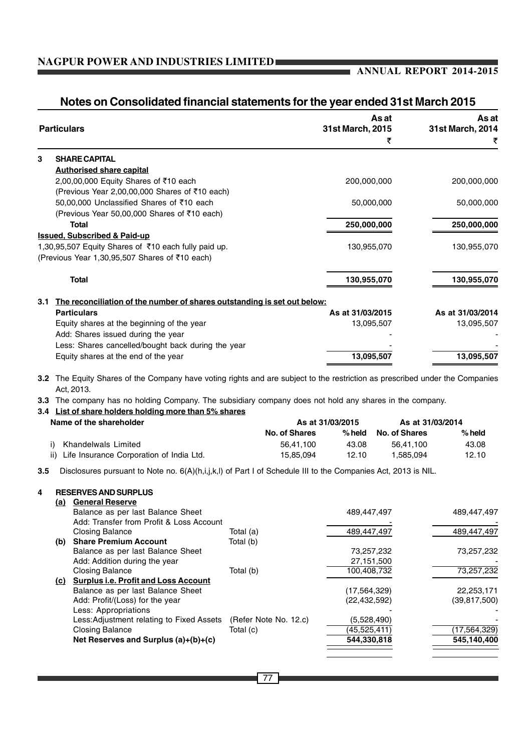٠

#### **Notes on Consolidated financial statements for the year ended 31st March 2015**

|     | <b>Particulars</b>                                                       | As at<br>31st March, 2015 | As at<br>31st March, 2014 |
|-----|--------------------------------------------------------------------------|---------------------------|---------------------------|
|     |                                                                          | ₹                         | ₹                         |
| 3   | <b>SHARE CAPITAL</b>                                                     |                           |                           |
|     | <b>Authorised share capital</b>                                          |                           |                           |
|     | 2,00,00,000 Equity Shares of ₹10 each                                    | 200,000,000               | 200,000,000               |
|     | (Previous Year 2,00,00,000 Shares of ₹10 each)                           |                           |                           |
|     | 50,00,000 Unclassified Shares of ₹10 each                                | 50,000,000                | 50,000,000                |
|     | (Previous Year 50,00,000 Shares of ₹10 each)                             |                           |                           |
|     | <b>Total</b>                                                             | 250,000,000               | 250,000,000               |
|     | <b>Issued, Subscribed &amp; Paid-up</b>                                  |                           |                           |
|     | 1,30,95,507 Equity Shares of ₹10 each fully paid up.                     | 130,955,070               | 130,955,070               |
|     | (Previous Year 1,30,95,507 Shares of ₹10 each)                           |                           |                           |
|     | <b>Total</b>                                                             | 130,955,070               | 130,955,070               |
| 3.1 | The reconciliation of the number of shares outstanding is set out below: |                           |                           |
|     | <b>Particulars</b>                                                       | As at 31/03/2015          | As at 31/03/2014          |
|     | Equity shares at the beginning of the year                               | 13,095,507                | 13,095,507                |
|     | Add: Shares issued during the year                                       |                           |                           |
|     | Less: Shares cancelled/bought back during the year                       |                           |                           |
|     | Equity shares at the end of the year                                     | 13,095,507                | 13,095,507                |
|     |                                                                          |                           |                           |

**3.2** The Equity Shares of the Company have voting rights and are subject to the restriction as prescribed under the Companies Act, 2013.

**3.3** The company has no holding Company. The subsidiary company does not hold any shares in the company.

#### **3.4 List of share holders holding more than 5% shares**

| Name of the shareholder                      | As at 31/03/2015 |          | As at 31/03/2014     |          |
|----------------------------------------------|------------------|----------|----------------------|----------|
|                                              | No. of Shares    | $%$ held | <b>No. of Shares</b> | $%$ held |
| Khandelwals Limited<br>i).                   | 56.41.100        | 43.08    | 56.41.100            | 43.08    |
| ii) Life Insurance Corporation of India Ltd. | 15.85.094        | 12.10    | 1.585.094            | 12.10    |

**3.5** Disclosures pursuant to Note no. 6(A)(h,i,j,k,l) of Part I of Schedule III to the Companies Act, 2013 is NIL.

#### **4 RESERVES AND SURPLUS**

| <u>(a)</u> | <b>General Reserve</b>                      |                       |                |                |
|------------|---------------------------------------------|-----------------------|----------------|----------------|
|            | Balance as per last Balance Sheet           |                       | 489,447,497    | 489,447,497    |
|            | Add: Transfer from Profit & Loss Account    |                       |                |                |
|            | <b>Closing Balance</b>                      | Total (a)             | 489,447,497    | 489,447,497    |
| (b)        | <b>Share Premium Account</b>                | Total (b)             |                |                |
|            | Balance as per last Balance Sheet           |                       | 73,257,232     | 73,257,232     |
|            | Add: Addition during the year               |                       | 27,151,500     |                |
|            | <b>Closing Balance</b>                      | Total (b)             | 100,408,732    | 73,257,232     |
| (c)        | <b>Surplus i.e. Profit and Loss Account</b> |                       |                |                |
|            | Balance as per last Balance Sheet           |                       | (17, 564, 329) | 22,253,171     |
|            | Add: Profit/(Loss) for the year             |                       | (22, 432, 592) | (39, 817, 500) |
|            | Less: Appropriations                        |                       |                |                |
|            | Less: Adjustment relating to Fixed Assets   | (Refer Note No. 12.c) | (5,528,490)    |                |
|            | <b>Closing Balance</b>                      | Total (c)             | (45,525,411)   | (17, 564, 329) |
|            | Net Reserves and Surplus (a)+(b)+(c)        |                       | 544,330,818    | 545.140.400    |
|            |                                             |                       |                |                |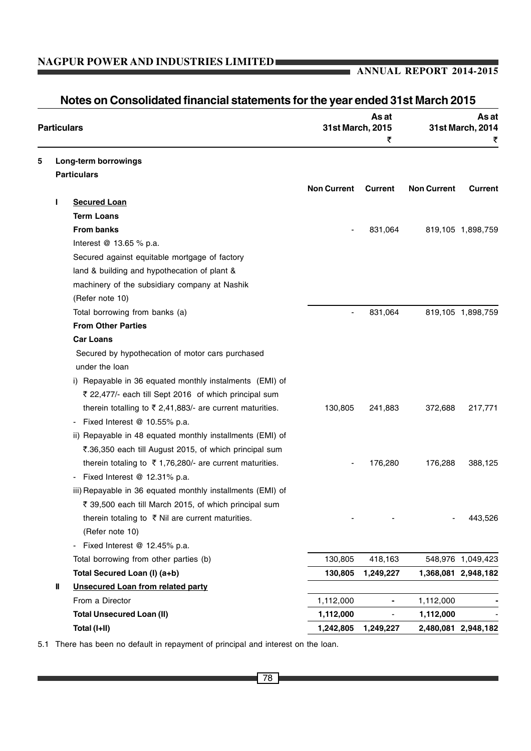#### **ANNUAL REPORT 2014-2015**

|   | <b>Particulars</b> |                                                                       | 31st March, 2015   | As at<br>₹ |                    | As at<br>31st March, 2014<br>₹ |
|---|--------------------|-----------------------------------------------------------------------|--------------------|------------|--------------------|--------------------------------|
| 5 |                    | Long-term borrowings                                                  |                    |            |                    |                                |
|   |                    | <b>Particulars</b>                                                    |                    |            |                    |                                |
|   |                    |                                                                       | <b>Non Current</b> | Current    | <b>Non Current</b> | <b>Current</b>                 |
|   |                    | <b>Secured Loan</b>                                                   |                    |            |                    |                                |
|   |                    | <b>Term Loans</b>                                                     |                    |            |                    |                                |
|   |                    | <b>From banks</b>                                                     |                    | 831,064    |                    | 819,105 1,898,759              |
|   |                    | Interest @ 13.65 % p.a.                                               |                    |            |                    |                                |
|   |                    | Secured against equitable mortgage of factory                         |                    |            |                    |                                |
|   |                    | land & building and hypothecation of plant &                          |                    |            |                    |                                |
|   |                    | machinery of the subsidiary company at Nashik                         |                    |            |                    |                                |
|   |                    | (Refer note 10)                                                       |                    |            |                    |                                |
|   |                    | Total borrowing from banks (a)                                        |                    | 831,064    |                    | 819,105 1,898,759              |
|   |                    | <b>From Other Parties</b>                                             |                    |            |                    |                                |
|   |                    | <b>Car Loans</b>                                                      |                    |            |                    |                                |
|   |                    | Secured by hypothecation of motor cars purchased                      |                    |            |                    |                                |
|   |                    | under the loan                                                        |                    |            |                    |                                |
|   |                    | i) Repayable in 36 equated monthly instalments (EMI) of               |                    |            |                    |                                |
|   |                    | ₹ 22,477/- each till Sept 2016 of which principal sum                 |                    |            |                    |                                |
|   |                    | therein totalling to $\bar{\tau}$ 2,41,883/- are current maturities.  | 130,805            | 241,883    | 372,688            | 217,771                        |
|   |                    | Fixed Interest $@$ 10.55% p.a.                                        |                    |            |                    |                                |
|   |                    | ii) Repayable in 48 equated monthly installments (EMI) of             |                    |            |                    |                                |
|   |                    | ₹.36,350 each till August 2015, of which principal sum                |                    |            |                    |                                |
|   |                    | therein totaling to $\overline{5}$ 1,76,280/- are current maturities. |                    | 176,280    | 176,288            | 388,125                        |
|   |                    | Fixed Interest @ 12.31% p.a.                                          |                    |            |                    |                                |
|   |                    | iii) Repayable in 36 equated monthly installments (EMI) of            |                    |            |                    |                                |
|   |                    | ₹ 39,500 each till March 2015, of which principal sum                 |                    |            |                    |                                |
|   |                    | therein totaling to ₹ Nil are current maturities.                     |                    |            |                    | 443,526                        |
|   |                    | (Refer note 10)                                                       |                    |            |                    |                                |
|   |                    | Fixed Interest @ 12.45% p.a.                                          |                    |            |                    |                                |
|   |                    | Total borrowing from other parties (b)                                | 130,805            | 418,163    |                    | 548,976 1,049,423              |
|   |                    | Total Secured Loan (I) (a+b)                                          | 130,805            | 1,249,227  |                    | 1,368,081 2,948,182            |
|   | Ш                  | <b>Unsecured Loan from related party</b>                              |                    |            |                    |                                |
|   |                    | From a Director                                                       | 1,112,000          |            | 1,112,000          |                                |
|   |                    | <b>Total Unsecured Loan (II)</b>                                      | 1,112,000          |            | 1,112,000          |                                |
|   |                    | Total (I+II)                                                          | 1,242,805          | 1,249,227  |                    | 2,480,081 2,948,182            |

**Notes on Consolidated financial statements for the year ended 31st March 2015**

5.1 There has been no default in repayment of principal and interest on the loan.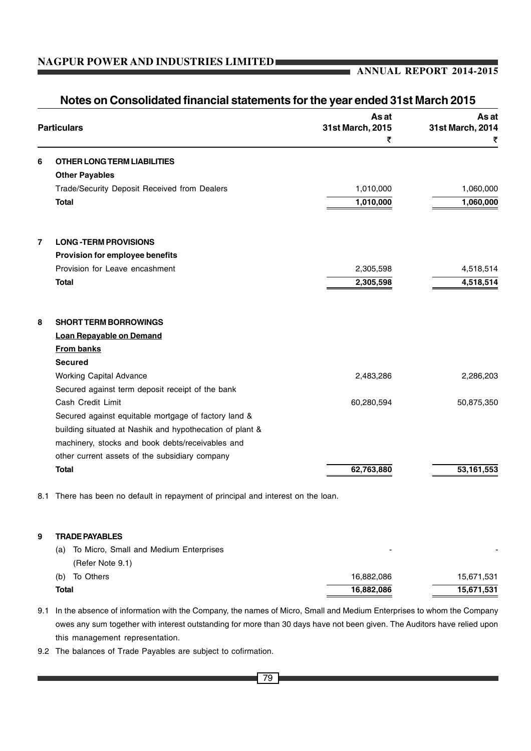#### **ANNUAL REPORT 2014-2015**

|                |                                                          | As at                 | As at            |
|----------------|----------------------------------------------------------|-----------------------|------------------|
|                | <b>Particulars</b>                                       | 31st March, 2015<br>₹ | 31st March, 2014 |
| 6              | <b>OTHER LONG TERM LIABILITIES</b>                       |                       |                  |
|                | <b>Other Payables</b>                                    |                       |                  |
|                | Trade/Security Deposit Received from Dealers             | 1,010,000             | 1,060,000        |
|                | <b>Total</b>                                             | 1,010,000             | 1,060,000        |
| $\overline{7}$ | <b>LONG-TERM PROVISIONS</b>                              |                       |                  |
|                | Provision for employee benefits                          |                       |                  |
|                | Provision for Leave encashment                           | 2,305,598             | 4,518,514        |
|                | <b>Total</b>                                             | 2,305,598             | 4,518,514        |
| 8              | <b>SHORT TERM BORROWINGS</b>                             |                       |                  |
|                | <b>Loan Repayable on Demand</b>                          |                       |                  |
|                | <b>From banks</b>                                        |                       |                  |
|                | <b>Secured</b>                                           |                       |                  |
|                | <b>Working Capital Advance</b>                           | 2,483,286             | 2,286,203        |
|                | Secured against term deposit receipt of the bank         |                       |                  |
|                | Cash Credit Limit                                        | 60,280,594            | 50,875,350       |
|                | Secured against equitable mortgage of factory land &     |                       |                  |
|                | building situated at Nashik and hypothecation of plant & |                       |                  |
|                | machinery, stocks and book debts/receivables and         |                       |                  |
|                | other current assets of the subsidiary company           |                       |                  |
|                | <b>Total</b>                                             | 62,763,880            | 53,161,553       |

8.1 There has been no default in repayment of principal and interest on the loan.

#### **9 TRADE PAYABLES**

| <b>Total</b>                               | 16,882,086 | 15,671,531 |
|--------------------------------------------|------------|------------|
| (b) To Others                              | 16.882.086 | 15,671,531 |
| (Refer Note 9.1)                           |            |            |
| (a) To Micro, Small and Medium Enterprises | -          | -          |

- 9.1 In the absence of information with the Company, the names of Micro, Small and Medium Enterprises to whom the Company owes any sum together with interest outstanding for more than 30 days have not been given. The Auditors have relied upon this management representation.
- 9.2 The balances of Trade Payables are subject to cofirmation.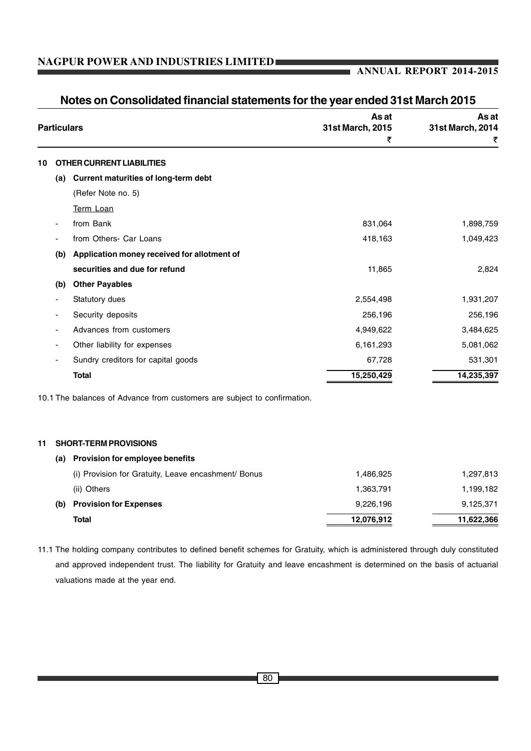#### **ANNUAL REPORT 2014-2015**

|    | <b>Particulars</b> |                                                                          | As at<br>31st March, 2015<br>₹ | As at<br>31st March, 2014<br>₹ |
|----|--------------------|--------------------------------------------------------------------------|--------------------------------|--------------------------------|
| 10 |                    | <b>OTHER CURRENT LIABILITIES</b>                                         |                                |                                |
|    | (a)                | <b>Current maturities of long-term debt</b>                              |                                |                                |
|    |                    | (Refer Note no. 5)                                                       |                                |                                |
|    |                    | Term Loan                                                                |                                |                                |
|    |                    | from Bank                                                                | 831,064                        | 1,898,759                      |
|    |                    | from Others- Car Loans                                                   | 418,163                        | 1,049,423                      |
|    | (b)                | Application money received for allotment of                              |                                |                                |
|    |                    | securities and due for refund                                            | 11,865                         | 2,824                          |
|    | (b)                | <b>Other Payables</b>                                                    |                                |                                |
|    |                    | Statutory dues                                                           | 2,554,498                      | 1,931,207                      |
|    |                    | Security deposits                                                        | 256,196                        | 256,196                        |
|    |                    | Advances from customers                                                  | 4,949,622                      | 3,484,625                      |
|    |                    | Other liability for expenses                                             | 6,161,293                      | 5,081,062                      |
|    |                    | Sundry creditors for capital goods                                       | 67,728                         | 531,301                        |
|    |                    | <b>Total</b>                                                             | 15,250,429                     | 14,235,397                     |
|    |                    | 10.1 The balances of Advance from customers are subject to confirmation. |                                |                                |
| 11 |                    | <b>SHORT-TERM PROVISIONS</b>                                             |                                |                                |
|    | (a)                | <b>Provision for employee benefits</b>                                   |                                |                                |
|    |                    | (i) Provision for Gratuity, Leave encashment/ Bonus                      | 1,486,925                      | 1,297,813                      |
|    |                    | (ii) Others                                                              | 1,363,791                      | 1,199,182                      |
|    | (b)                | <b>Provision for Expenses</b>                                            | 9,226,196                      | 9,125,371                      |

## **Notes on Consolidated financial statements for the year ended 31st March 2015**

11.1 The holding company contributes to defined benefit schemes for Gratuity, which is administered through duly constituted and approved independent trust. The liability for Gratuity and leave encashment is determined on the basis of actuarial valuations made at the year end.

Total 12,076,912 11,622,366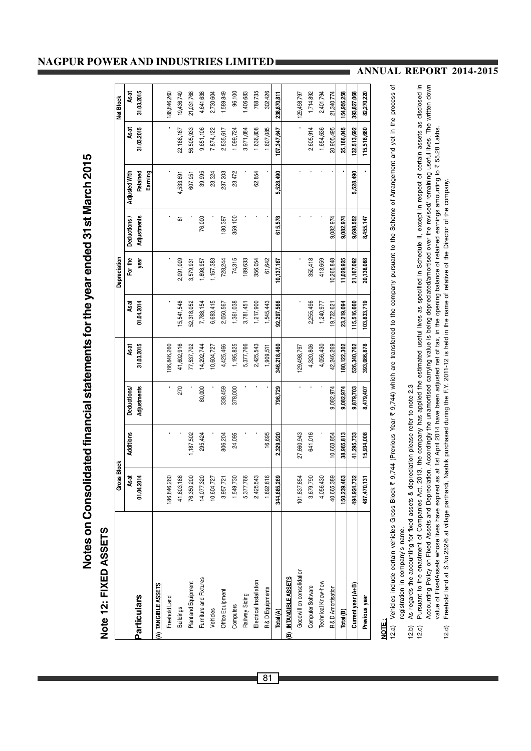Notes on Consolidated financial statements for the year ended 31st March 2015 **Notes on Consolidated financial statements for the year ended 31st March 2015**

# Note 12: FIXED ASSETS **Note 12: FIXED ASSETS**

|                           | <b>Gross Block</b> |            |                   |             |             | Depreciation |             |                     |             | Net Block   |
|---------------------------|--------------------|------------|-------------------|-------------|-------------|--------------|-------------|---------------------|-------------|-------------|
|                           | Asat               | Additions  | <b>Deductions</b> | As at       | Asat        | For the      | Deductions  | Adjusted With       | As at       | As at       |
| <b>Particulars</b>        | 01.04.2014         |            | Adjustments       | 31.03.2015  | 01.04.2014  | year         | Adjustments | Retained<br>Earning | 31.03.2015  | 31.03.2015  |
| (A) TANGIBLE ASSETS       |                    |            |                   |             |             |              |             |                     |             |             |
| Freehold Land             | 186,846,260        |            |                   | 186,846,260 |             |              |             |                     |             | 186,846,260 |
| <b>Buildings</b>          | 186<br>41,603,     |            | 270               | 41,602,916  | 15,541,548  | 2,091,009    | 5           | 4,533,691           | 22,166,167  | 19,436,749  |
| Plant and Equipment       | 200<br>76,350,2    | 1,187,502  |                   | 77,537,702  | 52,318,052  | 3,579,931    |             | 607,951             | 56,505,933  | 21,031,768  |
| Furniture and Fixtures    | 14,077,320         | 295,424    | 80,000            | 14,292,744  | 7,788,154   | ,898,957     | 76,000      | 39,995              | 9,651,106   | 4,641,638   |
| Vehicles                  | 727<br>10,604,7    |            |                   | 10,604,727  | 6,693,415   | 1,157,383    |             | 23,324              | 7,874,122   | 2,730,604   |
| Office Equipment          | 721<br>3,957,7     | 806,204    | 338,459           | 4,425,466   | 2,050,567   | 728,244      | 180,397     | 237,203             | 2,835,617   | 1,589,849   |
| Computers                 | 730<br>1,549,7     | 24,095     | 378,000           | 1,195,825   | 1,361,038   | 74,315       | 359,100     | 23,472              | 1,099,724   | 96,100      |
| Railway Siding            | 766<br>5,377,7     |            |                   | 5,377,766   | 3,781,451   | 189,633      |             |                     | 3,971,084   | 1,406,683   |
| Electrical Installation   | 2,425,543          |            |                   | 2,425,543   | 1,217,900   | 356,054      |             | 62,854              | 1,636,808   | 788,735     |
| R&D Equipments            | 1,892,816          | 16,695     |                   | 1,909,511   | 1,545,443   | 61,642       |             |                     | 1,607,085   | 302,426     |
| Total (A)                 | 269<br>344,685,    | 2,329,920  | 796,729           | 346,218,460 | 92,297,566  | 10,137,167   | 615,578     | 5,528,490           | 107,347,647 | 238,870,811 |
| (B) INTANGIBLE ASSETS     |                    |            |                   |             |             |              |             |                     |             |             |
| Goodwill on consolidation | 101,837,854        | 27,660,943 |                   | 129,498,797 |             |              |             |                     |             | 129,498,797 |
| Computer Software         | 3,679,790          | 641,016    |                   | 4,320,806   | 2,255,496   | 350,418      |             |                     | 2,605,914   | 1,714,892   |
| Technical Know-how        | 4,056,430          |            |                   | 4,056,430   | 1,240,977   | 413,659      |             |                     | 1,654,636   | 2,401,794   |
| R&D Amortisation          | 389<br>40,665,     | 10,663,854 | 9,082,974         | 42,246,269  | 19,722,621  | 10,265,848   | 9,082,974   |                     | 20,905,495  | 21,340,774  |
| Total (B)                 | 463<br>150,239,    | 38,965,813 | 9,082.974         | 80,122,302  | 23,219,094  | 11,029,925   | 9,082,974   |                     | 25,166,045  | 154,956,258 |
| Current year (A+B)        | 732<br>494,924,    | 41,295,733 | 9,879,703         | 526,340,762 | 115,516,660 | 21,167,092   | 9,698,552   | 5,528,490           | 132,513,692 | 393,827,068 |
| Previous year             | ē<br>487,470,      | 15,934,008 | 8,479,407         | 393,086,878 | 103,833,719 | 20,138,088   | 8,455,147   |                     | 115,516,660 | 82,270,220  |
|                           |                    |            |                   |             |             |              |             |                     |             |             |

## **NOTE :**

- Vehicles include certain vehicles Gross Block ₹ 9,744 (Previous Year ₹ 9,744) which are transferred to the company pursuant to the Scheme of Arrangement and yet in the process of Vehicles include certain vehicles Gross Block ₹ 9,744 (Previous Year ₹ 9,744) which are transferred to the company pursuant to the Scheme of Arrangement and yet in the process of registration in company's name. registration in company's name.
	- As regards the accounting for fixed assets & depreciation please refer to note 2.3 12.b) As regards the accounting for fixed assets & depreciation please refer to note 2.3  $(2.5)$
- Pursuant to the enactment of Companies Act, 2013, the company has applied the estimated useful lives as specified in Schedule II, except in respect of certain assets as disclosed in Accounting Policy on Fixed Assets and Depreciation. Accordingly the unamortised carrying value is being depreciated/amortised over the revised/ remaining useful lives. The written down Pursuant to the enactment of Companies Act, 2013, the company has applied the estimated useful lives as specified in Schedule II, except in respect of certain assets as disclosed in Accounting Policy on Fixed Assets and Depreciation. Accordingly the unamortised carrying value is being depreciated/amortised over the revised/ remaining useful lives. The written down value of FixedAssets whose lives have expired as at 1st April 2014 have been adjusted net of tax, in the opening balance of retained earnings amounting to ₹55.28 Lakhs. value of FixedAssets whose lives have expired as at 1st April 2014 have been adjusted net of tax, in the opening balance of retained earnings amounting to ` 55.28 Lakhs. Freehold land at S.No.252/6 at village parthardi, Nashik purchased during the F.Y. 2011-12 is held in the name of relative of the Director of the company. 12.d) Freehold land at S.No.252/6 at village parthardi, Nashik purchased during the F.Y. 2011-12 is held in the name of relative of the Director of the company. $(2.0)$  $12.d$

#### **NAGPUR POWER AND INDUSTRIES LIMITED**

**ANNUAL REPORT 2014-2015**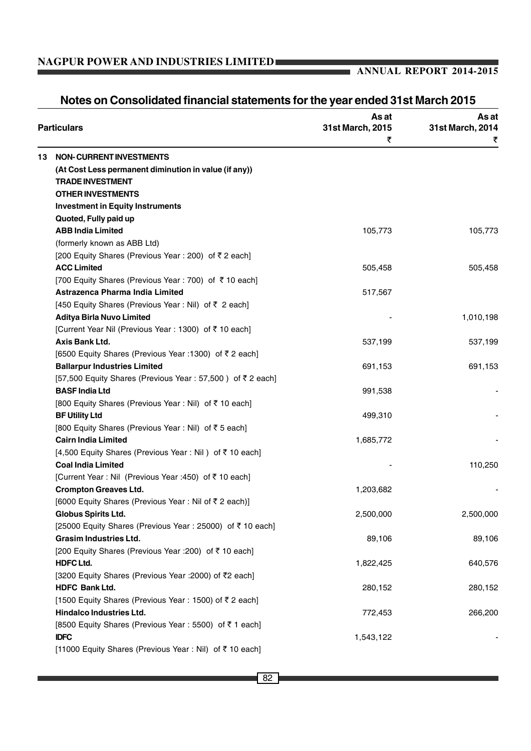## **ANNUAL REPORT 2014-2015**

|    | <b>Particulars</b>                                        | As at<br>31st March, 2015 | As at<br>31st March, 2014 |  |
|----|-----------------------------------------------------------|---------------------------|---------------------------|--|
|    |                                                           | ₹                         | ₹                         |  |
| 13 | <b>NON-CURRENT INVESTMENTS</b>                            |                           |                           |  |
|    | (At Cost Less permanent diminution in value (if any))     |                           |                           |  |
|    | <b>TRADE INVESTMENT</b>                                   |                           |                           |  |
|    | <b>OTHER INVESTMENTS</b>                                  |                           |                           |  |
|    | <b>Investment in Equity Instruments</b>                   |                           |                           |  |
|    | Quoted, Fully paid up                                     |                           |                           |  |
|    | <b>ABB India Limited</b>                                  | 105,773                   | 105,773                   |  |
|    | (formerly known as ABB Ltd)                               |                           |                           |  |
|    | [200 Equity Shares (Previous Year : 200) of ₹2 each]      |                           |                           |  |
|    | <b>ACC Limited</b>                                        | 505,458                   | 505,458                   |  |
|    | [700 Equity Shares (Previous Year : 700) of ₹10 each]     |                           |                           |  |
|    | Astrazenca Pharma India Limited                           | 517,567                   |                           |  |
|    | [450 Equity Shares (Previous Year : Nil) of ₹ 2 each]     |                           |                           |  |
|    | <b>Aditya Birla Nuvo Limited</b>                          |                           | 1,010,198                 |  |
|    | [Current Year Nil (Previous Year : 1300) of ₹ 10 each]    |                           |                           |  |
|    | Axis Bank Ltd.                                            | 537,199                   | 537,199                   |  |
|    | [6500 Equity Shares (Previous Year : 1300) of ₹2 each]    |                           |                           |  |
|    | <b>Ballarpur Industries Limited</b>                       | 691,153                   | 691,153                   |  |
|    | [57,500 Equity Shares (Previous Year: 57,500) of ₹2 each] |                           |                           |  |
|    | <b>BASF India Ltd</b>                                     | 991,538                   |                           |  |
|    | [800 Equity Shares (Previous Year : Nil) of ₹10 each]     |                           |                           |  |
|    | <b>BF Utility Ltd</b>                                     | 499,310                   |                           |  |
|    | [800 Equity Shares (Previous Year : Nil) of ₹5 each]      |                           |                           |  |
|    | <b>Cairn India Limited</b>                                | 1,685,772                 |                           |  |
|    | [4,500 Equity Shares (Previous Year : Nil) of ₹10 each]   |                           |                           |  |
|    | <b>Coal India Limited</b>                                 |                           | 110,250                   |  |
|    | [Current Year : Nil (Previous Year : 450) of ₹10 each]    |                           |                           |  |
|    | <b>Crompton Greaves Ltd.</b>                              | 1,203,682                 |                           |  |
|    | [6000 Equity Shares (Previous Year: Nil of ₹2 each)]      |                           |                           |  |
|    | Globus Spirits Ltd.                                       | 2,500,000                 | 2,500,000                 |  |
|    | [25000 Equity Shares (Previous Year: 25000) of ₹10 each]  |                           |                           |  |
|    | <b>Grasim Industries Ltd.</b>                             | 89,106                    | 89,106                    |  |
|    | [200 Equity Shares (Previous Year : 200) of ₹10 each]     |                           |                           |  |
|    | <b>HDFC Ltd.</b>                                          | 1,822,425                 | 640,576                   |  |
|    | [3200 Equity Shares (Previous Year : 2000) of ₹2 each]    |                           |                           |  |
|    | HDFC Bank Ltd.                                            | 280,152                   | 280,152                   |  |
|    | [1500 Equity Shares (Previous Year: 1500) of ₹2 each]     |                           |                           |  |
|    | Hindalco Industries Ltd.                                  | 772,453                   | 266,200                   |  |
|    | [8500 Equity Shares (Previous Year : 5500) of ₹1 each]    |                           |                           |  |
|    | <b>IDFC</b>                                               | 1,543,122                 |                           |  |
|    | [11000 Equity Shares (Previous Year : Nil) of ₹10 each]   |                           |                           |  |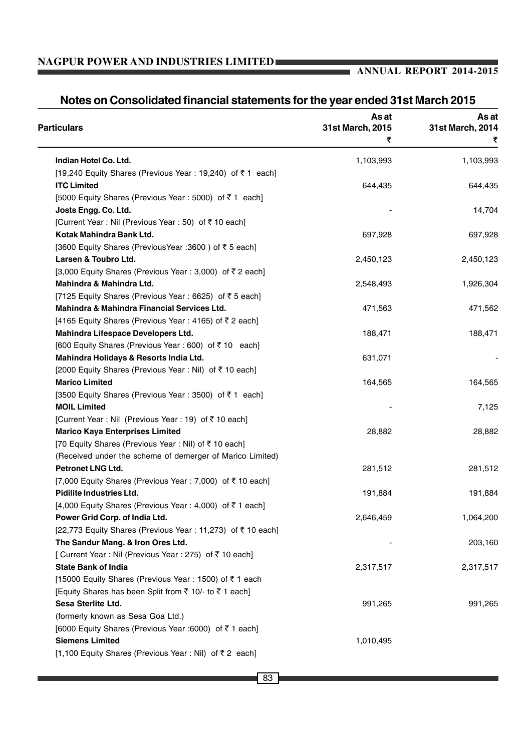## **ANNUAL REPORT 2014-2015**

| <b>Particulars</b>                                         | As at<br>31st March, 2015 | As at<br>31st March, 2014 |
|------------------------------------------------------------|---------------------------|---------------------------|
|                                                            | ₹                         | ₹                         |
| Indian Hotel Co. Ltd.                                      | 1,103,993                 | 1,103,993                 |
| [19,240 Equity Shares (Previous Year : 19,240) of ₹1 each] |                           |                           |
| <b>ITC Limited</b>                                         | 644,435                   | 644,435                   |
| [5000 Equity Shares (Previous Year : 5000) of ₹1 each]     |                           |                           |
| Josts Engg. Co. Ltd.                                       |                           | 14,704                    |
| [Current Year : Nil (Previous Year : 50) of ₹10 each]      |                           |                           |
| Kotak Mahindra Bank Ltd.                                   | 697,928                   | 697,928                   |
| [3600 Equity Shares (Previous Year : 3600) of ₹5 each]     |                           |                           |
| Larsen & Toubro Ltd.                                       | 2,450,123                 | 2,450,123                 |
| [3,000 Equity Shares (Previous Year : 3,000) of ₹ 2 each]  |                           |                           |
| Mahindra & Mahindra Ltd.                                   | 2,548,493                 | 1,926,304                 |
| [7125 Equity Shares (Previous Year: 6625) of ₹5 each]      |                           |                           |
| Mahindra & Mahindra Financial Services Ltd.                | 471,563                   | 471,562                   |
| [4165 Equity Shares (Previous Year: 4165) of ₹2 each]      |                           |                           |
| Mahindra Lifespace Developers Ltd.                         | 188,471                   | 188,471                   |
| [600 Equity Shares (Previous Year : 600) of ₹10 each]      |                           |                           |
| Mahindra Holidays & Resorts India Ltd.                     | 631,071                   |                           |
| [2000 Equity Shares (Previous Year : Nil) of ₹10 each]     |                           |                           |
| <b>Marico Limited</b>                                      | 164,565                   | 164,565                   |
| [3500 Equity Shares (Previous Year : 3500) of ₹1 each]     |                           |                           |
| <b>MOIL Limited</b>                                        |                           | 7,125                     |
| [Current Year : Nil (Previous Year : 19) of ₹10 each]      |                           |                           |
| <b>Marico Kaya Enterprises Limited</b>                     | 28,882                    | 28,882                    |
| [70 Equity Shares (Previous Year: Nil) of ₹10 each]        |                           |                           |
| (Received under the scheme of demerger of Marico Limited)  |                           |                           |
| Petronet LNG Ltd.                                          | 281,512                   | 281,512                   |
| [7,000 Equity Shares (Previous Year : 7,000) of ₹ 10 each] |                           |                           |
| <b>Pidilite Industries Ltd.</b>                            | 191,884                   | 191,884                   |
| [4,000 Equity Shares (Previous Year : 4,000) of ₹1 each]   |                           |                           |
| Power Grid Corp. of India Ltd.                             | 2,646,459                 | 1,064,200                 |
| [22,773 Equity Shares (Previous Year: 11,273) of ₹10 each] |                           |                           |
| The Sandur Mang. & Iron Ores Ltd.                          |                           | 203,160                   |
| [ Current Year : Nil (Previous Year : 275) of ₹10 each]    |                           |                           |
| <b>State Bank of India</b>                                 | 2,317,517                 | 2,317,517                 |
| [15000 Equity Shares (Previous Year: 1500) of ₹1 each      |                           |                           |
| [Equity Shares has been Split from ₹ 10/- to ₹ 1 each]     |                           |                           |
| Sesa Sterlite Ltd.                                         | 991,265                   | 991,265                   |
| (formerly known as Sesa Goa Ltd.)                          |                           |                           |
| [6000 Equity Shares (Previous Year :6000) of ₹1 each]      |                           |                           |
| <b>Siemens Limited</b>                                     | 1,010,495                 |                           |
| [1,100 Equity Shares (Previous Year : Nil) of ₹2 each]     |                           |                           |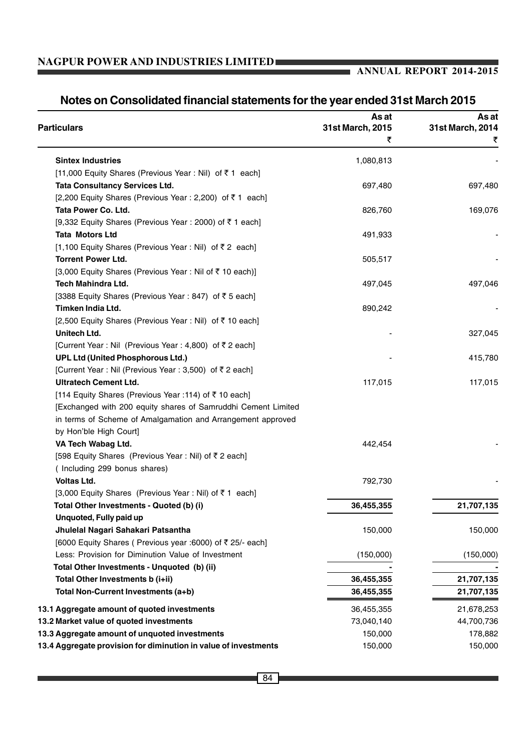## **ANNUAL REPORT 2014-2015**

| <b>Particulars</b>                                              | As at<br>31st March, 2015 | As at<br>31st March, 2014 |  |
|-----------------------------------------------------------------|---------------------------|---------------------------|--|
|                                                                 | ₹                         |                           |  |
| <b>Sintex Industries</b>                                        | 1,080,813                 |                           |  |
| [11,000 Equity Shares (Previous Year : Nil) of ₹1 each]         |                           |                           |  |
| <b>Tata Consultancy Services Ltd.</b>                           | 697,480                   | 697,480                   |  |
| [2,200 Equity Shares (Previous Year : 2,200) of ₹1 each]        |                           |                           |  |
| Tata Power Co. Ltd.                                             | 826,760                   | 169,076                   |  |
| [9,332 Equity Shares (Previous Year : 2000) of ₹1 each]         |                           |                           |  |
| <b>Tata Motors Ltd</b>                                          | 491,933                   |                           |  |
| [1,100 Equity Shares (Previous Year : Nil) of ₹2 each]          |                           |                           |  |
| <b>Torrent Power Ltd.</b>                                       | 505,517                   |                           |  |
| [3,000 Equity Shares (Previous Year: Nil of ₹ 10 each)]         |                           |                           |  |
| Tech Mahindra Ltd.                                              | 497,045                   | 497,046                   |  |
| [3388 Equity Shares (Previous Year: 847) of ₹5 each]            |                           |                           |  |
| Timken India Ltd.                                               | 890,242                   |                           |  |
| [2,500 Equity Shares (Previous Year : Nil) of ₹10 each]         |                           |                           |  |
| Unitech Ltd.                                                    |                           | 327,045                   |  |
| [Current Year : Nil (Previous Year : 4,800) of ₹2 each]         |                           |                           |  |
| UPL Ltd (United Phosphorous Ltd.)                               |                           | 415,780                   |  |
| [Current Year : Nil (Previous Year : 3,500) of ₹ 2 each]        |                           |                           |  |
| <b>Ultratech Cement Ltd.</b>                                    | 117,015                   | 117,015                   |  |
| [114 Equity Shares (Previous Year : 114) of ₹10 each]           |                           |                           |  |
| [Exchanged with 200 equity shares of Samruddhi Cement Limited   |                           |                           |  |
| in terms of Scheme of Amalgamation and Arrangement approved     |                           |                           |  |
| by Hon'ble High Court]                                          |                           |                           |  |
| VA Tech Wabag Ltd.                                              | 442,454                   |                           |  |
| [598 Equity Shares (Previous Year: Nil) of ₹2 each]             |                           |                           |  |
| (Including 299 bonus shares)                                    |                           |                           |  |
| Voltas Ltd.                                                     | 792,730                   |                           |  |
| [3,000 Equity Shares (Previous Year : Nil) of ₹1 each]          |                           |                           |  |
| Total Other Investments - Quoted (b) (i)                        | 36,455,355                | 21,707,135                |  |
| Unquoted, Fully paid up                                         |                           |                           |  |
| Jhulelal Nagari Sahakari Patsantha                              | 150,000                   | 150,000                   |  |
| [6000 Equity Shares ( Previous year :6000) of ₹ 25/- each]      |                           |                           |  |
| Less: Provision for Diminution Value of Investment              | (150,000)                 | (150,000)                 |  |
| Total Other Investments - Unquoted (b) (ii)                     |                           |                           |  |
| Total Other Investments b (i+ii)                                | 36,455,355                | 21,707,135                |  |
| Total Non-Current Investments (a+b)                             | 36,455,355                | 21,707,135                |  |
|                                                                 |                           |                           |  |
| 13.1 Aggregate amount of quoted investments                     | 36,455,355                | 21,678,253                |  |
| 13.2 Market value of quoted investments                         | 73,040,140                | 44,700,736                |  |
| 13.3 Aggregate amount of unquoted investments                   | 150,000                   | 178,882                   |  |
| 13.4 Aggregate provision for diminution in value of investments | 150,000                   | 150,000                   |  |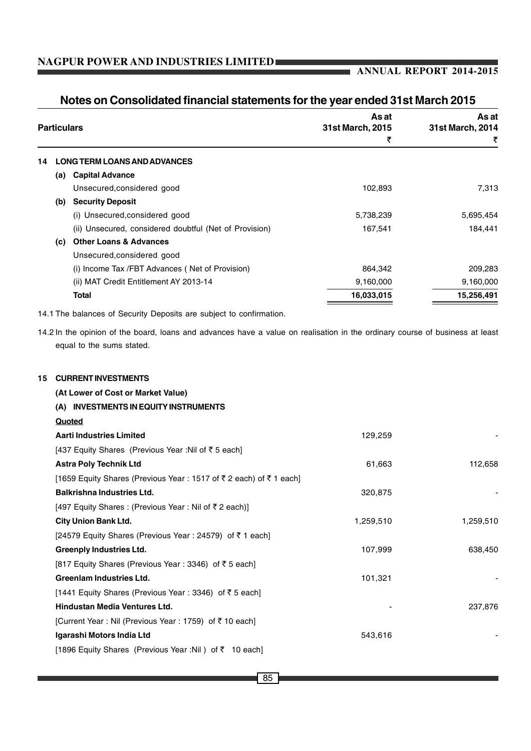#### **ANNUAL REPORT 2014-2015**

| <b>Particulars</b> |                                                                     | As at<br>31st March, 2015 | As at<br>31st March, 2014 |
|--------------------|---------------------------------------------------------------------|---------------------------|---------------------------|
|                    |                                                                     | ₹                         | ₹                         |
|                    | _ONG TERM LOANS AND ADVANCES                                        |                           |                           |
| (a)                | <b>Capital Advance</b>                                              |                           |                           |
|                    | Unsecured, considered good                                          | 102,893                   | 7,313                     |
| (b)                | <b>Security Deposit</b>                                             |                           |                           |
|                    | (i) Unsecured, considered good                                      | 5,738,239                 | 5,695,454                 |
|                    | (ii) Unsecured, considered doubtful (Net of Provision)              | 167,541                   | 184,441                   |
| (c)                | <b>Other Loans &amp; Advances</b>                                   |                           |                           |
|                    | Unsecured, considered good                                          |                           |                           |
|                    | (i) Income Tax /FBT Advances (Net of Provision)                     | 864,342                   | 209,283                   |
|                    | (ii) MAT Credit Entitlement AY 2013-14                              | 9,160,000                 | 9,160,000                 |
|                    | <b>Total</b>                                                        | 16,033,015                | 15,256,491                |
|                    | 14.1 The balances of Security Deposits are subject to confirmation. |                           |                           |

## **Notes on Consolidated financial statements for the year ended 31st March 2015**

14.2 In the opinion of the board, loans and advances have a value on realisation in the ordinary course of business at least equal to the sums stated.

#### **15 CURRENT INVESTMENTS**

| (At Lower of Cost or Market Value)                               |           |           |
|------------------------------------------------------------------|-----------|-----------|
| (A) INVESTMENTS IN EQUITY INSTRUMENTS                            |           |           |
| Quoted                                                           |           |           |
| <b>Aarti Industries Limited</b>                                  | 129,259   |           |
| [437 Equity Shares (Previous Year : Nil of ₹5 each]              |           |           |
| <b>Astra Poly Technik Ltd</b>                                    | 61,663    | 112,658   |
| [1659 Equity Shares (Previous Year: 1517 of ₹2 each) of ₹1 each] |           |           |
| <b>Balkrishna Industries Ltd.</b>                                | 320,875   |           |
| [497 Equity Shares : (Previous Year : Nil of ₹2 each)]           |           |           |
| <b>City Union Bank Ltd.</b>                                      | 1,259,510 | 1,259,510 |
| [24579 Equity Shares (Previous Year : 24579) of ₹1 each]         |           |           |
| <b>Greenply Industries Ltd.</b>                                  | 107,999   | 638,450   |
| [817 Equity Shares (Previous Year: 3346) of ₹5 each]             |           |           |
| Greenlam Industries Ltd.                                         | 101,321   |           |
| [1441 Equity Shares (Previous Year : 3346) of ₹5 each]           |           |           |
| Hindustan Media Ventures Ltd.                                    |           | 237,876   |
| [Current Year : Nil (Previous Year : 1759) of ₹10 each]          |           |           |
| Igarashi Motors India Ltd                                        | 543,616   |           |
| [1896 Equity Shares (Previous Year :Nil) of ₹ 10 each]           |           |           |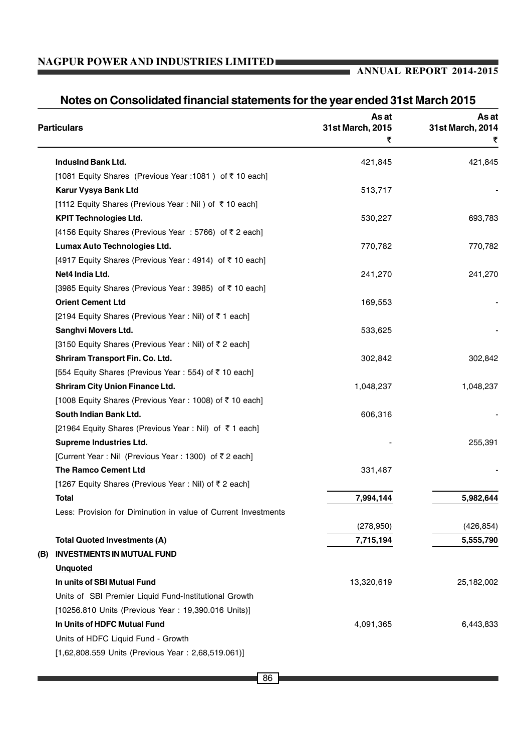## **ANNUAL REPORT 2014-2015**

| <b>Particulars</b>                  |                                                                | As at<br>31st March, 2015 | As at<br>31st March, 2014 |
|-------------------------------------|----------------------------------------------------------------|---------------------------|---------------------------|
|                                     |                                                                | ₹                         | ₹                         |
| Indusind Bank Ltd.                  |                                                                | 421,845                   | 421,845                   |
|                                     | [1081 Equity Shares (Previous Year : 1081) of ₹10 each]        |                           |                           |
| Karur Vysya Bank Ltd                |                                                                | 513,717                   |                           |
|                                     | [1112 Equity Shares (Previous Year : Nil ) of ₹10 each]        |                           |                           |
| <b>KPIT Technologies Ltd.</b>       |                                                                | 530,227                   | 693,783                   |
|                                     | [4156 Equity Shares (Previous Year: 5766) of ₹2 each]          |                           |                           |
|                                     | Lumax Auto Technologies Ltd.                                   | 770,782                   | 770,782                   |
|                                     | [4917 Equity Shares (Previous Year: 4914) of ₹10 each]         |                           |                           |
| Net4 India Ltd.                     |                                                                | 241,270                   | 241,270                   |
|                                     | [3985 Equity Shares (Previous Year: 3985) of ₹10 each]         |                           |                           |
| <b>Orient Cement Ltd</b>            |                                                                | 169,553                   |                           |
|                                     | [2194 Equity Shares (Previous Year: Nil) of ₹1 each]           |                           |                           |
| Sanghvi Movers Ltd.                 |                                                                | 533,625                   |                           |
|                                     | [3150 Equity Shares (Previous Year: Nil) of ₹2 each]           |                           |                           |
|                                     | Shriram Transport Fin. Co. Ltd.                                | 302,842                   | 302,842                   |
|                                     | [554 Equity Shares (Previous Year : 554) of ₹10 each]          |                           |                           |
|                                     | <b>Shriram City Union Finance Ltd.</b>                         | 1,048,237                 | 1,048,237                 |
|                                     | [1008 Equity Shares (Previous Year: 1008) of ₹ 10 each]        |                           |                           |
| South Indian Bank Ltd.              |                                                                | 606,316                   |                           |
|                                     | [21964 Equity Shares (Previous Year : Nil) of ₹1 each]         |                           |                           |
| <b>Supreme Industries Ltd.</b>      |                                                                |                           | 255,391                   |
|                                     | [Current Year : Nil (Previous Year : 1300) of ₹2 each]         |                           |                           |
| <b>The Ramco Cement Ltd</b>         |                                                                | 331,487                   |                           |
|                                     | [1267 Equity Shares (Previous Year: Nil) of ₹2 each]           |                           |                           |
| Total                               |                                                                | 7,994,144                 | 5,982,644                 |
|                                     | Less: Provision for Diminution in value of Current Investments |                           |                           |
|                                     |                                                                | (278, 950)                | (426, 854)                |
| <b>Total Quoted Investments (A)</b> |                                                                | 7,715,194                 | 5,555,790                 |
| (B)                                 | <b>INVESTMENTS IN MUTUAL FUND</b>                              |                           |                           |
| <b>Unquoted</b>                     |                                                                |                           |                           |
| In units of SBI Mutual Fund         |                                                                | 13,320,619                | 25,182,002                |
|                                     | Units of SBI Premier Liquid Fund-Institutional Growth          |                           |                           |
|                                     | [10256.810 Units (Previous Year: 19,390.016 Units)]            |                           |                           |
| In Units of HDFC Mutual Fund        |                                                                | 4,091,365                 | 6,443,833                 |
|                                     | Units of HDFC Liquid Fund - Growth                             |                           |                           |
|                                     | [1,62,808.559 Units (Previous Year: 2,68,519.061)]             |                           |                           |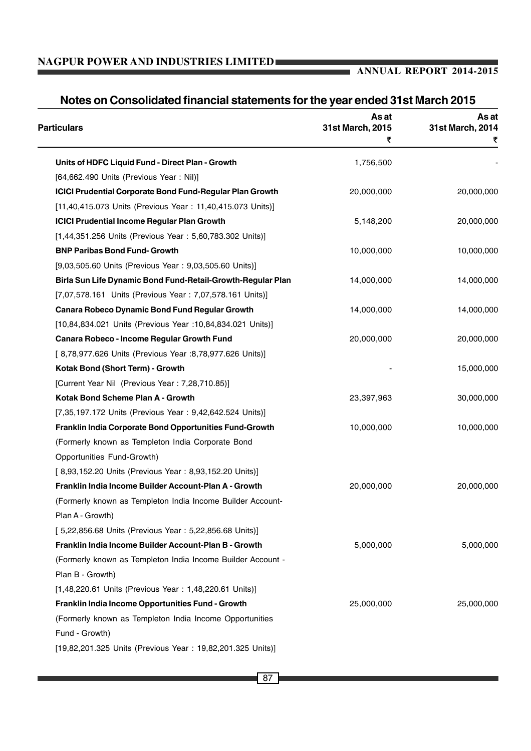| <b>Particulars</b>                                              | As at<br>31st March, 2015 | As at<br>31st March, 2014 |
|-----------------------------------------------------------------|---------------------------|---------------------------|
|                                                                 | ₹                         | ₹                         |
| Units of HDFC Liquid Fund - Direct Plan - Growth                | 1,756,500                 |                           |
| [64,662.490 Units (Previous Year: Nil)]                         |                           |                           |
| <b>ICICI Prudential Corporate Bond Fund-Regular Plan Growth</b> | 20,000,000                | 20,000,000                |
| [11,40,415.073 Units (Previous Year: 11,40,415.073 Units)]      |                           |                           |
| <b>ICICI Prudential Income Regular Plan Growth</b>              | 5,148,200                 | 20,000,000                |
| [1,44,351.256 Units (Previous Year: 5,60,783.302 Units)]        |                           |                           |
| <b>BNP Paribas Bond Fund- Growth</b>                            | 10,000,000                | 10,000,000                |
| [9,03,505.60 Units (Previous Year: 9,03,505.60 Units)]          |                           |                           |
| Birla Sun Life Dynamic Bond Fund-Retail-Growth-Regular Plan     | 14,000,000                | 14,000,000                |
| [7,07,578.161 Units (Previous Year: 7,07,578.161 Units)]        |                           |                           |
| <b>Canara Robeco Dynamic Bond Fund Regular Growth</b>           | 14,000,000                | 14,000,000                |
| [10,84,834.021 Units (Previous Year : 10,84,834.021 Units)]     |                           |                           |
| Canara Robeco - Income Regular Growth Fund                      | 20,000,000                | 20,000,000                |
| [8,78,977.626 Units (Previous Year :8,78,977.626 Units)]        |                           |                           |
| Kotak Bond (Short Term) - Growth                                |                           | 15,000,000                |
| [Current Year Nil (Previous Year: 7,28,710.85)]                 |                           |                           |
| Kotak Bond Scheme Plan A - Growth                               | 23,397,963                | 30,000,000                |
| [7,35,197.172 Units (Previous Year: 9,42,642.524 Units)]        |                           |                           |
| Franklin India Corporate Bond Opportunities Fund-Growth         | 10,000,000                | 10,000,000                |
| (Formerly known as Templeton India Corporate Bond               |                           |                           |
| Opportunities Fund-Growth)                                      |                           |                           |
| [ 8,93,152.20 Units (Previous Year: 8,93,152.20 Units)]         |                           |                           |
| Franklin India Income Builder Account-Plan A - Growth           | 20,000,000                | 20,000,000                |
| (Formerly known as Templeton India Income Builder Account-      |                           |                           |
| Plan A - Growth)                                                |                           |                           |
| [5,22,856.68 Units (Previous Year: 5,22,856.68 Units)]          |                           |                           |
| Franklin India Income Builder Account-Plan B - Growth           | 5,000,000                 | 5,000,000                 |
| (Formerly known as Templeton India Income Builder Account -     |                           |                           |
| Plan B - Growth)                                                |                           |                           |
| [1,48,220.61 Units (Previous Year: 1,48,220.61 Units)]          |                           |                           |
| Franklin India Income Opportunities Fund - Growth               | 25,000,000                | 25,000,000                |
| (Formerly known as Templeton India Income Opportunities         |                           |                           |
| Fund - Growth)                                                  |                           |                           |
| [19,82,201.325 Units (Previous Year: 19,82,201.325 Units)]      |                           |                           |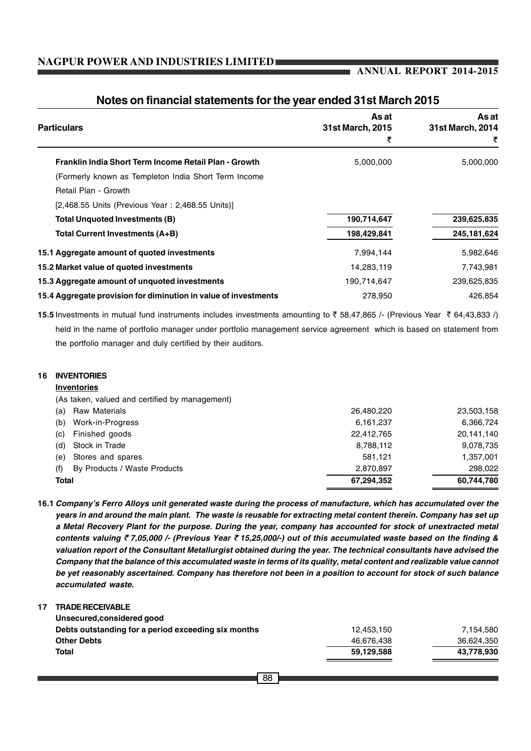#### **ANNUAL REPORT 2014-2015**

| <b>Particulars</b>                                              | As at<br><b>31st March, 2015</b><br>₹ | As at<br>31st March, 2014<br>₹ |
|-----------------------------------------------------------------|---------------------------------------|--------------------------------|
| Franklin India Short Term Income Retail Plan - Growth           | 5,000,000                             | 5,000,000                      |
| (Formerly known as Templeton India Short Term Income            |                                       |                                |
| Retail Plan - Growth                                            |                                       |                                |
| [2,468.55 Units (Previous Year: 2,468.55 Units)]                |                                       |                                |
| Total Unquoted Investments (B)                                  | 190,714,647                           | 239,625,835                    |
| Total Current Investments (A+B)                                 | 198,429,841                           | 245, 181, 624                  |
| 15.1 Aggregate amount of quoted investments                     | 7,994,144                             | 5,982,646                      |
| 15.2 Market value of quoted investments                         | 14,283,119                            | 7,743,981                      |
| 15.3 Aggregate amount of unquoted investments                   | 190,714,647                           | 239,625,835                    |
| 15.4 Aggregate provision for diminution in value of investments | 278,950                               | 426.854                        |

#### **Notes on financial statements for the year ended 31st March 2015**

15.5 Investments in mutual fund instruments includes investments amounting to ₹ 58,47,865 /- (Previous Year ₹ 64,43,833 /) held in the name of portfolio manager under portfolio management service agreement which is based on statement from the portfolio manager and duly certified by their auditors.

#### **16 INVENTORIES**

#### **Inventories**

(As taken, valued and certified by management)

| <b>Total</b> |                              | 67,294,352 | 60.744.780 |
|--------------|------------------------------|------------|------------|
|              |                              |            |            |
| (f)          | By Products / Waste Products | 2.870.897  | 298,022    |
|              | (e) Stores and spares        | 581.121    | 1,357,001  |
| (d)          | Stock in Trade               | 8,788,112  | 9,078,735  |
| (c)          | Finished goods               | 22,412,765 | 20,141,140 |
| (b)          | Work-in-Progress             | 6,161,237  | 6,366,724  |
|              | (a) Raw Materials            | 26,480,220 | 23,503,158 |

**16.1** *Company's Ferro Alloys unit generated waste during the process of manufacture, which has accumulated over the years in and around the main plant. The waste is reusable for extracting metal content therein. Company has set up a Metal Recovery Plant for the purpose. During the year, company has accounted for stock of unextracted metal contents valuing* ` *7,05,000 /- (Previous Year* ` *15,25,000/-) out of this accumulated waste based on the finding & valuation report of the Consultant Metallurgist obtained during the year. The technical consultants have advised the Company that the balance of this accumulated waste in terms of its quality, metal content and realizable value cannot be yet reasonably ascertained. Company has therefore not been in a position to account for stock of such balance accumulated waste.*

#### **17 TRADE RECEIVABLE Unsecured,considered good**

| Total                                               | 59.129.588 | 43,778,930 |
|-----------------------------------------------------|------------|------------|
| <b>Other Debts</b>                                  | 46.676.438 | 36,624,350 |
| Debts outstanding for a period exceeding six months | 12.453.150 | 7.154.580  |
| <u>UIISECUI EU,CUIISIUEI EU QUUU</u>                |            |            |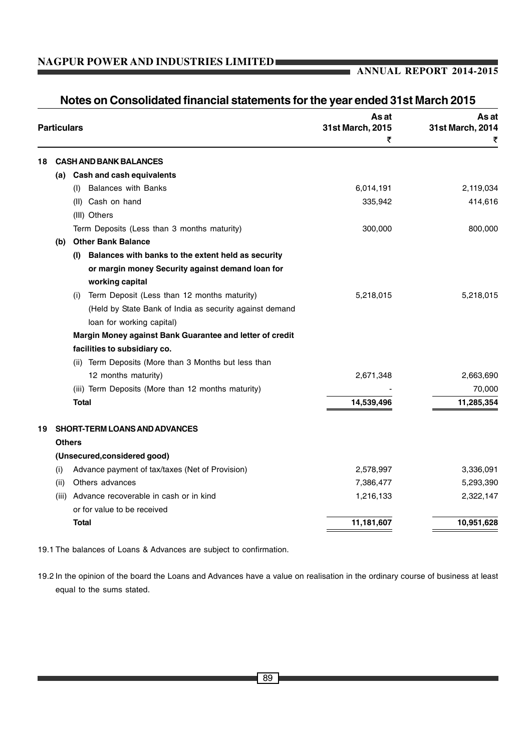#### **ANNUAL REPORT 2014-2015**

|    | <b>Particulars</b> |               |                                                          | As at<br>31st March, 2015<br>₹ | As at<br>31st March, 2014<br>₹ |
|----|--------------------|---------------|----------------------------------------------------------|--------------------------------|--------------------------------|
| 18 |                    |               | <b>CASH AND BANK BALANCES</b>                            |                                |                                |
|    |                    |               | (a) Cash and cash equivalents                            |                                |                                |
|    |                    | (1)           | <b>Balances with Banks</b>                               | 6,014,191                      | 2,119,034                      |
|    |                    |               | (II) Cash on hand                                        | 335,942                        | 414,616                        |
|    |                    |               | (III) Others                                             |                                |                                |
|    |                    |               | Term Deposits (Less than 3 months maturity)              | 300,000                        | 800,000                        |
|    | (b)                |               | <b>Other Bank Balance</b>                                |                                |                                |
|    |                    | (I)           | Balances with banks to the extent held as security       |                                |                                |
|    |                    |               | or margin money Security against demand loan for         |                                |                                |
|    |                    |               | working capital                                          |                                |                                |
|    |                    | (i)           | Term Deposit (Less than 12 months maturity)              | 5,218,015                      | 5,218,015                      |
|    |                    |               | (Held by State Bank of India as security against demand  |                                |                                |
|    |                    |               | loan for working capital)                                |                                |                                |
|    |                    |               | Margin Money against Bank Guarantee and letter of credit |                                |                                |
|    |                    |               | facilities to subsidiary co.                             |                                |                                |
|    |                    |               | (ii) Term Deposits (More than 3 Months but less than     |                                |                                |
|    |                    |               | 12 months maturity)                                      | 2,671,348                      | 2,663,690                      |
|    |                    |               | (iii) Term Deposits (More than 12 months maturity)       |                                | 70,000                         |
|    |                    | <b>Total</b>  |                                                          | 14,539,496                     | 11,285,354                     |
| 19 |                    |               | <b>SHORT-TERM LOANS AND ADVANCES</b>                     |                                |                                |
|    |                    | <b>Others</b> |                                                          |                                |                                |
|    |                    |               | (Unsecured, considered good)                             |                                |                                |
|    | (i)                |               | Advance payment of tax/taxes (Net of Provision)          | 2,578,997                      | 3,336,091                      |
|    | (ii)               |               | Others advances                                          | 7,386,477                      | 5,293,390                      |
|    | (iii)              |               | Advance recoverable in cash or in kind                   | 1,216,133                      | 2,322,147                      |
|    |                    |               | or for value to be received                              |                                |                                |
|    |                    | <b>Total</b>  |                                                          | 11,181,607                     | 10,951,628                     |

## **Notes on Consolidated financial statements for the year ended 31st March 2015**

19.1 The balances of Loans & Advances are subject to confirmation.

19.2 In the opinion of the board the Loans and Advances have a value on realisation in the ordinary course of business at least equal to the sums stated.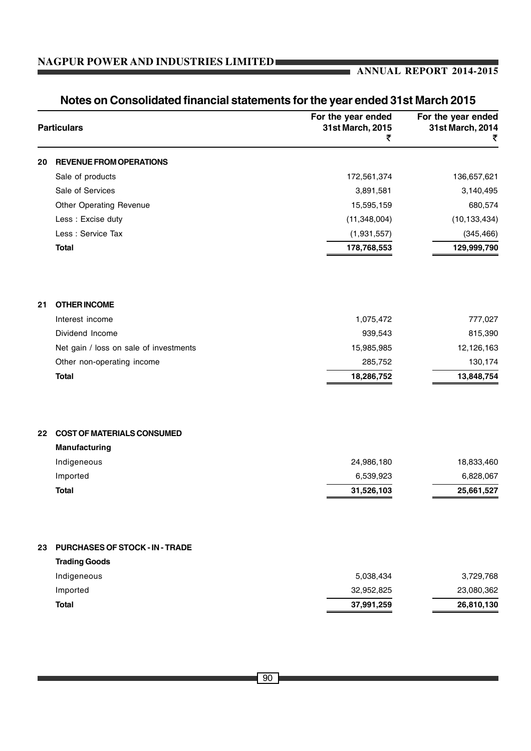### **ANNUAL REPORT 2014-2015**

|    | <b>Particulars</b>                     | For the year ended<br>31st March, 2015<br>₹ | For the year ended<br>31st March, 2014<br>₹ |
|----|----------------------------------------|---------------------------------------------|---------------------------------------------|
| 20 | <b>REVENUE FROM OPERATIONS</b>         |                                             |                                             |
|    | Sale of products                       | 172,561,374                                 | 136,657,621                                 |
|    | Sale of Services                       | 3,891,581                                   | 3,140,495                                   |
|    | <b>Other Operating Revenue</b>         | 15,595,159                                  | 680,574                                     |
|    | Less : Excise duty                     | (11, 348, 004)                              | (10, 133, 434)                              |
|    | Less : Service Tax                     | (1,931,557)                                 | (345, 466)                                  |
|    | <b>Total</b>                           | 178,768,553                                 | 129,999,790                                 |
| 21 | <b>OTHER INCOME</b>                    |                                             |                                             |
|    | Interest income                        | 1,075,472                                   | 777,027                                     |
|    | Dividend Income                        | 939,543                                     | 815,390                                     |
|    | Net gain / loss on sale of investments | 15,985,985                                  | 12,126,163                                  |
|    | Other non-operating income             | 285,752                                     | 130,174                                     |
|    | <b>Total</b>                           | 18,286,752                                  | 13,848,754                                  |
| 22 | <b>COST OF MATERIALS CONSUMED</b>      |                                             |                                             |
|    | Manufacturing                          |                                             |                                             |
|    | Indigeneous                            | 24,986,180                                  | 18,833,460                                  |
|    | Imported                               | 6,539,923                                   | 6,828,067                                   |
|    | <b>Total</b>                           | 31,526,103                                  | 25,661,527                                  |
| 23 | PURCHASES OF STOCK - IN - TRADE        |                                             |                                             |
|    | <b>Trading Goods</b>                   |                                             |                                             |
|    | Indigeneous                            | 5,038,434                                   | 3,729,768                                   |
|    | Imported                               | 32,952,825                                  | 23,080,362                                  |
|    | <b>Total</b>                           | 37,991,259                                  | 26,810,130                                  |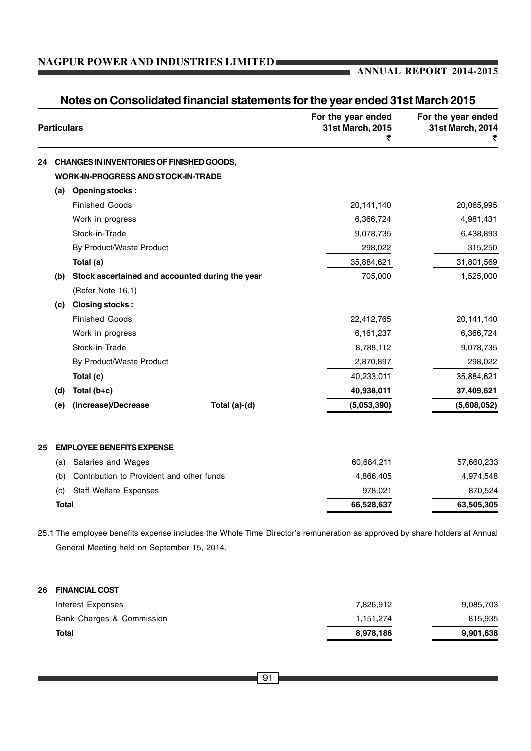#### **ANNUAL REPORT 2014-2015**

| <b>Particulars</b> |                                                 | For the year ended<br>31st March, 2015<br>₹ | For the year ended<br>31st March, 2014<br>₹ |             |
|--------------------|-------------------------------------------------|---------------------------------------------|---------------------------------------------|-------------|
| 24                 | CHANGES IN INVENTORIES OF FINISHED GOODS,       |                                             |                                             |             |
|                    | <b>WORK-IN-PROGRESS AND STOCK-IN-TRADE</b>      |                                             |                                             |             |
| (a)                | <b>Opening stocks:</b>                          |                                             |                                             |             |
|                    | <b>Finished Goods</b>                           |                                             | 20,141,140                                  | 20,065,995  |
|                    | Work in progress                                |                                             | 6,366,724                                   | 4,981,431   |
|                    | Stock-in-Trade                                  |                                             | 9,078,735                                   | 6,438,893   |
|                    | By Product/Waste Product                        |                                             | 298,022                                     | 315,250     |
|                    | Total (a)                                       |                                             | 35,884,621                                  | 31,801,569  |
| (b)                | Stock ascertained and accounted during the year |                                             | 705,000                                     | 1,525,000   |
|                    | (Refer Note 16.1)                               |                                             |                                             |             |
| (c)                | <b>Closing stocks:</b>                          |                                             |                                             |             |
|                    | <b>Finished Goods</b>                           |                                             | 22,412,765                                  | 20,141,140  |
|                    | Work in progress                                |                                             | 6,161,237                                   | 6,366,724   |
|                    | Stock-in-Trade                                  |                                             | 8,788,112                                   | 9,078,735   |
|                    | By Product/Waste Product                        |                                             | 2,870,897                                   | 298,022     |
|                    | Total (c)                                       |                                             | 40,233,011                                  | 35,884,621  |
| (d)                | Total (b+c)                                     |                                             | 40,938,011                                  | 37,409,621  |
| (e)                | (Increase)/Decrease                             | Total (a)-(d)                               | (5,053,390)                                 | (5,608,052) |
| 25                 | <b>EMPLOYEE BENEFITS EXPENSE</b>                |                                             |                                             |             |
| (a)                | Salaries and Wages                              |                                             | 60,684,211                                  | 57,660,233  |
| (b)                | Contribution to Provident and other funds       |                                             | 4,866,405                                   | 4,974,548   |
| (c)                | <b>Staff Welfare Expenses</b>                   |                                             | 978,021                                     | 870,524     |
| <b>Total</b>       |                                                 |                                             | 66,528,637                                  | 63,505,305  |

## **Notes on Consolidated financial statements for the year ended 31st March 2015**

25.1 The employee benefits expense includes the Whole Time Director's remuneration as approved by share holders at Annual General Meeting held on September 15, 2014.

#### **26 FINANCIAL COST**

| <b>Total</b>              | 8,978,186 | 9,901,638 |
|---------------------------|-----------|-----------|
| Bank Charges & Commission | 1.151.274 | 815,935   |
| Interest Expenses         | 7.826.912 | 9,085,703 |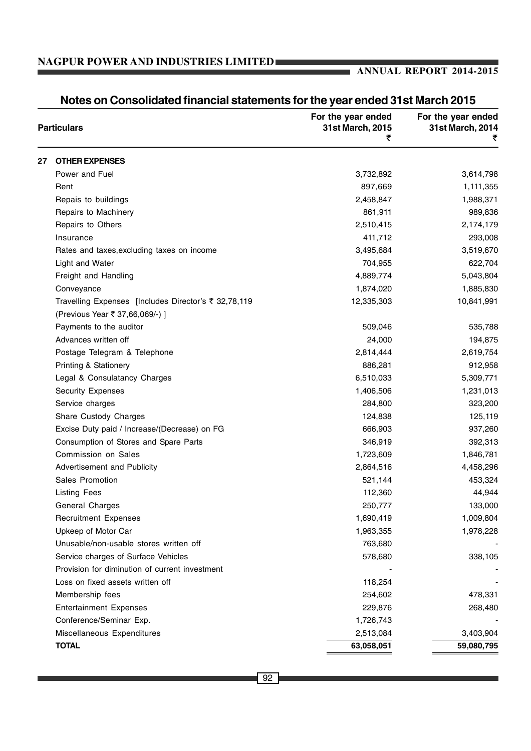## **ANNUAL REPORT 2014-2015**

|    | <b>Particulars</b>                                   | For the year ended<br>31st March, 2015<br>₹ | For the year ended<br>31st March, 2014 |
|----|------------------------------------------------------|---------------------------------------------|----------------------------------------|
| 27 | <b>OTHER EXPENSES</b>                                |                                             |                                        |
|    | Power and Fuel                                       | 3,732,892                                   | 3,614,798                              |
|    | Rent                                                 | 897,669                                     | 1,111,355                              |
|    | Repais to buildings                                  | 2,458,847                                   | 1,988,371                              |
|    | Repairs to Machinery                                 | 861,911                                     | 989,836                                |
|    | Repairs to Others                                    | 2,510,415                                   | 2,174,179                              |
|    | Insurance                                            | 411,712                                     | 293,008                                |
|    | Rates and taxes, excluding taxes on income           | 3,495,684                                   | 3,519,670                              |
|    | Light and Water                                      | 704,955                                     | 622,704                                |
|    | Freight and Handling                                 | 4,889,774                                   | 5,043,804                              |
|    | Conveyance                                           | 1,874,020                                   | 1,885,830                              |
|    | Travelling Expenses [Includes Director's ₹ 32,78,119 | 12,335,303                                  | 10,841,991                             |
|    | (Previous Year ₹ 37,66,069/-) ]                      |                                             |                                        |
|    | Payments to the auditor                              | 509,046                                     | 535,788                                |
|    | Advances written off                                 | 24,000                                      | 194,875                                |
|    | Postage Telegram & Telephone                         | 2,814,444                                   | 2,619,754                              |
|    | <b>Printing &amp; Stationery</b>                     | 886,281                                     | 912,958                                |
|    | Legal & Consulatancy Charges                         | 6,510,033                                   | 5,309,771                              |
|    | <b>Security Expenses</b>                             | 1,406,506                                   | 1,231,013                              |
|    | Service charges                                      | 284,800                                     | 323,200                                |
|    | Share Custody Charges                                | 124,838                                     | 125,119                                |
|    | Excise Duty paid / Increase/(Decrease) on FG         | 666,903                                     | 937,260                                |
|    | Consumption of Stores and Spare Parts                | 346,919                                     | 392,313                                |
|    | Commission on Sales                                  | 1,723,609                                   | 1,846,781                              |
|    | Advertisement and Publicity                          | 2,864,516                                   | 4,458,296                              |
|    | Sales Promotion                                      | 521,144                                     | 453,324                                |
|    | <b>Listing Fees</b>                                  | 112,360                                     | 44,944                                 |
|    | General Charges                                      | 250,777                                     | 133,000                                |
|    | <b>Recruitment Expenses</b>                          | 1,690,419                                   | 1,009,804                              |
|    | Upkeep of Motor Car                                  | 1,963,355                                   | 1,978,228                              |
|    | Unusable/non-usable stores written off               | 763,680                                     |                                        |
|    | Service charges of Surface Vehicles                  | 578,680                                     | 338,105                                |
|    | Provision for diminution of current investment       |                                             |                                        |
|    | Loss on fixed assets written off                     | 118,254                                     |                                        |
|    | Membership fees                                      | 254,602                                     | 478,331                                |
|    | <b>Entertainment Expenses</b>                        | 229,876                                     | 268,480                                |
|    | Conference/Seminar Exp.                              | 1,726,743                                   |                                        |
|    | Miscellaneous Expenditures                           | 2,513,084                                   | 3,403,904                              |
|    | <b>TOTAL</b>                                         | 63,058,051                                  | 59,080,795                             |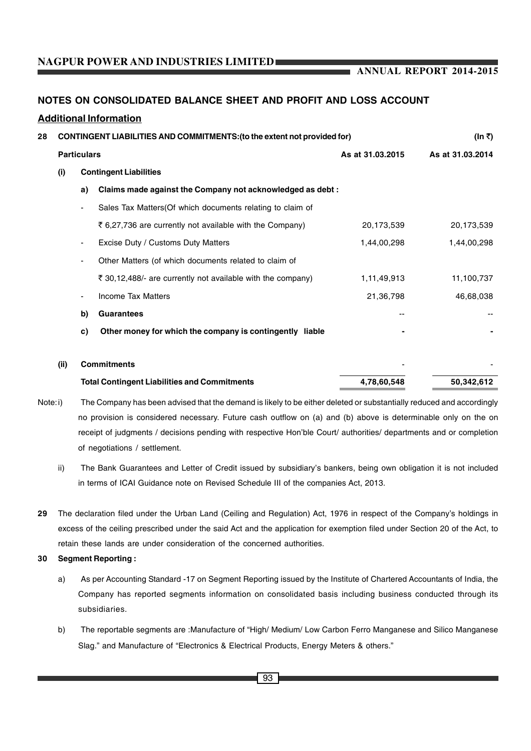**ANNUAL REPORT 2014-2015**

#### **NOTES ON CONSOLIDATED BALANCE SHEET AND PROFIT AND LOSS ACCOUNT**

#### **Additional Information**

| 28 |      |                               | <b>CONTINGENT LIABILITIES AND COMMITMENTS: (to the extent not provided for)</b> | (In ₹)           |                  |
|----|------|-------------------------------|---------------------------------------------------------------------------------|------------------|------------------|
|    |      | <b>Particulars</b>            |                                                                                 | As at 31.03.2015 | As at 31.03.2014 |
|    | (i)  | <b>Contingent Liabilities</b> |                                                                                 |                  |                  |
|    |      | a)                            | Claims made against the Company not acknowledged as debt:                       |                  |                  |
|    |      |                               | Sales Tax Matters(Of which documents relating to claim of                       |                  |                  |
|    |      |                               | ₹ 6,27,736 are currently not available with the Company)                        | 20,173,539       | 20,173,539       |
|    |      |                               | Excise Duty / Customs Duty Matters                                              | 1,44,00,298      | 1,44,00,298      |
|    |      |                               | Other Matters (of which documents related to claim of                           |                  |                  |
|    |      |                               | ₹ 30,12,488/- are currently not available with the company)                     | 1,11,49,913      | 11,100,737       |
|    |      |                               | <b>Income Tax Matters</b>                                                       | 21,36,798        | 46,68,038        |
|    |      | b)                            | <b>Guarantees</b>                                                               |                  |                  |
|    |      | c)                            | Other money for which the company is contingently liable                        |                  |                  |
|    | (ii) |                               | <b>Commitments</b>                                                              |                  |                  |
|    |      |                               | <b>Total Contingent Liabilities and Commitments</b>                             | 4,78,60,548      | 50,342,612       |
|    |      |                               |                                                                                 |                  |                  |

- Note:i) The Company has been advised that the demand is likely to be either deleted or substantially reduced and accordingly no provision is considered necessary. Future cash outflow on (a) and (b) above is determinable only on the on receipt of judgments / decisions pending with respective Hon'ble Court/ authorities/ departments and or completion of negotiations / settlement.
	- ii) The Bank Guarantees and Letter of Credit issued by subsidiary's bankers, being own obligation it is not included in terms of ICAI Guidance note on Revised Schedule III of the companies Act, 2013.
- **29** The declaration filed under the Urban Land (Ceiling and Regulation) Act, 1976 in respect of the Company's holdings in excess of the ceiling prescribed under the said Act and the application for exemption filed under Section 20 of the Act, to retain these lands are under consideration of the concerned authorities.

#### **30 Segment Reporting :**

- a) As per Accounting Standard -17 on Segment Reporting issued by the Institute of Chartered Accountants of India, the Company has reported segments information on consolidated basis including business conducted through its subsidiaries.
- b) The reportable segments are :Manufacture of "High/ Medium/ Low Carbon Ferro Manganese and Silico Manganese Slag." and Manufacture of "Electronics & Electrical Products, Energy Meters & others."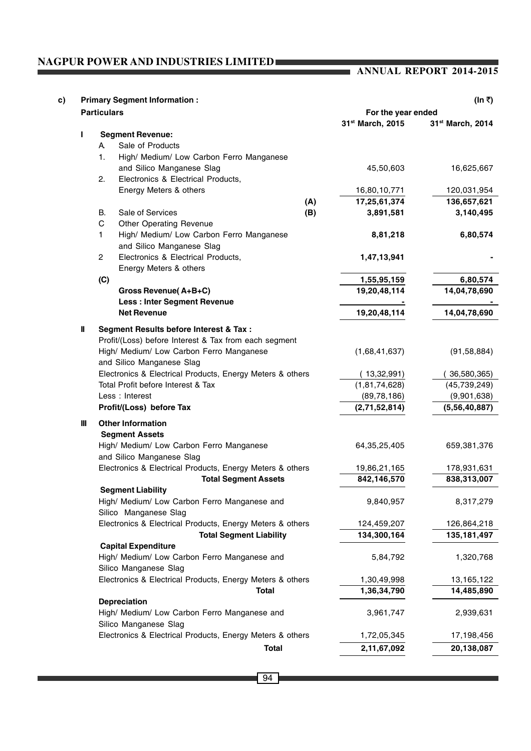#### **ANNUAL REPORT 2014-2015**

| c) |              | <b>Primary Segment Information:</b><br>(In ₹)             |               |                    |                              |  |  |
|----|--------------|-----------------------------------------------------------|---------------|--------------------|------------------------------|--|--|
|    |              | <b>Particulars</b>                                        |               | For the year ended |                              |  |  |
|    |              |                                                           |               | 31st March, 2015   | 31 <sup>st</sup> March, 2014 |  |  |
|    | L            | <b>Segment Revenue:</b>                                   |               |                    |                              |  |  |
|    |              | Sale of Products<br>A.                                    |               |                    |                              |  |  |
|    |              | High/ Medium/ Low Carbon Ferro Manganese<br>1.            |               |                    |                              |  |  |
|    |              | and Silico Manganese Slag                                 |               | 45,50,603          | 16,625,667                   |  |  |
|    |              | Electronics & Electrical Products,<br>2.                  |               |                    |                              |  |  |
|    |              | Energy Meters & others                                    |               | 16,80,10,771       | 120,031,954                  |  |  |
|    |              |                                                           | (A)           | 17,25,61,374       | 136,657,621                  |  |  |
|    |              | Sale of Services<br>В.                                    | (B)           | 3,891,581          | 3,140,495                    |  |  |
|    |              | C<br><b>Other Operating Revenue</b>                       |               |                    |                              |  |  |
|    |              | High/ Medium/ Low Carbon Ferro Manganese<br>1.            |               | 8,81,218           | 6,80,574                     |  |  |
|    |              | and Silico Manganese Slag                                 |               |                    |                              |  |  |
|    |              | $\overline{2}$<br>Electronics & Electrical Products,      |               | 1,47,13,941        |                              |  |  |
|    |              | Energy Meters & others                                    |               |                    |                              |  |  |
|    |              | (C)                                                       |               | 1,55,95,159        | 6,80,574                     |  |  |
|    |              | <b>Gross Revenue (A+B+C)</b>                              |               | 19,20,48,114       | 14,04,78,690                 |  |  |
|    |              | <b>Less: Inter Segment Revenue</b>                        |               |                    |                              |  |  |
|    |              | <b>Net Revenue</b>                                        |               | 19,20,48,114       | 14,04,78,690                 |  |  |
|    | $\mathbf{I}$ | Segment Results before Interest & Tax :                   |               |                    |                              |  |  |
|    |              | Profit/(Loss) before Interest & Tax from each segment     |               |                    |                              |  |  |
|    |              | High/ Medium/ Low Carbon Ferro Manganese                  | (1,68,41,637) | (91, 58, 884)      |                              |  |  |
|    |              | and Silico Manganese Slag                                 |               |                    |                              |  |  |
|    |              | Electronics & Electrical Products, Energy Meters & others |               | (13,32,991)        | 36,580,365)                  |  |  |
|    |              | Total Profit before Interest & Tax                        |               | (1, 81, 74, 628)   | (45, 739, 249)               |  |  |
|    |              | Less: Interest                                            | (89, 78, 186) | (9,901,638)        |                              |  |  |
|    |              | Profit/(Loss) before Tax                                  |               | (2,71,52,814)      | (5,56,40,887)                |  |  |
|    | $\mathbf{m}$ | <b>Other Information</b>                                  |               |                    |                              |  |  |
|    |              | <b>Segment Assets</b>                                     |               |                    |                              |  |  |
|    |              | High/ Medium/ Low Carbon Ferro Manganese                  |               | 64, 35, 25, 405    | 659,381,376                  |  |  |
|    |              | and Silico Manganese Slag                                 |               |                    |                              |  |  |
|    |              | Electronics & Electrical Products, Energy Meters & others | 19,86,21,165  | 178,931,631        |                              |  |  |
|    |              | <b>Total Segment Assets</b>                               |               | 842,146,570        | 838,313,007                  |  |  |
|    |              | <b>Segment Liability</b>                                  |               |                    |                              |  |  |
|    |              | High/ Medium/ Low Carbon Ferro Manganese and              |               | 9,840,957          | 8,317,279                    |  |  |
|    |              | Silico Manganese Slag                                     |               |                    |                              |  |  |
|    |              | Electronics & Electrical Products, Energy Meters & others |               | 124,459,207        | 126,864,218                  |  |  |
|    |              | <b>Total Segment Liability</b>                            |               | 134,300,164        | 135,181,497                  |  |  |
|    |              | <b>Capital Expenditure</b>                                |               |                    |                              |  |  |
|    |              | High/ Medium/ Low Carbon Ferro Manganese and              | 5,84,792      | 1,320,768          |                              |  |  |
|    |              | Silico Manganese Slag                                     |               |                    |                              |  |  |
|    |              | Electronics & Electrical Products, Energy Meters & others |               | 1,30,49,998        | 13,165,122                   |  |  |
|    |              | <b>Total</b>                                              |               | 1,36,34,790        | 14,485,890                   |  |  |
|    |              | Depreciation                                              |               |                    |                              |  |  |
|    |              | High/ Medium/ Low Carbon Ferro Manganese and              |               | 3,961,747          | 2,939,631                    |  |  |
|    |              | Silico Manganese Slag                                     |               |                    |                              |  |  |
|    |              | Electronics & Electrical Products, Energy Meters & others |               | 1,72,05,345        | 17,198,456                   |  |  |
|    |              | <b>Total</b>                                              |               | 2,11,67,092        | 20,138,087                   |  |  |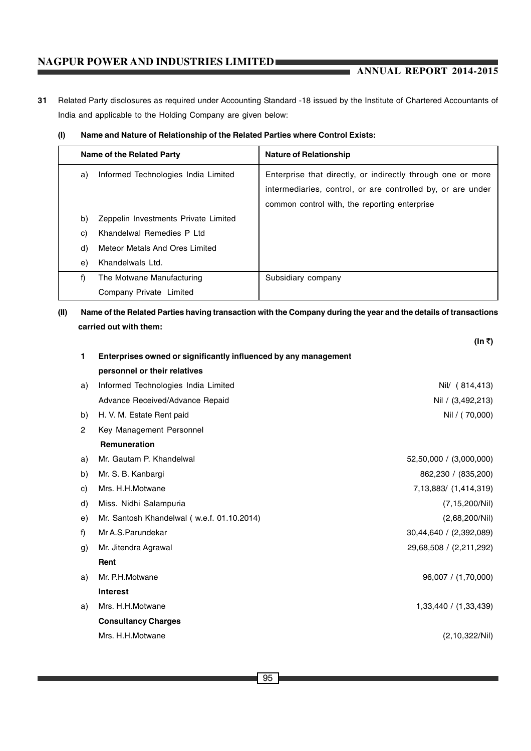#### **ANNUAL REPORT 2014-2015**

**31** Related Party disclosures as required under Accounting Standard -18 issued by the Institute of Chartered Accountants of India and applicable to the Holding Company are given below:

#### **(I) Name and Nature of Relationship of the Related Parties where Control Exists:**

|    | Name of the Related Party            | <b>Nature of Relationship</b>                               |  |  |
|----|--------------------------------------|-------------------------------------------------------------|--|--|
| a) | Informed Technologies India Limited  | Enterprise that directly, or indirectly through one or more |  |  |
|    |                                      | intermediaries, control, or are controlled by, or are under |  |  |
|    |                                      | common control with, the reporting enterprise               |  |  |
| b) | Zeppelin Investments Private Limited |                                                             |  |  |
| C) | Khandelwal Remedies P Ltd            |                                                             |  |  |
| d) | Meteor Metals And Ores Limited       |                                                             |  |  |
| e) | Khandelwals Ltd.                     |                                                             |  |  |
| f) | The Motwane Manufacturing            | Subsidiary company                                          |  |  |
|    | Company Private Limited              |                                                             |  |  |

#### **(II) Name of the Related Parties having transaction with the Company during the year and the details of transactions carried out with them:**

|    |                                                                 | (In ₹)                  |
|----|-----------------------------------------------------------------|-------------------------|
| 1  | Enterprises owned or significantly influenced by any management |                         |
|    | personnel or their relatives                                    |                         |
| a) | Informed Technologies India Limited                             | Nil/ (814,413)          |
|    | Advance Received/Advance Repaid                                 | Nil / (3,492,213)       |
| b) | H. V. M. Estate Rent paid                                       | Nil / (70,000)          |
| 2  | Key Management Personnel                                        |                         |
|    | Remuneration                                                    |                         |
| a) | Mr. Gautam P. Khandelwal                                        | 52,50,000 / (3,000,000) |
| b) | Mr. S. B. Kanbargi                                              | 862,230 / (835,200)     |
| C) | Mrs. H.H.Motwane                                                | 7,13,883/ (1,414,319)   |
| d) | Miss. Nidhi Salampuria                                          | (7, 15, 200/Nil)        |
| e) | Mr. Santosh Khandelwal (w.e.f. 01.10.2014)                      | (2,68,200/Nii)          |
| f) | Mr A.S. Parundekar                                              | 30,44,640 / (2,392,089) |
| g) | Mr. Jitendra Agrawal                                            | 29,68,508 / (2,211,292) |
|    | Rent                                                            |                         |
| a) | Mr. P.H.Motwane                                                 | 96,007 / (1,70,000)     |
|    | <b>Interest</b>                                                 |                         |
| a) | Mrs. H.H.Motwane                                                | 1,33,440 / (1,33,439)   |
|    | <b>Consultancy Charges</b>                                      |                         |
|    | Mrs. H.H.Motwane                                                | (2, 10, 322/Nii)        |
|    |                                                                 |                         |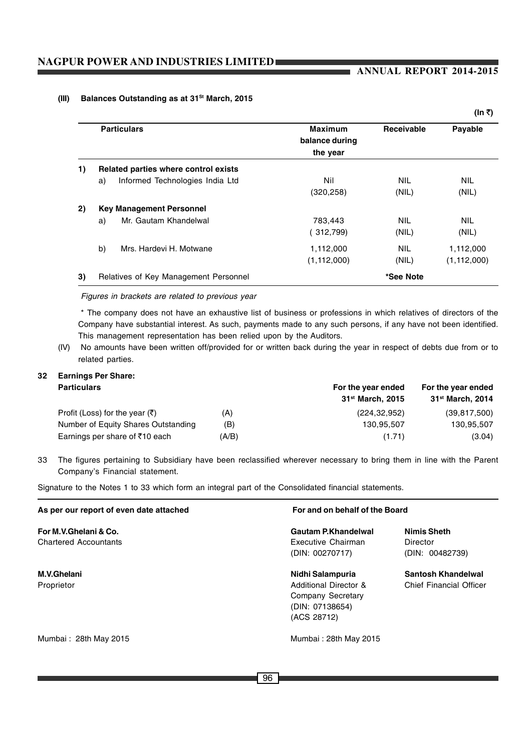#### **ANNUAL REPORT 2014-2015**

#### **(III) Balances Outstanding as at 31St March, 2015**

|    | <b>Particulars</b>                    | <b>Maximum</b><br>balance during | <b>Receivable</b> | Payable       |  |
|----|---------------------------------------|----------------------------------|-------------------|---------------|--|
|    |                                       | the year                         |                   |               |  |
| 1) | Related parties where control exists  |                                  |                   |               |  |
|    | Informed Technologies India Ltd<br>a) | Nil                              | <b>NIL</b>        | <b>NIL</b>    |  |
|    |                                       | (320, 258)                       | (NIL)             | (NIL)         |  |
| 2) | <b>Key Management Personnel</b>       |                                  |                   |               |  |
|    | Mr. Gautam Khandelwal<br>a)           | 783,443                          | <b>NIL</b>        | <b>NIL</b>    |  |
|    |                                       | (312,799)                        | (NIL)             | (NIL)         |  |
|    | b)<br>Mrs. Hardevi H. Motwane         | 1,112,000                        | <b>NIL</b>        | 1,112,000     |  |
|    |                                       | (1, 112, 000)                    | (NIL)             | (1, 112, 000) |  |
| 3) | Relatives of Key Management Personnel |                                  | *See Note         |               |  |

*Figures in brackets are related to previous year*

\* The company does not have an exhaustive list of business or professions in which relatives of directors of the Company have substantial interest. As such, payments made to any such persons, if any have not been identified. This management representation has been relied upon by the Auditors.

(IV) No amounts have been written off/provided for or written back during the year in respect of debts due from or to related parties.

## **32 Earnings Per Share:**

| <b>Particulars</b>                         |       | For the year ended           | For the year ended           |  |
|--------------------------------------------|-------|------------------------------|------------------------------|--|
|                                            |       | 31 <sup>st</sup> March, 2015 | 31 <sup>st</sup> March, 2014 |  |
| Profit (Loss) for the year $(\bar{\zeta})$ | (A)   | (224.32.952)                 | (39, 817, 500)               |  |
| Number of Equity Shares Outstanding        | (B)   | 130.95.507                   | 130.95.507                   |  |
| Earnings per share of $\bar{\tau}$ 10 each | (A/B) | (1.71)                       | (3.04)                       |  |

33 The figures pertaining to Subsidiary have been reclassified wherever necessary to bring them in line with the Parent Company's Financial statement.

Signature to the Notes 1 to 33 which form an integral part of the Consolidated financial statements.

| As per our report of even date attached               | For and on behalf of the Board                                                                              |                                                      |  |  |
|-------------------------------------------------------|-------------------------------------------------------------------------------------------------------------|------------------------------------------------------|--|--|
| For M.V.Ghelani & Co.<br><b>Chartered Accountants</b> | <b>Gautam P.Khandelwal</b><br>Executive Chairman<br>(DIN: 00270717)                                         | <b>Nimis Sheth</b><br>Director<br>(DIN: 00482739)    |  |  |
| M.V.Ghelani<br>Proprietor                             | Nidhi Salampuria<br><b>Additional Director &amp;</b><br>Company Secretary<br>(DIN: 07138654)<br>(ACS 28712) | Santosh Khandelwal<br><b>Chief Financial Officer</b> |  |  |
| Mumbai: 28th May 2015                                 | Mumbai: 28th May 2015                                                                                       |                                                      |  |  |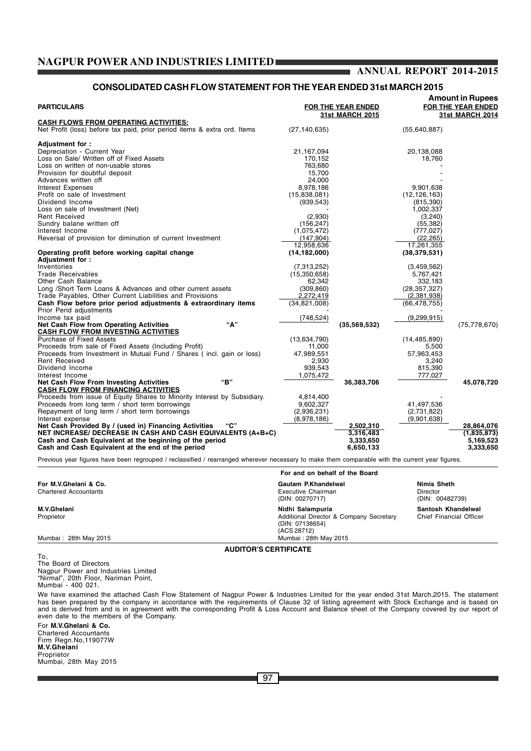#### **CONSOLIDATED CASH FLOW STATEMENT FOR THE YEAR ENDED 31st MARCH 2015**

| <b>PARTICULARS</b>                                                                                                                              |                                | FOR THE YEAR ENDED<br><b>31st MARCH 2015</b> |                | <b>Amount in Rupees</b><br>FOR THE YEAR ENDED<br><b>31st MARCH 2014</b> |
|-------------------------------------------------------------------------------------------------------------------------------------------------|--------------------------------|----------------------------------------------|----------------|-------------------------------------------------------------------------|
| CASH FLOWS FROM OPERATING ACTIVITIES:                                                                                                           |                                |                                              |                |                                                                         |
| Net Profit (loss) before tax paid, prior period items & extra ord. Items                                                                        | (27, 140, 635)                 |                                              | (55,640,887)   |                                                                         |
| Adjustment for :                                                                                                                                |                                |                                              |                |                                                                         |
| Depreciation - Current Year                                                                                                                     | 21,167,094                     |                                              | 20,138,088     |                                                                         |
| Loss on Sale/ Written off of Fixed Assets                                                                                                       | 170,152                        |                                              | 18,760         |                                                                         |
| Loss on written of non-usable stores                                                                                                            | 763,680                        |                                              |                |                                                                         |
| Provision for doubtful deposit                                                                                                                  | 15,700                         |                                              |                |                                                                         |
| Advances written off                                                                                                                            | 24,000                         |                                              |                |                                                                         |
| Interest Expenses                                                                                                                               | 8,978,186                      |                                              | 9,901,638      |                                                                         |
| Profit on sale of Investment                                                                                                                    | (15,838,081)                   |                                              | (12, 126, 163) |                                                                         |
| Dividend Income                                                                                                                                 | (939, 543)                     |                                              | (815, 390)     |                                                                         |
| Loss on sale of Investment (Net)                                                                                                                |                                |                                              | 1,002,337      |                                                                         |
| <b>Rent Received</b>                                                                                                                            | (2,930)                        |                                              | (3,240)        |                                                                         |
| Sundry balane written off                                                                                                                       | (156, 247)                     |                                              | (55, 382)      |                                                                         |
| Interest Income                                                                                                                                 | (1,075,472)                    |                                              | (777, 027)     |                                                                         |
| Reversal of provision for diminution of current Investment                                                                                      | (147, 904)                     |                                              | (22, 265)      |                                                                         |
|                                                                                                                                                 | 12,958,636                     |                                              | 17,261,355     |                                                                         |
| Operating profit before working capital change                                                                                                  | (14, 182, 000)                 |                                              | (38, 379, 531) |                                                                         |
| Adjustment for:                                                                                                                                 |                                |                                              |                |                                                                         |
| Inventories                                                                                                                                     | (7,313,252)                    |                                              | (3,459,562)    |                                                                         |
| <b>Trade Receivables</b>                                                                                                                        | (15,350,658)                   |                                              | 5,767,421      |                                                                         |
| Other Cash Balance                                                                                                                              | 62,342                         |                                              | 332,183        |                                                                         |
| Long /Short Term Loans & Advances and other current assets                                                                                      | (309, 860)                     |                                              | (28, 357, 327) |                                                                         |
| Trade Payables, Other Current Liabilities and Provisions                                                                                        | 2,272,419                      |                                              | (2,381,938)    |                                                                         |
| Cash Flow before prior period adjustments & extraordinary items<br>Prior Perid adjustments                                                      | (34, 821, 008)                 |                                              | (66, 478, 755) |                                                                         |
| Income tax paid                                                                                                                                 | (748,524)                      |                                              | (9, 299, 915)  |                                                                         |
| "А"<br><b>Net Cash Flow from Operating Activities</b>                                                                                           |                                | (35, 569, 532)                               |                | (75, 778, 670)                                                          |
| <b>CASH FLOW FROM INVESTING ACTIVITIES</b>                                                                                                      |                                |                                              |                |                                                                         |
| <b>Purchase of Fixed Assets</b>                                                                                                                 | (13,634,790)                   |                                              | (14, 485, 890) |                                                                         |
| Proceeds from sale of Fixed Assets (Including Profit)                                                                                           | 11,000                         |                                              | 5,500          |                                                                         |
| Proceeds from Investment in Mutual Fund / Shares (incl. gain or loss)                                                                           | 47,989,551                     |                                              | 57,963,453     |                                                                         |
| <b>Rent Received</b>                                                                                                                            | 2,930                          |                                              | 3,240          |                                                                         |
| Dividend Income                                                                                                                                 | 939,543                        |                                              | 815,390        |                                                                         |
| Interest Income                                                                                                                                 | 1,075,472                      |                                              | 777,027        |                                                                         |
| "B"<br><b>Net Cash Flow From Investing Activities</b>                                                                                           |                                | 36,383,706                                   |                | 45,078,720                                                              |
| <b>CASH FLOW FROM FINANCING ACTIVITIES</b>                                                                                                      |                                |                                              |                |                                                                         |
| Proceeds from issue of Equity Shares to Minority Interest by Subsidiary.                                                                        | 4,814,400                      |                                              |                |                                                                         |
| Proceeds from long term / short term borrowings                                                                                                 | 9,602,327                      |                                              | 41,497,536     |                                                                         |
| Repayment of long term / short term borrowings                                                                                                  | (2,936,231)                    |                                              | (2,731,822)    |                                                                         |
| Interest expense<br>"C"                                                                                                                         | (8,978,186)                    |                                              | (9,901,638)    |                                                                         |
| Net Cash Provided By / (used in) Financing Activities<br>NET INCREASE/ DECREASE IN CASH AND CASH EQUIVALENTS (A+B+C)                            |                                | 2,502,310                                    |                | 28,864,076                                                              |
|                                                                                                                                                 |                                | 3,316,483                                    |                | (1,835,873)                                                             |
| Cash and Cash Equivalent at the beginning of the period<br>Cash and Cash Equivalent at the end of the period                                    |                                | 3,333,650<br>6,650,133                       |                | 5,169,523<br>3,333,650                                                  |
| Previous year figures have been regrouped / reclassified / rearranged wherever necessary to make them comparable with the current year figures. |                                |                                              |                |                                                                         |
|                                                                                                                                                 | For and on behalf of the Board |                                              |                |                                                                         |

**For M.V.Ghelani & Co. Gautam P.Khandelwal Nimis Sheth** Chartered Accountants Executive Chairman Executive Chairman Director Chairman Director Chairman Director Chairman Director (DIN: 00270717) (DIN: 00482739) **M.V.Ghelani Nidhi Salampuria Santosh Khandelwal** Proprietor Chief Company Secretary Chief Financial Officer Additional Director & Company Secretary Chief Financial Officer of Additional Director & Company Secretary (DIN: 07138654) (ACS 28712)<br>Mumbai : 28th May 2015 Mumbai : 28th May 2015

**AUDITOR'S CERTIFICATE**

To, The Board of Directors Nagpur Power and Industries Limited "Nirmal", 20th Floor, Nariman Point, Mumbai - 400 021.

We have examined the attached Cash Flow Statement of Nagpur Power & Industries Limited for the year ended 31st March,2015. The statement has been prepared by the company in accordance with the requirements of Clause 32 of listing agreement with Stock Exchange and is based on<br>and is derived from and is in agreement with the corresponding Profit & Loss Accoun even date to the members of the Company.

For **M.V.Ghelani & Co.** Chartered Accountants Firm Regn.No,119077W **M.V.Ghelani** Proprietor Mumbai, 28th May 2015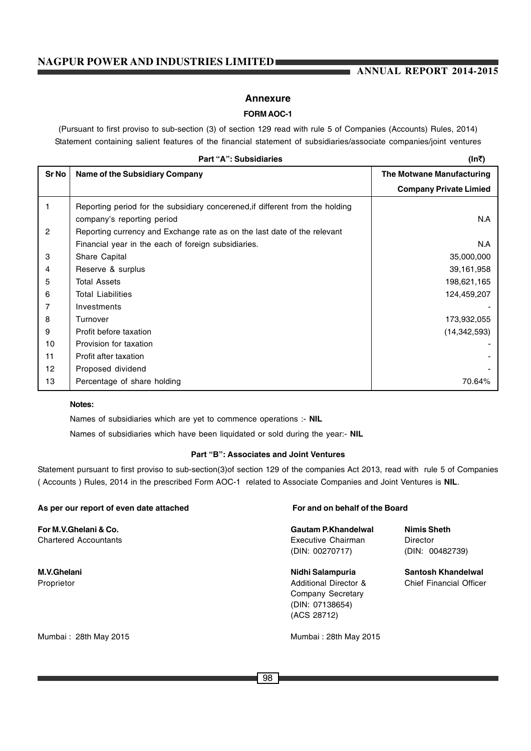#### **ANNUAL REPORT 2014-2015**

#### **Annexure**

#### **FORM AOC-1**

(Pursuant to first proviso to sub-section (3) of section 129 read with rule 5 of Companies (Accounts) Rules, 2014) Statement containing salient features of the financial statement of subsidiaries/associate companies/joint ventures

|                | Part "A": Subsidiaries                                                        | (In₹)                         |
|----------------|-------------------------------------------------------------------------------|-------------------------------|
| <b>Sr No</b>   | <b>Name of the Subsidiary Company</b>                                         | The Motwane Manufacturing     |
|                |                                                                               | <b>Company Private Limied</b> |
| 1              | Reporting period for the subsidiary concerened, if different from the holding |                               |
|                | company's reporting period                                                    | N.A                           |
| $\overline{2}$ | Reporting currency and Exchange rate as on the last date of the relevant      |                               |
|                | Financial year in the each of foreign subsidiaries.                           | N.A                           |
| 3              | Share Capital                                                                 | 35,000,000                    |
| 4              | Reserve & surplus                                                             | 39,161,958                    |
| 5              | <b>Total Assets</b>                                                           | 198,621,165                   |
| 6              | <b>Total Liabilities</b>                                                      | 124,459,207                   |
| 7              | Investments                                                                   |                               |
| 8              | Turnover                                                                      | 173,932,055                   |
| 9              | Profit before taxation                                                        | (14, 342, 593)                |
| 10             | Provision for taxation                                                        |                               |
| 11             | Profit after taxation                                                         |                               |
| 12             | Proposed dividend                                                             |                               |
| 13             | Percentage of share holding                                                   | 70.64%                        |

#### **Notes:**

Names of subsidiaries which are yet to commence operations :- **NIL**

Names of subsidiaries which have been liquidated or sold during the year:- **NIL**

#### **Part "B": Associates and Joint Ventures**

Statement pursuant to first proviso to sub-section(3)of section 129 of the companies Act 2013, read with rule 5 of Companies ( Accounts ) Rules, 2014 in the prescribed Form AOC-1 related to Associate Companies and Joint Ventures is **NIL**.

| As per our report of even date attached | For and on behalf of the Board        |                                |  |
|-----------------------------------------|---------------------------------------|--------------------------------|--|
| For M.V.Ghelani & Co.                   | Gautam P.Khandelwal                   | <b>Nimis Sheth</b>             |  |
| <b>Chartered Accountants</b>            | Executive Chairman<br>(DIN: 00270717) | Director<br>(DIN: 00482739)    |  |
|                                         |                                       |                                |  |
| M.V.Ghelani                             | Nidhi Salampuria                      | Santosh Khandelwal             |  |
| Proprietor                              | <b>Additional Director &amp;</b>      | <b>Chief Financial Officer</b> |  |
|                                         | Company Secretary                     |                                |  |
|                                         | (DIN: 07138654)                       |                                |  |
|                                         | (ACS 28712)                           |                                |  |
| Mumbai: 28th May 2015                   | Mumbai: 28th May 2015                 |                                |  |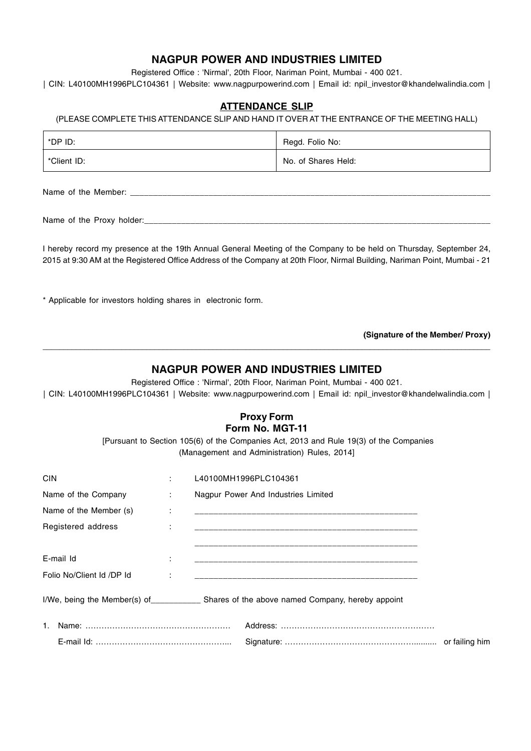## **NAGPUR POWER AND INDUSTRIES LIMITED NAGPUR POWER AND INDUSTRIES LIMITED**

Registered Office : 'Nirmal', 20th Floor, Nariman Point, Mumbai - 400 021.

| CIN: L40100MH1996PLC104361 | Website: www.nagpurpowerind.com | Email id: npil\_investor@khandelwalindia.com |

#### **ATTENDANCE SLIP**

#### (PLEASE COMPLETE THIS ATTENDANCE SLIP AND HAND IT OVER AT THE ENTRANCE OF THE MEETING HALL)

| *DP ID:     | Regd. Folio No:     |
|-------------|---------------------|
| *Client ID: | No. of Shares Held: |

Name of the Member:

Name of the Proxy holder:

I hereby record my presence at the 19th Annual General Meeting of the Company to be held on Thursday, September 24, 2015 at 9:30 AM at the Registered Office Address of the Company at 20th Floor, Nirmal Building, Nariman Point, Mumbai - 21

\* Applicable for investors holding shares in electronic form.

**(Signature of the Member/ Proxy)**

#### **NAGPUR POWER AND INDUSTRIES LIMITED**

**\_\_\_\_\_\_\_\_\_\_\_\_\_\_\_\_\_\_\_\_\_\_\_\_\_\_\_\_\_\_\_\_\_\_\_\_\_\_\_\_\_\_\_\_\_\_\_\_\_\_\_\_\_\_\_\_\_\_\_\_\_\_\_\_\_\_\_\_\_\_\_\_\_\_\_\_\_\_\_\_\_\_\_\_\_\_\_\_\_\_\_\_\_\_\_\_\_\_\_\_\_\_\_\_\_\_\_\_**

Registered Office : 'Nirmal', 20th Floor, Nariman Point, Mumbai - 400 021. | CIN: L40100MH1996PLC104361 | Website: www.nagpurpowerind.com | Email id: npil\_investor@khandelwalindia.com |

#### **Proxy Form Form No. MGT-11**

 [Pursuant to Section 105(6) of the Companies Act, 2013 and Rule 19(3) of the Companies (Management and Administration) Rules, 2014]

| <b>CIN</b>                | ÷ | L40100MH1996PLC104361                                                          |  |
|---------------------------|---|--------------------------------------------------------------------------------|--|
| Name of the Company       | ÷ | Nagpur Power And Industries Limited                                            |  |
| Name of the Member (s)    | ÷ |                                                                                |  |
| Registered address        | ÷ |                                                                                |  |
|                           |   |                                                                                |  |
| E-mail Id                 | ÷ |                                                                                |  |
| Folio No/Client Id /DP Id |   |                                                                                |  |
|                           |   | I/We, being the Member(s) of Shares of the above named Company, hereby appoint |  |
|                           |   |                                                                                |  |
|                           |   |                                                                                |  |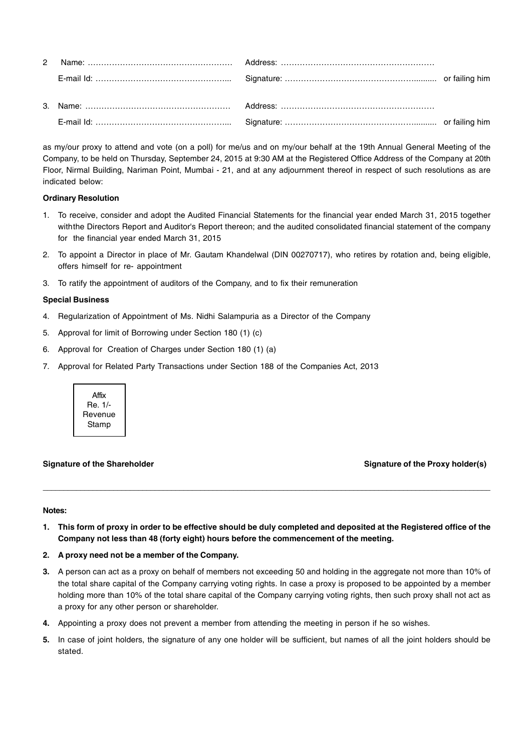as my/our proxy to attend and vote (on a poll) for me/us and on my/our behalf at the 19th Annual General Meeting of the Company, to be held on Thursday, September 24, 2015 at 9:30 AM at the Registered Office Address of the Company at 20th Floor, Nirmal Building, Nariman Point, Mumbai - 21, and at any adjournment thereof in respect of such resolutions as are indicated below:

#### **Ordinary Resolution**

- 1. To receive, consider and adopt the Audited Financial Statements for the financial year ended March 31, 2015 together withthe Directors Report and Auditor's Report thereon; and the audited consolidated financial statement of the company for the financial year ended March 31, 2015
- 2. To appoint a Director in place of Mr. Gautam Khandelwal (DIN 00270717), who retires by rotation and, being eligible, offers himself for re- appointment
- 3. To ratify the appointment of auditors of the Company, and to fix their remuneration

#### **Special Business**

- 4. Regularization of Appointment of Ms. Nidhi Salampuria as a Director of the Company
- 5. Approval for limit of Borrowing under Section 180 (1) (c)
- 6. Approval for Creation of Charges under Section 180 (1) (a)
- 7. Approval for Related Party Transactions under Section 188 of the Companies Act, 2013



Signature of the Shareholder School School School School School School School School School School School School School School School School School School School School School School School School School School School Scho

#### **Notes:**

**1. This form of proxy in order to be effective should be duly completed and deposited at the Registered office of the Company not less than 48 (forty eight) hours before the commencement of the meeting.**

**\_\_\_\_\_\_\_\_\_\_\_\_\_\_\_\_\_\_\_\_\_\_\_\_\_\_\_\_\_\_\_\_\_\_\_\_\_\_\_\_\_\_\_\_\_\_\_\_\_\_\_\_\_\_\_\_\_\_\_\_\_\_\_\_\_\_\_\_\_\_\_\_\_\_\_\_\_\_\_\_\_\_\_\_\_\_\_\_\_\_\_\_\_\_\_\_\_\_\_\_\_\_\_\_\_\_\_\_**

- **2. A proxy need not be a member of the Company.**
- **3.** A person can act as a proxy on behalf of members not exceeding 50 and holding in the aggregate not more than 10% of the total share capital of the Company carrying voting rights. In case a proxy is proposed to be appointed by a member holding more than 10% of the total share capital of the Company carrying voting rights, then such proxy shall not act as a proxy for any other person or shareholder.
- **4.** Appointing a proxy does not prevent a member from attending the meeting in person if he so wishes.
- **5.** In case of joint holders, the signature of any one holder will be sufficient, but names of all the joint holders should be stated.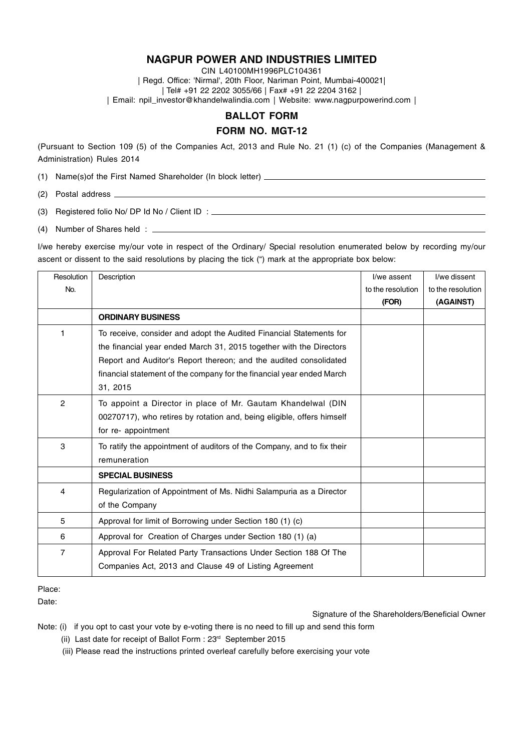CIN L40100MH1996PLC104361 | Regd. Office: 'Nirmal', 20th Floor, Nariman Point, Mumbai-400021| | Tel# +91 22 2202 3055/66 | Fax# +91 22 2204 3162 | | Email: npil\_investor@khandelwalindia.com | Website: www.nagpurpowerind.com |

#### **BALLOT FORM**

#### **FORM NO. MGT-12**

(Pursuant to Section 109 (5) of the Companies Act, 2013 and Rule No. 21 (1) (c) of the Companies (Management & Administration) Rules 2014

(1) Name(s)of the First Named Shareholder (In block letter)

(2) Postal address

(3) Registered folio No/ DP Id No / Client ID :

(4) Number of Shares held :

I/we hereby exercise my/our vote in respect of the Ordinary/ Special resolution enumerated below by recording my/our ascent or dissent to the said resolutions by placing the tick (") mark at the appropriate box below:

| <b>Resolution</b> | Description                                                                       | I/we assent       | I/we dissent      |
|-------------------|-----------------------------------------------------------------------------------|-------------------|-------------------|
| No.               |                                                                                   | to the resolution | to the resolution |
|                   |                                                                                   | (FOR)             | (AGAINST)         |
|                   | <b>ORDINARY BUSINESS</b>                                                          |                   |                   |
| 1                 | To receive, consider and adopt the Audited Financial Statements for               |                   |                   |
|                   | the financial year ended March 31, 2015 together with the Directors               |                   |                   |
|                   | Report and Auditor's Report thereon; and the audited consolidated                 |                   |                   |
|                   | financial statement of the company for the financial year ended March<br>31, 2015 |                   |                   |
| $\overline{2}$    | To appoint a Director in place of Mr. Gautam Khandelwal (DIN                      |                   |                   |
|                   | 00270717), who retires by rotation and, being eligible, offers himself            |                   |                   |
|                   | for re- appointment                                                               |                   |                   |
| 3                 | To ratify the appointment of auditors of the Company, and to fix their            |                   |                   |
|                   | remuneration                                                                      |                   |                   |
|                   | <b>SPECIAL BUSINESS</b>                                                           |                   |                   |
| 4                 | Regularization of Appointment of Ms. Nidhi Salampuria as a Director               |                   |                   |
|                   | of the Company                                                                    |                   |                   |
| 5                 | Approval for limit of Borrowing under Section 180 (1) (c)                         |                   |                   |
| 6                 | Approval for Creation of Charges under Section 180 (1) (a)                        |                   |                   |
| 7                 | Approval For Related Party Transactions Under Section 188 Of The                  |                   |                   |
|                   | Companies Act, 2013 and Clause 49 of Listing Agreement                            |                   |                   |

#### Place:

Date:

Signature of the Shareholders/Beneficial Owner

Note: (i) if you opt to cast your vote by e-voting there is no need to fill up and send this form

(ii) Last date for receipt of Ballot Form : 23<sup>rd</sup> September 2015

(iii) Please read the instructions printed overleaf carefully before exercising your vote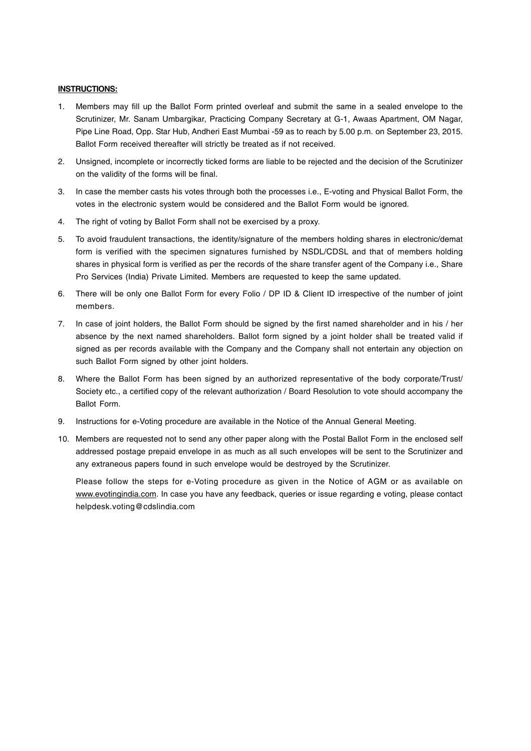#### **INSTRUCTIONS:**

- 1. Members may fill up the Ballot Form printed overleaf and submit the same in a sealed envelope to the Scrutinizer, Mr. Sanam Umbargikar, Practicing Company Secretary at G-1, Awaas Apartment, OM Nagar, Pipe Line Road, Opp. Star Hub, Andheri East Mumbai -59 as to reach by 5.00 p.m. on September 23, 2015. Ballot Form received thereafter will strictly be treated as if not received.
- 2. Unsigned, incomplete or incorrectly ticked forms are liable to be rejected and the decision of the Scrutinizer on the validity of the forms will be final.
- 3. In case the member casts his votes through both the processes i.e., E-voting and Physical Ballot Form, the votes in the electronic system would be considered and the Ballot Form would be ignored.
- 4. The right of voting by Ballot Form shall not be exercised by a proxy.
- 5. To avoid fraudulent transactions, the identity/signature of the members holding shares in electronic/demat form is verified with the specimen signatures furnished by NSDL/CDSL and that of members holding shares in physical form is verified as per the records of the share transfer agent of the Company i.e., Share Pro Services (India) Private Limited. Members are requested to keep the same updated.
- 6. There will be only one Ballot Form for every Folio / DP ID & Client ID irrespective of the number of joint members.
- 7. In case of joint holders, the Ballot Form should be signed by the first named shareholder and in his / her absence by the next named shareholders. Ballot form signed by a joint holder shall be treated valid if signed as per records available with the Company and the Company shall not entertain any objection on such Ballot Form signed by other joint holders.
- 8. Where the Ballot Form has been signed by an authorized representative of the body corporate/Trust/ Society etc., a certified copy of the relevant authorization / Board Resolution to vote should accompany the Ballot Form.
- 9. Instructions for e-Voting procedure are available in the Notice of the Annual General Meeting.
- 10. Members are requested not to send any other paper along with the Postal Ballot Form in the enclosed self addressed postage prepaid envelope in as much as all such envelopes will be sent to the Scrutinizer and any extraneous papers found in such envelope would be destroyed by the Scrutinizer.

Please follow the steps for e-Voting procedure as given in the Notice of AGM or as available on www.evotingindia.com. In case you have any feedback, queries or issue regarding e voting, please contact helpdesk.voting@cdslindia.com